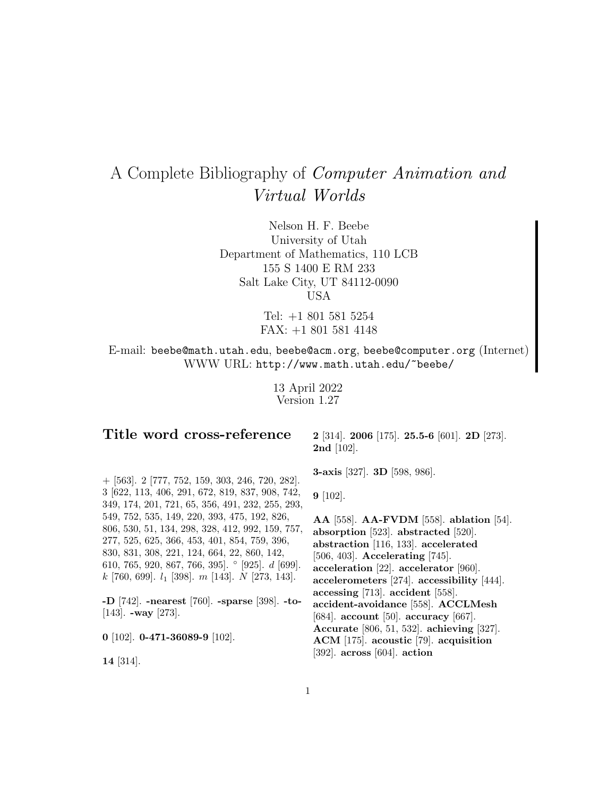# A Complete Bibliography of Computer Animation and Virtual Worlds

Nelson H. F. Beebe University of Utah Department of Mathematics, 110 LCB 155 S 1400 E RM 233 Salt Lake City, UT 84112-0090 USA

> Tel: +1 801 581 5254 FAX: +1 801 581 4148

E-mail: beebe@math.utah.edu, beebe@acm.org, beebe@computer.org (Internet) WWW URL: http://www.math.utah.edu/~beebe/

> 13 April 2022 Version 1.27

# **Title word cross-reference**

**2** [314]. **2006** [175]. **25.5-6** [601]. **2D** [273]. **2nd** [102].

**3-axis** [327]. **3D** [598, 986].

**9** [102].

**AA** [558]. **AA-FVDM** [558]. **ablation** [54]. **absorption** [523]. **abstracted** [520]. **abstraction** [116, 133]. **accelerated** [506, 403]. **Accelerating** [745]. **acceleration** [22]. **accelerator** [960]. **accelerometers** [274]. **accessibility** [444]. **accessing** [713]. **accident** [558]. **accident-avoidance** [558]. **ACCLMesh** [684]. **account** [50]. **accuracy** [667]. **Accurate** [806, 51, 532]. **achieving** [327]. **ACM** [175]. **acoustic** [79]. **acquisition** [392]. **across** [604]. **action**

+ [563]. 2 [777, 752, 159, 303, 246, 720, 282]. 3 [622, 113, 406, 291, 672, 819, 837, 908, 742, 349, 174, 201, 721, 65, 356, 491, 232, 255, 293, 549, 752, 535, 149, 220, 393, 475, 192, 826, 806, 530, 51, 134, 298, 328, 412, 992, 159, 757, 277, 525, 625, 366, 453, 401, 854, 759, 396, 830, 831, 308, 221, 124, 664, 22, 860, 142, 610, 765, 920, 867, 766, 395]. ◦ [925]. d [699].  $k$  [760, 699].  $l_1$  [398].  $m$  [143].  $N$  [273, 143].

**-D** [742]. **-nearest** [760]. **-sparse** [398]. **-to-** [143]. **-way** [273].

**0** [102]. **0-471-36089-9** [102].

**14** [314].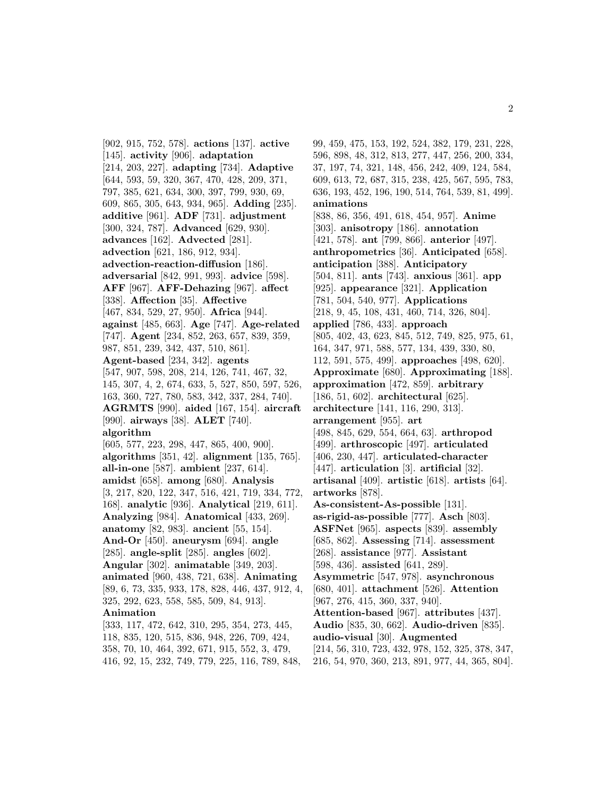[902, 915, 752, 578]. **actions** [137]. **active** [145]. **activity** [906]. **adaptation** [214, 203, 227]. **adapting** [734]. **Adaptive** [644, 593, 59, 320, 367, 470, 428, 209, 371, 797, 385, 621, 634, 300, 397, 799, 930, 69, 609, 865, 305, 643, 934, 965]. **Adding** [235]. **additive** [961]. **ADF** [731]. **adjustment** [300, 324, 787]. **Advanced** [629, 930]. **advances** [162]. **Advected** [281]. **advection** [621, 186, 912, 934]. **advection-reaction-diffusion** [186]. **adversarial** [842, 991, 993]. **advice** [598]. **AFF** [967]. **AFF-Dehazing** [967]. **affect** [338]. **Affection** [35]. **Affective** [467, 834, 529, 27, 950]. **Africa** [944]. **against** [485, 663]. **Age** [747]. **Age-related** [747]. **Agent** [234, 852, 263, 657, 839, 359, 987, 851, 239, 342, 437, 510, 861]. **Agent-based** [234, 342]. **agents** [547, 907, 598, 208, 214, 126, 741, 467, 32, 145, 307, 4, 2, 674, 633, 5, 527, 850, 597, 526, 163, 360, 727, 780, 583, 342, 337, 284, 740]. **AGRMTS** [990]. **aided** [167, 154]. **aircraft** [990]. **airways** [38]. **ALET** [740]. **algorithm** [605, 577, 223, 298, 447, 865, 400, 900]. **algorithms** [351, 42]. **alignment** [135, 765]. **all-in-one** [587]. **ambient** [237, 614]. **amidst** [658]. **among** [680]. **Analysis** [3, 217, 820, 122, 347, 516, 421, 719, 334, 772, 168]. **analytic** [936]. **Analytical** [219, 611]. **Analyzing** [984]. **Anatomical** [433, 269]. **anatomy** [82, 983]. **ancient** [55, 154]. **And-Or** [450]. **aneurysm** [694]. **angle** [285]. **angle-split** [285]. **angles** [602]. **Angular** [302]. **animatable** [349, 203]. **animated** [960, 438, 721, 638]. **Animating** [89, 6, 73, 335, 933, 178, 828, 446, 437, 912, 4, 325, 292, 623, 558, 585, 509, 84, 913]. **Animation** [333, 117, 472, 642, 310, 295, 354, 273, 445, 118, 835, 120, 515, 836, 948, 226, 709, 424,

358, 70, 10, 464, 392, 671, 915, 552, 3, 479, 416, 92, 15, 232, 749, 779, 225, 116, 789, 848,

99, 459, 475, 153, 192, 524, 382, 179, 231, 228, 596, 898, 48, 312, 813, 277, 447, 256, 200, 334, 37, 197, 74, 321, 148, 456, 242, 409, 124, 584, 609, 613, 72, 687, 315, 238, 425, 567, 595, 783, 636, 193, 452, 196, 190, 514, 764, 539, 81, 499]. **animations** [838, 86, 356, 491, 618, 454, 957]. **Anime** [303]. **anisotropy** [186]. **annotation** [421, 578]. **ant** [799, 866]. **anterior** [497]. **anthropometrics** [36]. **Anticipated** [658]. **anticipation** [388]. **Anticipatory** [504, 811]. **ants** [743]. **anxious** [361]. **app** [925]. **appearance** [321]. **Application** [781, 504, 540, 977]. **Applications** [218, 9, 45, 108, 431, 460, 714, 326, 804]. **applied** [786, 433]. **approach** [805, 402, 43, 623, 845, 512, 749, 825, 975, 61, 164, 347, 971, 588, 577, 134, 439, 330, 80, 112, 591, 575, 499]. **approaches** [498, 620]. **Approximate** [680]. **Approximating** [188]. **approximation** [472, 859]. **arbitrary** [186, 51, 602]. **architectural** [625]. **architecture** [141, 116, 290, 313]. **arrangement** [955]. **art** [498, 845, 629, 554, 664, 63]. **arthropod** [499]. **arthroscopic** [497]. **articulated** [406, 230, 447]. **articulated-character** [447]. **articulation** [3]. **artificial** [32]. **artisanal** [409]. **artistic** [618]. **artists** [64]. **artworks** [878]. **As-consistent-As-possible** [131]. **as-rigid-as-possible** [777]. **Asch** [803]. **ASFNet** [965]. **aspects** [839]. **assembly** [685, 862]. **Assessing** [714]. **assessment** [268]. **assistance** [977]. **Assistant** [598, 436]. **assisted** [641, 289]. **Asymmetric** [547, 978]. **asynchronous** [680, 401]. **attachment** [526]. **Attention** [967, 276, 415, 360, 337, 940]. **Attention-based** [967]. **attributes** [437]. **Audio** [835, 30, 662]. **Audio-driven** [835]. **audio-visual** [30]. **Augmented** [214, 56, 310, 723, 432, 978, 152, 325, 378, 347, 216, 54, 970, 360, 213, 891, 977, 44, 365, 804].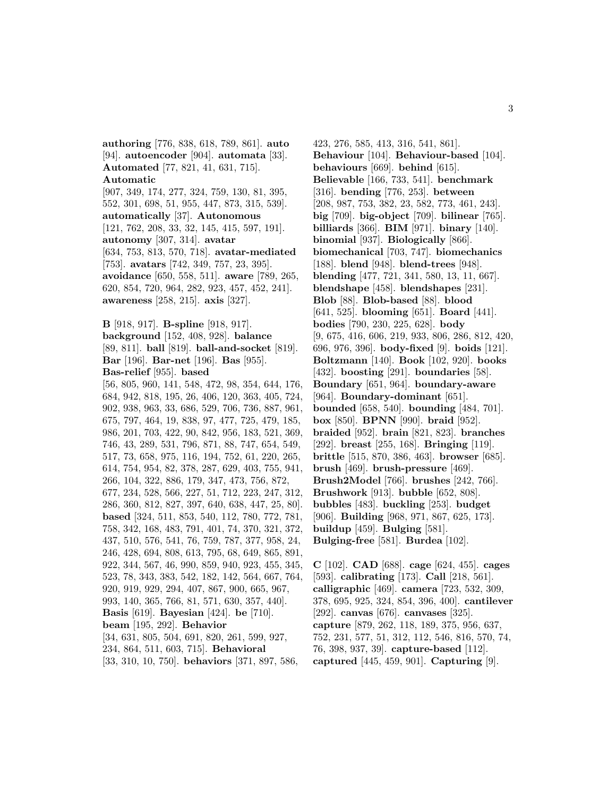**authoring** [776, 838, 618, 789, 861]. **auto** [94]. **autoencoder** [904]. **automata** [33]. **Automated** [77, 821, 41, 631, 715]. **Automatic**

# [907, 349, 174, 277, 324, 759, 130, 81, 395, 552, 301, 698, 51, 955, 447, 873, 315, 539]. **automatically** [37]. **Autonomous** [121, 762, 208, 33, 32, 145, 415, 597, 191]. **autonomy** [307, 314]. **avatar** [634, 753, 813, 570, 718]. **avatar-mediated** [753]. **avatars** [742, 349, 757, 23, 395]. **avoidance** [650, 558, 511]. **aware** [789, 265, 620, 854, 720, 964, 282, 923, 457, 452, 241]. **awareness** [258, 215]. **axis** [327].

**B** [918, 917]. **B-spline** [918, 917]. **background** [152, 408, 928]. **balance** [89, 811]. **ball** [819]. **ball-and-socket** [819]. **Bar** [196]. **Bar-net** [196]. **Bas** [955]. **Bas-relief** [955]. **based**

[56, 805, 960, 141, 548, 472, 98, 354, 644, 176, 684, 942, 818, 195, 26, 406, 120, 363, 405, 724, 902, 938, 963, 33, 686, 529, 706, 736, 887, 961, 675, 797, 464, 19, 838, 97, 477, 725, 479, 185, 986, 201, 703, 422, 90, 842, 956, 183, 521, 369, 746, 43, 289, 531, 796, 871, 88, 747, 654, 549, 517, 73, 658, 975, 116, 194, 752, 61, 220, 265, 614, 754, 954, 82, 378, 287, 629, 403, 755, 941, 266, 104, 322, 886, 179, 347, 473, 756, 872, 677, 234, 528, 566, 227, 51, 712, 223, 247, 312, 286, 360, 812, 827, 397, 640, 638, 447, 25, 80]. **based** [324, 511, 853, 540, 112, 780, 772, 781, 758, 342, 168, 483, 791, 401, 74, 370, 321, 372, 437, 510, 576, 541, 76, 759, 787, 377, 958, 24, 246, 428, 694, 808, 613, 795, 68, 649, 865, 891, 922, 344, 567, 46, 990, 859, 940, 923, 455, 345, 523, 78, 343, 383, 542, 182, 142, 564, 667, 764, 920, 919, 929, 294, 407, 867, 900, 665, 967, 993, 140, 365, 766, 81, 571, 630, 357, 440]. **Basis** [619]. **Bayesian** [424]. **be** [710]. **beam** [195, 292]. **Behavior** [34, 631, 805, 504, 691, 820, 261, 599, 927, 234, 864, 511, 603, 715]. **Behavioral**

[33, 310, 10, 750]. **behaviors** [371, 897, 586,

423, 276, 585, 413, 316, 541, 861]. **Behaviour** [104]. **Behaviour-based** [104]. **behaviours** [669]. **behind** [615]. **Believable** [166, 733, 541]. **benchmark** [316]. **bending** [776, 253]. **between** [208, 987, 753, 382, 23, 582, 773, 461, 243]. **big** [709]. **big-object** [709]. **bilinear** [765]. **billiards** [366]. **BIM** [971]. **binary** [140]. **binomial** [937]. **Biologically** [866]. **biomechanical** [703, 747]. **biomechanics** [188]. **blend** [948]. **blend-trees** [948]. **blending** [477, 721, 341, 580, 13, 11, 667]. **blendshape** [458]. **blendshapes** [231]. **Blob** [88]. **Blob-based** [88]. **blood** [641, 525]. **blooming** [651]. **Board** [441]. **bodies** [790, 230, 225, 628]. **body** [9, 675, 416, 606, 219, 933, 806, 286, 812, 420, 696, 976, 396]. **body-fixed** [9]. **boids** [121]. **Boltzmann** [140]. **Book** [102, 920]. **books** [432]. **boosting** [291]. **boundaries** [58]. **Boundary** [651, 964]. **boundary-aware** [964]. **Boundary-dominant** [651]. **bounded** [658, 540]. **bounding** [484, 701]. **box** [850]. **BPNN** [990]. **braid** [952]. **braided** [952]. **brain** [821, 823]. **branches** [292]. **breast** [255, 168]. **Bringing** [119]. **brittle** [515, 870, 386, 463]. **browser** [685]. **brush** [469]. **brush-pressure** [469]. **Brush2Model** [766]. **brushes** [242, 766]. **Brushwork** [913]. **bubble** [652, 808]. **bubbles** [483]. **buckling** [253]. **budget** [906]. **Building** [968, 971, 867, 625, 173]. **buildup** [459]. **Bulging** [581]. **Bulging-free** [581]. **Burdea** [102].

**C** [102]. **CAD** [688]. **cage** [624, 455]. **cages** [593]. **calibrating** [173]. **Call** [218, 561]. **calligraphic** [469]. **camera** [723, 532, 309, 378, 695, 925, 324, 854, 396, 400]. **cantilever** [292]. **canvas** [676]. **canvases** [325]. **capture** [879, 262, 118, 189, 375, 956, 637, 752, 231, 577, 51, 312, 112, 546, 816, 570, 74, 76, 398, 937, 39]. **capture-based** [112]. **captured** [445, 459, 901]. **Capturing** [9].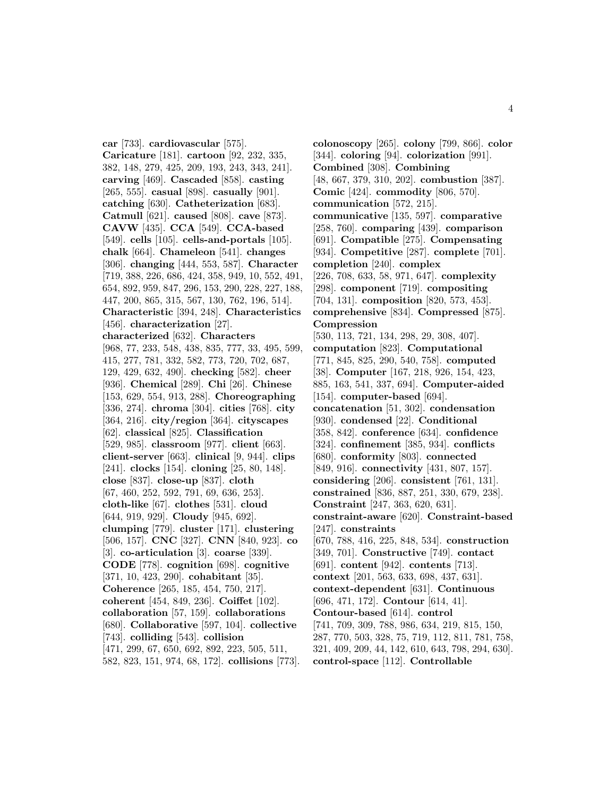**car** [733]. **cardiovascular** [575]. **Caricature** [181]. **cartoon** [92, 232, 335, 382, 148, 279, 425, 209, 193, 243, 343, 241]. **carving** [469]. **Cascaded** [858]. **casting** [265, 555]. **casual** [898]. **casually** [901]. **catching** [630]. **Catheterization** [683]. **Catmull** [621]. **caused** [808]. **cave** [873]. **CAVW** [435]. **CCA** [549]. **CCA-based** [549]. **cells** [105]. **cells-and-portals** [105]. **chalk** [664]. **Chameleon** [541]. **changes** [306]. **changing** [444, 553, 587]. **Character** [719, 388, 226, 686, 424, 358, 949, 10, 552, 491, 654, 892, 959, 847, 296, 153, 290, 228, 227, 188, 447, 200, 865, 315, 567, 130, 762, 196, 514]. **Characteristic** [394, 248]. **Characteristics** [456]. **characterization** [27]. **characterized** [632]. **Characters** [968, 77, 233, 548, 438, 835, 777, 33, 495, 599, 415, 277, 781, 332, 582, 773, 720, 702, 687, 129, 429, 632, 490]. **checking** [582]. **cheer** [936]. **Chemical** [289]. **Chi** [26]. **Chinese** [153, 629, 554, 913, 288]. **Choreographing** [336, 274]. **chroma** [304]. **cities** [768]. **city** [364, 216]. **city/region** [364]. **cityscapes** [62]. **classical** [825]. **Classification** [529, 985]. **classroom** [977]. **client** [663]. **client-server** [663]. **clinical** [9, 944]. **clips** [241]. **clocks** [154]. **cloning** [25, 80, 148]. **close** [837]. **close-up** [837]. **cloth** [67, 460, 252, 592, 791, 69, 636, 253]. **cloth-like** [67]. **clothes** [531]. **cloud** [644, 919, 929]. **Cloudy** [945, 692]. **clumping** [779]. **cluster** [171]. **clustering** [506, 157]. **CNC** [327]. **CNN** [840, 923]. **co** [3]. **co-articulation** [3]. **coarse** [339]. **CODE** [778]. **cognition** [698]. **cognitive** [371, 10, 423, 290]. **cohabitant** [35]. **Coherence** [265, 185, 454, 750, 217]. **coherent** [454, 849, 236]. **Coiffet** [102]. **collaboration** [57, 159]. **collaborations** [680]. **Collaborative** [597, 104]. **collective** [743]. **colliding** [543]. **collision** [471, 299, 67, 650, 692, 892, 223, 505, 511, 582, 823, 151, 974, 68, 172]. **collisions** [773].

**colonoscopy** [265]. **colony** [799, 866]. **color** [344]. **coloring** [94]. **colorization** [991]. **Combined** [308]. **Combining** [48, 667, 379, 310, 202]. **combustion** [387]. **Comic** [424]. **commodity** [806, 570]. **communication** [572, 215]. **communicative** [135, 597]. **comparative** [258, 760]. **comparing** [439]. **comparison** [691]. **Compatible** [275]. **Compensating** [934]. **Competitive** [287]. **complete** [701]. **completion** [240]. **complex** [226, 708, 633, 58, 971, 647]. **complexity** [298]. **component** [719]. **compositing** [704, 131]. **composition** [820, 573, 453]. **comprehensive** [834]. **Compressed** [875]. **Compression** [530, 113, 721, 134, 298, 29, 308, 407]. **computation** [823]. **Computational** [771, 845, 825, 290, 540, 758]. **computed** [38]. **Computer** [167, 218, 926, 154, 423, 885, 163, 541, 337, 694]. **Computer-aided** [154]. **computer-based** [694]. **concatenation** [51, 302]. **condensation** [930]. **condensed** [22]. **Conditional** [358, 842]. **conference** [634]. **confidence** [324]. **confinement** [385, 934]. **conflicts** [680]. **conformity** [803]. **connected** [849, 916]. **connectivity** [431, 807, 157]. **considering** [206]. **consistent** [761, 131]. **constrained** [836, 887, 251, 330, 679, 238]. **Constraint** [247, 363, 620, 631]. **constraint-aware** [620]. **Constraint-based** [247]. **constraints** [670, 788, 416, 225, 848, 534]. **construction** [349, 701]. **Constructive** [749]. **contact** [691]. **content** [942]. **contents** [713]. **context** [201, 563, 633, 698, 437, 631]. **context-dependent** [631]. **Continuous** [696, 471, 172]. **Contour** [614, 41]. **Contour-based** [614]. **control** [741, 709, 309, 788, 986, 634, 219, 815, 150, 287, 770, 503, 328, 75, 719, 112, 811, 781, 758, 321, 409, 209, 44, 142, 610, 643, 798, 294, 630]. **control-space** [112]. **Controllable**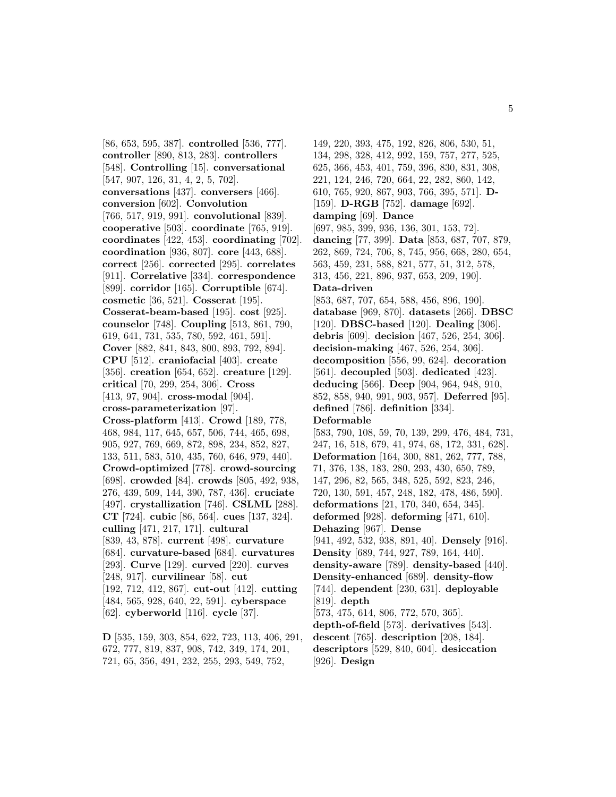[86, 653, 595, 387]. **controlled** [536, 777]. **controller** [890, 813, 283]. **controllers** [548]. **Controlling** [15]. **conversational** [547, 907, 126, 31, 4, 2, 5, 702]. **conversations** [437]. **conversers** [466]. **conversion** [602]. **Convolution** [766, 517, 919, 991]. **convolutional** [839]. **cooperative** [503]. **coordinate** [765, 919]. **coordinates** [422, 453]. **coordinating** [702]. **coordination** [936, 807]. **core** [443, 688]. **correct** [256]. **corrected** [295]. **correlates** [911]. **Correlative** [334]. **correspondence** [899]. **corridor** [165]. **Corruptible** [674]. **cosmetic** [36, 521]. **Cosserat** [195]. **Cosserat-beam-based** [195]. **cost** [925]. **counselor** [748]. **Coupling** [513, 861, 790, 619, 641, 731, 535, 780, 592, 461, 591]. **Cover** [882, 841, 843, 800, 893, 792, 894]. **CPU** [512]. **craniofacial** [403]. **create** [356]. **creation** [654, 652]. **creature** [129]. **critical** [70, 299, 254, 306]. **Cross** [413, 97, 904]. **cross-modal** [904]. **cross-parameterization** [97]. **Cross-platform** [413]. **Crowd** [189, 778, 468, 984, 117, 645, 657, 506, 744, 465, 698, 905, 927, 769, 669, 872, 898, 234, 852, 827, 133, 511, 583, 510, 435, 760, 646, 979, 440]. **Crowd-optimized** [778]. **crowd-sourcing** [698]. **crowded** [84]. **crowds** [805, 492, 938, 276, 439, 509, 144, 390, 787, 436]. **cruciate** [497]. **crystallization** [746]. **CSLML** [288]. **CT** [724]. **cubic** [86, 564]. **cues** [137, 324]. **culling** [471, 217, 171]. **cultural** [839, 43, 878]. **current** [498]. **curvature** [684]. **curvature-based** [684]. **curvatures** [293]. **Curve** [129]. **curved** [220]. **curves** [248, 917]. **curvilinear** [58]. **cut** [192, 712, 412, 867]. **cut-out** [412]. **cutting** [484, 565, 928, 640, 22, 591]. **cyberspace** [62]. **cyberworld** [116]. **cycle** [37].

**D** [535, 159, 303, 854, 622, 723, 113, 406, 291, 672, 777, 819, 837, 908, 742, 349, 174, 201, 721, 65, 356, 491, 232, 255, 293, 549, 752,

149, 220, 393, 475, 192, 826, 806, 530, 51, 134, 298, 328, 412, 992, 159, 757, 277, 525, 625, 366, 453, 401, 759, 396, 830, 831, 308, 221, 124, 246, 720, 664, 22, 282, 860, 142, 610, 765, 920, 867, 903, 766, 395, 571]. **D-** [159]. **D-RGB** [752]. **damage** [692]. **damping** [69]. **Dance** [697, 985, 399, 936, 136, 301, 153, 72]. **dancing** [77, 399]. **Data** [853, 687, 707, 879, 262, 869, 724, 706, 8, 745, 956, 668, 280, 654, 563, 459, 231, 588, 821, 577, 51, 312, 578, 313, 456, 221, 896, 937, 653, 209, 190]. **Data-driven** [853, 687, 707, 654, 588, 456, 896, 190]. **database** [969, 870]. **datasets** [266]. **DBSC** [120]. **DBSC-based** [120]. **Dealing** [306]. **debris** [609]. **decision** [467, 526, 254, 306]. **decision-making** [467, 526, 254, 306]. **decomposition** [556, 99, 624]. **decoration** [561]. **decoupled** [503]. **dedicated** [423]. **deducing** [566]. **Deep** [904, 964, 948, 910, 852, 858, 940, 991, 903, 957]. **Deferred** [95]. **defined** [786]. **definition** [334]. **Deformable** [583, 790, 108, 59, 70, 139, 299, 476, 484, 731, 247, 16, 518, 679, 41, 974, 68, 172, 331, 628]. **Deformation** [164, 300, 881, 262, 777, 788, 71, 376, 138, 183, 280, 293, 430, 650, 789, 147, 296, 82, 565, 348, 525, 592, 823, 246, 720, 130, 591, 457, 248, 182, 478, 486, 590]. **deformations** [21, 170, 340, 654, 345]. **deformed** [928]. **deforming** [471, 610]. **Dehazing** [967]. **Dense** [941, 492, 532, 938, 891, 40]. **Densely** [916]. **Density** [689, 744, 927, 789, 164, 440]. **density-aware** [789]. **density-based** [440]. **Density-enhanced** [689]. **density-flow** [744]. **dependent** [230, 631]. **deployable** [819]. **depth** [573, 475, 614, 806, 772, 570, 365].

**depth-of-field** [573]. **derivatives** [543]. **descent** [765]. **description** [208, 184]. **descriptors** [529, 840, 604]. **desiccation**

[926]. **Design**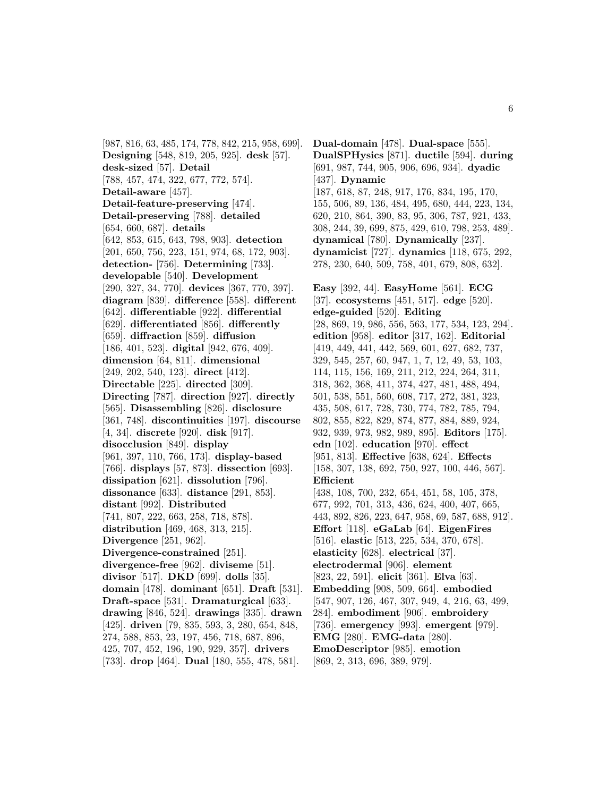[987, 816, 63, 485, 174, 778, 842, 215, 958, 699]. **Designing** [548, 819, 205, 925]. **desk** [57]. **desk-sized** [57]. **Detail** [788, 457, 474, 322, 677, 772, 574]. **Detail-aware** [457]. **Detail-feature-preserving** [474]. **Detail-preserving** [788]. **detailed** [654, 660, 687]. **details** [642, 853, 615, 643, 798, 903]. **detection** [201, 650, 756, 223, 151, 974, 68, 172, 903]. **detection-** [756]. **Determining** [733]. **developable** [540]. **Development** [290, 327, 34, 770]. **devices** [367, 770, 397]. **diagram** [839]. **difference** [558]. **different** [642]. **differentiable** [922]. **differential** [629]. **differentiated** [856]. **differently** [659]. **diffraction** [859]. **diffusion** [186, 401, 523]. **digital** [942, 676, 409]. **dimension** [64, 811]. **dimensional** [249, 202, 540, 123]. **direct** [412]. **Directable** [225]. **directed** [309]. **Directing** [787]. **direction** [927]. **directly** [565]. **Disassembling** [826]. **disclosure** [361, 748]. **discontinuities** [197]. **discourse** [4, 34]. **discrete** [920]. **disk** [917]. **disocclusion** [849]. **display** [961, 397, 110, 766, 173]. **display-based** [766]. **displays** [57, 873]. **dissection** [693]. **dissipation** [621]. **dissolution** [796]. **dissonance** [633]. **distance** [291, 853]. **distant** [992]. **Distributed** [741, 807, 222, 663, 258, 718, 878]. **distribution** [469, 468, 313, 215]. **Divergence** [251, 962]. **Divergence-constrained** [251]. **divergence-free** [962]. **diviseme** [51]. **divisor** [517]. **DKD** [699]. **dolls** [35]. **domain** [478]. **dominant** [651]. **Draft** [531]. **Draft-space** [531]. **Dramaturgical** [633]. **drawing** [846, 524]. **drawings** [335]. **drawn** [425]. **driven** [79, 835, 593, 3, 280, 654, 848, 274, 588, 853, 23, 197, 456, 718, 687, 896, 425, 707, 452, 196, 190, 929, 357]. **drivers** [733]. **drop** [464]. **Dual** [180, 555, 478, 581].

**Dual-domain** [478]. **Dual-space** [555]. **DualSPHysics** [871]. **ductile** [594]. **during** [691, 987, 744, 905, 906, 696, 934]. **dyadic** [437]. **Dynamic** [187, 618, 87, 248, 917, 176, 834, 195, 170, 155, 506, 89, 136, 484, 495, 680, 444, 223, 134, 620, 210, 864, 390, 83, 95, 306, 787, 921, 433, 308, 244, 39, 699, 875, 429, 610, 798, 253, 489]. **dynamical** [780]. **Dynamically** [237]. **dynamicist** [727]. **dynamics** [118, 675, 292, 278, 230, 640, 509, 758, 401, 679, 808, 632]. **Easy** [392, 44]. **EasyHome** [561]. **ECG** [37]. **ecosystems** [451, 517]. **edge** [520]. **edge-guided** [520]. **Editing** [28, 869, 19, 986, 556, 563, 177, 534, 123, 294]. **edition** [958]. **editor** [317, 162]. **Editorial** [419, 449, 441, 442, 569, 601, 627, 682, 737, 329, 545, 257, 60, 947, 1, 7, 12, 49, 53, 103, 114, 115, 156, 169, 211, 212, 224, 264, 311, 318, 362, 368, 411, 374, 427, 481, 488, 494, 501, 538, 551, 560, 608, 717, 272, 381, 323, 435, 508, 617, 728, 730, 774, 782, 785, 794, 802, 855, 822, 829, 874, 877, 884, 889, 924, 932, 939, 973, 982, 989, 895]. **Editors** [175]. **edn** [102]. **education** [970]. **effect** [951, 813]. **Effective** [638, 624]. **Effects** [158, 307, 138, 692, 750, 927, 100, 446, 567]. **Efficient** [438, 108, 700, 232, 654, 451, 58, 105, 378, 677, 992, 701, 313, 436, 624, 400, 407, 665, 443, 892, 826, 223, 647, 958, 69, 587, 688, 912]. **Effort** [118]. **eGaLab** [64]. **EigenFires** [516]. **elastic** [513, 225, 534, 370, 678]. **elasticity** [628]. **electrical** [37]. **electrodermal** [906]. **element** [823, 22, 591]. **elicit** [361]. **Elva** [63]. **Embedding** [908, 509, 664]. **embodied** [547, 907, 126, 467, 307, 949, 4, 216, 63, 499, 284]. **embodiment** [906]. **embroidery** [736]. **emergency** [993]. **emergent** [979]. **EMG** [280]. **EMG-data** [280]. **EmoDescriptor** [985]. **emotion** [869, 2, 313, 696, 389, 979].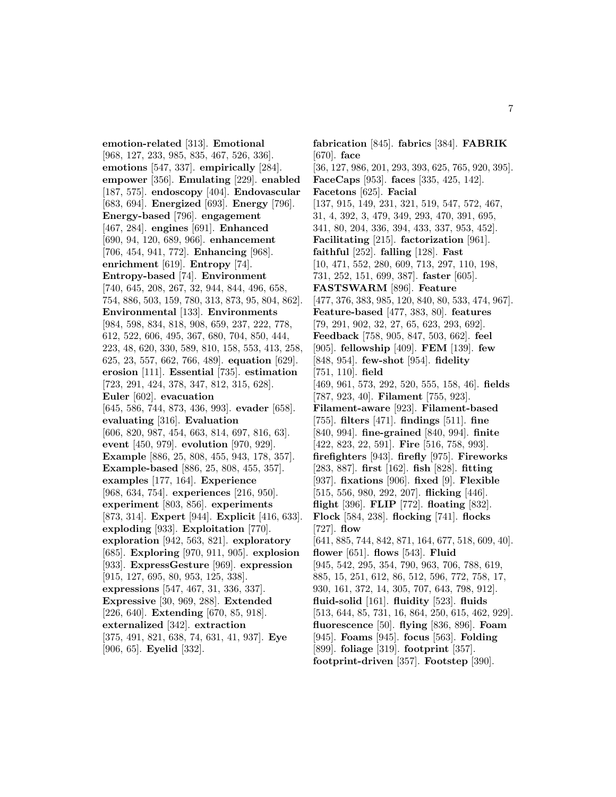**emotion-related** [313]. **Emotional** [968, 127, 233, 985, 835, 467, 526, 336]. **emotions** [547, 337]. **empirically** [284]. **empower** [356]. **Emulating** [229]. **enabled** [187, 575]. **endoscopy** [404]. **Endovascular** [683, 694]. **Energized** [693]. **Energy** [796]. **Energy-based** [796]. **engagement** [467, 284]. **engines** [691]. **Enhanced** [690, 94, 120, 689, 966]. **enhancement** [706, 454, 941, 772]. **Enhancing** [968]. **enrichment** [619]. **Entropy** [74]. **Entropy-based** [74]. **Environment** [740, 645, 208, 267, 32, 944, 844, 496, 658, 754, 886, 503, 159, 780, 313, 873, 95, 804, 862]. **Environmental** [133]. **Environments** [984, 598, 834, 818, 908, 659, 237, 222, 778, 612, 522, 606, 495, 367, 680, 704, 850, 444, 223, 48, 620, 330, 589, 810, 158, 553, 413, 258, 625, 23, 557, 662, 766, 489]. **equation** [629]. **erosion** [111]. **Essential** [735]. **estimation** [723, 291, 424, 378, 347, 812, 315, 628]. **Euler** [602]. **evacuation** [645, 586, 744, 873, 436, 993]. **evader** [658]. **evaluating** [316]. **Evaluation** [606, 820, 987, 454, 663, 814, 697, 816, 63]. **event** [450, 979]. **evolution** [970, 929]. **Example** [886, 25, 808, 455, 943, 178, 357]. **Example-based** [886, 25, 808, 455, 357]. **examples** [177, 164]. **Experience** [968, 634, 754]. **experiences** [216, 950]. **experiment** [803, 856]. **experiments** [873, 314]. **Expert** [944]. **Explicit** [416, 633]. **exploding** [933]. **Exploitation** [770]. **exploration** [942, 563, 821]. **exploratory** [685]. **Exploring** [970, 911, 905]. **explosion** [933]. **ExpressGesture** [969]. **expression** [915, 127, 695, 80, 953, 125, 338]. **expressions** [547, 467, 31, 336, 337]. **Expressive** [30, 969, 288]. **Extended** [226, 640]. **Extending** [670, 85, 918]. **externalized** [342]. **extraction** [375, 491, 821, 638, 74, 631, 41, 937]. **Eye** [906, 65]. **Eyelid** [332].

**fabrication** [845]. **fabrics** [384]. **FABRIK** [670]. **face** [36, 127, 986, 201, 293, 393, 625, 765, 920, 395]. **FaceCaps** [953]. **faces** [335, 425, 142]. **Facetons** [625]. **Facial** [137, 915, 149, 231, 321, 519, 547, 572, 467, 31, 4, 392, 3, 479, 349, 293, 470, 391, 695, 341, 80, 204, 336, 394, 433, 337, 953, 452]. **Facilitating** [215]. **factorization** [961]. **faithful** [252]. **falling** [128]. **Fast** [10, 471, 552, 280, 609, 713, 297, 110, 198, 731, 252, 151, 699, 387]. **faster** [605]. **FASTSWARM** [896]. **Feature** [477, 376, 383, 985, 120, 840, 80, 533, 474, 967]. **Feature-based** [477, 383, 80]. **features** [79, 291, 902, 32, 27, 65, 623, 293, 692]. **Feedback** [758, 905, 847, 503, 662]. **feel** [905]. **fellowship** [409]. **FEM** [139]. **few** [848, 954]. **few-shot** [954]. **fidelity** [751, 110]. **field** [469, 961, 573, 292, 520, 555, 158, 46]. **fields** [787, 923, 40]. **Filament** [755, 923]. **Filament-aware** [923]. **Filament-based** [755]. **filters** [471]. **findings** [511]. **fine** [840, 994]. **fine-grained** [840, 994]. **finite** [422, 823, 22, 591]. **Fire** [516, 758, 993]. **firefighters** [943]. **firefly** [975]. **Fireworks** [283, 887]. **first** [162]. **fish** [828]. **fitting** [937]. **fixations** [906]. **fixed** [9]. **Flexible** [515, 556, 980, 292, 207]. **flicking** [446]. **flight** [396]. **FLIP** [772]. **floating** [832]. **Flock** [584, 238]. **flocking** [741]. **flocks** [727]. **flow** [641, 885, 744, 842, 871, 164, 677, 518, 609, 40]. **flower** [651]. **flows** [543]. **Fluid** [945, 542, 295, 354, 790, 963, 706, 788, 619, 885, 15, 251, 612, 86, 512, 596, 772, 758, 17, 930, 161, 372, 14, 305, 707, 643, 798, 912]. **fluid-solid** [161]. **fluidity** [523]. **fluids** [513, 644, 85, 731, 16, 864, 250, 615, 462, 929]. **fluorescence** [50]. **flying** [836, 896]. **Foam** [945]. **Foams** [945]. **focus** [563]. **Folding** [899]. **foliage** [319]. **footprint** [357]. **footprint-driven** [357]. **Footstep** [390].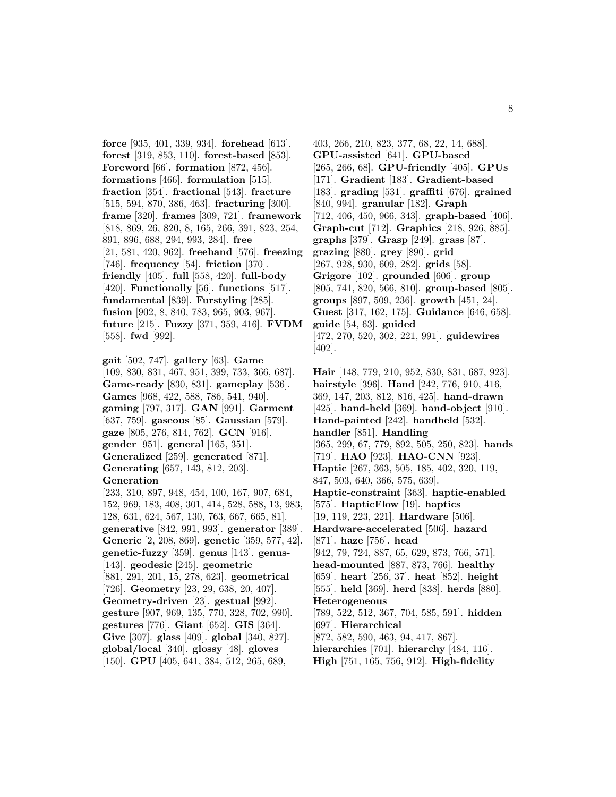**force** [935, 401, 339, 934]. **forehead** [613]. **forest** [319, 853, 110]. **forest-based** [853]. **Foreword** [66]. **formation** [872, 456]. **formations** [466]. **formulation** [515]. **fraction** [354]. **fractional** [543]. **fracture** [515, 594, 870, 386, 463]. **fracturing** [300]. **frame** [320]. **frames** [309, 721]. **framework** [818, 869, 26, 820, 8, 165, 266, 391, 823, 254, 891, 896, 688, 294, 993, 284]. **free** [21, 581, 420, 962]. **freehand** [576]. **freezing** [746]. **frequency** [54]. **friction** [370]. **friendly** [405]. **full** [558, 420]. **full-body** [420]. **Functionally** [56]. **functions** [517]. **fundamental** [839]. **Furstyling** [285]. **fusion** [902, 8, 840, 783, 965, 903, 967]. **future** [215]. **Fuzzy** [371, 359, 416]. **FVDM** [558]. **fwd** [992].

**gait** [502, 747]. **gallery** [63]. **Game** [109, 830, 831, 467, 951, 399, 733, 366, 687]. **Game-ready** [830, 831]. **gameplay** [536]. **Games** [968, 422, 588, 786, 541, 940]. **gaming** [797, 317]. **GAN** [991]. **Garment** [637, 759]. **gaseous** [85]. **Gaussian** [579]. **gaze** [805, 276, 814, 762]. **GCN** [916]. **gender** [951]. **general** [165, 351]. **Generalized** [259]. **generated** [871]. **Generating** [657, 143, 812, 203]. **Generation**

[233, 310, 897, 948, 454, 100, 167, 907, 684, 152, 969, 183, 408, 301, 414, 528, 588, 13, 983, 128, 631, 624, 567, 130, 763, 667, 665, 81]. **generative** [842, 991, 993]. **generator** [389]. **Generic** [2, 208, 869]. **genetic** [359, 577, 42]. **genetic-fuzzy** [359]. **genus** [143]. **genus-** [143]. **geodesic** [245]. **geometric** [881, 291, 201, 15, 278, 623]. **geometrical** [726]. **Geometry** [23, 29, 638, 20, 407]. **Geometry-driven** [23]. **gestual** [992]. **gesture** [907, 969, 135, 770, 328, 702, 990]. **gestures** [776]. **Giant** [652]. **GIS** [364]. **Give** [307]. **glass** [409]. **global** [340, 827]. **global/local** [340]. **glossy** [48]. **gloves** [150]. **GPU** [405, 641, 384, 512, 265, 689,

403, 266, 210, 823, 377, 68, 22, 14, 688]. **GPU-assisted** [641]. **GPU-based** [265, 266, 68]. **GPU-friendly** [405]. **GPUs** [171]. **Gradient** [183]. **Gradient-based** [183]. **grading** [531]. **graffiti** [676]. **grained** [840, 994]. **granular** [182]. **Graph** [712, 406, 450, 966, 343]. **graph-based** [406]. **Graph-cut** [712]. **Graphics** [218, 926, 885]. **graphs** [379]. **Grasp** [249]. **grass** [87]. **grazing** [880]. **grey** [890]. **grid** [267, 928, 930, 609, 282]. **grids** [58]. **Grigore** [102]. **grounded** [606]. **group** [805, 741, 820, 566, 810]. **group-based** [805]. **groups** [897, 509, 236]. **growth** [451, 24]. **Guest** [317, 162, 175]. **Guidance** [646, 658]. **guide** [54, 63]. **guided** [472, 270, 520, 302, 221, 991]. **guidewires** [402].

**Hair** [148, 779, 210, 952, 830, 831, 687, 923]. **hairstyle** [396]. **Hand** [242, 776, 910, 416, 369, 147, 203, 812, 816, 425]. **hand-drawn** [425]. **hand-held** [369]. **hand-object** [910]. **Hand-painted** [242]. **handheld** [532]. **handler** [851]. **Handling** [365, 299, 67, 779, 892, 505, 250, 823]. **hands** [719]. **HAO** [923]. **HAO-CNN** [923]. **Haptic** [267, 363, 505, 185, 402, 320, 119, 847, 503, 640, 366, 575, 639]. **Haptic-constraint** [363]. **haptic-enabled** [575]. **HapticFlow** [19]. **haptics** [19, 119, 223, 221]. **Hardware** [506]. **Hardware-accelerated** [506]. **hazard** [871]. **haze** [756]. **head** [942, 79, 724, 887, 65, 629, 873, 766, 571]. **head-mounted** [887, 873, 766]. **healthy** [659]. **heart** [256, 37]. **heat** [852]. **height** [555]. **held** [369]. **herd** [838]. **herds** [880]. **Heterogeneous** [789, 522, 512, 367, 704, 585, 591]. **hidden** [697]. **Hierarchical** [872, 582, 590, 463, 94, 417, 867]. **hierarchies** [701]. **hierarchy** [484, 116]. **High** [751, 165, 756, 912]. **High-fidelity**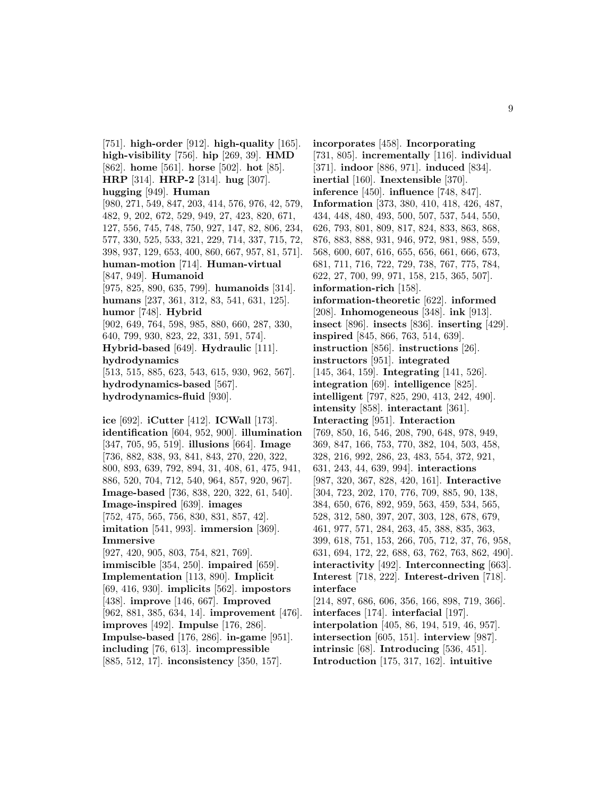[751]. **high-order** [912]. **high-quality** [165]. **high-visibility** [756]. **hip** [269, 39]. **HMD** [862]. **home** [561]. **horse** [502]. **hot** [85]. **HRP** [314]. **HRP-2** [314]. **hug** [307]. **hugging** [949]. **Human** [980, 271, 549, 847, 203, 414, 576, 976, 42, 579, 482, 9, 202, 672, 529, 949, 27, 423, 820, 671, 127, 556, 745, 748, 750, 927, 147, 82, 806, 234, 577, 330, 525, 533, 321, 229, 714, 337, 715, 72, 398, 937, 129, 653, 400, 860, 667, 957, 81, 571]. **human-motion** [714]. **Human-virtual** [847, 949]. **Humanoid** [975, 825, 890, 635, 799]. **humanoids** [314]. **humans** [237, 361, 312, 83, 541, 631, 125]. **humor** [748]. **Hybrid** [902, 649, 764, 598, 985, 880, 660, 287, 330, 640, 799, 930, 823, 22, 331, 591, 574]. **Hybrid-based** [649]. **Hydraulic** [111]. **hydrodynamics** [513, 515, 885, 623, 543, 615, 930, 962, 567]. **hydrodynamics-based** [567]. **hydrodynamics-fluid** [930]. **ice** [692]. **iCutter** [412]. **ICWall** [173]. **identification** [604, 952, 900]. **illumination** [347, 705, 95, 519]. **illusions** [664]. **Image** [736, 882, 838, 93, 841, 843, 270, 220, 322, 800, 893, 639, 792, 894, 31, 408, 61, 475, 941, 886, 520, 704, 712, 540, 964, 857, 920, 967]. **Image-based** [736, 838, 220, 322, 61, 540]. **Image-inspired** [639]. **images** [752, 475, 565, 756, 830, 831, 857, 42]. **imitation** [541, 993]. **immersion** [369]. **Immersive** [927, 420, 905, 803, 754, 821, 769]. **immiscible** [354, 250]. **impaired** [659]. **Implementation** [113, 890]. **Implicit** [69, 416, 930]. **implicits** [562]. **impostors** [438]. **improve** [146, 667]. **Improved** [962, 881, 385, 634, 14]. **improvement** [476]. **improves** [492]. **Impulse** [176, 286]. **Impulse-based** [176, 286]. **in-game** [951].

**including** [76, 613]. **incompressible** [885, 512, 17]. **inconsistency** [350, 157]. **incorporates** [458]. **Incorporating** [731, 805]. **incrementally** [116]. **individual** [371]. **indoor** [886, 971]. **induced** [834]. **inertial** [160]. **Inextensible** [370]. **inference** [450]. **influence** [748, 847]. **Information** [373, 380, 410, 418, 426, 487, 434, 448, 480, 493, 500, 507, 537, 544, 550, 626, 793, 801, 809, 817, 824, 833, 863, 868, 876, 883, 888, 931, 946, 972, 981, 988, 559, 568, 600, 607, 616, 655, 656, 661, 666, 673, 681, 711, 716, 722, 729, 738, 767, 775, 784, 622, 27, 700, 99, 971, 158, 215, 365, 507]. **information-rich** [158]. **information-theoretic** [622]. **informed** [208]. **Inhomogeneous** [348]. **ink** [913]. **insect** [896]. **insects** [836]. **inserting** [429]. **inspired** [845, 866, 763, 514, 639]. **instruction** [856]. **instructions** [26]. **instructors** [951]. **integrated** [145, 364, 159]. **Integrating** [141, 526]. **integration** [69]. **intelligence** [825]. **intelligent** [797, 825, 290, 413, 242, 490]. **intensity** [858]. **interactant** [361]. **Interacting** [951]. **Interaction** [769, 850, 16, 546, 208, 790, 648, 978, 949, 369, 847, 166, 753, 770, 382, 104, 503, 458, 328, 216, 992, 286, 23, 483, 554, 372, 921, 631, 243, 44, 639, 994]. **interactions** [987, 320, 367, 828, 420, 161]. **Interactive** [304, 723, 202, 170, 776, 709, 885, 90, 138, 384, 650, 676, 892, 959, 563, 459, 534, 565, 528, 312, 580, 397, 207, 303, 128, 678, 679, 461, 977, 571, 284, 263, 45, 388, 835, 363, 399, 618, 751, 153, 266, 705, 712, 37, 76, 958, 631, 694, 172, 22, 688, 63, 762, 763, 862, 490]. **interactivity** [492]. **Interconnecting** [663]. **Interest** [718, 222]. **Interest-driven** [718]. **interface** [214, 897, 686, 606, 356, 166, 898, 719, 366]. **interfaces** [174]. **interfacial** [197]. **interpolation** [405, 86, 194, 519, 46, 957]. **intersection** [605, 151]. **interview** [987]. **intrinsic** [68]. **Introducing** [536, 451]. **Introduction** [175, 317, 162]. **intuitive**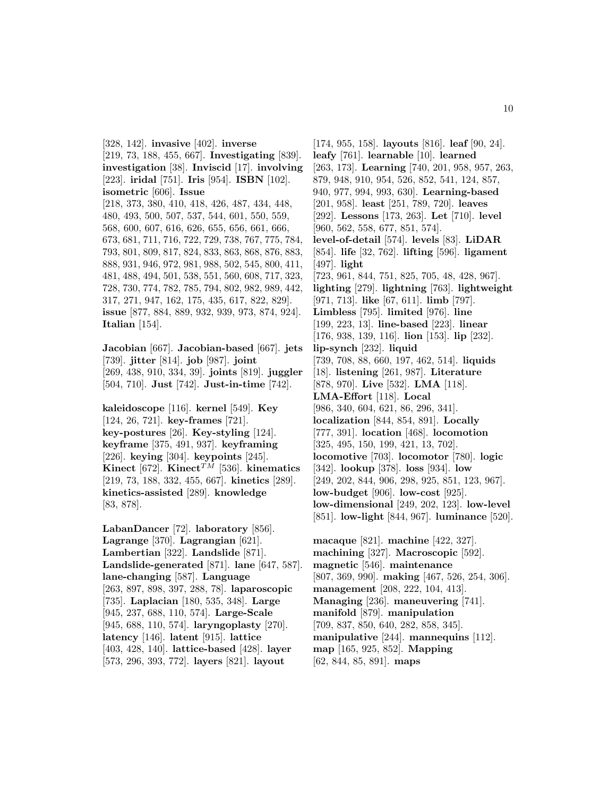[328, 142]. **invasive** [402]. **inverse** [219, 73, 188, 455, 667]. **Investigating** [839]. **investigation** [38]. **Inviscid** [17]. **involving** [223]. **iridal** [751]. **Iris** [954]. **ISBN** [102]. **isometric** [606]. **Issue** [218, 373, 380, 410, 418, 426, 487, 434, 448, 480, 493, 500, 507, 537, 544, 601, 550, 559, 568, 600, 607, 616, 626, 655, 656, 661, 666, 673, 681, 711, 716, 722, 729, 738, 767, 775, 784, 793, 801, 809, 817, 824, 833, 863, 868, 876, 883, 888, 931, 946, 972, 981, 988, 502, 545, 800, 411, 481, 488, 494, 501, 538, 551, 560, 608, 717, 323, 728, 730, 774, 782, 785, 794, 802, 982, 989, 442, 317, 271, 947, 162, 175, 435, 617, 822, 829]. **issue** [877, 884, 889, 932, 939, 973, 874, 924]. **Italian** [154].

**Jacobian** [667]. **Jacobian-based** [667]. **jets** [739]. **jitter** [814]. **job** [987]. **joint** [269, 438, 910, 334, 39]. **joints** [819]. **juggler** [504, 710]. **Just** [742]. **Just-in-time** [742].

**kaleidoscope** [116]. **kernel** [549]. **Key** [124, 26, 721]. **key-frames** [721]. **key-postures** [26]. **Key-styling** [124]. **keyframe** [375, 491, 937]. **keyframing** [226]. **keying** [304]. **keypoints** [245]. **Kinect** [672]. **Kinect**<sup>TM</sup> [536]. **kinematics** [219, 73, 188, 332, 455, 667]. **kinetics** [289]. **kinetics-assisted** [289]. **knowledge** [83, 878].

**LabanDancer** [72]. **laboratory** [856]. **Lagrange** [370]. **Lagrangian** [621]. **Lambertian** [322]. **Landslide** [871]. **Landslide-generated** [871]. **lane** [647, 587]. **lane-changing** [587]. **Language** [263, 897, 898, 397, 288, 78]. **laparoscopic** [735]. **Laplacian** [180, 535, 348]. **Large** [945, 237, 688, 110, 574]. **Large-Scale** [945, 688, 110, 574]. **laryngoplasty** [270]. **latency** [146]. **latent** [915]. **lattice** [403, 428, 140]. **lattice-based** [428]. **layer** [573, 296, 393, 772]. **layers** [821]. **layout**

[174, 955, 158]. **layouts** [816]. **leaf** [90, 24]. **leafy** [761]. **learnable** [10]. **learned** [263, 173]. **Learning** [740, 201, 958, 957, 263, 879, 948, 910, 954, 526, 852, 541, 124, 857, 940, 977, 994, 993, 630]. **Learning-based** [201, 958]. **least** [251, 789, 720]. **leaves** [292]. **Lessons** [173, 263]. **Let** [710]. **level** [960, 562, 558, 677, 851, 574]. **level-of-detail** [574]. **levels** [83]. **LiDAR** [854]. **life** [32, 762]. **lifting** [596]. **ligament** [497]. **light** [723, 961, 844, 751, 825, 705, 48, 428, 967]. **lighting** [279]. **lightning** [763]. **lightweight** [971, 713]. **like** [67, 611]. **limb** [797]. **Limbless** [795]. **limited** [976]. **line** [199, 223, 13]. **line-based** [223]. **linear** [176, 938, 139, 116]. **lion** [153]. **lip** [232]. **lip-synch** [232]. **liquid** [739, 708, 88, 660, 197, 462, 514]. **liquids** [18]. **listening** [261, 987]. **Literature** [878, 970]. **Live** [532]. **LMA** [118]. **LMA-Effort** [118]. **Local** [986, 340, 604, 621, 86, 296, 341]. **localization** [844, 854, 891]. **Locally** [777, 391]. **location** [468]. **locomotion** [325, 495, 150, 199, 421, 13, 702]. **locomotive** [703]. **locomotor** [780]. **logic** [342]. **lookup** [378]. **loss** [934]. **low** [249, 202, 844, 906, 298, 925, 851, 123, 967]. **low-budget** [906]. **low-cost** [925]. **low-dimensional** [249, 202, 123]. **low-level** [851]. **low-light** [844, 967]. **luminance** [520]. **macaque** [821]. **machine** [422, 327]. **machining** [327]. **Macroscopic** [592]. **magnetic** [546]. **maintenance** [807, 369, 990]. **making** [467, 526, 254, 306].

**management** [208, 222, 104, 413]. **Managing** [236]. **maneuvering** [741]. **manifold** [879]. **manipulation** [709, 837, 850, 640, 282, 858, 345].

**map** [165, 925, 852]. **Mapping**

[62, 844, 85, 891]. **maps**

**manipulative** [244]. **mannequins** [112].

10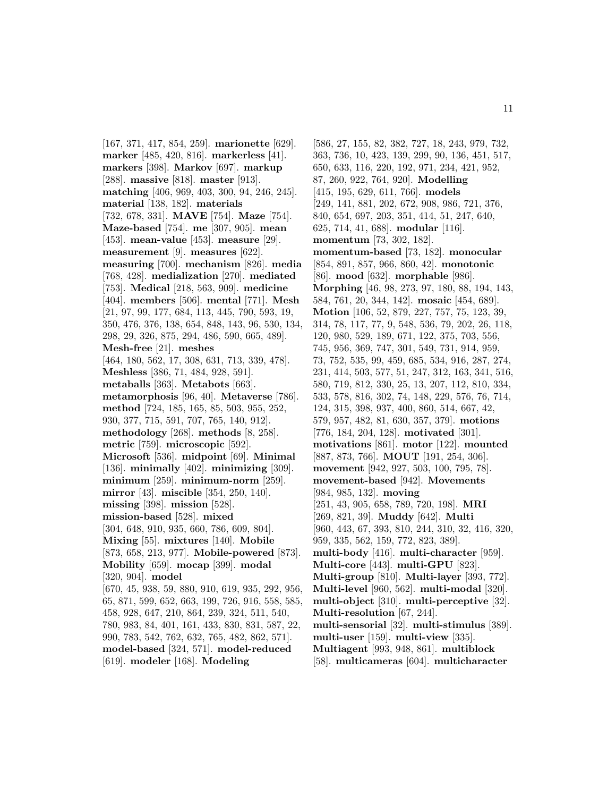[167, 371, 417, 854, 259]. **marionette** [629]. **marker** [485, 420, 816]. **markerless** [41]. **markers** [398]. **Markov** [697]. **markup** [288]. **massive** [818]. **master** [913]. **matching** [406, 969, 403, 300, 94, 246, 245]. **material** [138, 182]. **materials** [732, 678, 331]. **MAVE** [754]. **Maze** [754]. **Maze-based** [754]. **me** [307, 905]. **mean** [453]. **mean-value** [453]. **measure** [29]. **measurement** [9]. **measures** [622]. **measuring** [700]. **mechanism** [826]. **media** [768, 428]. **medialization** [270]. **mediated** [753]. **Medical** [218, 563, 909]. **medicine** [404]. **members** [506]. **mental** [771]. **Mesh** [21, 97, 99, 177, 684, 113, 445, 790, 593, 19, 350, 476, 376, 138, 654, 848, 143, 96, 530, 134, 298, 29, 326, 875, 294, 486, 590, 665, 489]. **Mesh-free** [21]. **meshes** [464, 180, 562, 17, 308, 631, 713, 339, 478]. **Meshless** [386, 71, 484, 928, 591]. **metaballs** [363]. **Metabots** [663]. **metamorphosis** [96, 40]. **Metaverse** [786]. **method** [724, 185, 165, 85, 503, 955, 252, 930, 377, 715, 591, 707, 765, 140, 912]. **methodology** [268]. **methods** [8, 258]. **metric** [759]. **microscopic** [592]. **Microsoft** [536]. **midpoint** [69]. **Minimal** [136]. **minimally** [402]. **minimizing** [309]. **minimum** [259]. **minimum-norm** [259]. **mirror** [43]. **miscible** [354, 250, 140]. **missing** [398]. **mission** [528]. **mission-based** [528]. **mixed** [304, 648, 910, 935, 660, 786, 609, 804]. **Mixing** [55]. **mixtures** [140]. **Mobile** [873, 658, 213, 977]. **Mobile-powered** [873]. **Mobility** [659]. **mocap** [399]. **modal** [320, 904]. **model** [670, 45, 938, 59, 880, 910, 619, 935, 292, 956, 65, 871, 599, 652, 663, 199, 726, 916, 558, 585, 458, 928, 647, 210, 864, 239, 324, 511, 540, 780, 983, 84, 401, 161, 433, 830, 831, 587, 22, 990, 783, 542, 762, 632, 765, 482, 862, 571]. **model-based** [324, 571]. **model-reduced** [619]. **modeler** [168]. **Modeling**

[586, 27, 155, 82, 382, 727, 18, 243, 979, 732, 363, 736, 10, 423, 139, 299, 90, 136, 451, 517, 650, 633, 116, 220, 192, 971, 234, 421, 952, 87, 260, 922, 764, 920]. **Modelling** [415, 195, 629, 611, 766]. **models** [249, 141, 881, 202, 672, 908, 986, 721, 376, 840, 654, 697, 203, 351, 414, 51, 247, 640, 625, 714, 41, 688]. **modular** [116]. **momentum** [73, 302, 182]. **momentum-based** [73, 182]. **monocular** [854, 891, 857, 966, 860, 42]. **monotonic** [86]. **mood** [632]. **morphable** [986]. **Morphing** [46, 98, 273, 97, 180, 88, 194, 143, 584, 761, 20, 344, 142]. **mosaic** [454, 689]. **Motion** [106, 52, 879, 227, 757, 75, 123, 39, 314, 78, 117, 77, 9, 548, 536, 79, 202, 26, 118, 120, 980, 529, 189, 671, 122, 375, 703, 556, 745, 956, 369, 747, 301, 549, 731, 914, 959, 73, 752, 535, 99, 459, 685, 534, 916, 287, 274, 231, 414, 503, 577, 51, 247, 312, 163, 341, 516, 580, 719, 812, 330, 25, 13, 207, 112, 810, 334, 533, 578, 816, 302, 74, 148, 229, 576, 76, 714, 124, 315, 398, 937, 400, 860, 514, 667, 42, 579, 957, 482, 81, 630, 357, 379]. **motions** [776, 184, 204, 128]. **motivated** [301]. **motivations** [861]. **motor** [122]. **mounted** [887, 873, 766]. **MOUT** [191, 254, 306]. **movement** [942, 927, 503, 100, 795, 78]. **movement-based** [942]. **Movements** [984, 985, 132]. **moving** [251, 43, 905, 658, 789, 720, 198]. **MRI** [269, 821, 39]. **Muddy** [642]. **Multi** [960, 443, 67, 393, 810, 244, 310, 32, 416, 320, 959, 335, 562, 159, 772, 823, 389]. **multi-body** [416]. **multi-character** [959]. **Multi-core** [443]. **multi-GPU** [823]. **Multi-group** [810]. **Multi-layer** [393, 772]. **Multi-level** [960, 562]. **multi-modal** [320]. **multi-object** [310]. **multi-perceptive** [32]. **Multi-resolution** [67, 244]. **multi-sensorial** [32]. **multi-stimulus** [389]. **multi-user** [159]. **multi-view** [335]. **Multiagent** [993, 948, 861]. **multiblock** [58]. **multicameras** [604]. **multicharacter**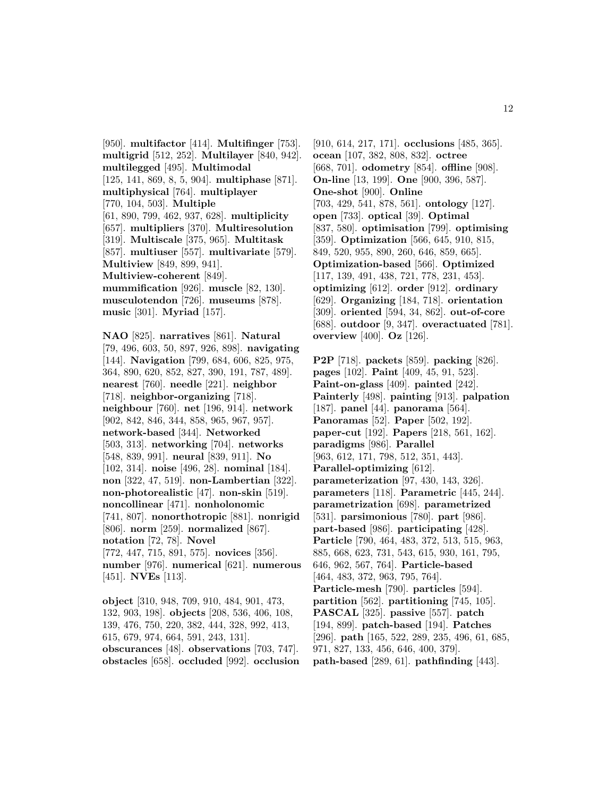[950]. **multifactor** [414]. **Multifinger** [753]. **multigrid** [512, 252]. **Multilayer** [840, 942]. **multilegged** [495]. **Multimodal** [125, 141, 869, 8, 5, 904]. **multiphase** [871]. **multiphysical** [764]. **multiplayer** [770, 104, 503]. **Multiple** [61, 890, 799, 462, 937, 628]. **multiplicity** [657]. **multipliers** [370]. **Multiresolution** [319]. **Multiscale** [375, 965]. **Multitask** [857]. **multiuser** [557]. **multivariate** [579]. **Multiview** [849, 899, 941]. **Multiview-coherent** [849]. **mummification** [926]. **muscle** [82, 130]. **musculotendon** [726]. **museums** [878]. **music** [301]. **Myriad** [157].

**NAO** [825]. **narratives** [861]. **Natural** [79, 496, 603, 50, 897, 926, 898]. **navigating** [144]. **Navigation** [799, 684, 606, 825, 975, 364, 890, 620, 852, 827, 390, 191, 787, 489]. **nearest** [760]. **needle** [221]. **neighbor** [718]. **neighbor-organizing** [718]. **neighbour** [760]. **net** [196, 914]. **network** [902, 842, 846, 344, 858, 965, 967, 957]. **network-based** [344]. **Networked** [503, 313]. **networking** [704]. **networks** [548, 839, 991]. **neural** [839, 911]. **No** [102, 314]. **noise** [496, 28]. **nominal** [184]. **non** [322, 47, 519]. **non-Lambertian** [322]. **non-photorealistic** [47]. **non-skin** [519]. **noncollinear** [471]. **nonholonomic** [741, 807]. **nonorthotropic** [881]. **nonrigid** [806]. **norm** [259]. **normalized** [867]. **notation** [72, 78]. **Novel** [772, 447, 715, 891, 575]. **novices** [356]. **number** [976]. **numerical** [621]. **numerous** [451]. **NVEs** [113].

**object** [310, 948, 709, 910, 484, 901, 473, 132, 903, 198]. **objects** [208, 536, 406, 108, 139, 476, 750, 220, 382, 444, 328, 992, 413, 615, 679, 974, 664, 591, 243, 131]. **obscurances** [48]. **observations** [703, 747]. **obstacles** [658]. **occluded** [992]. **occlusion**

[910, 614, 217, 171]. **occlusions** [485, 365]. **ocean** [107, 382, 808, 832]. **octree** [668, 701]. **odometry** [854]. **offline** [908]. **On-line** [13, 199]. **One** [900, 396, 587]. **One-shot** [900]. **Online** [703, 429, 541, 878, 561]. **ontology** [127]. **open** [733]. **optical** [39]. **Optimal** [837, 580]. **optimisation** [799]. **optimising** [359]. **Optimization** [566, 645, 910, 815, 849, 520, 955, 890, 260, 646, 859, 665]. **Optimization-based** [566]. **Optimized** [117, 139, 491, 438, 721, 778, 231, 453]. **optimizing** [612]. **order** [912]. **ordinary** [629]. **Organizing** [184, 718]. **orientation** [309]. **oriented** [594, 34, 862]. **out-of-core** [688]. **outdoor** [9, 347]. **overactuated** [781]. **overview** [400]. **Oz** [126].

**P2P** [718]. **packets** [859]. **packing** [826]. **pages** [102]. **Paint** [409, 45, 91, 523]. **Paint-on-glass** [409]. **painted** [242]. **Painterly** [498]. **painting** [913]. **palpation** [187]. **panel** [44]. **panorama** [564]. **Panoramas** [52]. **Paper** [502, 192]. **paper-cut** [192]. **Papers** [218, 561, 162]. **paradigms** [986]. **Parallel** [963, 612, 171, 798, 512, 351, 443]. **Parallel-optimizing** [612]. **parameterization** [97, 430, 143, 326]. **parameters** [118]. **Parametric** [445, 244]. **parametrization** [698]. **parametrized** [531]. **parsimonious** [780]. **part** [986]. **part-based** [986]. **participating** [428]. **Particle** [790, 464, 483, 372, 513, 515, 963, 885, 668, 623, 731, 543, 615, 930, 161, 795, 646, 962, 567, 764]. **Particle-based** [464, 483, 372, 963, 795, 764]. **Particle-mesh** [790]. **particles** [594]. **partition** [562]. **partitioning** [745, 105]. **PASCAL** [325]. **passive** [557]. **patch** [194, 899]. **patch-based** [194]. **Patches** [296]. **path** [165, 522, 289, 235, 496, 61, 685, 971, 827, 133, 456, 646, 400, 379]. **path-based** [289, 61]. **pathfinding** [443].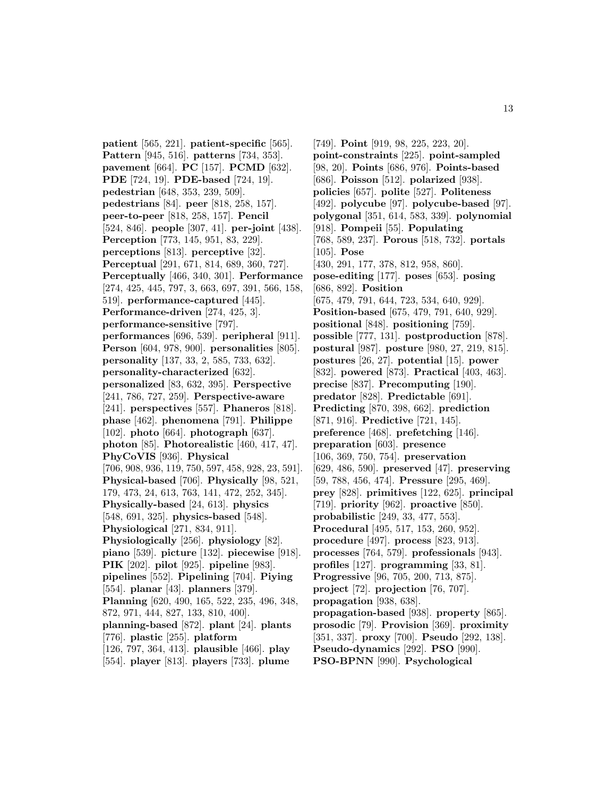**patient** [565, 221]. **patient-specific** [565]. **Pattern** [945, 516]. **patterns** [734, 353]. **pavement** [664]. **PC** [157]. **PCMD** [632]. **PDE** [724, 19]. **PDE-based** [724, 19]. **pedestrian** [648, 353, 239, 509]. **pedestrians** [84]. **peer** [818, 258, 157]. **peer-to-peer** [818, 258, 157]. **Pencil** [524, 846]. **people** [307, 41]. **per-joint** [438]. **Perception** [773, 145, 951, 83, 229]. **perceptions** [813]. **perceptive** [32]. **Perceptual** [291, 671, 814, 689, 360, 727]. **Perceptually** [466, 340, 301]. **Performance** [274, 425, 445, 797, 3, 663, 697, 391, 566, 158, 519]. **performance-captured** [445]. **Performance-driven** [274, 425, 3]. **performance-sensitive** [797]. **performances** [696, 539]. **peripheral** [911]. **Person** [604, 978, 900]. **personalities** [805]. **personality** [137, 33, 2, 585, 733, 632]. **personality-characterized** [632]. **personalized** [83, 632, 395]. **Perspective** [241, 786, 727, 259]. **Perspective-aware** [241]. **perspectives** [557]. **Phaneros** [818]. **phase** [462]. **phenomena** [791]. **Philippe** [102]. **photo** [664]. **photograph** [637]. **photon** [85]. **Photorealistic** [460, 417, 47]. **PhyCoVIS** [936]. **Physical** [706, 908, 936, 119, 750, 597, 458, 928, 23, 591]. **Physical-based** [706]. **Physically** [98, 521, 179, 473, 24, 613, 763, 141, 472, 252, 345]. **Physically-based** [24, 613]. **physics** [548, 691, 325]. **physics-based** [548]. **Physiological** [271, 834, 911]. **Physiologically** [256]. **physiology** [82]. **piano** [539]. **picture** [132]. **piecewise** [918]. **PIK** [202]. **pilot** [925]. **pipeline** [983]. **pipelines** [552]. **Pipelining** [704]. **Piying** [554]. **planar** [43]. **planners** [379]. **Planning** [620, 490, 165, 522, 235, 496, 348, 872, 971, 444, 827, 133, 810, 400]. **planning-based** [872]. **plant** [24]. **plants** [776]. **plastic** [255]. **platform** [126, 797, 364, 413]. **plausible** [466]. **play** [554]. **player** [813]. **players** [733]. **plume**

[749]. **Point** [919, 98, 225, 223, 20]. **point-constraints** [225]. **point-sampled** [98, 20]. **Points** [686, 976]. **Points-based** [686]. **Poisson** [512]. **polarized** [938]. **policies** [657]. **polite** [527]. **Politeness** [492]. **polycube** [97]. **polycube-based** [97]. **polygonal** [351, 614, 583, 339]. **polynomial** [918]. **Pompeii** [55]. **Populating** [768, 589, 237]. **Porous** [518, 732]. **portals** [105]. **Pose** [430, 291, 177, 378, 812, 958, 860]. **pose-editing** [177]. **poses** [653]. **posing** [686, 892]. **Position** [675, 479, 791, 644, 723, 534, 640, 929]. **Position-based** [675, 479, 791, 640, 929]. **positional** [848]. **positioning** [759]. **possible** [777, 131]. **postproduction** [878]. **postural** [987]. **posture** [980, 27, 219, 815]. **postures** [26, 27]. **potential** [15]. **power** [832]. **powered** [873]. **Practical** [403, 463]. **precise** [837]. **Precomputing** [190]. **predator** [828]. **Predictable** [691]. **Predicting** [870, 398, 662]. **prediction** [871, 916]. **Predictive** [721, 145]. **preference** [468]. **prefetching** [146]. **preparation** [603]. **presence** [106, 369, 750, 754]. **preservation** [629, 486, 590]. **preserved** [47]. **preserving** [59, 788, 456, 474]. **Pressure** [295, 469]. **prey** [828]. **primitives** [122, 625]. **principal** [719]. **priority** [962]. **proactive** [850]. **probabilistic** [249, 33, 477, 553]. **Procedural** [495, 517, 153, 260, 952]. **procedure** [497]. **process** [823, 913]. **processes** [764, 579]. **professionals** [943]. **profiles** [127]. **programming** [33, 81]. **Progressive** [96, 705, 200, 713, 875]. **project** [72]. **projection** [76, 707]. **propagation** [938, 638]. **propagation-based** [938]. **property** [865]. **prosodic** [79]. **Provision** [369]. **proximity** [351, 337]. **proxy** [700]. **Pseudo** [292, 138]. **Pseudo-dynamics** [292]. **PSO** [990]. **PSO-BPNN** [990]. **Psychological**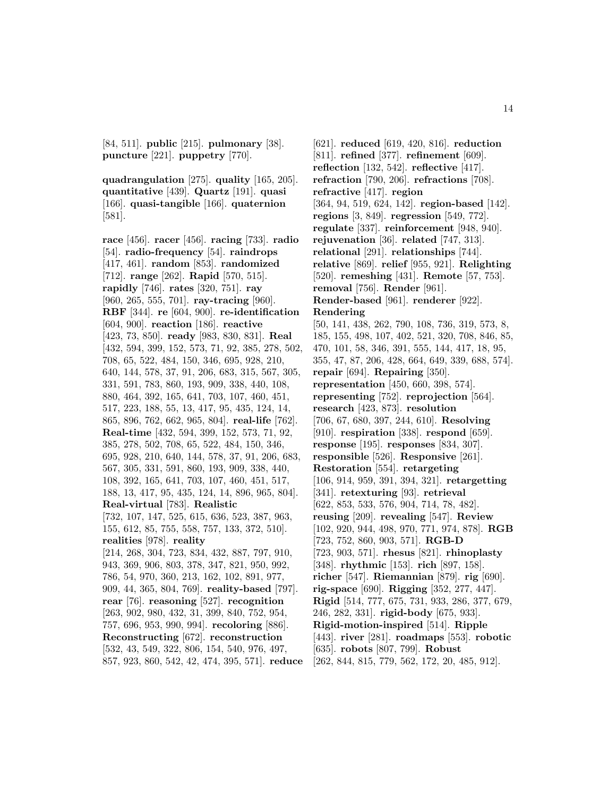[84, 511]. **public** [215]. **pulmonary** [38]. **puncture** [221]. **puppetry** [770].

**quadrangulation** [275]. **quality** [165, 205]. **quantitative** [439]. **Quartz** [191]. **quasi** [166]. **quasi-tangible** [166]. **quaternion** [581].

**race** [456]. **racer** [456]. **racing** [733]. **radio** [54]. **radio-frequency** [54]. **raindrops** [417, 461]. **random** [853]. **randomized** [712]. **range** [262]. **Rapid** [570, 515]. **rapidly** [746]. **rates** [320, 751]. **ray** [960, 265, 555, 701]. **ray-tracing** [960]. **RBF** [344]. **re** [604, 900]. **re-identification** [604, 900]. **reaction** [186]. **reactive** [423, 73, 850]. **ready** [983, 830, 831]. **Real** [432, 594, 399, 152, 573, 71, 92, 385, 278, 502, 708, 65, 522, 484, 150, 346, 695, 928, 210, 640, 144, 578, 37, 91, 206, 683, 315, 567, 305, 331, 591, 783, 860, 193, 909, 338, 440, 108, 880, 464, 392, 165, 641, 703, 107, 460, 451, 517, 223, 188, 55, 13, 417, 95, 435, 124, 14, 865, 896, 762, 662, 965, 804]. **real-life** [762]. **Real-time** [432, 594, 399, 152, 573, 71, 92, 385, 278, 502, 708, 65, 522, 484, 150, 346, 695, 928, 210, 640, 144, 578, 37, 91, 206, 683, 567, 305, 331, 591, 860, 193, 909, 338, 440, 108, 392, 165, 641, 703, 107, 460, 451, 517, 188, 13, 417, 95, 435, 124, 14, 896, 965, 804]. **Real-virtual** [783]. **Realistic** [732, 107, 147, 525, 615, 636, 523, 387, 963, 155, 612, 85, 755, 558, 757, 133, 372, 510]. **realities** [978]. **reality** [214, 268, 304, 723, 834, 432, 887, 797, 910, 943, 369, 906, 803, 378, 347, 821, 950, 992, 786, 54, 970, 360, 213, 162, 102, 891, 977, 909, 44, 365, 804, 769]. **reality-based** [797]. **rear** [76]. **reasoning** [527]. **recognition** [263, 902, 980, 432, 31, 399, 840, 752, 954, 757, 696, 953, 990, 994]. **recoloring** [886]. **Reconstructing** [672]. **reconstruction** [532, 43, 549, 322, 806, 154, 540, 976, 497, 857, 923, 860, 542, 42, 474, 395, 571]. **reduce**

[621]. **reduced** [619, 420, 816]. **reduction** [811]. **refined** [377]. **refinement** [609]. **reflection** [132, 542]. **reflective** [417]. **refraction** [790, 206]. **refractions** [708]. **refractive** [417]. **region** [364, 94, 519, 624, 142]. **region-based** [142]. **regions** [3, 849]. **regression** [549, 772]. **regulate** [337]. **reinforcement** [948, 940]. **rejuvenation** [36]. **related** [747, 313]. **relational** [291]. **relationships** [744]. **relative** [869]. **relief** [955, 921]. **Relighting** [520]. **remeshing** [431]. **Remote** [57, 753]. **removal** [756]. **Render** [961]. **Render-based** [961]. **renderer** [922]. **Rendering** [50, 141, 438, 262, 790, 108, 736, 319, 573, 8, 185, 155, 498, 107, 402, 521, 320, 708, 846, 85, 470, 101, 58, 346, 391, 555, 144, 417, 18, 95, 355, 47, 87, 206, 428, 664, 649, 339, 688, 574]. **repair** [694]. **Repairing** [350]. **representation** [450, 660, 398, 574]. **representing** [752]. **reprojection** [564]. **research** [423, 873]. **resolution** [706, 67, 680, 397, 244, 610]. **Resolving** [910]. **respiration** [338]. **respond** [659]. **response** [195]. **responses** [834, 307]. **responsible** [526]. **Responsive** [261]. **Restoration** [554]. **retargeting** [106, 914, 959, 391, 394, 321]. **retargetting** [341]. **retexturing** [93]. **retrieval** [622, 853, 533, 576, 904, 714, 78, 482]. **reusing** [209]. **revealing** [547]. **Review** [102, 920, 944, 498, 970, 771, 974, 878]. **RGB** [723, 752, 860, 903, 571]. **RGB-D** [723, 903, 571]. **rhesus** [821]. **rhinoplasty** [348]. **rhythmic** [153]. **rich** [897, 158]. **richer** [547]. **Riemannian** [879]. **rig** [690]. **rig-space** [690]. **Rigging** [352, 277, 447]. **Rigid** [514, 777, 675, 731, 933, 286, 377, 679, 246, 282, 331]. **rigid-body** [675, 933]. **Rigid-motion-inspired** [514]. **Ripple** [443]. **river** [281]. **roadmaps** [553]. **robotic** [635]. **robots** [807, 799]. **Robust** [262, 844, 815, 779, 562, 172, 20, 485, 912].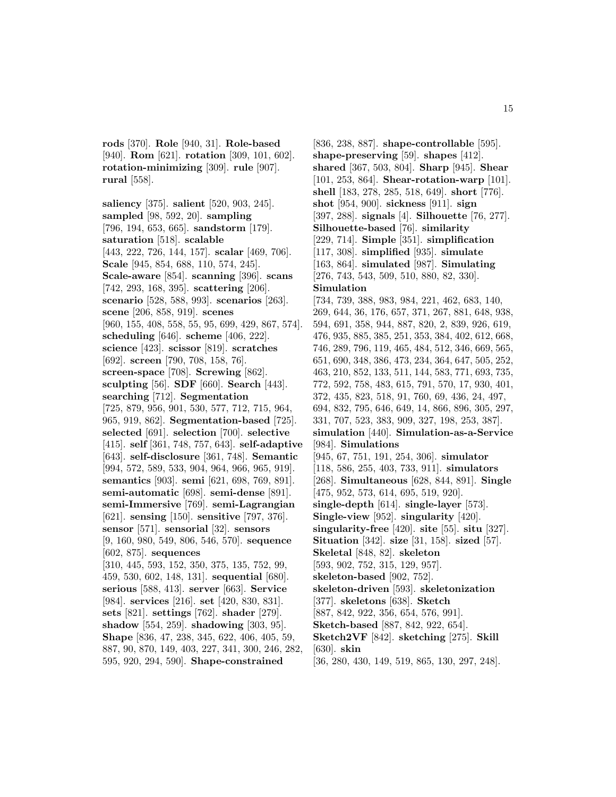**rods** [370]. **Role** [940, 31]. **Role-based** [940]. **Rom** [621]. **rotation** [309, 101, 602]. **rotation-minimizing** [309]. **rule** [907]. **rural** [558].

**saliency** [375]. **salient** [520, 903, 245]. **sampled** [98, 592, 20]. **sampling** [796, 194, 653, 665]. **sandstorm** [179]. **saturation** [518]. **scalable** [443, 222, 726, 144, 157]. **scalar** [469, 706]. **Scale** [945, 854, 688, 110, 574, 245]. **Scale-aware** [854]. **scanning** [396]. **scans** [742, 293, 168, 395]. **scattering** [206]. **scenario** [528, 588, 993]. **scenarios** [263]. **scene** [206, 858, 919]. **scenes** [960, 155, 408, 558, 55, 95, 699, 429, 867, 574]. **scheduling** [646]. **scheme** [406, 222]. **science** [423]. **scissor** [819]. **scratches** [692]. **screen** [790, 708, 158, 76]. **screen-space** [708]. **Screwing** [862]. **sculpting** [56]. **SDF** [660]. **Search** [443]. **searching** [712]. **Segmentation** [725, 879, 956, 901, 530, 577, 712, 715, 964, 965, 919, 862]. **Segmentation-based** [725]. **selected** [691]. **selection** [700]. **selective** [415]. **self** [361, 748, 757, 643]. **self-adaptive** [643]. **self-disclosure** [361, 748]. **Semantic** [994, 572, 589, 533, 904, 964, 966, 965, 919]. **semantics** [903]. **semi** [621, 698, 769, 891]. **semi-automatic** [698]. **semi-dense** [891]. **semi-Immersive** [769]. **semi-Lagrangian** [621]. **sensing** [150]. **sensitive** [797, 376]. **sensor** [571]. **sensorial** [32]. **sensors** [9, 160, 980, 549, 806, 546, 570]. **sequence** [602, 875]. **sequences** [310, 445, 593, 152, 350, 375, 135, 752, 99, 459, 530, 602, 148, 131]. **sequential** [680]. **serious** [588, 413]. **server** [663]. **Service** [984]. **services** [216]. **set** [420, 830, 831]. **sets** [821]. **settings** [762]. **shader** [279]. **shadow** [554, 259]. **shadowing** [303, 95]. **Shape** [836, 47, 238, 345, 622, 406, 405, 59, 887, 90, 870, 149, 403, 227, 341, 300, 246, 282, 595, 920, 294, 590]. **Shape-constrained**

[836, 238, 887]. **shape-controllable** [595]. **shape-preserving** [59]. **shapes** [412]. **shared** [367, 503, 804]. **Sharp** [945]. **Shear** [101, 253, 864]. **Shear-rotation-warp** [101]. **shell** [183, 278, 285, 518, 649]. **short** [776]. **shot** [954, 900]. **sickness** [911]. **sign** [397, 288]. **signals** [4]. **Silhouette** [76, 277]. **Silhouette-based** [76]. **similarity** [229, 714]. **Simple** [351]. **simplification** [117, 308]. **simplified** [935]. **simulate** [163, 864]. **simulated** [987]. **Simulating** [276, 743, 543, 509, 510, 880, 82, 330]. **Simulation** [734, 739, 388, 983, 984, 221, 462, 683, 140, 269, 644, 36, 176, 657, 371, 267, 881, 648, 938, 594, 691, 358, 944, 887, 820, 2, 839, 926, 619, 476, 935, 885, 385, 251, 353, 384, 402, 612, 668, 746, 289, 796, 119, 465, 484, 512, 346, 669, 565, 651, 690, 348, 386, 473, 234, 364, 647, 505, 252, 463, 210, 852, 133, 511, 144, 583, 771, 693, 735, 772, 592, 758, 483, 615, 791, 570, 17, 930, 401, 372, 435, 823, 518, 91, 760, 69, 436, 24, 497, 694, 832, 795, 646, 649, 14, 866, 896, 305, 297, 331, 707, 523, 383, 909, 327, 198, 253, 387]. **simulation** [440]. **Simulation-as-a-Service** [984]. **Simulations** [945, 67, 751, 191, 254, 306]. **simulator** [118, 586, 255, 403, 733, 911]. **simulators** [268]. **Simultaneous** [628, 844, 891]. **Single** [475, 952, 573, 614, 695, 519, 920]. **single-depth** [614]. **single-layer** [573]. **Single-view** [952]. **singularity** [420]. **singularity-free** [420]. **site** [55]. **situ** [327]. **Situation** [342]. **size** [31, 158]. **sized** [57]. **Skeletal** [848, 82]. **skeleton** [593, 902, 752, 315, 129, 957]. **skeleton-based** [902, 752]. **skeleton-driven** [593]. **skeletonization** [377]. **skeletons** [638]. **Sketch** [887, 842, 922, 356, 654, 576, 991]. **Sketch-based** [887, 842, 922, 654]. **Sketch2VF** [842]. **sketching** [275]. **Skill** [630]. **skin** [36, 280, 430, 149, 519, 865, 130, 297, 248].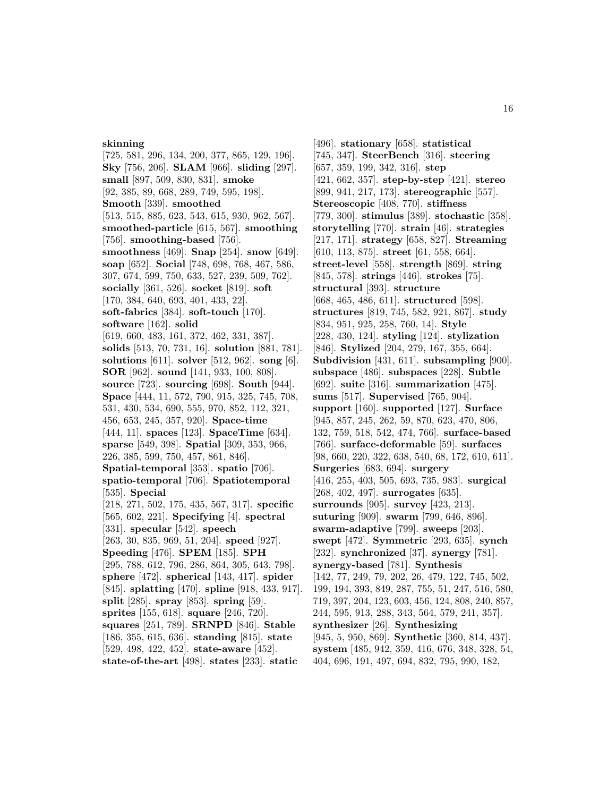#### **skinning**

[725, 581, 296, 134, 200, 377, 865, 129, 196]. **Sky** [756, 206]. **SLAM** [966]. **sliding** [297]. **small** [897, 509, 830, 831]. **smoke** [92, 385, 89, 668, 289, 749, 595, 198]. **Smooth** [339]. **smoothed** [513, 515, 885, 623, 543, 615, 930, 962, 567]. **smoothed-particle** [615, 567]. **smoothing** [756]. **smoothing-based** [756]. **smoothness** [469]. **Snap** [254]. **snow** [649]. **soap** [652]. **Social** [748, 698, 768, 467, 586, 307, 674, 599, 750, 633, 527, 239, 509, 762]. **socially** [361, 526]. **socket** [819]. **soft** [170, 384, 640, 693, 401, 433, 22]. **soft-fabrics** [384]. **soft-touch** [170]. **software** [162]. **solid** [619, 660, 483, 161, 372, 462, 331, 387]. **solids** [513, 70, 731, 16]. **solution** [881, 781]. **solutions** [611]. **solver** [512, 962]. **song** [6]. **SOR** [962]. **sound** [141, 933, 100, 808]. **source** [723]. **sourcing** [698]. **South** [944]. **Space** [444, 11, 572, 790, 915, 325, 745, 708, 531, 430, 534, 690, 555, 970, 852, 112, 321, 456, 653, 245, 357, 920]. **Space-time** [444, 11]. **spaces** [123]. **SpaceTime** [634]. **sparse** [549, 398]. **Spatial** [309, 353, 966, 226, 385, 599, 750, 457, 861, 846]. **Spatial-temporal** [353]. **spatio** [706]. **spatio-temporal** [706]. **Spatiotemporal** [535]. **Special** [218, 271, 502, 175, 435, 567, 317]. **specific** [565, 602, 221]. **Specifying** [4]. **spectral** [331]. **specular** [542]. **speech** [263, 30, 835, 969, 51, 204]. **speed** [927]. **Speeding** [476]. **SPEM** [185]. **SPH** [295, 788, 612, 796, 286, 864, 305, 643, 798]. **sphere** [472]. **spherical** [143, 417]. **spider** [845]. **splatting** [470]. **spline** [918, 433, 917]. **split** [285]. **spray** [853]. **spring** [59]. **sprites** [155, 618]. **square** [246, 720]. **squares** [251, 789]. **SRNPD** [846]. **Stable** [186, 355, 615, 636]. **standing** [815]. **state** [529, 498, 422, 452]. **state-aware** [452]. **state-of-the-art** [498]. **states** [233]. **static**

[496]. **stationary** [658]. **statistical** [745, 347]. **SteerBench** [316]. **steering** [657, 359, 199, 342, 316]. **step** [421, 662, 357]. **step-by-step** [421]. **stereo** [899, 941, 217, 173]. **stereographic** [557]. **Stereoscopic** [408, 770]. **stiffness** [779, 300]. **stimulus** [389]. **stochastic** [358]. **storytelling** [770]. **strain** [46]. **strategies** [217, 171]. **strategy** [658, 827]. **Streaming** [610, 113, 875]. **street** [61, 558, 664]. **street-level** [558]. **strength** [869]. **string** [845, 578]. **strings** [446]. **strokes** [75]. **structural** [393]. **structure** [668, 465, 486, 611]. **structured** [598]. **structures** [819, 745, 582, 921, 867]. **study** [834, 951, 925, 258, 760, 14]. **Style** [228, 430, 124]. **styling** [124]. **stylization** [846]. **Stylized** [204, 279, 167, 355, 664]. **Subdivision** [431, 611]. **subsampling** [900]. **subspace** [486]. **subspaces** [228]. **Subtle** [692]. **suite** [316]. **summarization** [475]. **sums** [517]. **Supervised** [765, 904]. **support** [160]. **supported** [127]. **Surface** [945, 857, 245, 262, 59, 870, 623, 470, 806, 132, 759, 518, 542, 474, 766]. **surface-based** [766]. **surface-deformable** [59]. **surfaces** [98, 660, 220, 322, 638, 540, 68, 172, 610, 611]. **Surgeries** [683, 694]. **surgery** [416, 255, 403, 505, 693, 735, 983]. **surgical** [268, 402, 497]. **surrogates** [635]. **surrounds** [905]. **survey** [423, 213]. **suturing** [909]. **swarm** [799, 646, 896]. **swarm-adaptive** [799]. **sweeps** [203]. **swept** [472]. **Symmetric** [293, 635]. **synch** [232]. **synchronized** [37]. **synergy** [781]. **synergy-based** [781]. **Synthesis** [142, 77, 249, 79, 202, 26, 479, 122, 745, 502, 199, 194, 393, 849, 287, 755, 51, 247, 516, 580, 719, 397, 204, 123, 603, 456, 124, 808, 240, 857, 244, 595, 913, 288, 343, 564, 579, 241, 357]. **synthesizer** [26]. **Synthesizing** [945, 5, 950, 869]. **Synthetic** [360, 814, 437]. **system** [485, 942, 359, 416, 676, 348, 328, 54, 404, 696, 191, 497, 694, 832, 795, 990, 182,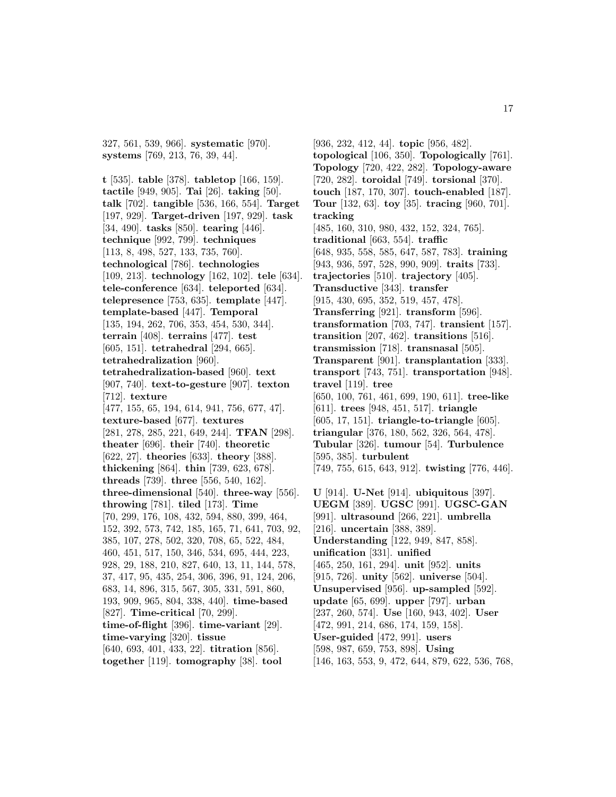327, 561, 539, 966]. **systematic** [970]. **systems** [769, 213, 76, 39, 44].

**t** [535]. **table** [378]. **tabletop** [166, 159]. **tactile** [949, 905]. **Tai** [26]. **taking** [50]. **talk** [702]. **tangible** [536, 166, 554]. **Target** [197, 929]. **Target-driven** [197, 929]. **task** [34, 490]. **tasks** [850]. **tearing** [446]. **technique** [992, 799]. **techniques** [113, 8, 498, 527, 133, 735, 760]. **technological** [786]. **technologies** [109, 213]. **technology** [162, 102]. **tele** [634]. **tele-conference** [634]. **teleported** [634]. **telepresence** [753, 635]. **template** [447]. **template-based** [447]. **Temporal** [135, 194, 262, 706, 353, 454, 530, 344]. **terrain** [408]. **terrains** [477]. **test** [605, 151]. **tetrahedral** [294, 665]. **tetrahedralization** [960]. **tetrahedralization-based** [960]. **text** [907, 740]. **text-to-gesture** [907]. **texton** [712]. **texture** [477, 155, 65, 194, 614, 941, 756, 677, 47]. **texture-based** [677]. **textures** [281, 278, 285, 221, 649, 244]. **TFAN** [298]. **theater** [696]. **their** [740]. **theoretic** [622, 27]. **theories** [633]. **theory** [388]. **thickening** [864]. **thin** [739, 623, 678]. **threads** [739]. **three** [556, 540, 162]. **three-dimensional** [540]. **three-way** [556]. **throwing** [781]. **tiled** [173]. **Time** [70, 299, 176, 108, 432, 594, 880, 399, 464, 152, 392, 573, 742, 185, 165, 71, 641, 703, 92, 385, 107, 278, 502, 320, 708, 65, 522, 484, 460, 451, 517, 150, 346, 534, 695, 444, 223, 928, 29, 188, 210, 827, 640, 13, 11, 144, 578, 37, 417, 95, 435, 254, 306, 396, 91, 124, 206, 683, 14, 896, 315, 567, 305, 331, 591, 860, 193, 909, 965, 804, 338, 440]. **time-based** [827]. **Time-critical** [70, 299]. **time-of-flight** [396]. **time-variant** [29]. **time-varying** [320]. **tissue** [640, 693, 401, 433, 22]. **titration** [856]. **together** [119]. **tomography** [38]. **tool**

[936, 232, 412, 44]. **topic** [956, 482]. **topological** [106, 350]. **Topologically** [761]. **Topology** [720, 422, 282]. **Topology-aware** [720, 282]. **toroidal** [749]. **torsional** [370]. **touch** [187, 170, 307]. **touch-enabled** [187]. **Tour** [132, 63]. **toy** [35]. **tracing** [960, 701]. **tracking** [485, 160, 310, 980, 432, 152, 324, 765]. **traditional** [663, 554]. **traffic** [648, 935, 558, 585, 647, 587, 783]. **training** [943, 936, 597, 528, 990, 909]. **traits** [733]. **trajectories** [510]. **trajectory** [405]. **Transductive** [343]. **transfer** [915, 430, 695, 352, 519, 457, 478]. **Transferring** [921]. **transform** [596]. **transformation** [703, 747]. **transient** [157]. **transition** [207, 462]. **transitions** [516]. **transmission** [718]. **transnasal** [505]. **Transparent** [901]. **transplantation** [333]. **transport** [743, 751]. **transportation** [948]. **travel** [119]. **tree** [650, 100, 761, 461, 699, 190, 611]. **tree-like** [611]. **trees** [948, 451, 517]. **triangle** [605, 17, 151]. **triangle-to-triangle** [605]. **triangular** [376, 180, 562, 326, 564, 478]. **Tubular** [326]. **tumour** [54]. **Turbulence** [595, 385]. **turbulent** [749, 755, 615, 643, 912]. **twisting** [776, 446]. **U** [914]. **U-Net** [914]. **ubiquitous** [397]. **UEGM** [389]. **UGSC** [991]. **UGSC-GAN** [991]. **ultrasound** [266, 221]. **umbrella** [216]. **uncertain** [388, 389]. **Understanding** [122, 949, 847, 858]. **unification** [331]. **unified** [465, 250, 161, 294]. **unit** [952]. **units** [915, 726]. **unity** [562]. **universe** [504]. **Unsupervised** [956]. **up-sampled** [592]. **update** [65, 699]. **upper** [797]. **urban**

- [237, 260, 574]. **Use** [160, 943, 402]. **User**
- [472, 991, 214, 686, 174, 159, 158].
- **User-guided** [472, 991]. **users** [598, 987, 659, 753, 898]. **Using**
- 
- [146, 163, 553, 9, 472, 644, 879, 622, 536, 768,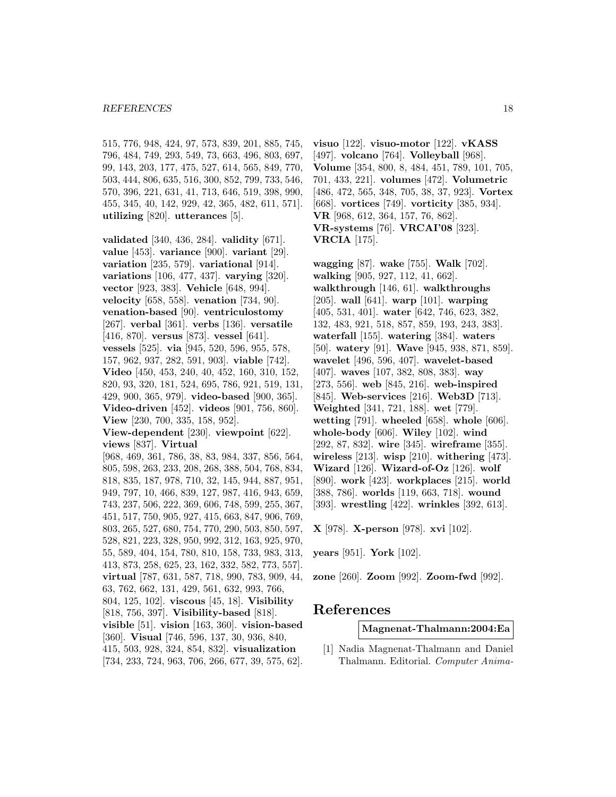#### *REFERENCES* 18

515, 776, 948, 424, 97, 573, 839, 201, 885, 745, 796, 484, 749, 293, 549, 73, 663, 496, 803, 697, 99, 143, 203, 177, 475, 527, 614, 565, 849, 770, 503, 444, 806, 635, 516, 300, 852, 799, 733, 546, 570, 396, 221, 631, 41, 713, 646, 519, 398, 990, 455, 345, 40, 142, 929, 42, 365, 482, 611, 571]. **utilizing** [820]. **utterances** [5].

**validated** [340, 436, 284]. **validity** [671]. **value** [453]. **variance** [900]. **variant** [29]. **variation** [235, 579]. **variational** [914]. **variations** [106, 477, 437]. **varying** [320]. **vector** [923, 383]. **Vehicle** [648, 994]. **velocity** [658, 558]. **venation** [734, 90]. **venation-based** [90]. **ventriculostomy** [267]. **verbal** [361]. **verbs** [136]. **versatile** [416, 870]. **versus** [873]. **vessel** [641]. **vessels** [525]. **via** [945, 520, 596, 955, 578, 157, 962, 937, 282, 591, 903]. **viable** [742]. **Video** [450, 453, 240, 40, 452, 160, 310, 152, 820, 93, 320, 181, 524, 695, 786, 921, 519, 131, 429, 900, 365, 979]. **video-based** [900, 365]. **Video-driven** [452]. **videos** [901, 756, 860]. **View** [230, 700, 335, 158, 952].

**View-dependent** [230]. **viewpoint** [622]. **views** [837]. **Virtual**

[968, 469, 361, 786, 38, 83, 984, 337, 856, 564, 805, 598, 263, 233, 208, 268, 388, 504, 768, 834, 818, 835, 187, 978, 710, 32, 145, 944, 887, 951, 949, 797, 10, 466, 839, 127, 987, 416, 943, 659, 743, 237, 506, 222, 369, 606, 748, 599, 255, 367, 451, 517, 750, 905, 927, 415, 663, 847, 906, 769, 803, 265, 527, 680, 754, 770, 290, 503, 850, 597, 528, 821, 223, 328, 950, 992, 312, 163, 925, 970, 55, 589, 404, 154, 780, 810, 158, 733, 983, 313, 413, 873, 258, 625, 23, 162, 332, 582, 773, 557]. **virtual** [787, 631, 587, 718, 990, 783, 909, 44, 63, 762, 662, 131, 429, 561, 632, 993, 766, 804, 125, 102]. **viscous** [45, 18]. **Visibility** [818, 756, 397]. **Visibility-based** [818]. **visible** [51]. **vision** [163, 360]. **vision-based** [360]. **Visual** [746, 596, 137, 30, 936, 840, 415, 503, 928, 324, 854, 832]. **visualization** [734, 233, 724, 963, 706, 266, 677, 39, 575, 62].

**visuo** [122]. **visuo-motor** [122]. **vKASS** [497]. **volcano** [764]. **Volleyball** [968]. **Volume** [354, 800, 8, 484, 451, 789, 101, 705, 701, 433, 221]. **volumes** [472]. **Volumetric** [486, 472, 565, 348, 705, 38, 37, 923]. **Vortex** [668]. **vortices** [749]. **vorticity** [385, 934]. **VR** [968, 612, 364, 157, 76, 862]. **VR-systems** [76]. **VRCAI'08** [323]. **VRCIA** [175].

**wagging** [87]. **wake** [755]. **Walk** [702]. **walking** [905, 927, 112, 41, 662]. **walkthrough** [146, 61]. **walkthroughs** [205]. **wall** [641]. **warp** [101]. **warping** [405, 531, 401]. **water** [642, 746, 623, 382, 132, 483, 921, 518, 857, 859, 193, 243, 383]. **waterfall** [155]. **watering** [384]. **waters** [50]. **watery** [91]. **Wave** [945, 938, 871, 859]. **wavelet** [496, 596, 407]. **wavelet-based** [407]. **waves** [107, 382, 808, 383]. **way** [273, 556]. **web** [845, 216]. **web-inspired** [845]. **Web-services** [216]. **Web3D** [713]. **Weighted** [341, 721, 188]. **wet** [779]. **wetting** [791]. **wheeled** [658]. **whole** [606]. **whole-body** [606]. **Wiley** [102]. **wind** [292, 87, 832]. **wire** [345]. **wireframe** [355]. **wireless** [213]. **wisp** [210]. **withering** [473]. **Wizard** [126]. **Wizard-of-Oz** [126]. **wolf** [890]. **work** [423]. **workplaces** [215]. **world** [388, 786]. **worlds** [119, 663, 718]. **wound** [393]. **wrestling** [422]. **wrinkles** [392, 613].

**X** [978]. **X-person** [978]. **xvi** [102].

**years** [951]. **York** [102].

**zone** [260]. **Zoom** [992]. **Zoom-fwd** [992].

# **References**

**Magnenat-Thalmann:2004:Ea**

[1] Nadia Magnenat-Thalmann and Daniel Thalmann. Editorial. Computer Anima-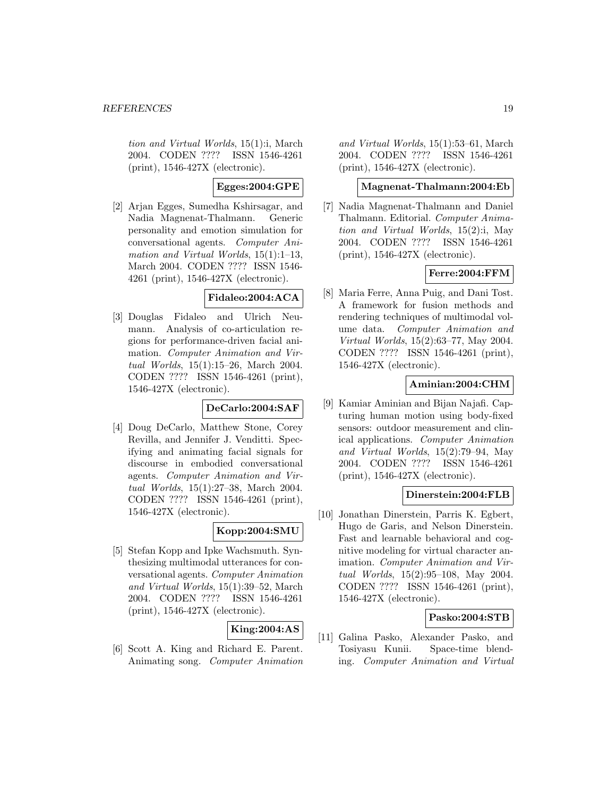tion and Virtual Worlds, 15(1):i, March 2004. CODEN ???? ISSN 1546-4261 (print), 1546-427X (electronic).

### **Egges:2004:GPE**

[2] Arjan Egges, Sumedha Kshirsagar, and Nadia Magnenat-Thalmann. Generic personality and emotion simulation for conversational agents. Computer Animation and Virtual Worlds, 15(1):1–13, March 2004. CODEN ???? ISSN 1546- 4261 (print), 1546-427X (electronic).

#### **Fidaleo:2004:ACA**

[3] Douglas Fidaleo and Ulrich Neumann. Analysis of co-articulation regions for performance-driven facial animation. Computer Animation and Virtual Worlds, 15(1):15–26, March 2004. CODEN ???? ISSN 1546-4261 (print), 1546-427X (electronic).

#### **DeCarlo:2004:SAF**

[4] Doug DeCarlo, Matthew Stone, Corey Revilla, and Jennifer J. Venditti. Specifying and animating facial signals for discourse in embodied conversational agents. Computer Animation and Virtual Worlds, 15(1):27–38, March 2004. CODEN ???? ISSN 1546-4261 (print), 1546-427X (electronic).

### **Kopp:2004:SMU**

[5] Stefan Kopp and Ipke Wachsmuth. Synthesizing multimodal utterances for conversational agents. Computer Animation and Virtual Worlds, 15(1):39–52, March 2004. CODEN ???? ISSN 1546-4261 (print), 1546-427X (electronic).

# **King:2004:AS**

[6] Scott A. King and Richard E. Parent. Animating song. Computer Animation and Virtual Worlds, 15(1):53–61, March 2004. CODEN ???? ISSN 1546-4261 (print), 1546-427X (electronic).

# **Magnenat-Thalmann:2004:Eb**

[7] Nadia Magnenat-Thalmann and Daniel Thalmann. Editorial. Computer Animation and Virtual Worlds, 15(2):i, May 2004. CODEN ???? ISSN 1546-4261 (print), 1546-427X (electronic).

### **Ferre:2004:FFM**

[8] Maria Ferre, Anna Puig, and Dani Tost. A framework for fusion methods and rendering techniques of multimodal volume data. Computer Animation and Virtual Worlds, 15(2):63–77, May 2004. CODEN ???? ISSN 1546-4261 (print), 1546-427X (electronic).

### **Aminian:2004:CHM**

[9] Kamiar Aminian and Bijan Najafi. Capturing human motion using body-fixed sensors: outdoor measurement and clinical applications. Computer Animation and Virtual Worlds, 15(2):79–94, May 2004. CODEN ???? ISSN 1546-4261 (print), 1546-427X (electronic).

### **Dinerstein:2004:FLB**

[10] Jonathan Dinerstein, Parris K. Egbert, Hugo de Garis, and Nelson Dinerstein. Fast and learnable behavioral and cognitive modeling for virtual character animation. Computer Animation and Virtual Worlds, 15(2):95–108, May 2004. CODEN ???? ISSN 1546-4261 (print), 1546-427X (electronic).

### **Pasko:2004:STB**

[11] Galina Pasko, Alexander Pasko, and Tosiyasu Kunii. Space-time blending. Computer Animation and Virtual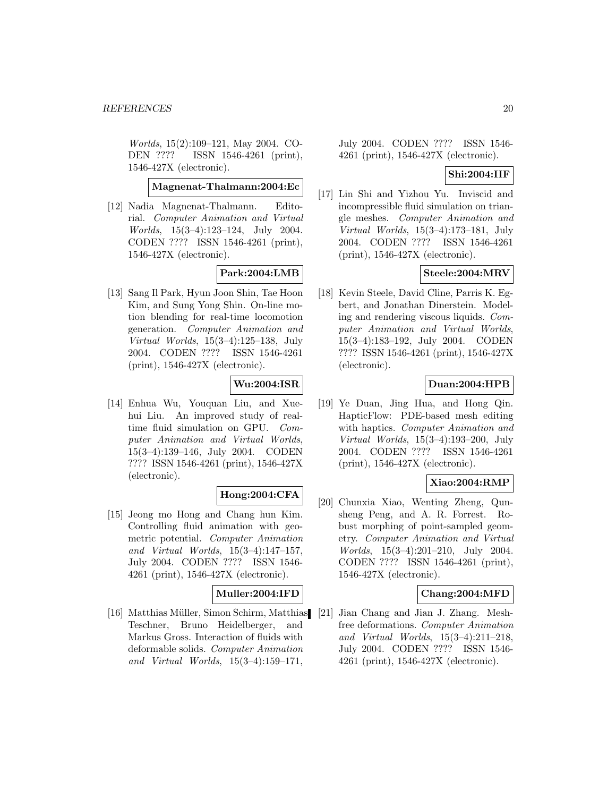Worlds, 15(2):109–121, May 2004. CO-DEN ???? ISSN 1546-4261 (print), 1546-427X (electronic).

**Magnenat-Thalmann:2004:Ec**

[12] Nadia Magnenat-Thalmann. Editorial. Computer Animation and Virtual Worlds, 15(3–4):123–124, July 2004. CODEN ???? ISSN 1546-4261 (print), 1546-427X (electronic).

# **Park:2004:LMB**

[13] Sang Il Park, Hyun Joon Shin, Tae Hoon Kim, and Sung Yong Shin. On-line motion blending for real-time locomotion generation. Computer Animation and Virtual Worlds, 15(3–4):125–138, July 2004. CODEN ???? ISSN 1546-4261 (print), 1546-427X (electronic).

# **Wu:2004:ISR**

[14] Enhua Wu, Youquan Liu, and Xuehui Liu. An improved study of realtime fluid simulation on GPU. Computer Animation and Virtual Worlds, 15(3–4):139–146, July 2004. CODEN ???? ISSN 1546-4261 (print), 1546-427X (electronic).

### **Hong:2004:CFA**

[15] Jeong mo Hong and Chang hun Kim. Controlling fluid animation with geometric potential. Computer Animation and Virtual Worlds, 15(3–4):147–157, July 2004. CODEN ???? ISSN 1546- 4261 (print), 1546-427X (electronic).

# **Muller:2004:IFD**

[16] Matthias Müller, Simon Schirm, Matthias [21] Jian Chang and Jian J. Zhang. Mesh-Teschner, Bruno Heidelberger, and Markus Gross. Interaction of fluids with deformable solids. Computer Animation and Virtual Worlds, 15(3–4):159–171,

July 2004. CODEN ???? ISSN 1546- 4261 (print), 1546-427X (electronic).

#### **Shi:2004:IIF**

[17] Lin Shi and Yizhou Yu. Inviscid and incompressible fluid simulation on triangle meshes. Computer Animation and Virtual Worlds, 15(3–4):173–181, July 2004. CODEN ???? ISSN 1546-4261 (print), 1546-427X (electronic).

### **Steele:2004:MRV**

[18] Kevin Steele, David Cline, Parris K. Egbert, and Jonathan Dinerstein. Modeling and rendering viscous liquids. Computer Animation and Virtual Worlds, 15(3–4):183–192, July 2004. CODEN ???? ISSN 1546-4261 (print), 1546-427X (electronic).

### **Duan:2004:HPB**

[19] Ye Duan, Jing Hua, and Hong Qin. HapticFlow: PDE-based mesh editing with haptics. Computer Animation and Virtual Worlds, 15(3–4):193–200, July 2004. CODEN ???? ISSN 1546-4261 (print), 1546-427X (electronic).

### **Xiao:2004:RMP**

[20] Chunxia Xiao, Wenting Zheng, Qunsheng Peng, and A. R. Forrest. Robust morphing of point-sampled geometry. Computer Animation and Virtual Worlds, 15(3–4):201–210, July 2004. CODEN ???? ISSN 1546-4261 (print), 1546-427X (electronic).

### **Chang:2004:MFD**

free deformations. Computer Animation and Virtual Worlds, 15(3–4):211–218, July 2004. CODEN ???? ISSN 1546- 4261 (print), 1546-427X (electronic).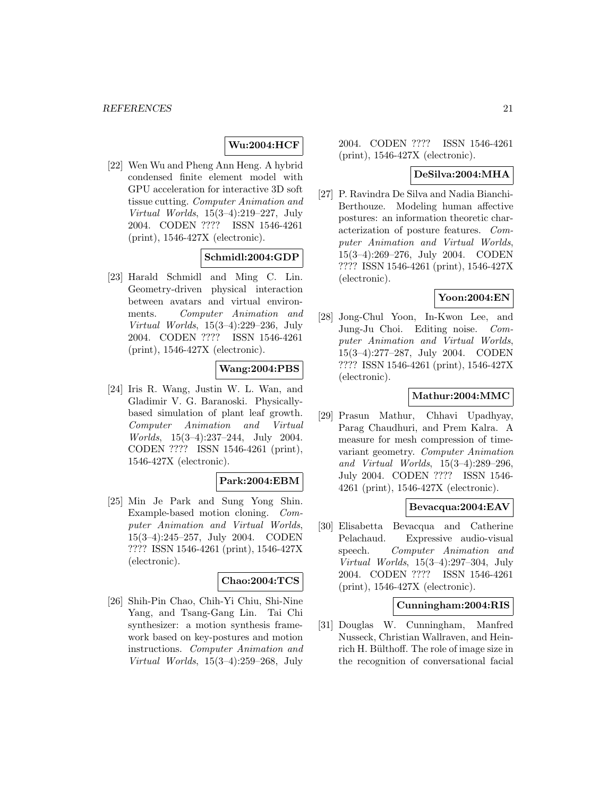# **Wu:2004:HCF**

[22] Wen Wu and Pheng Ann Heng. A hybrid condensed finite element model with GPU acceleration for interactive 3D soft tissue cutting. Computer Animation and Virtual Worlds, 15(3–4):219–227, July 2004. CODEN ???? ISSN 1546-4261 (print), 1546-427X (electronic).

# **Schmidl:2004:GDP**

[23] Harald Schmidl and Ming C. Lin. Geometry-driven physical interaction between avatars and virtual environments. Computer Animation and Virtual Worlds, 15(3–4):229–236, July 2004. CODEN ???? ISSN 1546-4261 (print), 1546-427X (electronic).

### **Wang:2004:PBS**

[24] Iris R. Wang, Justin W. L. Wan, and Gladimir V. G. Baranoski. Physicallybased simulation of plant leaf growth. Computer Animation and Virtual Worlds, 15(3–4):237–244, July 2004. CODEN ???? ISSN 1546-4261 (print), 1546-427X (electronic).

### **Park:2004:EBM**

[25] Min Je Park and Sung Yong Shin. Example-based motion cloning. Computer Animation and Virtual Worlds, 15(3–4):245–257, July 2004. CODEN ???? ISSN 1546-4261 (print), 1546-427X (electronic).

### **Chao:2004:TCS**

[26] Shih-Pin Chao, Chih-Yi Chiu, Shi-Nine Yang, and Tsang-Gang Lin. Tai Chi synthesizer: a motion synthesis framework based on key-postures and motion instructions. Computer Animation and Virtual Worlds, 15(3–4):259–268, July

2004. CODEN ???? ISSN 1546-4261 (print), 1546-427X (electronic).

#### **DeSilva:2004:MHA**

[27] P. Ravindra De Silva and Nadia Bianchi-Berthouze. Modeling human affective postures: an information theoretic characterization of posture features. Computer Animation and Virtual Worlds, 15(3–4):269–276, July 2004. CODEN ???? ISSN 1546-4261 (print), 1546-427X (electronic).

### **Yoon:2004:EN**

[28] Jong-Chul Yoon, In-Kwon Lee, and Jung-Ju Choi. Editing noise. Computer Animation and Virtual Worlds, 15(3–4):277–287, July 2004. CODEN ???? ISSN 1546-4261 (print), 1546-427X (electronic).

### **Mathur:2004:MMC**

[29] Prasun Mathur, Chhavi Upadhyay, Parag Chaudhuri, and Prem Kalra. A measure for mesh compression of timevariant geometry. Computer Animation and Virtual Worlds, 15(3–4):289–296, July 2004. CODEN ???? ISSN 1546- 4261 (print), 1546-427X (electronic).

#### **Bevacqua:2004:EAV**

[30] Elisabetta Bevacqua and Catherine Pelachaud. Expressive audio-visual speech. Computer Animation and Virtual Worlds, 15(3–4):297–304, July 2004. CODEN ???? ISSN 1546-4261 (print), 1546-427X (electronic).

#### **Cunningham:2004:RIS**

[31] Douglas W. Cunningham, Manfred Nusseck, Christian Wallraven, and Heinrich H. Bülthoff. The role of image size in the recognition of conversational facial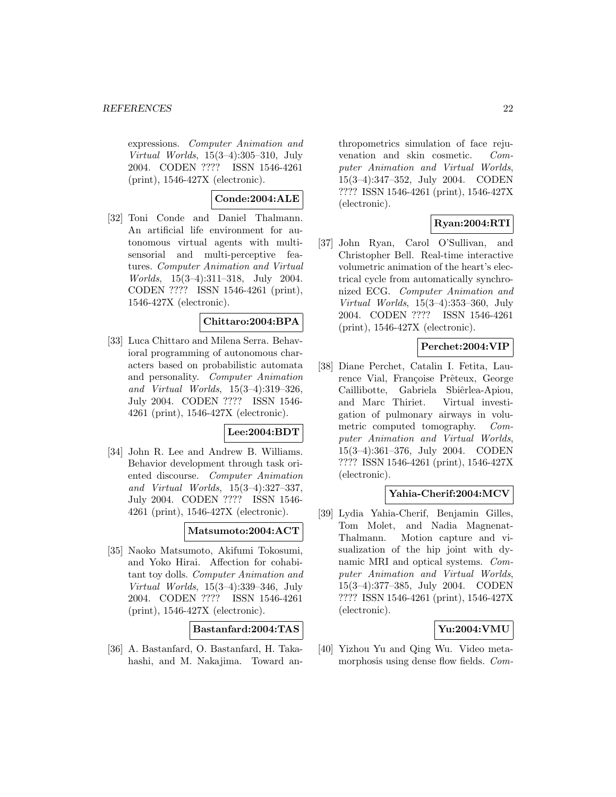expressions. Computer Animation and Virtual Worlds, 15(3–4):305–310, July 2004. CODEN ???? ISSN 1546-4261 (print), 1546-427X (electronic).

**Conde:2004:ALE**

[32] Toni Conde and Daniel Thalmann. An artificial life environment for autonomous virtual agents with multisensorial and multi-perceptive features. Computer Animation and Virtual Worlds, 15(3–4):311–318, July 2004. CODEN ???? ISSN 1546-4261 (print), 1546-427X (electronic).

### **Chittaro:2004:BPA**

[33] Luca Chittaro and Milena Serra. Behavioral programming of autonomous characters based on probabilistic automata and personality. Computer Animation and Virtual Worlds, 15(3–4):319–326, July 2004. CODEN ???? ISSN 1546- 4261 (print), 1546-427X (electronic).

### **Lee:2004:BDT**

[34] John R. Lee and Andrew B. Williams. Behavior development through task oriented discourse. Computer Animation and Virtual Worlds, 15(3–4):327–337, July 2004. CODEN ???? ISSN 1546- 4261 (print), 1546-427X (electronic).

### **Matsumoto:2004:ACT**

[35] Naoko Matsumoto, Akifumi Tokosumi, and Yoko Hirai. Affection for cohabitant toy dolls. Computer Animation and Virtual Worlds, 15(3–4):339–346, July 2004. CODEN ???? ISSN 1546-4261 (print), 1546-427X (electronic).

**Bastanfard:2004:TAS**

[36] A. Bastanfard, O. Bastanfard, H. Takahashi, and M. Nakajima. Toward anthropometrics simulation of face rejuvenation and skin cosmetic. Computer Animation and Virtual Worlds, 15(3–4):347–352, July 2004. CODEN ???? ISSN 1546-4261 (print), 1546-427X (electronic).

# **Ryan:2004:RTI**

[37] John Ryan, Carol O'Sullivan, and Christopher Bell. Real-time interactive volumetric animation of the heart's electrical cycle from automatically synchronized ECG. Computer Animation and Virtual Worlds, 15(3–4):353–360, July 2004. CODEN ???? ISSN 1546-4261 (print), 1546-427X (electronic).

# **Perchet:2004:VIP**

[38] Diane Perchet, Catalin I. Fetita, Laurence Vial, Françoise Prêteux, George Caillibotte, Gabriela Sbiêrlea-Apiou, and Marc Thiriet. Virtual investigation of pulmonary airways in volumetric computed tomography. Computer Animation and Virtual Worlds, 15(3–4):361–376, July 2004. CODEN ???? ISSN 1546-4261 (print), 1546-427X (electronic).

### **Yahia-Cherif:2004:MCV**

[39] Lydia Yahia-Cherif, Benjamin Gilles, Tom Molet, and Nadia Magnenat-Thalmann. Motion capture and visualization of the hip joint with dynamic MRI and optical systems. Computer Animation and Virtual Worlds, 15(3–4):377–385, July 2004. CODEN ???? ISSN 1546-4261 (print), 1546-427X (electronic).

# **Yu:2004:VMU**

[40] Yizhou Yu and Qing Wu. Video metamorphosis using dense flow fields. Com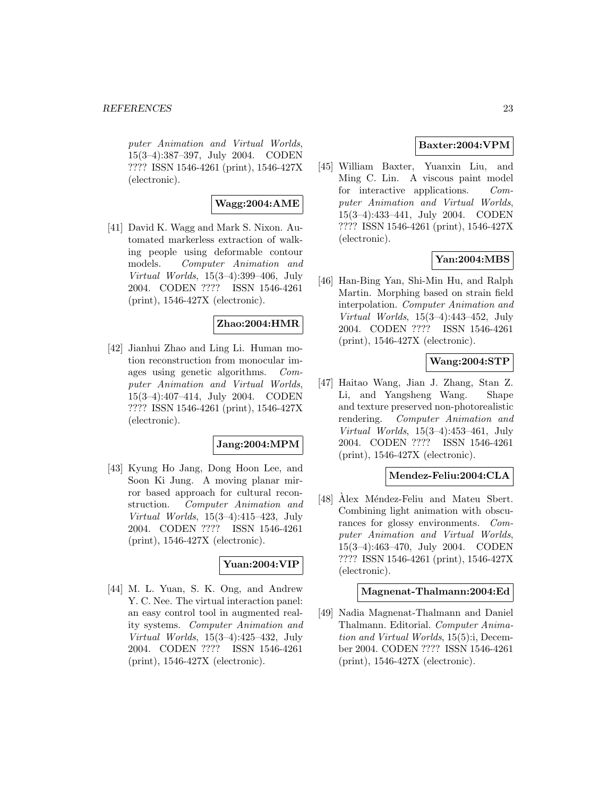puter Animation and Virtual Worlds, 15(3–4):387–397, July 2004. CODEN ???? ISSN 1546-4261 (print), 1546-427X (electronic).

### **Wagg:2004:AME**

[41] David K. Wagg and Mark S. Nixon. Automated markerless extraction of walking people using deformable contour models. Computer Animation and Virtual Worlds, 15(3–4):399–406, July 2004. CODEN ???? ISSN 1546-4261 (print), 1546-427X (electronic).

### **Zhao:2004:HMR**

[42] Jianhui Zhao and Ling Li. Human motion reconstruction from monocular images using genetic algorithms. Computer Animation and Virtual Worlds, 15(3–4):407–414, July 2004. CODEN ???? ISSN 1546-4261 (print), 1546-427X (electronic).

### **Jang:2004:MPM**

[43] Kyung Ho Jang, Dong Hoon Lee, and Soon Ki Jung. A moving planar mirror based approach for cultural reconstruction. Computer Animation and Virtual Worlds, 15(3–4):415–423, July 2004. CODEN ???? ISSN 1546-4261 (print), 1546-427X (electronic).

### **Yuan:2004:VIP**

[44] M. L. Yuan, S. K. Ong, and Andrew Y. C. Nee. The virtual interaction panel: an easy control tool in augmented reality systems. Computer Animation and Virtual Worlds, 15(3–4):425–432, July 2004. CODEN ???? ISSN 1546-4261 (print), 1546-427X (electronic).

### **Baxter:2004:VPM**

[45] William Baxter, Yuanxin Liu, and Ming C. Lin. A viscous paint model for interactive applications. Computer Animation and Virtual Worlds, 15(3–4):433–441, July 2004. CODEN ???? ISSN 1546-4261 (print), 1546-427X (electronic).

# **Yan:2004:MBS**

[46] Han-Bing Yan, Shi-Min Hu, and Ralph Martin. Morphing based on strain field interpolation. Computer Animation and Virtual Worlds, 15(3–4):443–452, July 2004. CODEN ???? ISSN 1546-4261 (print), 1546-427X (electronic).

### **Wang:2004:STP**

[47] Haitao Wang, Jian J. Zhang, Stan Z. Li, and Yangsheng Wang. Shape and texture preserved non-photorealistic rendering. Computer Animation and Virtual Worlds, 15(3–4):453–461, July 2004. CODEN ???? ISSN 1546-4261 (print), 1546-427X (electronic).

# **Mendez-Feliu:2004:CLA**

[48] Alex Méndez-Feliu and Mateu Sbert. Combining light animation with obscurances for glossy environments. Computer Animation and Virtual Worlds, 15(3–4):463–470, July 2004. CODEN ???? ISSN 1546-4261 (print), 1546-427X (electronic).

#### **Magnenat-Thalmann:2004:Ed**

[49] Nadia Magnenat-Thalmann and Daniel Thalmann. Editorial. Computer Animation and Virtual Worlds, 15(5):i, December 2004. CODEN ???? ISSN 1546-4261 (print), 1546-427X (electronic).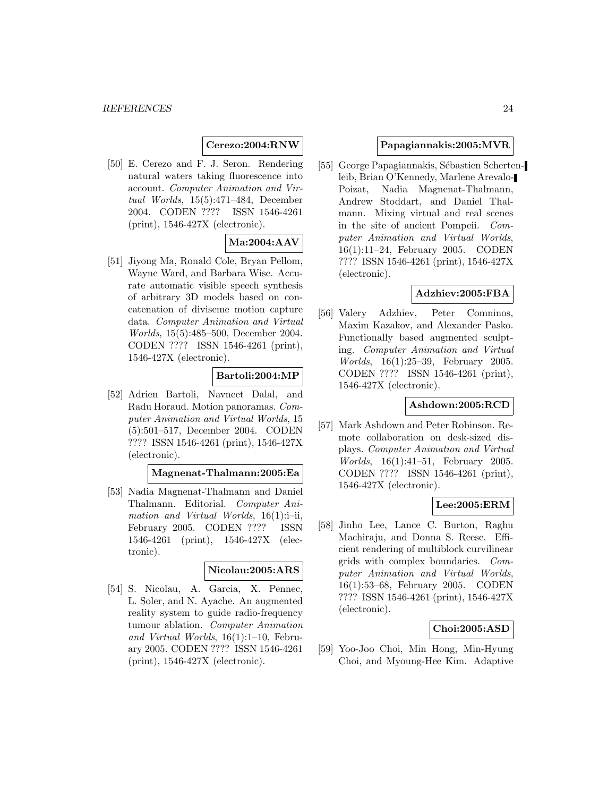### **Cerezo:2004:RNW**

[50] E. Cerezo and F. J. Seron. Rendering natural waters taking fluorescence into account. Computer Animation and Virtual Worlds, 15(5):471–484, December 2004. CODEN ???? ISSN 1546-4261 (print), 1546-427X (electronic).

# **Ma:2004:AAV**

[51] Jiyong Ma, Ronald Cole, Bryan Pellom, Wayne Ward, and Barbara Wise. Accurate automatic visible speech synthesis of arbitrary 3D models based on concatenation of diviseme motion capture data. Computer Animation and Virtual Worlds, 15(5):485–500, December 2004. CODEN ???? ISSN 1546-4261 (print), 1546-427X (electronic).

# **Bartoli:2004:MP**

[52] Adrien Bartoli, Navneet Dalal, and Radu Horaud. Motion panoramas. Computer Animation and Virtual Worlds, 15 (5):501–517, December 2004. CODEN ???? ISSN 1546-4261 (print), 1546-427X (electronic).

#### **Magnenat-Thalmann:2005:Ea**

[53] Nadia Magnenat-Thalmann and Daniel Thalmann. Editorial. Computer Animation and Virtual Worlds,  $16(1)$ :i-ii, February 2005. CODEN ???? ISSN 1546-4261 (print), 1546-427X (electronic).

#### **Nicolau:2005:ARS**

[54] S. Nicolau, A. Garcia, X. Pennec, L. Soler, and N. Ayache. An augmented reality system to guide radio-frequency tumour ablation. Computer Animation and Virtual Worlds, 16(1):1–10, February 2005. CODEN ???? ISSN 1546-4261 (print), 1546-427X (electronic).

### **Papagiannakis:2005:MVR**

[55] George Papagiannakis, Sébastien Schertenleib, Brian O'Kennedy, Marlene Arevalo-Poizat, Nadia Magnenat-Thalmann, Andrew Stoddart, and Daniel Thalmann. Mixing virtual and real scenes in the site of ancient Pompeii. Computer Animation and Virtual Worlds, 16(1):11–24, February 2005. CODEN ???? ISSN 1546-4261 (print), 1546-427X (electronic).

### **Adzhiev:2005:FBA**

[56] Valery Adzhiev, Peter Comninos, Maxim Kazakov, and Alexander Pasko. Functionally based augmented sculpting. Computer Animation and Virtual Worlds, 16(1):25–39, February 2005. CODEN ???? ISSN 1546-4261 (print), 1546-427X (electronic).

### **Ashdown:2005:RCD**

[57] Mark Ashdown and Peter Robinson. Remote collaboration on desk-sized displays. Computer Animation and Virtual Worlds, 16(1):41–51, February 2005. CODEN ???? ISSN 1546-4261 (print), 1546-427X (electronic).

### **Lee:2005:ERM**

[58] Jinho Lee, Lance C. Burton, Raghu Machiraju, and Donna S. Reese. Efficient rendering of multiblock curvilinear grids with complex boundaries. Computer Animation and Virtual Worlds, 16(1):53–68, February 2005. CODEN ???? ISSN 1546-4261 (print), 1546-427X (electronic).

### **Choi:2005:ASD**

[59] Yoo-Joo Choi, Min Hong, Min-Hyung Choi, and Myoung-Hee Kim. Adaptive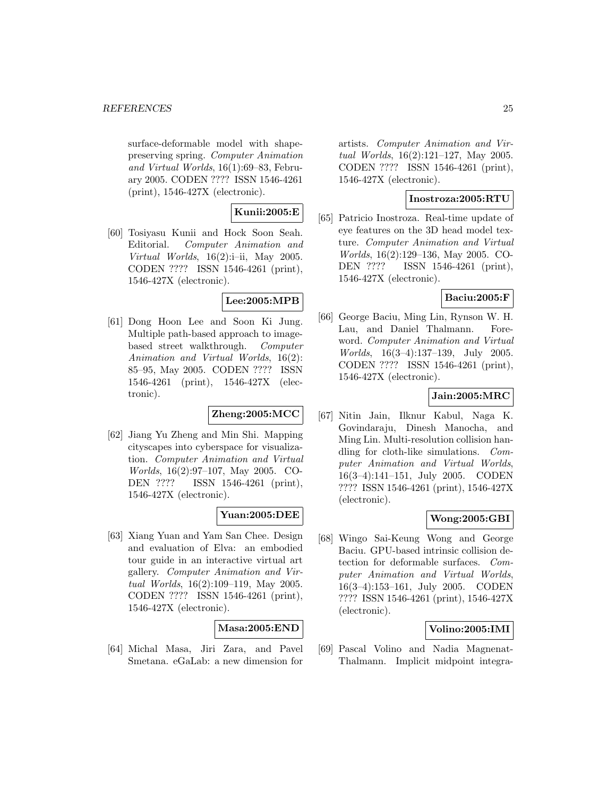surface-deformable model with shapepreserving spring. Computer Animation and Virtual Worlds, 16(1):69–83, February 2005. CODEN ???? ISSN 1546-4261 (print), 1546-427X (electronic).

### **Kunii:2005:E**

[60] Tosiyasu Kunii and Hock Soon Seah. Editorial. Computer Animation and Virtual Worlds,  $16(2)$ :i-ii, May 2005. CODEN ???? ISSN 1546-4261 (print), 1546-427X (electronic).

# **Lee:2005:MPB**

[61] Dong Hoon Lee and Soon Ki Jung. Multiple path-based approach to imagebased street walkthrough. Computer Animation and Virtual Worlds, 16(2): 85–95, May 2005. CODEN ???? ISSN 1546-4261 (print), 1546-427X (electronic).

### **Zheng:2005:MCC**

[62] Jiang Yu Zheng and Min Shi. Mapping cityscapes into cyberspace for visualization. Computer Animation and Virtual Worlds, 16(2):97–107, May 2005. CO-DEN ???? ISSN 1546-4261 (print), 1546-427X (electronic).

### **Yuan:2005:DEE**

[63] Xiang Yuan and Yam San Chee. Design and evaluation of Elva: an embodied tour guide in an interactive virtual art gallery. Computer Animation and Virtual Worlds, 16(2):109–119, May 2005. CODEN ???? ISSN 1546-4261 (print), 1546-427X (electronic).

### **Masa:2005:END**

[64] Michal Masa, Jiri Zara, and Pavel Smetana. eGaLab: a new dimension for artists. Computer Animation and Virtual Worlds, 16(2):121–127, May 2005. CODEN ???? ISSN 1546-4261 (print), 1546-427X (electronic).

### **Inostroza:2005:RTU**

[65] Patricio Inostroza. Real-time update of eye features on the 3D head model texture. Computer Animation and Virtual Worlds, 16(2):129–136, May 2005. CO-DEN ???? ISSN 1546-4261 (print), 1546-427X (electronic).

### **Baciu:2005:F**

[66] George Baciu, Ming Lin, Rynson W. H. Lau, and Daniel Thalmann. Foreword. Computer Animation and Virtual Worlds, 16(3–4):137–139, July 2005. CODEN ???? ISSN 1546-4261 (print), 1546-427X (electronic).

### **Jain:2005:MRC**

[67] Nitin Jain, Ilknur Kabul, Naga K. Govindaraju, Dinesh Manocha, and Ming Lin. Multi-resolution collision handling for cloth-like simulations. Computer Animation and Virtual Worlds, 16(3–4):141–151, July 2005. CODEN ???? ISSN 1546-4261 (print), 1546-427X (electronic).

### **Wong:2005:GBI**

[68] Wingo Sai-Keung Wong and George Baciu. GPU-based intrinsic collision detection for deformable surfaces. Computer Animation and Virtual Worlds, 16(3–4):153–161, July 2005. CODEN ???? ISSN 1546-4261 (print), 1546-427X (electronic).

### **Volino:2005:IMI**

[69] Pascal Volino and Nadia Magnenat-Thalmann. Implicit midpoint integra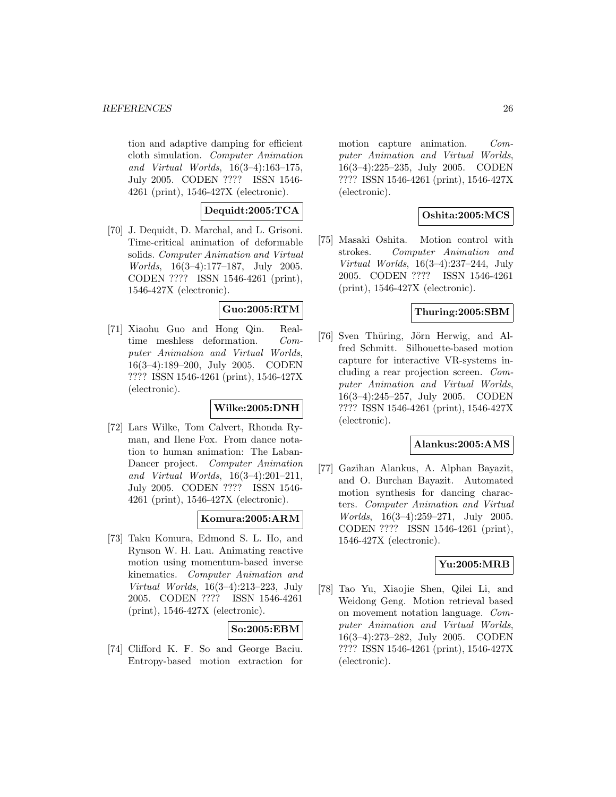tion and adaptive damping for efficient cloth simulation. Computer Animation and Virtual Worlds, 16(3–4):163–175, July 2005. CODEN ???? ISSN 1546- 4261 (print), 1546-427X (electronic).

# **Dequidt:2005:TCA**

[70] J. Dequidt, D. Marchal, and L. Grisoni. Time-critical animation of deformable solids. Computer Animation and Virtual Worlds, 16(3–4):177–187, July 2005. CODEN ???? ISSN 1546-4261 (print), 1546-427X (electronic).

# **Guo:2005:RTM**

[71] Xiaohu Guo and Hong Qin. Realtime meshless deformation. Computer Animation and Virtual Worlds, 16(3–4):189–200, July 2005. CODEN ???? ISSN 1546-4261 (print), 1546-427X (electronic).

# **Wilke:2005:DNH**

[72] Lars Wilke, Tom Calvert, Rhonda Ryman, and Ilene Fox. From dance notation to human animation: The Laban-Dancer project. Computer Animation and Virtual Worlds, 16(3–4):201–211, July 2005. CODEN ???? ISSN 1546- 4261 (print), 1546-427X (electronic).

# **Komura:2005:ARM**

[73] Taku Komura, Edmond S. L. Ho, and Rynson W. H. Lau. Animating reactive motion using momentum-based inverse kinematics. Computer Animation and Virtual Worlds, 16(3–4):213–223, July 2005. CODEN ???? ISSN 1546-4261 (print), 1546-427X (electronic).

### **So:2005:EBM**

[74] Clifford K. F. So and George Baciu. Entropy-based motion extraction for motion capture animation. Computer Animation and Virtual Worlds, 16(3–4):225–235, July 2005. CODEN ???? ISSN 1546-4261 (print), 1546-427X (electronic).

# **Oshita:2005:MCS**

[75] Masaki Oshita. Motion control with strokes. Computer Animation and Virtual Worlds, 16(3–4):237–244, July 2005. CODEN ???? ISSN 1546-4261 (print), 1546-427X (electronic).

### **Thuring:2005:SBM**

[76] Sven Thüring, Jörn Herwig, and Alfred Schmitt. Silhouette-based motion capture for interactive VR-systems including a rear projection screen. Computer Animation and Virtual Worlds, 16(3–4):245–257, July 2005. CODEN ???? ISSN 1546-4261 (print), 1546-427X (electronic).

#### **Alankus:2005:AMS**

[77] Gazihan Alankus, A. Alphan Bayazit, and O. Burchan Bayazit. Automated motion synthesis for dancing characters. Computer Animation and Virtual Worlds, 16(3–4):259–271, July 2005. CODEN ???? ISSN 1546-4261 (print), 1546-427X (electronic).

# **Yu:2005:MRB**

[78] Tao Yu, Xiaojie Shen, Qilei Li, and Weidong Geng. Motion retrieval based on movement notation language. Computer Animation and Virtual Worlds, 16(3–4):273–282, July 2005. CODEN ???? ISSN 1546-4261 (print), 1546-427X (electronic).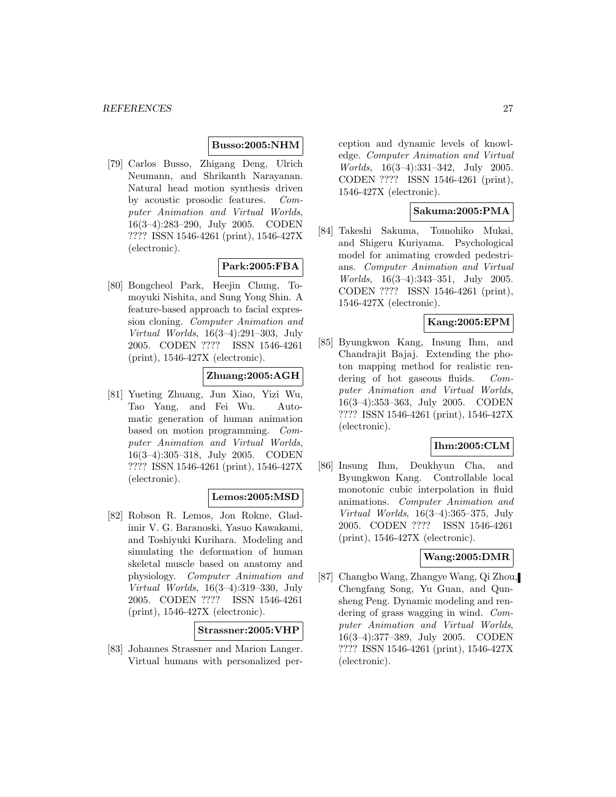### **Busso:2005:NHM**

[79] Carlos Busso, Zhigang Deng, Ulrich Neumann, and Shrikanth Narayanan. Natural head motion synthesis driven by acoustic prosodic features. Computer Animation and Virtual Worlds, 16(3–4):283–290, July 2005. CODEN ???? ISSN 1546-4261 (print), 1546-427X (electronic).

### **Park:2005:FBA**

[80] Bongcheol Park, Heejin Chung, Tomoyuki Nishita, and Sung Yong Shin. A feature-based approach to facial expression cloning. Computer Animation and Virtual Worlds, 16(3–4):291–303, July 2005. CODEN ???? ISSN 1546-4261 (print), 1546-427X (electronic).

### **Zhuang:2005:AGH**

[81] Yueting Zhuang, Jun Xiao, Yizi Wu, Tao Yang, and Fei Wu. Automatic generation of human animation based on motion programming. Computer Animation and Virtual Worlds, 16(3–4):305–318, July 2005. CODEN ???? ISSN 1546-4261 (print), 1546-427X (electronic).

# **Lemos:2005:MSD**

[82] Robson R. Lemos, Jon Rokne, Gladimir V. G. Baranoski, Yasuo Kawakami, and Toshiyuki Kurihara. Modeling and simulating the deformation of human skeletal muscle based on anatomy and physiology. Computer Animation and Virtual Worlds, 16(3–4):319–330, July 2005. CODEN ???? ISSN 1546-4261 (print), 1546-427X (electronic).

### **Strassner:2005:VHP**

[83] Johannes Strassner and Marion Langer. Virtual humans with personalized perception and dynamic levels of knowledge. Computer Animation and Virtual Worlds, 16(3–4):331–342, July 2005. CODEN ???? ISSN 1546-4261 (print), 1546-427X (electronic).

#### **Sakuma:2005:PMA**

[84] Takeshi Sakuma, Tomohiko Mukai, and Shigeru Kuriyama. Psychological model for animating crowded pedestrians. Computer Animation and Virtual Worlds, 16(3–4):343–351, July 2005. CODEN ???? ISSN 1546-4261 (print), 1546-427X (electronic).

#### **Kang:2005:EPM**

[85] Byungkwon Kang, Insung Ihm, and Chandrajit Bajaj. Extending the photon mapping method for realistic rendering of hot gaseous fluids. Computer Animation and Virtual Worlds, 16(3–4):353–363, July 2005. CODEN ???? ISSN 1546-4261 (print), 1546-427X (electronic).

### **Ihm:2005:CLM**

[86] Insung Ihm, Deukhyun Cha, and Byungkwon Kang. Controllable local monotonic cubic interpolation in fluid animations. Computer Animation and Virtual Worlds, 16(3–4):365–375, July 2005. CODEN ???? ISSN 1546-4261 (print), 1546-427X (electronic).

### **Wang:2005:DMR**

[87] Changbo Wang, Zhangye Wang, Qi Zhou, Chengfang Song, Yu Guan, and Qunsheng Peng. Dynamic modeling and rendering of grass wagging in wind. Computer Animation and Virtual Worlds, 16(3–4):377–389, July 2005. CODEN ???? ISSN 1546-4261 (print), 1546-427X (electronic).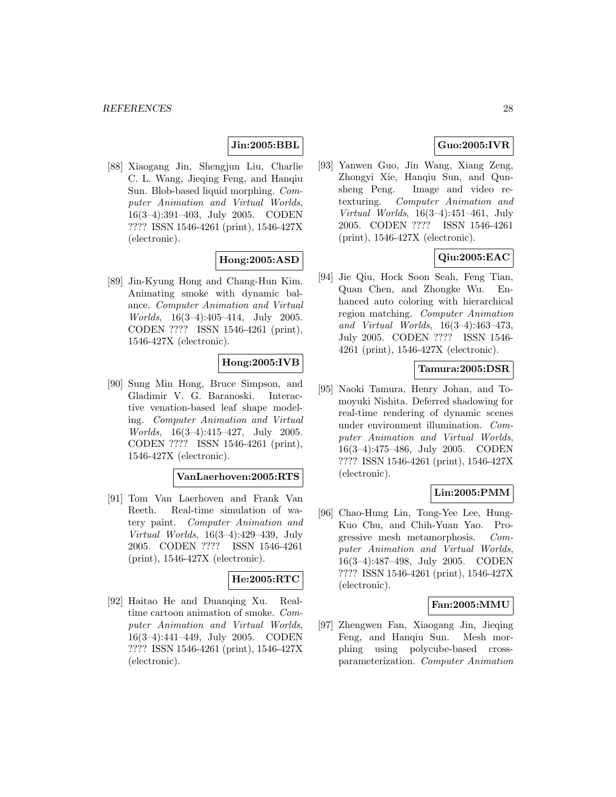### **Jin:2005:BBL**

[88] Xiaogang Jin, Shengjun Liu, Charlie C. L. Wang, Jieqing Feng, and Hanqiu Sun. Blob-based liquid morphing. Computer Animation and Virtual Worlds, 16(3–4):391–403, July 2005. CODEN ???? ISSN 1546-4261 (print), 1546-427X (electronic).

### **Hong:2005:ASD**

[89] Jin-Kyung Hong and Chang-Hun Kim. Animating smoke with dynamic balance. Computer Animation and Virtual Worlds, 16(3–4):405–414, July 2005. CODEN ???? ISSN 1546-4261 (print), 1546-427X (electronic).

### **Hong:2005:IVB**

[90] Sung Min Hong, Bruce Simpson, and Gladimir V. G. Baranoski. Interactive venation-based leaf shape modeling. Computer Animation and Virtual Worlds, 16(3–4):415–427, July 2005. CODEN ???? ISSN 1546-4261 (print), 1546-427X (electronic).

### **VanLaerhoven:2005:RTS**

[91] Tom Van Laerhoven and Frank Van Reeth. Real-time simulation of watery paint. Computer Animation and Virtual Worlds, 16(3–4):429–439, July 2005. CODEN ???? ISSN 1546-4261 (print), 1546-427X (electronic).

### **He:2005:RTC**

[92] Haitao He and Duanqing Xu. Realtime cartoon animation of smoke. Computer Animation and Virtual Worlds, 16(3–4):441–449, July 2005. CODEN ???? ISSN 1546-4261 (print), 1546-427X (electronic).

# **Guo:2005:IVR**

[93] Yanwen Guo, Jin Wang, Xiang Zeng, Zhongyi Xie, Hanqiu Sun, and Qunsheng Peng. Image and video retexturing. Computer Animation and Virtual Worlds, 16(3–4):451–461, July 2005. CODEN ???? ISSN 1546-4261 (print), 1546-427X (electronic).

# **Qiu:2005:EAC**

[94] Jie Qiu, Hock Soon Seah, Feng Tian, Quan Chen, and Zhongke Wu. Enhanced auto coloring with hierarchical region matching. Computer Animation and Virtual Worlds, 16(3–4):463–473, July 2005. CODEN ???? ISSN 1546- 4261 (print), 1546-427X (electronic).

### **Tamura:2005:DSR**

[95] Naoki Tamura, Henry Johan, and Tomoyuki Nishita. Deferred shadowing for real-time rendering of dynamic scenes under environment illumination. Computer Animation and Virtual Worlds, 16(3–4):475–486, July 2005. CODEN ???? ISSN 1546-4261 (print), 1546-427X (electronic).

# **Lin:2005:PMM**

[96] Chao-Hung Lin, Tong-Yee Lee, Hung-Kuo Chu, and Chih-Yuan Yao. Progressive mesh metamorphosis. Computer Animation and Virtual Worlds, 16(3–4):487–498, July 2005. CODEN ???? ISSN 1546-4261 (print), 1546-427X (electronic).

#### **Fan:2005:MMU**

[97] Zhengwen Fan, Xiaogang Jin, Jieqing Feng, and Hanqiu Sun. Mesh morphing using polycube-based crossparameterization. Computer Animation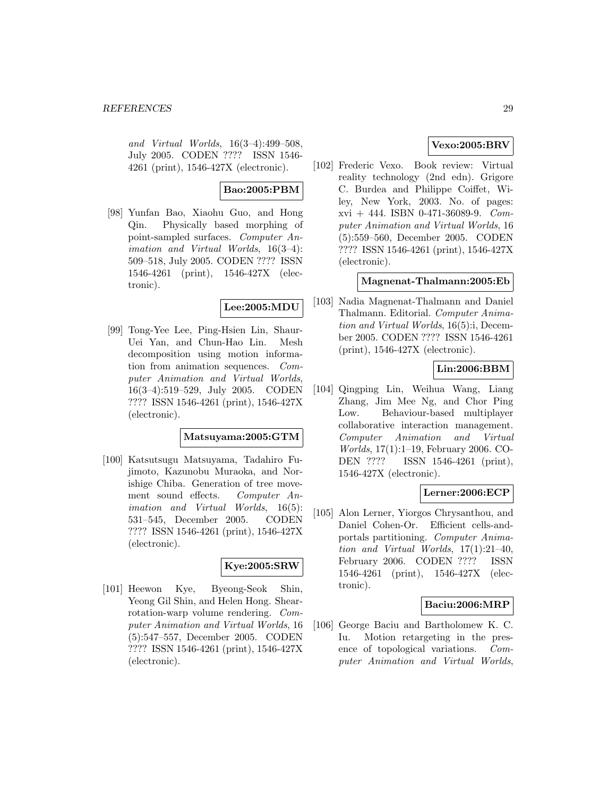and Virtual Worlds, 16(3–4):499–508, July 2005. CODEN ???? ISSN 1546- 4261 (print), 1546-427X (electronic).

### **Bao:2005:PBM**

[98] Yunfan Bao, Xiaohu Guo, and Hong Qin. Physically based morphing of point-sampled surfaces. Computer Animation and Virtual Worlds, 16(3–4): 509–518, July 2005. CODEN ???? ISSN 1546-4261 (print), 1546-427X (electronic).

### **Lee:2005:MDU**

[99] Tong-Yee Lee, Ping-Hsien Lin, Shaur-Uei Yan, and Chun-Hao Lin. Mesh decomposition using motion information from animation sequences. Computer Animation and Virtual Worlds, 16(3–4):519–529, July 2005. CODEN ???? ISSN 1546-4261 (print), 1546-427X (electronic).

#### **Matsuyama:2005:GTM**

[100] Katsutsugu Matsuyama, Tadahiro Fujimoto, Kazunobu Muraoka, and Norishige Chiba. Generation of tree movement sound effects. Computer Animation and Virtual Worlds, 16(5): 531–545, December 2005. CODEN ???? ISSN 1546-4261 (print), 1546-427X (electronic).

### **Kye:2005:SRW**

[101] Heewon Kye, Byeong-Seok Shin, Yeong Gil Shin, and Helen Hong. Shearrotation-warp volume rendering. Computer Animation and Virtual Worlds, 16 (5):547–557, December 2005. CODEN ???? ISSN 1546-4261 (print), 1546-427X (electronic).

# **Vexo:2005:BRV**

[102] Frederic Vexo. Book review: Virtual reality technology (2nd edn). Grigore C. Burdea and Philippe Coiffet, Wiley, New York, 2003. No. of pages: xvi + 444. ISBN 0-471-36089-9. Computer Animation and Virtual Worlds, 16 (5):559–560, December 2005. CODEN ???? ISSN 1546-4261 (print), 1546-427X (electronic).

### **Magnenat-Thalmann:2005:Eb**

[103] Nadia Magnenat-Thalmann and Daniel Thalmann. Editorial. Computer Animation and Virtual Worlds, 16(5):i, December 2005. CODEN ???? ISSN 1546-4261 (print), 1546-427X (electronic).

# **Lin:2006:BBM**

[104] Qingping Lin, Weihua Wang, Liang Zhang, Jim Mee Ng, and Chor Ping Low. Behaviour-based multiplayer collaborative interaction management. Computer Animation and Virtual Worlds, 17(1):1–19, February 2006. CO-DEN ???? ISSN 1546-4261 (print), 1546-427X (electronic).

### **Lerner:2006:ECP**

[105] Alon Lerner, Yiorgos Chrysanthou, and Daniel Cohen-Or. Efficient cells-andportals partitioning. Computer Animation and Virtual Worlds, 17(1):21–40, February 2006. CODEN ???? ISSN 1546-4261 (print), 1546-427X (electronic).

### **Baciu:2006:MRP**

[106] George Baciu and Bartholomew K. C. Iu. Motion retargeting in the presence of topological variations. Computer Animation and Virtual Worlds,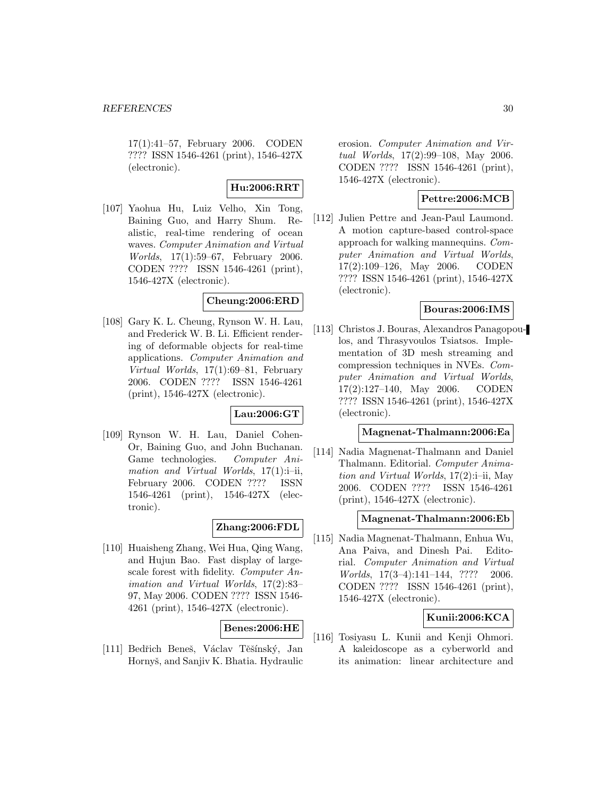17(1):41–57, February 2006. CODEN ???? ISSN 1546-4261 (print), 1546-427X (electronic).

# **Hu:2006:RRT**

[107] Yaohua Hu, Luiz Velho, Xin Tong, Baining Guo, and Harry Shum. Realistic, real-time rendering of ocean waves. Computer Animation and Virtual Worlds, 17(1):59–67, February 2006. CODEN ???? ISSN 1546-4261 (print), 1546-427X (electronic).

### **Cheung:2006:ERD**

[108] Gary K. L. Cheung, Rynson W. H. Lau, and Frederick W. B. Li. Efficient rendering of deformable objects for real-time applications. Computer Animation and Virtual Worlds, 17(1):69–81, February 2006. CODEN ???? ISSN 1546-4261 (print), 1546-427X (electronic).

### **Lau:2006:GT**

[109] Rynson W. H. Lau, Daniel Cohen-Or, Baining Guo, and John Buchanan. Game technologies. Computer Animation and Virtual Worlds,  $17(1)$ :i-ii, February 2006. CODEN ???? ISSN 1546-4261 (print), 1546-427X (electronic).

### **Zhang:2006:FDL**

[110] Huaisheng Zhang, Wei Hua, Qing Wang, and Hujun Bao. Fast display of largescale forest with fidelity. Computer Animation and Virtual Worlds, 17(2):83– 97, May 2006. CODEN ???? ISSN 1546- 4261 (print), 1546-427X (electronic).

### **Benes:2006:HE**

[111] Bedřich Beneš, Václav Těšínský, Jan Hornyš, and Sanjiv K. Bhatia. Hydraulic erosion. Computer Animation and Virtual Worlds, 17(2):99–108, May 2006. CODEN ???? ISSN 1546-4261 (print), 1546-427X (electronic).

# **Pettre:2006:MCB**

[112] Julien Pettre and Jean-Paul Laumond. A motion capture-based control-space approach for walking mannequins. Computer Animation and Virtual Worlds, 17(2):109–126, May 2006. CODEN ???? ISSN 1546-4261 (print), 1546-427X (electronic).

# **Bouras:2006:IMS**

[113] Christos J. Bouras, Alexandros Panagopoulos, and Thrasyvoulos Tsiatsos. Implementation of 3D mesh streaming and compression techniques in NVEs. Computer Animation and Virtual Worlds, 17(2):127–140, May 2006. CODEN ???? ISSN 1546-4261 (print), 1546-427X (electronic).

### **Magnenat-Thalmann:2006:Ea**

[114] Nadia Magnenat-Thalmann and Daniel Thalmann. Editorial. Computer Animation and Virtual Worlds, 17(2):i–ii, May 2006. CODEN ???? ISSN 1546-4261 (print), 1546-427X (electronic).

#### **Magnenat-Thalmann:2006:Eb**

[115] Nadia Magnenat-Thalmann, Enhua Wu, Ana Paiva, and Dinesh Pai. Editorial. Computer Animation and Virtual Worlds, 17(3–4):141–144, ???? 2006. CODEN ???? ISSN 1546-4261 (print), 1546-427X (electronic).

### **Kunii:2006:KCA**

[116] Tosiyasu L. Kunii and Kenji Ohmori. A kaleidoscope as a cyberworld and its animation: linear architecture and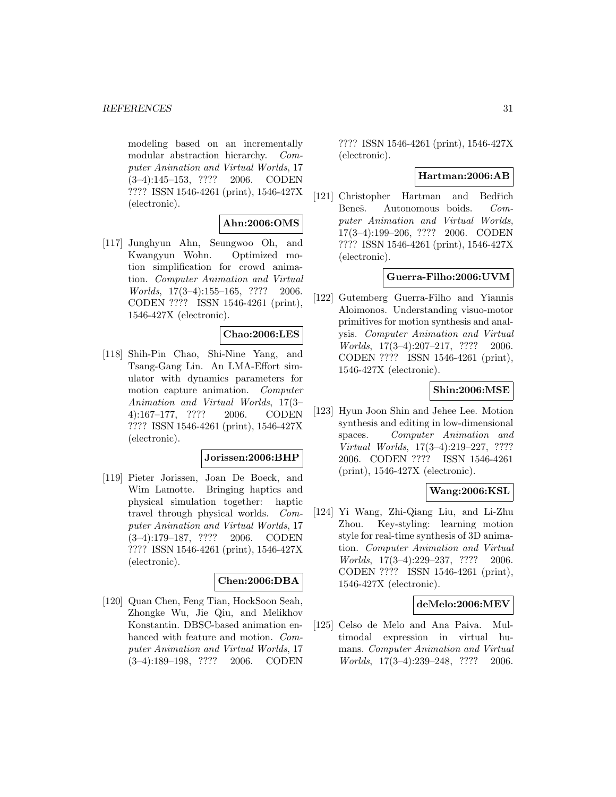modeling based on an incrementally modular abstraction hierarchy. Computer Animation and Virtual Worlds, 17 (3–4):145–153, ???? 2006. CODEN ???? ISSN 1546-4261 (print), 1546-427X (electronic).

### **Ahn:2006:OMS**

[117] Junghyun Ahn, Seungwoo Oh, and Kwangyun Wohn. Optimized motion simplification for crowd animation. Computer Animation and Virtual Worlds, 17(3–4):155–165, ???? 2006. CODEN ???? ISSN 1546-4261 (print), 1546-427X (electronic).

### **Chao:2006:LES**

[118] Shih-Pin Chao, Shi-Nine Yang, and Tsang-Gang Lin. An LMA-Effort simulator with dynamics parameters for motion capture animation. Computer Animation and Virtual Worlds, 17(3– 4):167–177, ???? 2006. CODEN ???? ISSN 1546-4261 (print), 1546-427X (electronic).

#### **Jorissen:2006:BHP**

[119] Pieter Jorissen, Joan De Boeck, and Wim Lamotte. Bringing haptics and physical simulation together: haptic travel through physical worlds. Computer Animation and Virtual Worlds, 17 (3–4):179–187, ???? 2006. CODEN ???? ISSN 1546-4261 (print), 1546-427X (electronic).

### **Chen:2006:DBA**

[120] Quan Chen, Feng Tian, HockSoon Seah, Zhongke Wu, Jie Qiu, and Melikhov Konstantin. DBSC-based animation enhanced with feature and motion. Computer Animation and Virtual Worlds, 17 (3–4):189–198, ???? 2006. CODEN

???? ISSN 1546-4261 (print), 1546-427X (electronic).

#### **Hartman:2006:AB**

[121] Christopher Hartman and Bedřich Beneš. Autonomous boids. Computer Animation and Virtual Worlds, 17(3–4):199–206, ???? 2006. CODEN ???? ISSN 1546-4261 (print), 1546-427X (electronic).

# **Guerra-Filho:2006:UVM**

[122] Gutemberg Guerra-Filho and Yiannis Aloimonos. Understanding visuo-motor primitives for motion synthesis and analysis. Computer Animation and Virtual Worlds, 17(3–4):207–217, ???? 2006. CODEN ???? ISSN 1546-4261 (print), 1546-427X (electronic).

### **Shin:2006:MSE**

[123] Hyun Joon Shin and Jehee Lee. Motion synthesis and editing in low-dimensional spaces. Computer Animation and Virtual Worlds, 17(3–4):219–227, ???? 2006. CODEN ???? ISSN 1546-4261 (print), 1546-427X (electronic).

### **Wang:2006:KSL**

[124] Yi Wang, Zhi-Qiang Liu, and Li-Zhu Zhou. Key-styling: learning motion style for real-time synthesis of 3D animation. Computer Animation and Virtual Worlds, 17(3–4):229–237, ???? 2006. CODEN ???? ISSN 1546-4261 (print), 1546-427X (electronic).

### **deMelo:2006:MEV**

[125] Celso de Melo and Ana Paiva. Multimodal expression in virtual humans. Computer Animation and Virtual Worlds, 17(3–4):239–248, ???? 2006.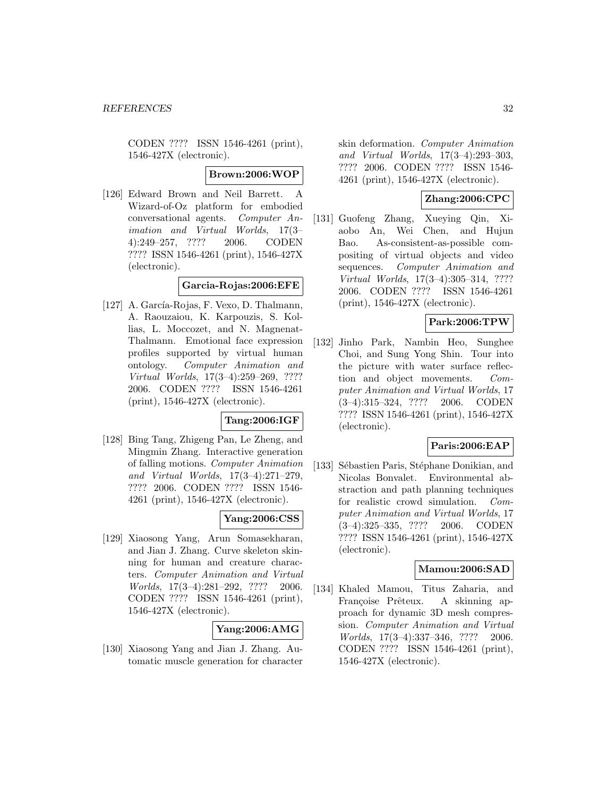CODEN ???? ISSN 1546-4261 (print), 1546-427X (electronic).

#### **Brown:2006:WOP**

[126] Edward Brown and Neil Barrett. A Wizard-of-Oz platform for embodied conversational agents. Computer Animation and Virtual Worlds, 17(3– 4):249–257, ???? 2006. CODEN ???? ISSN 1546-4261 (print), 1546-427X (electronic).

### **Garcia-Rojas:2006:EFE**

[127] A. García-Rojas, F. Vexo, D. Thalmann, A. Raouzaiou, K. Karpouzis, S. Kollias, L. Moccozet, and N. Magnenat-Thalmann. Emotional face expression profiles supported by virtual human ontology. Computer Animation and Virtual Worlds, 17(3–4):259–269, ???? 2006. CODEN ???? ISSN 1546-4261 (print), 1546-427X (electronic).

### **Tang:2006:IGF**

[128] Bing Tang, Zhigeng Pan, Le Zheng, and Mingmin Zhang. Interactive generation of falling motions. Computer Animation and Virtual Worlds, 17(3–4):271–279, ???? 2006. CODEN ???? ISSN 1546- 4261 (print), 1546-427X (electronic).

### **Yang:2006:CSS**

[129] Xiaosong Yang, Arun Somasekharan, and Jian J. Zhang. Curve skeleton skinning for human and creature characters. Computer Animation and Virtual Worlds, 17(3–4):281–292, ???? 2006. CODEN ???? ISSN 1546-4261 (print), 1546-427X (electronic).

### **Yang:2006:AMG**

[130] Xiaosong Yang and Jian J. Zhang. Automatic muscle generation for character skin deformation. Computer Animation and Virtual Worlds, 17(3–4):293–303, ???? 2006. CODEN ???? ISSN 1546- 4261 (print), 1546-427X (electronic).

# **Zhang:2006:CPC**

[131] Guofeng Zhang, Xueying Qin, Xiaobo An, Wei Chen, and Hujun Bao. As-consistent-as-possible compositing of virtual objects and video sequences. Computer Animation and Virtual Worlds, 17(3–4):305–314, ???? 2006. CODEN ???? ISSN 1546-4261 (print), 1546-427X (electronic).

#### **Park:2006:TPW**

[132] Jinho Park, Nambin Heo, Sunghee Choi, and Sung Yong Shin. Tour into the picture with water surface reflection and object movements. Computer Animation and Virtual Worlds, 17 (3–4):315–324, ???? 2006. CODEN ???? ISSN 1546-4261 (print), 1546-427X (electronic).

### **Paris:2006:EAP**

[133] Sébastien Paris, Stéphane Donikian, and Nicolas Bonvalet. Environmental abstraction and path planning techniques for realistic crowd simulation. Computer Animation and Virtual Worlds, 17 (3–4):325–335, ???? 2006. CODEN ???? ISSN 1546-4261 (print), 1546-427X (electronic).

#### **Mamou:2006:SAD**

[134] Khaled Mamou, Titus Zaharia, and Françoise Prêteux. A skinning approach for dynamic 3D mesh compression. Computer Animation and Virtual Worlds, 17(3–4):337–346, ???? 2006. CODEN ???? ISSN 1546-4261 (print), 1546-427X (electronic).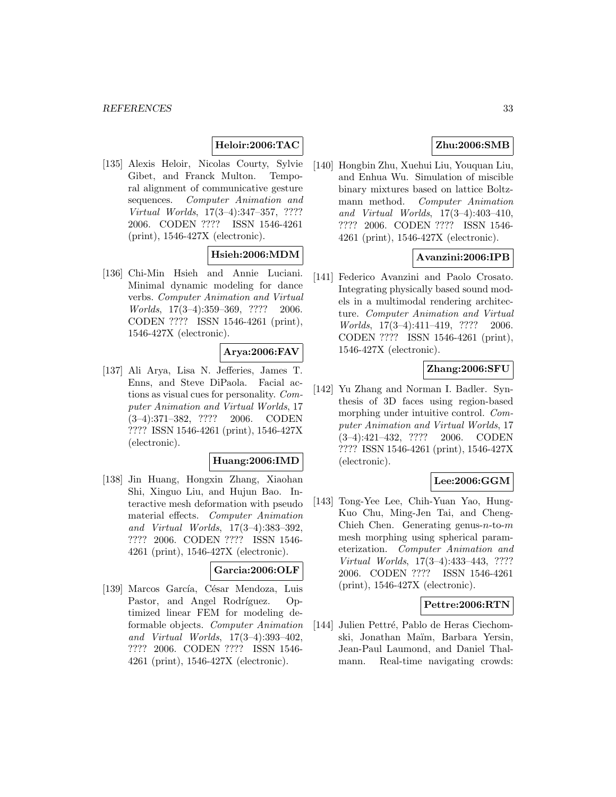# **Heloir:2006:TAC**

[135] Alexis Heloir, Nicolas Courty, Sylvie Gibet, and Franck Multon. Temporal alignment of communicative gesture sequences. Computer Animation and Virtual Worlds, 17(3–4):347–357, ???? 2006. CODEN ???? ISSN 1546-4261 (print), 1546-427X (electronic).

# **Hsieh:2006:MDM**

[136] Chi-Min Hsieh and Annie Luciani. Minimal dynamic modeling for dance verbs. Computer Animation and Virtual Worlds, 17(3–4):359–369, ???? 2006. CODEN ???? ISSN 1546-4261 (print), 1546-427X (electronic).

### **Arya:2006:FAV**

[137] Ali Arya, Lisa N. Jefferies, James T. Enns, and Steve DiPaola. Facial actions as visual cues for personality. Computer Animation and Virtual Worlds, 17 (3–4):371–382, ???? 2006. CODEN ???? ISSN 1546-4261 (print), 1546-427X (electronic).

#### **Huang:2006:IMD**

[138] Jin Huang, Hongxin Zhang, Xiaohan Shi, Xinguo Liu, and Hujun Bao. Interactive mesh deformation with pseudo material effects. Computer Animation and Virtual Worlds, 17(3–4):383–392, ???? 2006. CODEN ???? ISSN 1546- 4261 (print), 1546-427X (electronic).

#### **Garcia:2006:OLF**

[139] Marcos García, César Mendoza, Luis Pastor, and Angel Rodríguez. Optimized linear FEM for modeling deformable objects. Computer Animation and Virtual Worlds, 17(3–4):393–402, ???? 2006. CODEN ???? ISSN 1546- 4261 (print), 1546-427X (electronic).

### **Zhu:2006:SMB**

[140] Hongbin Zhu, Xuehui Liu, Youquan Liu, and Enhua Wu. Simulation of miscible binary mixtures based on lattice Boltzmann method. Computer Animation and Virtual Worlds, 17(3–4):403–410, ???? 2006. CODEN ???? ISSN 1546- 4261 (print), 1546-427X (electronic).

### **Avanzini:2006:IPB**

[141] Federico Avanzini and Paolo Crosato. Integrating physically based sound models in a multimodal rendering architecture. Computer Animation and Virtual Worlds, 17(3–4):411–419, ???? 2006. CODEN ???? ISSN 1546-4261 (print), 1546-427X (electronic).

### **Zhang:2006:SFU**

[142] Yu Zhang and Norman I. Badler. Synthesis of 3D faces using region-based morphing under intuitive control. Computer Animation and Virtual Worlds, 17 (3–4):421–432, ???? 2006. CODEN ???? ISSN 1546-4261 (print), 1546-427X (electronic).

# **Lee:2006:GGM**

[143] Tong-Yee Lee, Chih-Yuan Yao, Hung-Kuo Chu, Ming-Jen Tai, and Cheng-Chieh Chen. Generating genus- $n$ -to- $m$ mesh morphing using spherical parameterization. Computer Animation and Virtual Worlds, 17(3–4):433–443, ???? 2006. CODEN ???? ISSN 1546-4261 (print), 1546-427X (electronic).

#### **Pettre:2006:RTN**

[144] Julien Pettré, Pablo de Heras Ciechomski, Jonathan Maïm, Barbara Yersin, Jean-Paul Laumond, and Daniel Thalmann. Real-time navigating crowds: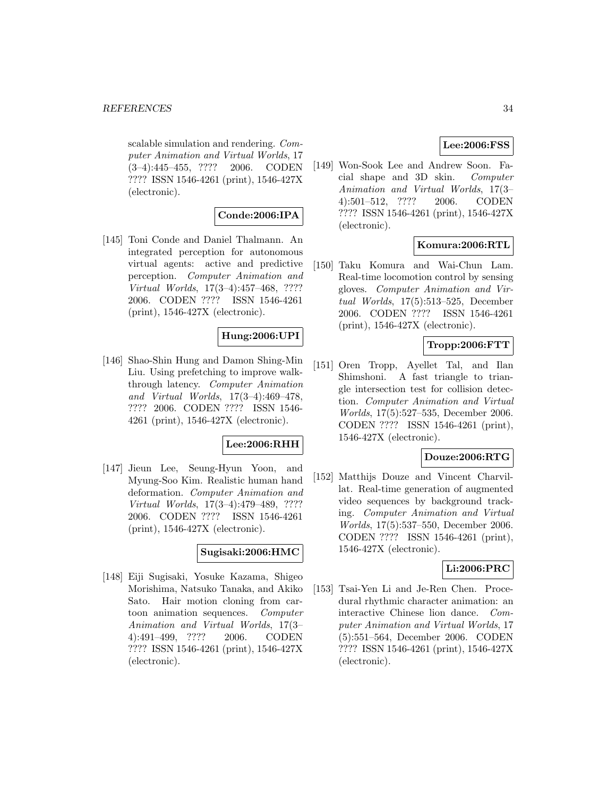#### *REFERENCES* 34

scalable simulation and rendering. Computer Animation and Virtual Worlds, 17 (3–4):445–455, ???? 2006. CODEN ???? ISSN 1546-4261 (print), 1546-427X (electronic).

# **Conde:2006:IPA**

[145] Toni Conde and Daniel Thalmann. An integrated perception for autonomous virtual agents: active and predictive perception. Computer Animation and Virtual Worlds, 17(3–4):457–468, ???? 2006. CODEN ???? ISSN 1546-4261 (print), 1546-427X (electronic).

### **Hung:2006:UPI**

[146] Shao-Shin Hung and Damon Shing-Min Liu. Using prefetching to improve walkthrough latency. Computer Animation and Virtual Worlds, 17(3–4):469–478, ???? 2006. CODEN ???? ISSN 1546- 4261 (print), 1546-427X (electronic).

### **Lee:2006:RHH**

[147] Jieun Lee, Seung-Hyun Yoon, and Myung-Soo Kim. Realistic human hand deformation. Computer Animation and Virtual Worlds, 17(3–4):479–489, ???? 2006. CODEN ???? ISSN 1546-4261 (print), 1546-427X (electronic).

#### **Sugisaki:2006:HMC**

[148] Eiji Sugisaki, Yosuke Kazama, Shigeo Morishima, Natsuko Tanaka, and Akiko Sato. Hair motion cloning from cartoon animation sequences. Computer Animation and Virtual Worlds, 17(3– 4):491–499, ???? 2006. CODEN ???? ISSN 1546-4261 (print), 1546-427X (electronic).

### **Lee:2006:FSS**

[149] Won-Sook Lee and Andrew Soon. Facial shape and 3D skin. Computer Animation and Virtual Worlds, 17(3– 4):501–512, ???? 2006. CODEN ???? ISSN 1546-4261 (print), 1546-427X (electronic).

### **Komura:2006:RTL**

[150] Taku Komura and Wai-Chun Lam. Real-time locomotion control by sensing gloves. Computer Animation and Virtual Worlds, 17(5):513–525, December 2006. CODEN ???? ISSN 1546-4261 (print), 1546-427X (electronic).

### **Tropp:2006:FTT**

[151] Oren Tropp, Ayellet Tal, and Ilan Shimshoni. A fast triangle to triangle intersection test for collision detection. Computer Animation and Virtual Worlds, 17(5):527–535, December 2006. CODEN ???? ISSN 1546-4261 (print), 1546-427X (electronic).

### **Douze:2006:RTG**

[152] Matthijs Douze and Vincent Charvillat. Real-time generation of augmented video sequences by background tracking. Computer Animation and Virtual Worlds, 17(5):537–550, December 2006. CODEN ???? ISSN 1546-4261 (print), 1546-427X (electronic).

### **Li:2006:PRC**

[153] Tsai-Yen Li and Je-Ren Chen. Procedural rhythmic character animation: an interactive Chinese lion dance. Computer Animation and Virtual Worlds, 17 (5):551–564, December 2006. CODEN ???? ISSN 1546-4261 (print), 1546-427X (electronic).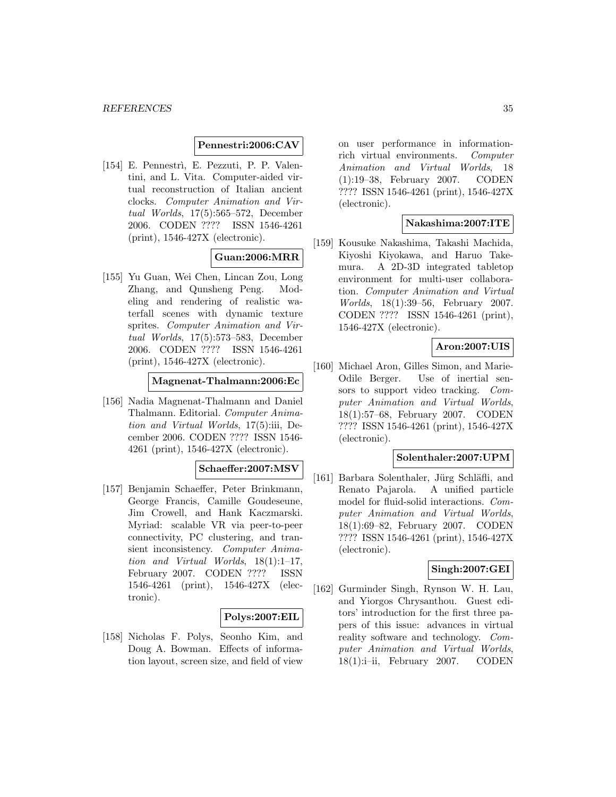### **Pennestri:2006:CAV**

[154] E. Pennestrì, E. Pezzuti, P. P. Valentini, and L. Vita. Computer-aided virtual reconstruction of Italian ancient clocks. Computer Animation and Virtual Worlds, 17(5):565–572, December 2006. CODEN ???? ISSN 1546-4261 (print), 1546-427X (electronic).

### **Guan:2006:MRR**

[155] Yu Guan, Wei Chen, Lincan Zou, Long Zhang, and Qunsheng Peng. Modeling and rendering of realistic waterfall scenes with dynamic texture sprites. Computer Animation and Virtual Worlds, 17(5):573–583, December 2006. CODEN ???? ISSN 1546-4261 (print), 1546-427X (electronic).

#### **Magnenat-Thalmann:2006:Ec**

[156] Nadia Magnenat-Thalmann and Daniel Thalmann. Editorial. Computer Animation and Virtual Worlds, 17(5):iii, December 2006. CODEN ???? ISSN 1546- 4261 (print), 1546-427X (electronic).

#### **Schaeffer:2007:MSV**

[157] Benjamin Schaeffer, Peter Brinkmann, George Francis, Camille Goudeseune, Jim Crowell, and Hank Kaczmarski. Myriad: scalable VR via peer-to-peer connectivity, PC clustering, and transient inconsistency. Computer Animation and Virtual Worlds, 18(1):1–17, February 2007. CODEN ???? ISSN 1546-4261 (print), 1546-427X (electronic).

### **Polys:2007:EIL**

[158] Nicholas F. Polys, Seonho Kim, and Doug A. Bowman. Effects of information layout, screen size, and field of view on user performance in informationrich virtual environments. Computer Animation and Virtual Worlds, 18 (1):19–38, February 2007. CODEN ???? ISSN 1546-4261 (print), 1546-427X (electronic).

#### **Nakashima:2007:ITE**

[159] Kousuke Nakashima, Takashi Machida, Kiyoshi Kiyokawa, and Haruo Takemura. A 2D-3D integrated tabletop environment for multi-user collaboration. Computer Animation and Virtual Worlds, 18(1):39–56, February 2007. CODEN ???? ISSN 1546-4261 (print), 1546-427X (electronic).

### **Aron:2007:UIS**

[160] Michael Aron, Gilles Simon, and Marie-Odile Berger. Use of inertial sensors to support video tracking. Computer Animation and Virtual Worlds, 18(1):57–68, February 2007. CODEN ???? ISSN 1546-4261 (print), 1546-427X (electronic).

#### **Solenthaler:2007:UPM**

[161] Barbara Solenthaler, Jürg Schläfli, and Renato Pajarola. A unified particle model for fluid-solid interactions. Computer Animation and Virtual Worlds, 18(1):69–82, February 2007. CODEN ???? ISSN 1546-4261 (print), 1546-427X (electronic).

#### **Singh:2007:GEI**

[162] Gurminder Singh, Rynson W. H. Lau, and Yiorgos Chrysanthou. Guest editors' introduction for the first three papers of this issue: advances in virtual reality software and technology. Computer Animation and Virtual Worlds, 18(1):i–ii, February 2007. CODEN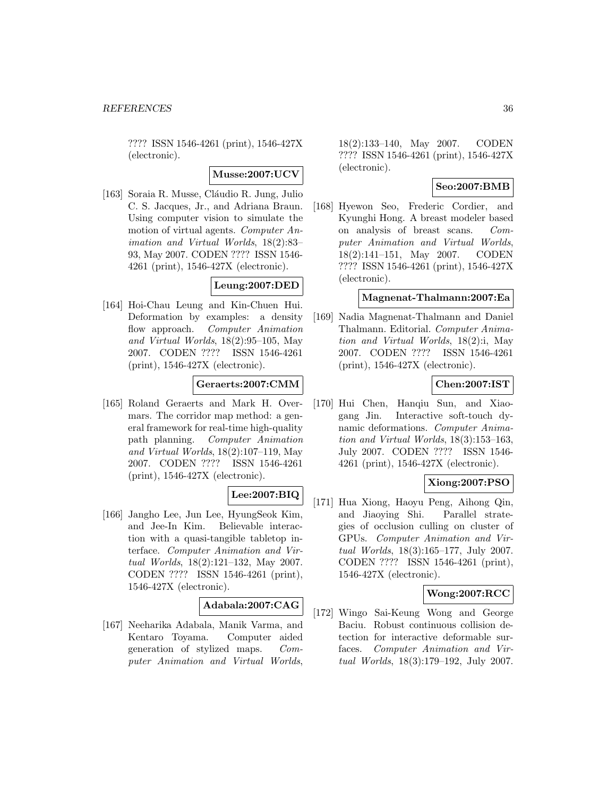???? ISSN 1546-4261 (print), 1546-427X (electronic).

**Musse:2007:UCV**

[163] Soraia R. Musse, Cláudio R. Jung, Julio C. S. Jacques, Jr., and Adriana Braun. Using computer vision to simulate the motion of virtual agents. Computer Animation and Virtual Worlds, 18(2):83– 93, May 2007. CODEN ???? ISSN 1546- 4261 (print), 1546-427X (electronic).

### **Leung:2007:DED**

[164] Hoi-Chau Leung and Kin-Chuen Hui. Deformation by examples: a density flow approach. Computer Animation and Virtual Worlds, 18(2):95–105, May 2007. CODEN ???? ISSN 1546-4261 (print), 1546-427X (electronic).

### **Geraerts:2007:CMM**

[165] Roland Geraerts and Mark H. Overmars. The corridor map method: a general framework for real-time high-quality path planning. Computer Animation and Virtual Worlds, 18(2):107–119, May 2007. CODEN ???? ISSN 1546-4261 (print), 1546-427X (electronic).

# **Lee:2007:BIQ**

[166] Jangho Lee, Jun Lee, HyungSeok Kim, and Jee-In Kim. Believable interaction with a quasi-tangible tabletop interface. Computer Animation and Virtual Worlds, 18(2):121–132, May 2007. CODEN ???? ISSN 1546-4261 (print), 1546-427X (electronic).

### **Adabala:2007:CAG**

[167] Neeharika Adabala, Manik Varma, and Kentaro Toyama. Computer aided generation of stylized maps. Computer Animation and Virtual Worlds,

18(2):133–140, May 2007. CODEN ???? ISSN 1546-4261 (print), 1546-427X (electronic).

### **Seo:2007:BMB**

[168] Hyewon Seo, Frederic Cordier, and Kyunghi Hong. A breast modeler based on analysis of breast scans. Computer Animation and Virtual Worlds, 18(2):141–151, May 2007. CODEN ???? ISSN 1546-4261 (print), 1546-427X (electronic).

# **Magnenat-Thalmann:2007:Ea**

[169] Nadia Magnenat-Thalmann and Daniel Thalmann. Editorial. Computer Animation and Virtual Worlds, 18(2):i, May 2007. CODEN ???? ISSN 1546-4261 (print), 1546-427X (electronic).

### **Chen:2007:IST**

[170] Hui Chen, Hanqiu Sun, and Xiaogang Jin. Interactive soft-touch dynamic deformations. Computer Animation and Virtual Worlds, 18(3):153–163, July 2007. CODEN ???? ISSN 1546- 4261 (print), 1546-427X (electronic).

### **Xiong:2007:PSO**

[171] Hua Xiong, Haoyu Peng, Aihong Qin, and Jiaoying Shi. Parallel strategies of occlusion culling on cluster of GPUs. Computer Animation and Virtual Worlds, 18(3):165–177, July 2007. CODEN ???? ISSN 1546-4261 (print), 1546-427X (electronic).

### **Wong:2007:RCC**

[172] Wingo Sai-Keung Wong and George Baciu. Robust continuous collision detection for interactive deformable surfaces. Computer Animation and Virtual Worlds, 18(3):179–192, July 2007.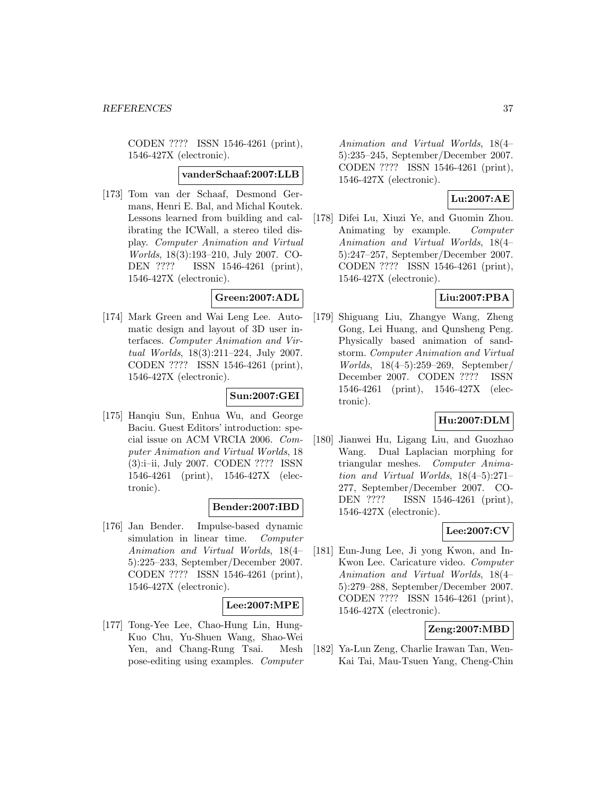CODEN ???? ISSN 1546-4261 (print), 1546-427X (electronic).

#### **vanderSchaaf:2007:LLB**

[173] Tom van der Schaaf, Desmond Germans, Henri E. Bal, and Michal Koutek. Lessons learned from building and calibrating the ICWall, a stereo tiled display. Computer Animation and Virtual Worlds, 18(3):193–210, July 2007. CO-DEN ???? ISSN 1546-4261 (print), 1546-427X (electronic).

## **Green:2007:ADL**

[174] Mark Green and Wai Leng Lee. Automatic design and layout of 3D user interfaces. Computer Animation and Virtual Worlds, 18(3):211–224, July 2007. CODEN ???? ISSN 1546-4261 (print), 1546-427X (electronic).

# **Sun:2007:GEI**

[175] Hanqiu Sun, Enhua Wu, and George Baciu. Guest Editors' introduction: special issue on ACM VRCIA 2006. Computer Animation and Virtual Worlds, 18 (3):i–ii, July 2007. CODEN ???? ISSN 1546-4261 (print), 1546-427X (electronic).

### **Bender:2007:IBD**

[176] Jan Bender. Impulse-based dynamic simulation in linear time. Computer Animation and Virtual Worlds, 18(4– 5):225–233, September/December 2007. CODEN ???? ISSN 1546-4261 (print), 1546-427X (electronic).

### **Lee:2007:MPE**

[177] Tong-Yee Lee, Chao-Hung Lin, Hung-Kuo Chu, Yu-Shuen Wang, Shao-Wei Yen, and Chang-Rung Tsai. Mesh pose-editing using examples. Computer

Animation and Virtual Worlds, 18(4– 5):235–245, September/December 2007. CODEN ???? ISSN 1546-4261 (print), 1546-427X (electronic).

# **Lu:2007:AE**

[178] Difei Lu, Xiuzi Ye, and Guomin Zhou. Animating by example. Computer Animation and Virtual Worlds, 18(4– 5):247–257, September/December 2007. CODEN ???? ISSN 1546-4261 (print), 1546-427X (electronic).

### **Liu:2007:PBA**

[179] Shiguang Liu, Zhangye Wang, Zheng Gong, Lei Huang, and Qunsheng Peng. Physically based animation of sandstorm. Computer Animation and Virtual Worlds, 18(4–5):259–269, September/ December 2007. CODEN ???? ISSN 1546-4261 (print), 1546-427X (electronic).

# **Hu:2007:DLM**

[180] Jianwei Hu, Ligang Liu, and Guozhao Wang. Dual Laplacian morphing for triangular meshes. Computer Animation and Virtual Worlds, 18(4–5):271– 277, September/December 2007. CO-DEN ???? ISSN 1546-4261 (print), 1546-427X (electronic).

# **Lee:2007:CV**

[181] Eun-Jung Lee, Ji yong Kwon, and In-Kwon Lee. Caricature video. Computer Animation and Virtual Worlds, 18(4– 5):279–288, September/December 2007. CODEN ???? ISSN 1546-4261 (print), 1546-427X (electronic).

### **Zeng:2007:MBD**

[182] Ya-Lun Zeng, Charlie Irawan Tan, Wen-Kai Tai, Mau-Tsuen Yang, Cheng-Chin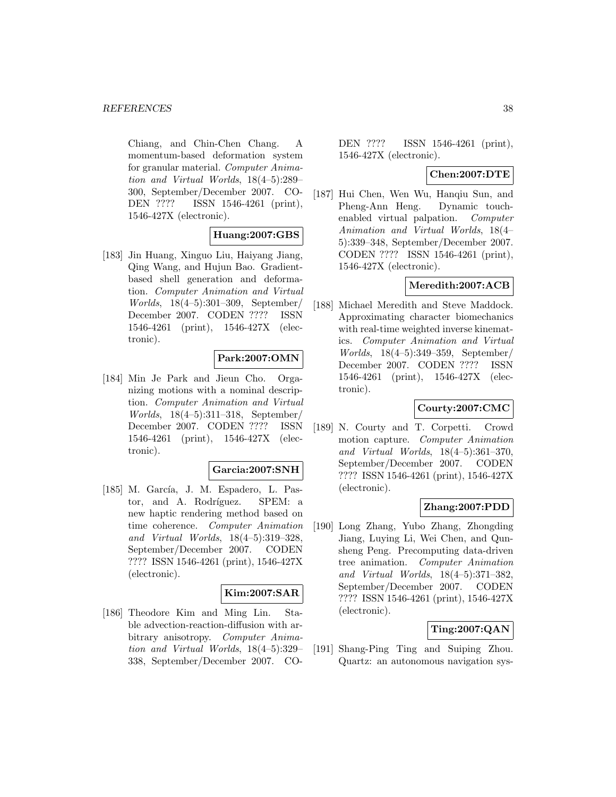Chiang, and Chin-Chen Chang. A momentum-based deformation system for granular material. Computer Animation and Virtual Worlds, 18(4–5):289– 300, September/December 2007. CO-DEN ???? ISSN 1546-4261 (print), 1546-427X (electronic).

## **Huang:2007:GBS**

[183] Jin Huang, Xinguo Liu, Haiyang Jiang, Qing Wang, and Hujun Bao. Gradientbased shell generation and deformation. Computer Animation and Virtual Worlds, 18(4–5):301–309, September/ December 2007. CODEN ???? ISSN 1546-4261 (print), 1546-427X (electronic).

## **Park:2007:OMN**

[184] Min Je Park and Jieun Cho. Organizing motions with a nominal description. Computer Animation and Virtual Worlds, 18(4–5):311–318, September/ December 2007. CODEN ???? ISSN 1546-4261 (print), 1546-427X (electronic).

### **Garcia:2007:SNH**

[185] M. García, J. M. Espadero, L. Pastor, and A. Rodríguez. SPEM: a new haptic rendering method based on time coherence. Computer Animation and Virtual Worlds, 18(4–5):319–328, September/December 2007. CODEN ???? ISSN 1546-4261 (print), 1546-427X (electronic).

### **Kim:2007:SAR**

[186] Theodore Kim and Ming Lin. Stable advection-reaction-diffusion with arbitrary anisotropy. Computer Animation and Virtual Worlds, 18(4–5):329– 338, September/December 2007. CO-

DEN ???? ISSN 1546-4261 (print), 1546-427X (electronic).

#### **Chen:2007:DTE**

[187] Hui Chen, Wen Wu, Hanqiu Sun, and Pheng-Ann Heng. Dynamic touchenabled virtual palpation. Computer Animation and Virtual Worlds, 18(4– 5):339–348, September/December 2007. CODEN ???? ISSN 1546-4261 (print), 1546-427X (electronic).

### **Meredith:2007:ACB**

[188] Michael Meredith and Steve Maddock. Approximating character biomechanics with real-time weighted inverse kinematics. Computer Animation and Virtual Worlds, 18(4–5):349–359, September/ December 2007. CODEN ???? ISSN 1546-4261 (print), 1546-427X (electronic).

### **Courty:2007:CMC**

[189] N. Courty and T. Corpetti. Crowd motion capture. Computer Animation and Virtual Worlds, 18(4–5):361–370, September/December 2007. CODEN ???? ISSN 1546-4261 (print), 1546-427X (electronic).

### **Zhang:2007:PDD**

[190] Long Zhang, Yubo Zhang, Zhongding Jiang, Luying Li, Wei Chen, and Qunsheng Peng. Precomputing data-driven tree animation. Computer Animation and Virtual Worlds, 18(4–5):371–382, September/December 2007. CODEN ???? ISSN 1546-4261 (print), 1546-427X (electronic).

## **Ting:2007:QAN**

[191] Shang-Ping Ting and Suiping Zhou. Quartz: an autonomous navigation sys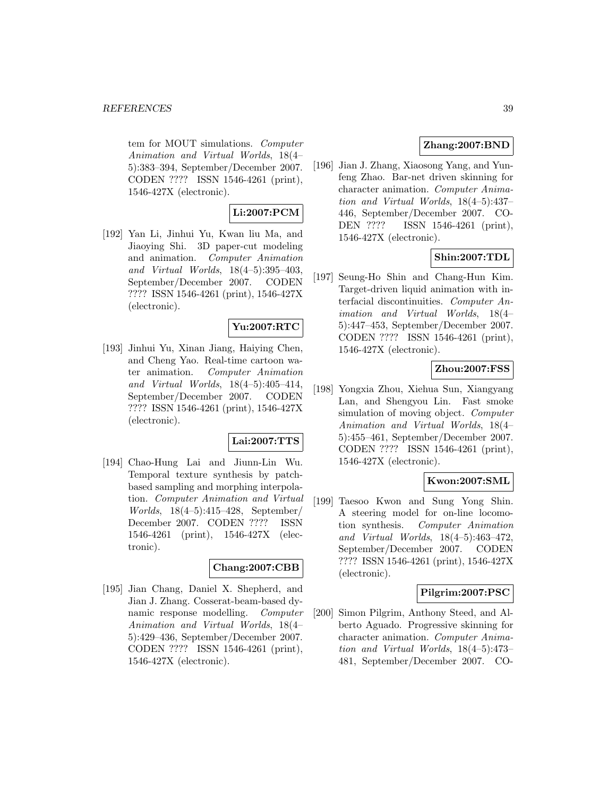tem for MOUT simulations. Computer Animation and Virtual Worlds, 18(4– 5):383–394, September/December 2007. CODEN ???? ISSN 1546-4261 (print), 1546-427X (electronic).

## **Li:2007:PCM**

[192] Yan Li, Jinhui Yu, Kwan liu Ma, and Jiaoying Shi. 3D paper-cut modeling and animation. Computer Animation and Virtual Worlds, 18(4–5):395–403, September/December 2007. CODEN ???? ISSN 1546-4261 (print), 1546-427X (electronic).

# **Yu:2007:RTC**

[193] Jinhui Yu, Xinan Jiang, Haiying Chen, and Cheng Yao. Real-time cartoon water animation. Computer Animation and Virtual Worlds, 18(4–5):405–414, September/December 2007. CODEN ???? ISSN 1546-4261 (print), 1546-427X (electronic).

### **Lai:2007:TTS**

[194] Chao-Hung Lai and Jiunn-Lin Wu. Temporal texture synthesis by patchbased sampling and morphing interpolation. Computer Animation and Virtual Worlds, 18(4–5):415–428, September/ December 2007. CODEN ???? ISSN 1546-4261 (print), 1546-427X (electronic).

#### **Chang:2007:CBB**

[195] Jian Chang, Daniel X. Shepherd, and Jian J. Zhang. Cosserat-beam-based dynamic response modelling. Computer Animation and Virtual Worlds, 18(4– 5):429–436, September/December 2007. CODEN ???? ISSN 1546-4261 (print), 1546-427X (electronic).

# **Zhang:2007:BND**

[196] Jian J. Zhang, Xiaosong Yang, and Yunfeng Zhao. Bar-net driven skinning for character animation. Computer Animation and Virtual Worlds, 18(4–5):437– 446, September/December 2007. CO-DEN ???? ISSN 1546-4261 (print), 1546-427X (electronic).

# **Shin:2007:TDL**

[197] Seung-Ho Shin and Chang-Hun Kim. Target-driven liquid animation with interfacial discontinuities. Computer Animation and Virtual Worlds, 18(4– 5):447–453, September/December 2007. CODEN ???? ISSN 1546-4261 (print), 1546-427X (electronic).

# **Zhou:2007:FSS**

[198] Yongxia Zhou, Xiehua Sun, Xiangyang Lan, and Shengyou Lin. Fast smoke simulation of moving object. Computer Animation and Virtual Worlds, 18(4– 5):455–461, September/December 2007. CODEN ???? ISSN 1546-4261 (print), 1546-427X (electronic).

# **Kwon:2007:SML**

[199] Taesoo Kwon and Sung Yong Shin. A steering model for on-line locomotion synthesis. Computer Animation and Virtual Worlds, 18(4–5):463–472, September/December 2007. CODEN ???? ISSN 1546-4261 (print), 1546-427X (electronic).

### **Pilgrim:2007:PSC**

[200] Simon Pilgrim, Anthony Steed, and Alberto Aguado. Progressive skinning for character animation. Computer Animation and Virtual Worlds, 18(4–5):473– 481, September/December 2007. CO-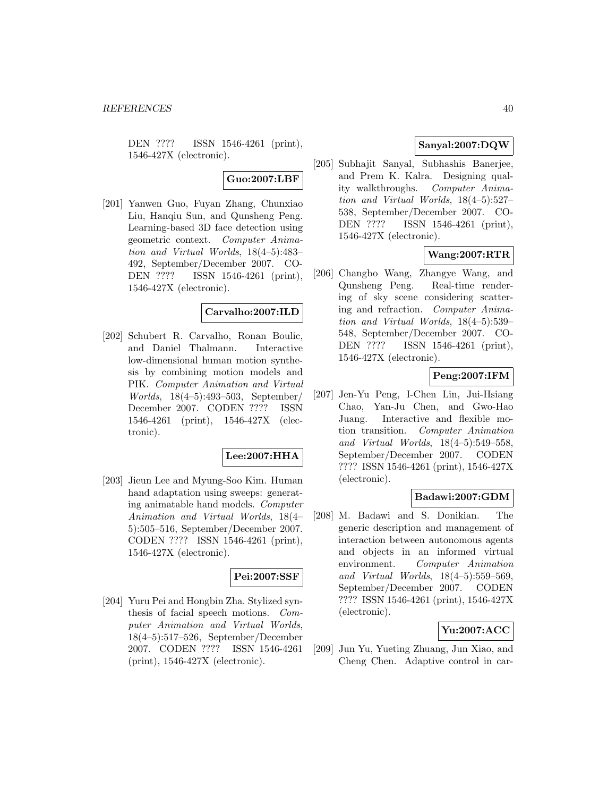DEN ???? ISSN 1546-4261 (print), 1546-427X (electronic).

# **Guo:2007:LBF**

[201] Yanwen Guo, Fuyan Zhang, Chunxiao Liu, Hanqiu Sun, and Qunsheng Peng. Learning-based 3D face detection using geometric context. Computer Animation and Virtual Worlds, 18(4–5):483– 492, September/December 2007. CO-DEN ???? ISSN 1546-4261 (print), 1546-427X (electronic).

### **Carvalho:2007:ILD**

[202] Schubert R. Carvalho, Ronan Boulic, and Daniel Thalmann. Interactive low-dimensional human motion synthesis by combining motion models and PIK. Computer Animation and Virtual Worlds, 18(4–5):493–503, September/ December 2007. CODEN ???? ISSN 1546-4261 (print), 1546-427X (electronic).

### **Lee:2007:HHA**

[203] Jieun Lee and Myung-Soo Kim. Human hand adaptation using sweeps: generating animatable hand models. Computer Animation and Virtual Worlds, 18(4– 5):505–516, September/December 2007. CODEN ???? ISSN 1546-4261 (print), 1546-427X (electronic).

### **Pei:2007:SSF**

[204] Yuru Pei and Hongbin Zha. Stylized synthesis of facial speech motions. Computer Animation and Virtual Worlds, 18(4–5):517–526, September/December 2007. CODEN ???? ISSN 1546-4261 (print), 1546-427X (electronic).

# **Sanyal:2007:DQW**

[205] Subhajit Sanyal, Subhashis Banerjee, and Prem K. Kalra. Designing quality walkthroughs. Computer Animation and Virtual Worlds, 18(4–5):527– 538, September/December 2007. CO-DEN ???? ISSN 1546-4261 (print), 1546-427X (electronic).

# **Wang:2007:RTR**

[206] Changbo Wang, Zhangye Wang, and Qunsheng Peng. Real-time rendering of sky scene considering scattering and refraction. Computer Animation and Virtual Worlds, 18(4–5):539– 548, September/December 2007. CO-DEN ???? ISSN 1546-4261 (print), 1546-427X (electronic).

## **Peng:2007:IFM**

[207] Jen-Yu Peng, I-Chen Lin, Jui-Hsiang Chao, Yan-Ju Chen, and Gwo-Hao Juang. Interactive and flexible motion transition. Computer Animation and Virtual Worlds, 18(4–5):549–558, September/December 2007. CODEN ???? ISSN 1546-4261 (print), 1546-427X (electronic).

# **Badawi:2007:GDM**

[208] M. Badawi and S. Donikian. The generic description and management of interaction between autonomous agents and objects in an informed virtual environment. Computer Animation and Virtual Worlds, 18(4–5):559–569, September/December 2007. CODEN ???? ISSN 1546-4261 (print), 1546-427X (electronic).

# **Yu:2007:ACC**

[209] Jun Yu, Yueting Zhuang, Jun Xiao, and Cheng Chen. Adaptive control in car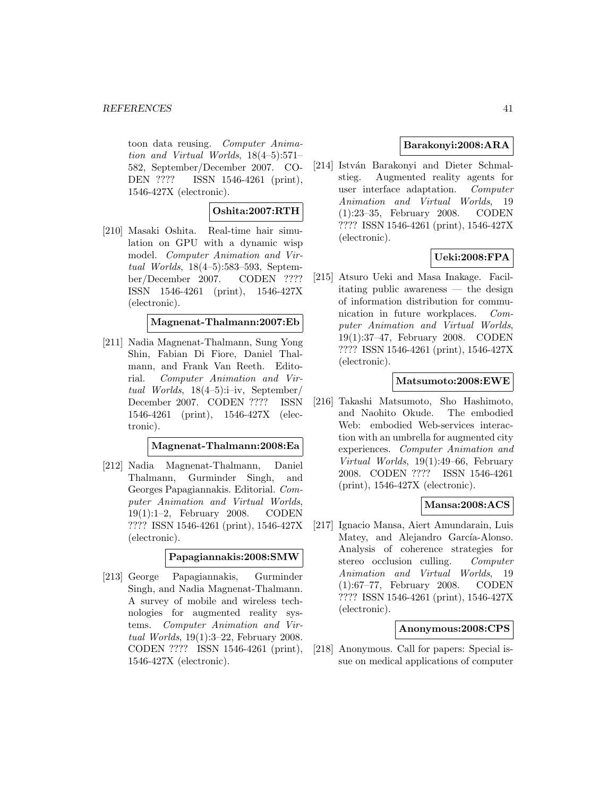toon data reusing. Computer Animation and Virtual Worlds, 18(4–5):571– 582, September/December 2007. CO-DEN ???? ISSN 1546-4261 (print), 1546-427X (electronic).

# **Oshita:2007:RTH**

[210] Masaki Oshita. Real-time hair simulation on GPU with a dynamic wisp model. Computer Animation and Virtual Worlds, 18(4–5):583–593, September/December 2007. CODEN ???? ISSN 1546-4261 (print), 1546-427X (electronic).

#### **Magnenat-Thalmann:2007:Eb**

[211] Nadia Magnenat-Thalmann, Sung Yong Shin, Fabian Di Fiore, Daniel Thalmann, and Frank Van Reeth. Editorial. Computer Animation and Virtual Worlds, 18(4–5):i–iv, September/ December 2007. CODEN ???? ISSN 1546-4261 (print), 1546-427X (electronic).

#### **Magnenat-Thalmann:2008:Ea**

[212] Nadia Magnenat-Thalmann, Daniel Thalmann, Gurminder Singh, and Georges Papagiannakis. Editorial. Computer Animation and Virtual Worlds, 19(1):1–2, February 2008. CODEN ???? ISSN 1546-4261 (print), 1546-427X (electronic).

#### **Papagiannakis:2008:SMW**

[213] George Papagiannakis, Gurminder Singh, and Nadia Magnenat-Thalmann. A survey of mobile and wireless technologies for augmented reality systems. Computer Animation and Virtual Worlds, 19(1):3–22, February 2008. CODEN ???? ISSN 1546-4261 (print), 1546-427X (electronic).

## **Barakonyi:2008:ARA**

[214] István Barakonyi and Dieter Schmalstieg. Augmented reality agents for user interface adaptation. Computer Animation and Virtual Worlds, 19 (1):23–35, February 2008. CODEN ???? ISSN 1546-4261 (print), 1546-427X (electronic).

# **Ueki:2008:FPA**

[215] Atsuro Ueki and Masa Inakage. Facilitating public awareness — the design of information distribution for communication in future workplaces. Computer Animation and Virtual Worlds, 19(1):37–47, February 2008. CODEN ???? ISSN 1546-4261 (print), 1546-427X (electronic).

## **Matsumoto:2008:EWE**

[216] Takashi Matsumoto, Sho Hashimoto, and Naohito Okude. The embodied Web: embodied Web-services interaction with an umbrella for augmented city experiences. Computer Animation and Virtual Worlds, 19(1):49–66, February 2008. CODEN ???? ISSN 1546-4261 (print), 1546-427X (electronic).

### **Mansa:2008:ACS**

[217] Ignacio Mansa, Aiert Amundarain, Luis Matey, and Alejandro García-Alonso. Analysis of coherence strategies for stereo occlusion culling. Computer Animation and Virtual Worlds, 19 (1):67–77, February 2008. CODEN ???? ISSN 1546-4261 (print), 1546-427X (electronic).

#### **Anonymous:2008:CPS**

[218] Anonymous. Call for papers: Special issue on medical applications of computer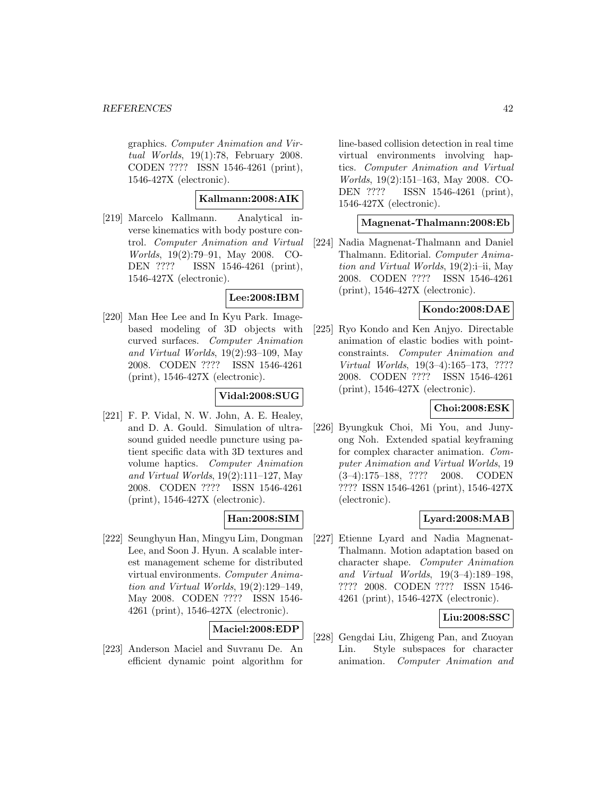graphics. Computer Animation and Virtual Worlds, 19(1):78, February 2008. CODEN ???? ISSN 1546-4261 (print), 1546-427X (electronic).

### **Kallmann:2008:AIK**

[219] Marcelo Kallmann. Analytical inverse kinematics with body posture control. Computer Animation and Virtual Worlds, 19(2):79–91, May 2008. CO-DEN ???? ISSN 1546-4261 (print), 1546-427X (electronic).

### **Lee:2008:IBM**

[220] Man Hee Lee and In Kyu Park. Imagebased modeling of 3D objects with curved surfaces. Computer Animation and Virtual Worlds, 19(2):93–109, May 2008. CODEN ???? ISSN 1546-4261 (print), 1546-427X (electronic).

### **Vidal:2008:SUG**

[221] F. P. Vidal, N. W. John, A. E. Healey, and D. A. Gould. Simulation of ultrasound guided needle puncture using patient specific data with 3D textures and volume haptics. Computer Animation and Virtual Worlds, 19(2):111–127, May 2008. CODEN ???? ISSN 1546-4261 (print), 1546-427X (electronic).

# **Han:2008:SIM**

[222] Seunghyun Han, Mingyu Lim, Dongman Lee, and Soon J. Hyun. A scalable interest management scheme for distributed virtual environments. Computer Animation and Virtual Worlds, 19(2):129–149, May 2008. CODEN ???? ISSN 1546- 4261 (print), 1546-427X (electronic).

# **Maciel:2008:EDP**

[223] Anderson Maciel and Suvranu De. An efficient dynamic point algorithm for line-based collision detection in real time virtual environments involving haptics. Computer Animation and Virtual Worlds, 19(2):151–163, May 2008. CO-DEN ???? ISSN 1546-4261 (print), 1546-427X (electronic).

#### **Magnenat-Thalmann:2008:Eb**

[224] Nadia Magnenat-Thalmann and Daniel Thalmann. Editorial. Computer Animation and Virtual Worlds, 19(2):i–ii, May 2008. CODEN ???? ISSN 1546-4261 (print), 1546-427X (electronic).

### **Kondo:2008:DAE**

[225] Ryo Kondo and Ken Anjyo. Directable animation of elastic bodies with pointconstraints. Computer Animation and Virtual Worlds, 19(3–4):165–173, ???? 2008. CODEN ???? ISSN 1546-4261 (print), 1546-427X (electronic).

### **Choi:2008:ESK**

[226] Byungkuk Choi, Mi You, and Junyong Noh. Extended spatial keyframing for complex character animation. Computer Animation and Virtual Worlds, 19 (3–4):175–188, ???? 2008. CODEN ???? ISSN 1546-4261 (print), 1546-427X (electronic).

### **Lyard:2008:MAB**

[227] Etienne Lyard and Nadia Magnenat-Thalmann. Motion adaptation based on character shape. Computer Animation and Virtual Worlds, 19(3–4):189–198, ???? 2008. CODEN ???? ISSN 1546- 4261 (print), 1546-427X (electronic).

### **Liu:2008:SSC**

[228] Gengdai Liu, Zhigeng Pan, and Zuoyan Lin. Style subspaces for character animation. Computer Animation and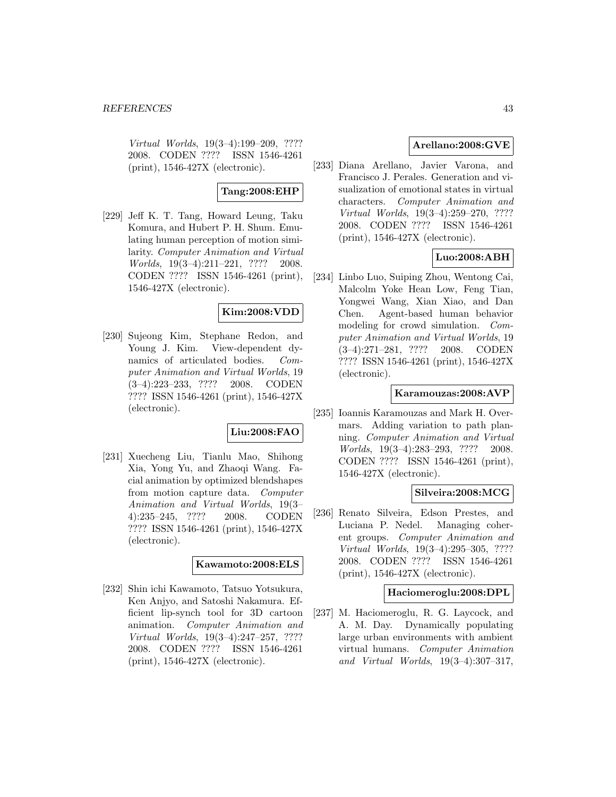Virtual Worlds, 19(3–4):199–209, ???? 2008. CODEN ???? ISSN 1546-4261 (print), 1546-427X (electronic).

### **Tang:2008:EHP**

[229] Jeff K. T. Tang, Howard Leung, Taku Komura, and Hubert P. H. Shum. Emulating human perception of motion similarity. Computer Animation and Virtual Worlds, 19(3–4):211–221, ???? 2008. CODEN ???? ISSN 1546-4261 (print), 1546-427X (electronic).

## **Kim:2008:VDD**

[230] Sujeong Kim, Stephane Redon, and Young J. Kim. View-dependent dynamics of articulated bodies. Computer Animation and Virtual Worlds, 19 (3–4):223–233, ???? 2008. CODEN ???? ISSN 1546-4261 (print), 1546-427X (electronic).

# **Liu:2008:FAO**

[231] Xuecheng Liu, Tianlu Mao, Shihong Xia, Yong Yu, and Zhaoqi Wang. Facial animation by optimized blendshapes from motion capture data. Computer Animation and Virtual Worlds, 19(3– 4):235–245, ???? 2008. CODEN ???? ISSN 1546-4261 (print), 1546-427X (electronic).

# **Kawamoto:2008:ELS**

[232] Shin ichi Kawamoto, Tatsuo Yotsukura, Ken Anjyo, and Satoshi Nakamura. Efficient lip-synch tool for 3D cartoon animation. Computer Animation and Virtual Worlds, 19(3–4):247–257, ???? 2008. CODEN ???? ISSN 1546-4261 (print), 1546-427X (electronic).

### **Arellano:2008:GVE**

[233] Diana Arellano, Javier Varona, and Francisco J. Perales. Generation and visualization of emotional states in virtual characters. Computer Animation and Virtual Worlds, 19(3–4):259–270, ???? 2008. CODEN ???? ISSN 1546-4261 (print), 1546-427X (electronic).

# **Luo:2008:ABH**

[234] Linbo Luo, Suiping Zhou, Wentong Cai, Malcolm Yoke Hean Low, Feng Tian, Yongwei Wang, Xian Xiao, and Dan Chen. Agent-based human behavior modeling for crowd simulation. Computer Animation and Virtual Worlds, 19 (3–4):271–281, ???? 2008. CODEN ???? ISSN 1546-4261 (print), 1546-427X (electronic).

### **Karamouzas:2008:AVP**

[235] Ioannis Karamouzas and Mark H. Overmars. Adding variation to path planning. Computer Animation and Virtual Worlds, 19(3–4):283–293, ???? 2008. CODEN ???? ISSN 1546-4261 (print), 1546-427X (electronic).

### **Silveira:2008:MCG**

[236] Renato Silveira, Edson Prestes, and Luciana P. Nedel. Managing coherent groups. Computer Animation and Virtual Worlds, 19(3–4):295–305, ???? 2008. CODEN ???? ISSN 1546-4261 (print), 1546-427X (electronic).

#### **Haciomeroglu:2008:DPL**

[237] M. Haciomeroglu, R. G. Laycock, and A. M. Day. Dynamically populating large urban environments with ambient virtual humans. Computer Animation and Virtual Worlds, 19(3–4):307–317,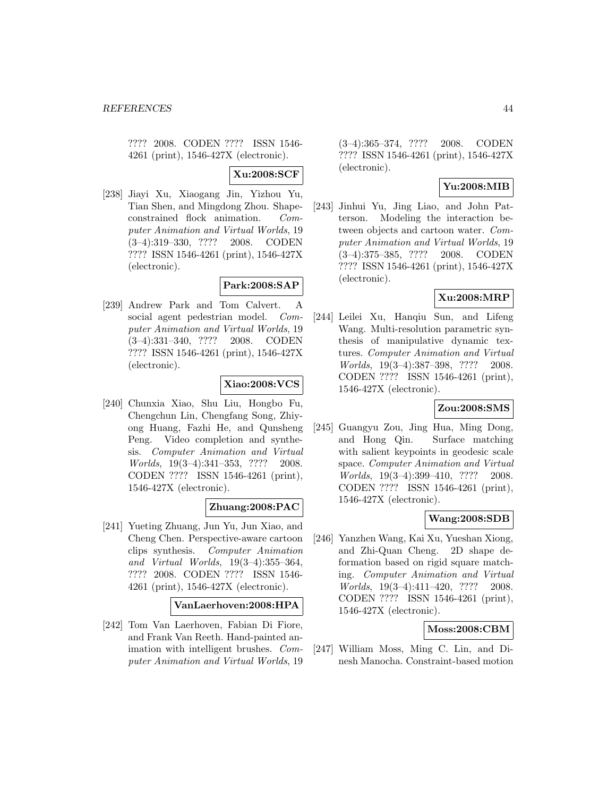???? 2008. CODEN ???? ISSN 1546- 4261 (print), 1546-427X (electronic).

**Xu:2008:SCF**

[238] Jiayi Xu, Xiaogang Jin, Yizhou Yu, Tian Shen, and Mingdong Zhou. Shapeconstrained flock animation. Computer Animation and Virtual Worlds, 19 (3–4):319–330, ???? 2008. CODEN ???? ISSN 1546-4261 (print), 1546-427X (electronic).

## **Park:2008:SAP**

[239] Andrew Park and Tom Calvert. A social agent pedestrian model. Computer Animation and Virtual Worlds, 19 (3–4):331–340, ???? 2008. CODEN ???? ISSN 1546-4261 (print), 1546-427X (electronic).

### **Xiao:2008:VCS**

[240] Chunxia Xiao, Shu Liu, Hongbo Fu, Chengchun Lin, Chengfang Song, Zhiyong Huang, Fazhi He, and Qunsheng Peng. Video completion and synthesis. Computer Animation and Virtual Worlds, 19(3–4):341–353, ???? 2008. CODEN ???? ISSN 1546-4261 (print), 1546-427X (electronic).

# **Zhuang:2008:PAC**

[241] Yueting Zhuang, Jun Yu, Jun Xiao, and Cheng Chen. Perspective-aware cartoon clips synthesis. Computer Animation and Virtual Worlds, 19(3–4):355–364, ???? 2008. CODEN ???? ISSN 1546- 4261 (print), 1546-427X (electronic).

### **VanLaerhoven:2008:HPA**

[242] Tom Van Laerhoven, Fabian Di Fiore, and Frank Van Reeth. Hand-painted animation with intelligent brushes. Computer Animation and Virtual Worlds, 19

(3–4):365–374, ???? 2008. CODEN ???? ISSN 1546-4261 (print), 1546-427X (electronic).

# **Yu:2008:MIB**

[243] Jinhui Yu, Jing Liao, and John Patterson. Modeling the interaction between objects and cartoon water. Computer Animation and Virtual Worlds, 19 (3–4):375–385, ???? 2008. CODEN ???? ISSN 1546-4261 (print), 1546-427X (electronic).

## **Xu:2008:MRP**

[244] Leilei Xu, Hanqiu Sun, and Lifeng Wang. Multi-resolution parametric synthesis of manipulative dynamic textures. Computer Animation and Virtual Worlds, 19(3–4):387–398, ???? 2008. CODEN ???? ISSN 1546-4261 (print), 1546-427X (electronic).

### **Zou:2008:SMS**

[245] Guangyu Zou, Jing Hua, Ming Dong, and Hong Qin. Surface matching with salient keypoints in geodesic scale space. Computer Animation and Virtual Worlds, 19(3–4):399–410, ???? 2008. CODEN ???? ISSN 1546-4261 (print), 1546-427X (electronic).

### **Wang:2008:SDB**

[246] Yanzhen Wang, Kai Xu, Yueshan Xiong, and Zhi-Quan Cheng. 2D shape deformation based on rigid square matching. Computer Animation and Virtual Worlds, 19(3–4):411–420, ???? 2008. CODEN ???? ISSN 1546-4261 (print), 1546-427X (electronic).

# **Moss:2008:CBM**

[247] William Moss, Ming C. Lin, and Dinesh Manocha. Constraint-based motion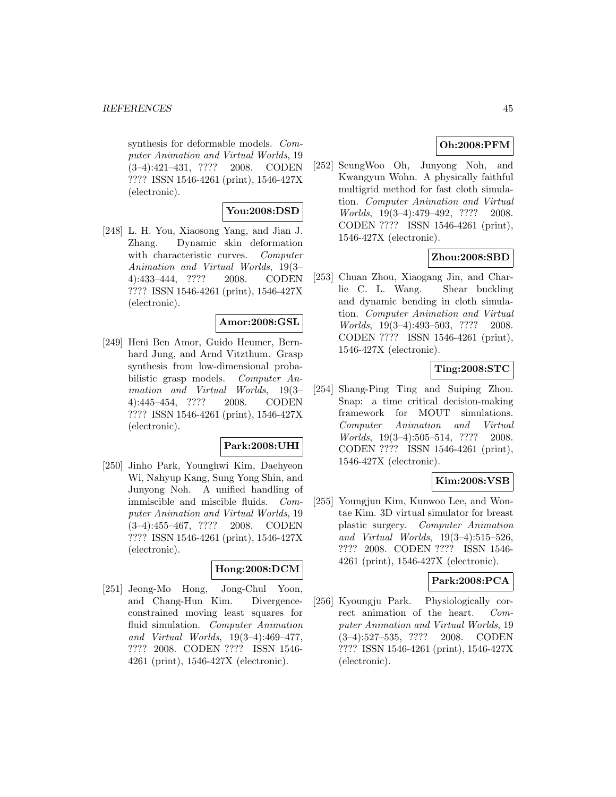#### *REFERENCES* 45

synthesis for deformable models. Computer Animation and Virtual Worlds, 19 (3–4):421–431, ???? 2008. CODEN ???? ISSN 1546-4261 (print), 1546-427X (electronic).

# **You:2008:DSD**

[248] L. H. You, Xiaosong Yang, and Jian J. Zhang. Dynamic skin deformation with characteristic curves. Computer Animation and Virtual Worlds, 19(3– 4):433–444, ???? 2008. CODEN ???? ISSN 1546-4261 (print), 1546-427X (electronic).

#### **Amor:2008:GSL**

[249] Heni Ben Amor, Guido Heumer, Bernhard Jung, and Arnd Vitzthum. Grasp synthesis from low-dimensional probabilistic grasp models. Computer Animation and Virtual Worlds, 19(3– 4):445–454, ???? 2008. CODEN ???? ISSN 1546-4261 (print), 1546-427X (electronic).

#### **Park:2008:UHI**

[250] Jinho Park, Younghwi Kim, Daehyeon Wi, Nahyup Kang, Sung Yong Shin, and Junyong Noh. A unified handling of immiscible and miscible fluids. Computer Animation and Virtual Worlds, 19 (3–4):455–467, ???? 2008. CODEN ???? ISSN 1546-4261 (print), 1546-427X (electronic).

#### **Hong:2008:DCM**

[251] Jeong-Mo Hong, Jong-Chul Yoon, and Chang-Hun Kim. Divergenceconstrained moving least squares for fluid simulation. Computer Animation and Virtual Worlds, 19(3–4):469–477, ???? 2008. CODEN ???? ISSN 1546- 4261 (print), 1546-427X (electronic).

# **Oh:2008:PFM**

[252] SeungWoo Oh, Junyong Noh, and Kwangyun Wohn. A physically faithful multigrid method for fast cloth simulation. Computer Animation and Virtual Worlds, 19(3–4):479–492, ???? 2008. CODEN ???? ISSN 1546-4261 (print), 1546-427X (electronic).

## **Zhou:2008:SBD**

[253] Chuan Zhou, Xiaogang Jin, and Charlie C. L. Wang. Shear buckling and dynamic bending in cloth simulation. Computer Animation and Virtual Worlds, 19(3–4):493–503, ???? 2008. CODEN ???? ISSN 1546-4261 (print), 1546-427X (electronic).

## **Ting:2008:STC**

[254] Shang-Ping Ting and Suiping Zhou. Snap: a time critical decision-making framework for MOUT simulations. Computer Animation and Virtual Worlds, 19(3–4):505–514, ???? 2008. CODEN ???? ISSN 1546-4261 (print), 1546-427X (electronic).

# **Kim:2008:VSB**

[255] Youngjun Kim, Kunwoo Lee, and Wontae Kim. 3D virtual simulator for breast plastic surgery. Computer Animation and Virtual Worlds, 19(3–4):515–526, ???? 2008. CODEN ???? ISSN 1546- 4261 (print), 1546-427X (electronic).

# **Park:2008:PCA**

[256] Kyoungju Park. Physiologically correct animation of the heart. Computer Animation and Virtual Worlds, 19 (3–4):527–535, ???? 2008. CODEN ???? ISSN 1546-4261 (print), 1546-427X (electronic).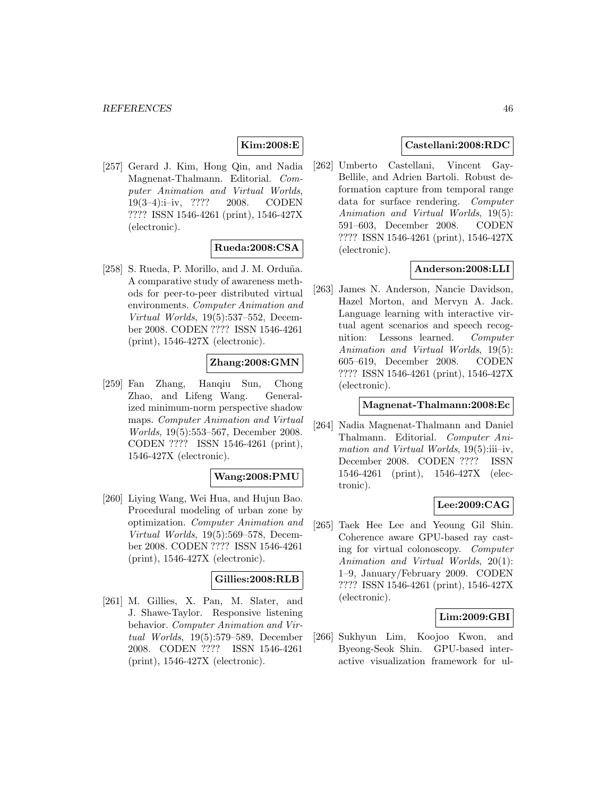# **Kim:2008:E**

[257] Gerard J. Kim, Hong Qin, and Nadia Magnenat-Thalmann. Editorial. Computer Animation and Virtual Worlds, 19(3–4):i–iv, ???? 2008. CODEN ???? ISSN 1546-4261 (print), 1546-427X (electronic).

# **Rueda:2008:CSA**

[258] S. Rueda, P. Morillo, and J. M. Orduña. A comparative study of awareness methods for peer-to-peer distributed virtual environments. Computer Animation and Virtual Worlds, 19(5):537–552, December 2008. CODEN ???? ISSN 1546-4261 (print), 1546-427X (electronic).

## **Zhang:2008:GMN**

[259] Fan Zhang, Hanqiu Sun, Chong Zhao, and Lifeng Wang. Generalized minimum-norm perspective shadow maps. Computer Animation and Virtual Worlds, 19(5):553–567, December 2008. CODEN ???? ISSN 1546-4261 (print), 1546-427X (electronic).

### **Wang:2008:PMU**

[260] Liying Wang, Wei Hua, and Hujun Bao. Procedural modeling of urban zone by optimization. Computer Animation and Virtual Worlds, 19(5):569–578, December 2008. CODEN ???? ISSN 1546-4261 (print), 1546-427X (electronic).

### **Gillies:2008:RLB**

[261] M. Gillies, X. Pan, M. Slater, and J. Shawe-Taylor. Responsive listening behavior. Computer Animation and Virtual Worlds, 19(5):579–589, December 2008. CODEN ???? ISSN 1546-4261 (print), 1546-427X (electronic).

### **Castellani:2008:RDC**

[262] Umberto Castellani, Vincent Gay-Bellile, and Adrien Bartoli. Robust deformation capture from temporal range data for surface rendering. Computer Animation and Virtual Worlds, 19(5): 591–603, December 2008. CODEN ???? ISSN 1546-4261 (print), 1546-427X (electronic).

## **Anderson:2008:LLI**

[263] James N. Anderson, Nancie Davidson, Hazel Morton, and Mervyn A. Jack. Language learning with interactive virtual agent scenarios and speech recognition: Lessons learned. Computer Animation and Virtual Worlds, 19(5): 605–619, December 2008. CODEN ???? ISSN 1546-4261 (print), 1546-427X (electronic).

### **Magnenat-Thalmann:2008:Ec**

[264] Nadia Magnenat-Thalmann and Daniel Thalmann. Editorial. Computer Animation and Virtual Worlds, 19(5):iii–iv, December 2008. CODEN ???? ISSN 1546-4261 (print), 1546-427X (electronic).

### **Lee:2009:CAG**

[265] Taek Hee Lee and Yeoung Gil Shin. Coherence aware GPU-based ray casting for virtual colonoscopy. Computer Animation and Virtual Worlds, 20(1): 1–9, January/February 2009. CODEN ???? ISSN 1546-4261 (print), 1546-427X (electronic).

#### **Lim:2009:GBI**

[266] Sukhyun Lim, Koojoo Kwon, and Byeong-Seok Shin. GPU-based interactive visualization framework for ul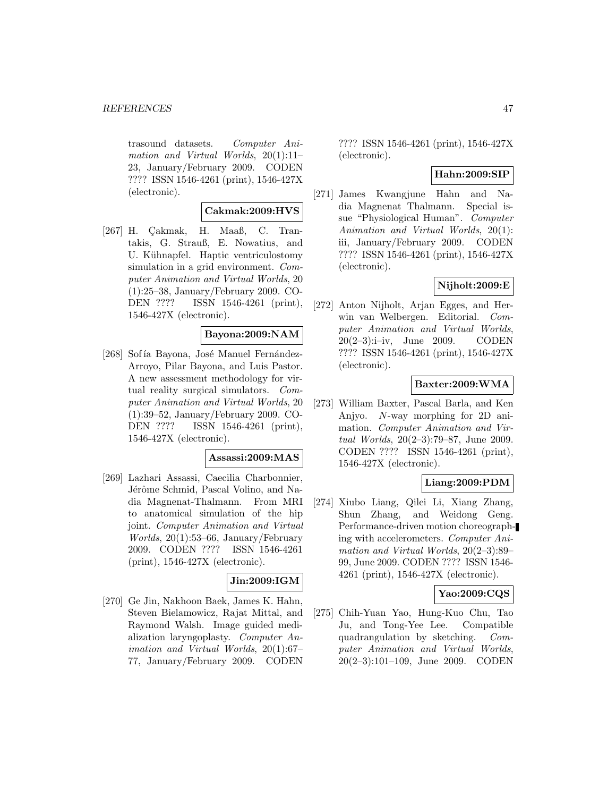trasound datasets. Computer Animation and Virtual Worlds, 20(1):11– 23, January/February 2009. CODEN ???? ISSN 1546-4261 (print), 1546-427X (electronic).

### **Cakmak:2009:HVS**

 $[267]$  H. Çakmak, H. Maaß, C. Trantakis, G. Strauß, E. Nowatius, and U. Kühnapfel. Haptic ventriculostomy simulation in a grid environment. Computer Animation and Virtual Worlds, 20 (1):25–38, January/February 2009. CO-DEN ???? ISSN 1546-4261 (print), 1546-427X (electronic).

#### **Bayona:2009:NAM**

[268] Sofía Bayona, José Manuel Fernández-Arroyo, Pilar Bayona, and Luis Pastor. A new assessment methodology for virtual reality surgical simulators. Computer Animation and Virtual Worlds, 20 (1):39–52, January/February 2009. CO-DEN ???? ISSN 1546-4261 (print), 1546-427X (electronic).

#### **Assassi:2009:MAS**

[269] Lazhari Assassi, Caecilia Charbonnier, Jérôme Schmid, Pascal Volino, and Nadia Magnenat-Thalmann. From MRI to anatomical simulation of the hip joint. Computer Animation and Virtual Worlds, 20(1):53–66, January/February 2009. CODEN ???? ISSN 1546-4261 (print), 1546-427X (electronic).

# **Jin:2009:IGM**

[270] Ge Jin, Nakhoon Baek, James K. Hahn, Steven Bielamowicz, Rajat Mittal, and Raymond Walsh. Image guided medialization laryngoplasty. Computer Animation and Virtual Worlds, 20(1):67– 77, January/February 2009. CODEN ???? ISSN 1546-4261 (print), 1546-427X (electronic).

#### **Hahn:2009:SIP**

[271] James Kwangjune Hahn and Nadia Magnenat Thalmann. Special issue "Physiological Human". Computer Animation and Virtual Worlds, 20(1): iii, January/February 2009. CODEN ???? ISSN 1546-4261 (print), 1546-427X (electronic).

# **Nijholt:2009:E**

[272] Anton Nijholt, Arjan Egges, and Herwin van Welbergen. Editorial. Computer Animation and Virtual Worlds, 20(2–3):i–iv, June 2009. CODEN ???? ISSN 1546-4261 (print), 1546-427X (electronic).

### **Baxter:2009:WMA**

[273] William Baxter, Pascal Barla, and Ken Anjyo. N-way morphing for 2D animation. Computer Animation and Virtual Worlds, 20(2–3):79–87, June 2009. CODEN ???? ISSN 1546-4261 (print), 1546-427X (electronic).

### **Liang:2009:PDM**

[274] Xiubo Liang, Qilei Li, Xiang Zhang, Shun Zhang, and Weidong Geng. Performance-driven motion choreographing with accelerometers. Computer Animation and Virtual Worlds, 20(2–3):89– 99, June 2009. CODEN ???? ISSN 1546- 4261 (print), 1546-427X (electronic).

#### **Yao:2009:CQS**

[275] Chih-Yuan Yao, Hung-Kuo Chu, Tao Ju, and Tong-Yee Lee. Compatible quadrangulation by sketching. Computer Animation and Virtual Worlds, 20(2–3):101–109, June 2009. CODEN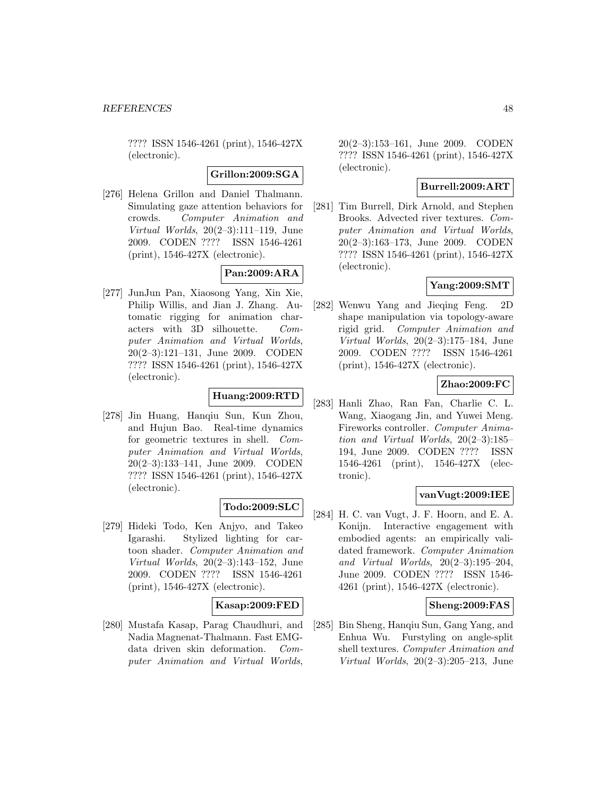???? ISSN 1546-4261 (print), 1546-427X (electronic).

**Grillon:2009:SGA**

[276] Helena Grillon and Daniel Thalmann. Simulating gaze attention behaviors for crowds. Computer Animation and Virtual Worlds, 20(2–3):111–119, June 2009. CODEN ???? ISSN 1546-4261 (print), 1546-427X (electronic).

# **Pan:2009:ARA**

[277] JunJun Pan, Xiaosong Yang, Xin Xie, Philip Willis, and Jian J. Zhang. Automatic rigging for animation characters with 3D silhouette. Computer Animation and Virtual Worlds, 20(2–3):121–131, June 2009. CODEN ???? ISSN 1546-4261 (print), 1546-427X (electronic).

## **Huang:2009:RTD**

[278] Jin Huang, Hanqiu Sun, Kun Zhou, and Hujun Bao. Real-time dynamics for geometric textures in shell. Computer Animation and Virtual Worlds, 20(2–3):133–141, June 2009. CODEN ???? ISSN 1546-4261 (print), 1546-427X (electronic).

### **Todo:2009:SLC**

[279] Hideki Todo, Ken Anjyo, and Takeo Igarashi. Stylized lighting for cartoon shader. Computer Animation and Virtual Worlds, 20(2–3):143–152, June 2009. CODEN ???? ISSN 1546-4261 (print), 1546-427X (electronic).

### **Kasap:2009:FED**

[280] Mustafa Kasap, Parag Chaudhuri, and Nadia Magnenat-Thalmann. Fast EMGdata driven skin deformation. Computer Animation and Virtual Worlds,

20(2–3):153–161, June 2009. CODEN ???? ISSN 1546-4261 (print), 1546-427X (electronic).

## **Burrell:2009:ART**

[281] Tim Burrell, Dirk Arnold, and Stephen Brooks. Advected river textures. Computer Animation and Virtual Worlds, 20(2–3):163–173, June 2009. CODEN ???? ISSN 1546-4261 (print), 1546-427X (electronic).

# **Yang:2009:SMT**

[282] Wenwu Yang and Jieqing Feng. 2D shape manipulation via topology-aware rigid grid. Computer Animation and Virtual Worlds, 20(2–3):175–184, June 2009. CODEN ???? ISSN 1546-4261 (print), 1546-427X (electronic).

## **Zhao:2009:FC**

[283] Hanli Zhao, Ran Fan, Charlie C. L. Wang, Xiaogang Jin, and Yuwei Meng. Fireworks controller. Computer Animation and Virtual Worlds, 20(2–3):185– 194, June 2009. CODEN ???? ISSN 1546-4261 (print), 1546-427X (electronic).

### **vanVugt:2009:IEE**

[284] H. C. van Vugt, J. F. Hoorn, and E. A. Konijn. Interactive engagement with embodied agents: an empirically validated framework. Computer Animation and Virtual Worlds, 20(2–3):195–204, June 2009. CODEN ???? ISSN 1546- 4261 (print), 1546-427X (electronic).

### **Sheng:2009:FAS**

[285] Bin Sheng, Hanqiu Sun, Gang Yang, and Enhua Wu. Furstyling on angle-split shell textures. Computer Animation and Virtual Worlds, 20(2–3):205–213, June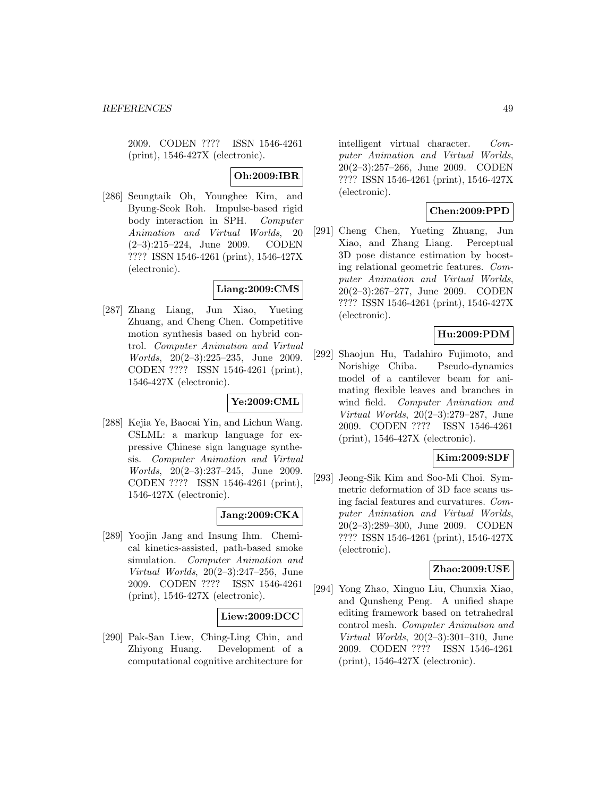2009. CODEN ???? ISSN 1546-4261 (print), 1546-427X (electronic).

### **Oh:2009:IBR**

[286] Seungtaik Oh, Younghee Kim, and Byung-Seok Roh. Impulse-based rigid body interaction in SPH. Computer Animation and Virtual Worlds, 20 (2–3):215–224, June 2009. CODEN ???? ISSN 1546-4261 (print), 1546-427X (electronic).

## **Liang:2009:CMS**

[287] Zhang Liang, Jun Xiao, Yueting Zhuang, and Cheng Chen. Competitive motion synthesis based on hybrid control. Computer Animation and Virtual Worlds, 20(2–3):225–235, June 2009. CODEN ???? ISSN 1546-4261 (print), 1546-427X (electronic).

### **Ye:2009:CML**

[288] Kejia Ye, Baocai Yin, and Lichun Wang. CSLML: a markup language for expressive Chinese sign language synthesis. Computer Animation and Virtual Worlds, 20(2–3):237–245, June 2009. CODEN ???? ISSN 1546-4261 (print), 1546-427X (electronic).

### **Jang:2009:CKA**

[289] Yoojin Jang and Insung Ihm. Chemical kinetics-assisted, path-based smoke simulation. Computer Animation and Virtual Worlds, 20(2–3):247–256, June 2009. CODEN ???? ISSN 1546-4261 (print), 1546-427X (electronic).

#### **Liew:2009:DCC**

[290] Pak-San Liew, Ching-Ling Chin, and Zhiyong Huang. Development of a computational cognitive architecture for

intelligent virtual character. Computer Animation and Virtual Worlds, 20(2–3):257–266, June 2009. CODEN ???? ISSN 1546-4261 (print), 1546-427X (electronic).

## **Chen:2009:PPD**

[291] Cheng Chen, Yueting Zhuang, Jun Xiao, and Zhang Liang. Perceptual 3D pose distance estimation by boosting relational geometric features. Computer Animation and Virtual Worlds, 20(2–3):267–277, June 2009. CODEN ???? ISSN 1546-4261 (print), 1546-427X (electronic).

## **Hu:2009:PDM**

[292] Shaojun Hu, Tadahiro Fujimoto, and Norishige Chiba. Pseudo-dynamics model of a cantilever beam for animating flexible leaves and branches in wind field. Computer Animation and Virtual Worlds, 20(2–3):279–287, June 2009. CODEN ???? ISSN 1546-4261 (print), 1546-427X (electronic).

### **Kim:2009:SDF**

[293] Jeong-Sik Kim and Soo-Mi Choi. Symmetric deformation of 3D face scans using facial features and curvatures. Computer Animation and Virtual Worlds, 20(2–3):289–300, June 2009. CODEN ???? ISSN 1546-4261 (print), 1546-427X (electronic).

#### **Zhao:2009:USE**

[294] Yong Zhao, Xinguo Liu, Chunxia Xiao, and Qunsheng Peng. A unified shape editing framework based on tetrahedral control mesh. Computer Animation and Virtual Worlds, 20(2–3):301–310, June 2009. CODEN ???? ISSN 1546-4261 (print), 1546-427X (electronic).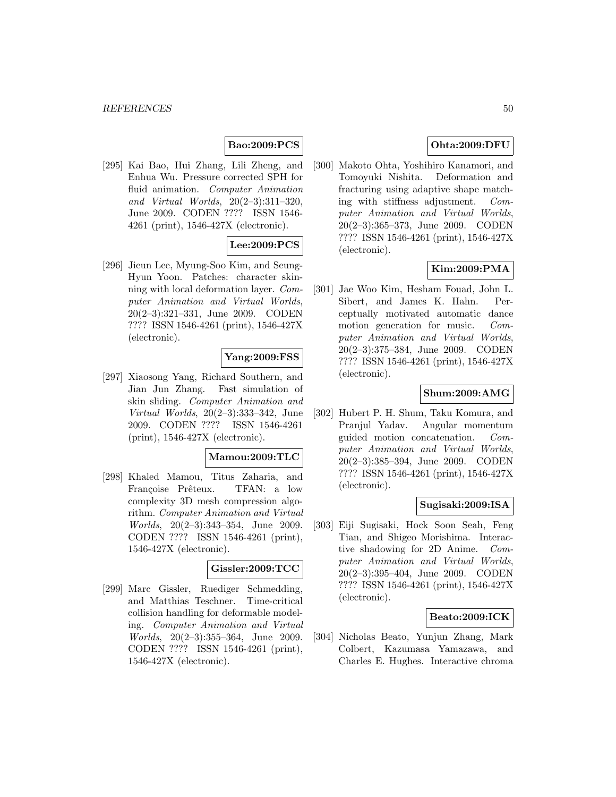# **Bao:2009:PCS**

[295] Kai Bao, Hui Zhang, Lili Zheng, and Enhua Wu. Pressure corrected SPH for fluid animation. Computer Animation and Virtual Worlds, 20(2–3):311–320, June 2009. CODEN ???? ISSN 1546- 4261 (print), 1546-427X (electronic).

# **Lee:2009:PCS**

[296] Jieun Lee, Myung-Soo Kim, and Seung-Hyun Yoon. Patches: character skinning with local deformation layer. Computer Animation and Virtual Worlds, 20(2–3):321–331, June 2009. CODEN ???? ISSN 1546-4261 (print), 1546-427X (electronic).

### **Yang:2009:FSS**

[297] Xiaosong Yang, Richard Southern, and Jian Jun Zhang. Fast simulation of skin sliding. Computer Animation and Virtual Worlds, 20(2–3):333–342, June 2009. CODEN ???? ISSN 1546-4261 (print), 1546-427X (electronic).

#### **Mamou:2009:TLC**

[298] Khaled Mamou, Titus Zaharia, and Françoise Prêteux. TFAN: a low complexity 3D mesh compression algorithm. Computer Animation and Virtual Worlds, 20(2–3):343–354, June 2009. CODEN ???? ISSN 1546-4261 (print), 1546-427X (electronic).

#### **Gissler:2009:TCC**

[299] Marc Gissler, Ruediger Schmedding, and Matthias Teschner. Time-critical collision handling for deformable modeling. Computer Animation and Virtual Worlds, 20(2–3):355–364, June 2009. CODEN ???? ISSN 1546-4261 (print), 1546-427X (electronic).

## **Ohta:2009:DFU**

[300] Makoto Ohta, Yoshihiro Kanamori, and Tomoyuki Nishita. Deformation and fracturing using adaptive shape matching with stiffness adjustment. Computer Animation and Virtual Worlds, 20(2–3):365–373, June 2009. CODEN ???? ISSN 1546-4261 (print), 1546-427X (electronic).

# **Kim:2009:PMA**

[301] Jae Woo Kim, Hesham Fouad, John L. Sibert, and James K. Hahn. Perceptually motivated automatic dance motion generation for music. Computer Animation and Virtual Worlds, 20(2–3):375–384, June 2009. CODEN ???? ISSN 1546-4261 (print), 1546-427X (electronic).

### **Shum:2009:AMG**

[302] Hubert P. H. Shum, Taku Komura, and Pranjul Yadav. Angular momentum guided motion concatenation. Computer Animation and Virtual Worlds, 20(2–3):385–394, June 2009. CODEN ???? ISSN 1546-4261 (print), 1546-427X (electronic).

#### **Sugisaki:2009:ISA**

[303] Eiji Sugisaki, Hock Soon Seah, Feng Tian, and Shigeo Morishima. Interactive shadowing for 2D Anime. Computer Animation and Virtual Worlds, 20(2–3):395–404, June 2009. CODEN ???? ISSN 1546-4261 (print), 1546-427X (electronic).

### **Beato:2009:ICK**

[304] Nicholas Beato, Yunjun Zhang, Mark Colbert, Kazumasa Yamazawa, and Charles E. Hughes. Interactive chroma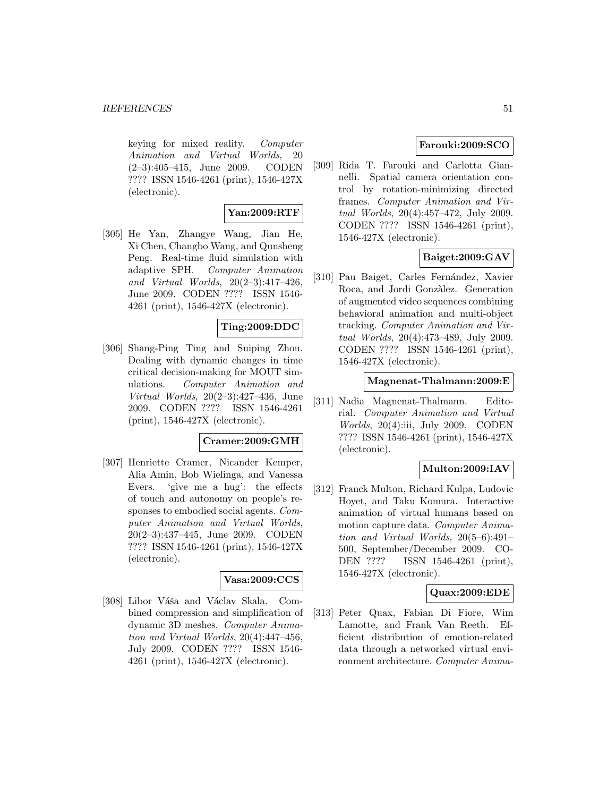#### **REFERENCES** 51

keying for mixed reality. Computer Animation and Virtual Worlds, 20 (2–3):405–415, June 2009. CODEN ???? ISSN 1546-4261 (print), 1546-427X (electronic).

## **Yan:2009:RTF**

[305] He Yan, Zhangye Wang, Jian He, Xi Chen, Changbo Wang, and Qunsheng Peng. Real-time fluid simulation with adaptive SPH. Computer Animation and Virtual Worlds, 20(2–3):417–426, June 2009. CODEN ???? ISSN 1546- 4261 (print), 1546-427X (electronic).

### **Ting:2009:DDC**

[306] Shang-Ping Ting and Suiping Zhou. Dealing with dynamic changes in time critical decision-making for MOUT simulations. Computer Animation and Virtual Worlds, 20(2–3):427–436, June 2009. CODEN ???? ISSN 1546-4261 (print), 1546-427X (electronic).

#### **Cramer:2009:GMH**

[307] Henriette Cramer, Nicander Kemper, Alia Amin, Bob Wielinga, and Vanessa Evers. 'give me a hug': the effects of touch and autonomy on people's responses to embodied social agents. Computer Animation and Virtual Worlds, 20(2–3):437–445, June 2009. CODEN ???? ISSN 1546-4261 (print), 1546-427X (electronic).

### **Vasa:2009:CCS**

[308] Libor Váša and Václav Skala. Combined compression and simplification of dynamic 3D meshes. Computer Animation and Virtual Worlds, 20(4):447–456, July 2009. CODEN ???? ISSN 1546- 4261 (print), 1546-427X (electronic).

### **Farouki:2009:SCO**

[309] Rida T. Farouki and Carlotta Giannelli. Spatial camera orientation control by rotation-minimizing directed frames. Computer Animation and Virtual Worlds, 20(4):457–472, July 2009. CODEN ???? ISSN 1546-4261 (print), 1546-427X (electronic).

## **Baiget:2009:GAV**

[310] Pau Baiget, Carles Fernández, Xavier Roca, and Jordi Gonzàlez. Generation of augmented video sequences combining behavioral animation and multi-object tracking. Computer Animation and Virtual Worlds, 20(4):473–489, July 2009. CODEN ???? ISSN 1546-4261 (print), 1546-427X (electronic).

#### **Magnenat-Thalmann:2009:E**

[311] Nadia Magnenat-Thalmann. Editorial. Computer Animation and Virtual Worlds, 20(4):iii, July 2009. CODEN ???? ISSN 1546-4261 (print), 1546-427X (electronic).

### **Multon:2009:IAV**

[312] Franck Multon, Richard Kulpa, Ludovic Hoyet, and Taku Komura. Interactive animation of virtual humans based on motion capture data. Computer Animation and Virtual Worlds, 20(5–6):491– 500, September/December 2009. CO-DEN ???? ISSN 1546-4261 (print), 1546-427X (electronic).

### **Quax:2009:EDE**

[313] Peter Quax, Fabian Di Fiore, Wim Lamotte, and Frank Van Reeth. Efficient distribution of emotion-related data through a networked virtual environment architecture. Computer Anima-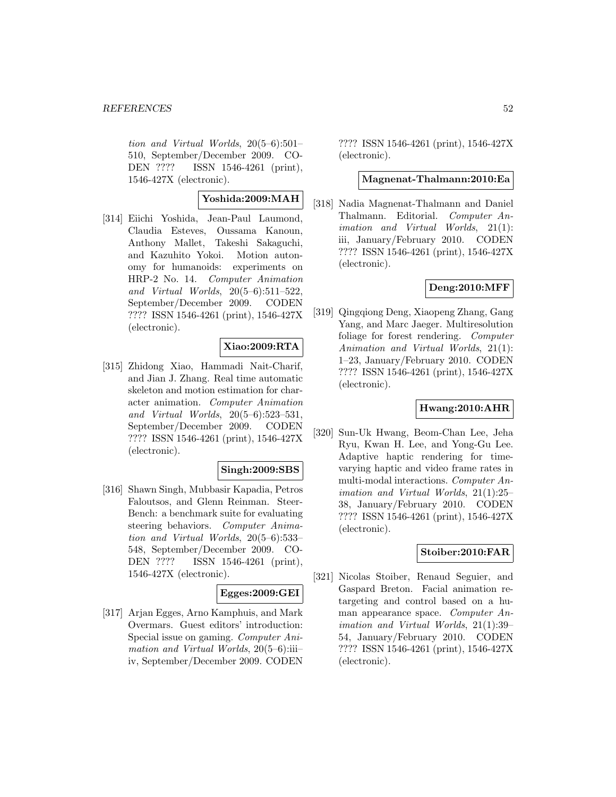tion and Virtual Worlds, 20(5–6):501– 510, September/December 2009. CO-DEN ???? ISSN 1546-4261 (print), 1546-427X (electronic).

# **Yoshida:2009:MAH**

[314] Eiichi Yoshida, Jean-Paul Laumond, Claudia Esteves, Oussama Kanoun, Anthony Mallet, Takeshi Sakaguchi, and Kazuhito Yokoi. Motion autonomy for humanoids: experiments on HRP-2 No. 14. Computer Animation and Virtual Worlds, 20(5–6):511–522, September/December 2009. CODEN ???? ISSN 1546-4261 (print), 1546-427X (electronic).

## **Xiao:2009:RTA**

[315] Zhidong Xiao, Hammadi Nait-Charif, and Jian J. Zhang. Real time automatic skeleton and motion estimation for character animation. Computer Animation and Virtual Worlds, 20(5–6):523–531, September/December 2009. CODEN ???? ISSN 1546-4261 (print), 1546-427X (electronic).

### **Singh:2009:SBS**

[316] Shawn Singh, Mubbasir Kapadia, Petros Faloutsos, and Glenn Reinman. Steer-Bench: a benchmark suite for evaluating steering behaviors. Computer Animation and Virtual Worlds, 20(5–6):533– 548, September/December 2009. CO-DEN ???? ISSN 1546-4261 (print), 1546-427X (electronic).

## **Egges:2009:GEI**

[317] Arjan Egges, Arno Kamphuis, and Mark Overmars. Guest editors' introduction: Special issue on gaming. Computer Animation and Virtual Worlds,  $20(5-6)$ :iiiiv, September/December 2009. CODEN

???? ISSN 1546-4261 (print), 1546-427X (electronic).

#### **Magnenat-Thalmann:2010:Ea**

[318] Nadia Magnenat-Thalmann and Daniel Thalmann. Editorial. Computer Animation and Virtual Worlds, 21(1): iii, January/February 2010. CODEN ???? ISSN 1546-4261 (print), 1546-427X (electronic).

# **Deng:2010:MFF**

[319] Qingqiong Deng, Xiaopeng Zhang, Gang Yang, and Marc Jaeger. Multiresolution foliage for forest rendering. Computer Animation and Virtual Worlds, 21(1): 1–23, January/February 2010. CODEN ???? ISSN 1546-4261 (print), 1546-427X (electronic).

### **Hwang:2010:AHR**

[320] Sun-Uk Hwang, Beom-Chan Lee, Jeha Ryu, Kwan H. Lee, and Yong-Gu Lee. Adaptive haptic rendering for timevarying haptic and video frame rates in multi-modal interactions. Computer Animation and Virtual Worlds, 21(1):25– 38, January/February 2010. CODEN ???? ISSN 1546-4261 (print), 1546-427X (electronic).

### **Stoiber:2010:FAR**

[321] Nicolas Stoiber, Renaud Seguier, and Gaspard Breton. Facial animation retargeting and control based on a human appearance space. Computer Animation and Virtual Worlds, 21(1):39– 54, January/February 2010. CODEN ???? ISSN 1546-4261 (print), 1546-427X (electronic).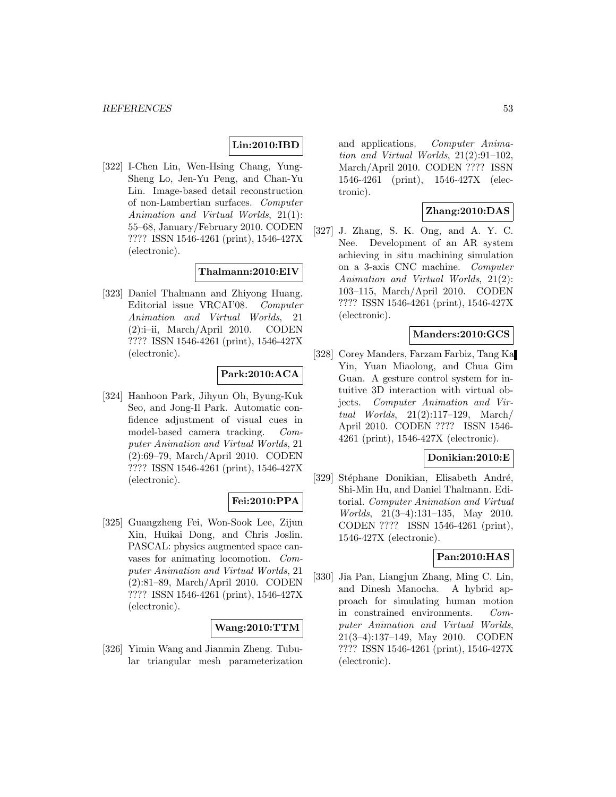## **Lin:2010:IBD**

[322] I-Chen Lin, Wen-Hsing Chang, Yung-Sheng Lo, Jen-Yu Peng, and Chan-Yu Lin. Image-based detail reconstruction of non-Lambertian surfaces. Computer Animation and Virtual Worlds, 21(1): 55–68, January/February 2010. CODEN ???? ISSN 1546-4261 (print), 1546-427X (electronic).

#### **Thalmann:2010:EIV**

[323] Daniel Thalmann and Zhiyong Huang. Editorial issue VRCAI'08. Computer Animation and Virtual Worlds, 21 (2):i–ii, March/April 2010. CODEN ???? ISSN 1546-4261 (print), 1546-427X (electronic).

### **Park:2010:ACA**

[324] Hanhoon Park, Jihyun Oh, Byung-Kuk Seo, and Jong-Il Park. Automatic confidence adjustment of visual cues in model-based camera tracking. Computer Animation and Virtual Worlds, 21 (2):69–79, March/April 2010. CODEN ???? ISSN 1546-4261 (print), 1546-427X (electronic).

### **Fei:2010:PPA**

[325] Guangzheng Fei, Won-Sook Lee, Zijun Xin, Huikai Dong, and Chris Joslin. PASCAL: physics augmented space canvases for animating locomotion. Computer Animation and Virtual Worlds, 21 (2):81–89, March/April 2010. CODEN ???? ISSN 1546-4261 (print), 1546-427X (electronic).

#### **Wang:2010:TTM**

[326] Yimin Wang and Jianmin Zheng. Tubular triangular mesh parameterization and applications. Computer Animation and Virtual Worlds, 21(2):91–102, March/April 2010. CODEN ???? ISSN 1546-4261 (print), 1546-427X (electronic).

# **Zhang:2010:DAS**

[327] J. Zhang, S. K. Ong, and A. Y. C. Nee. Development of an AR system achieving in situ machining simulation on a 3-axis CNC machine. Computer Animation and Virtual Worlds, 21(2): 103–115, March/April 2010. CODEN ???? ISSN 1546-4261 (print), 1546-427X (electronic).

#### **Manders:2010:GCS**

[328] Corey Manders, Farzam Farbiz, Tang Ka Yin, Yuan Miaolong, and Chua Gim Guan. A gesture control system for intuitive 3D interaction with virtual objects. Computer Animation and Virtual Worlds, 21(2):117–129, March/ April 2010. CODEN ???? ISSN 1546- 4261 (print), 1546-427X (electronic).

#### **Donikian:2010:E**

[329] Stéphane Donikian, Elisabeth André, Shi-Min Hu, and Daniel Thalmann. Editorial. Computer Animation and Virtual Worlds, 21(3–4):131–135, May 2010. CODEN ???? ISSN 1546-4261 (print), 1546-427X (electronic).

### **Pan:2010:HAS**

[330] Jia Pan, Liangjun Zhang, Ming C. Lin, and Dinesh Manocha. A hybrid approach for simulating human motion in constrained environments. Computer Animation and Virtual Worlds, 21(3–4):137–149, May 2010. CODEN ???? ISSN 1546-4261 (print), 1546-427X (electronic).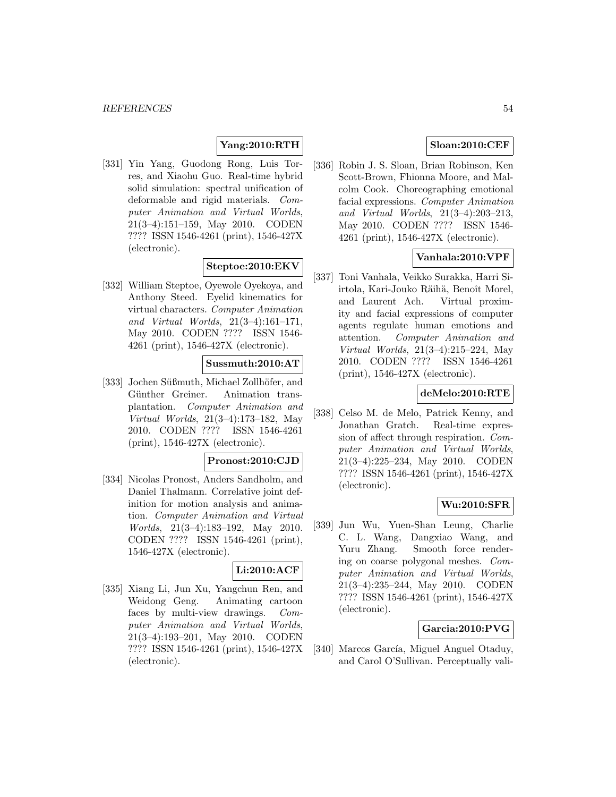# **Yang:2010:RTH**

[331] Yin Yang, Guodong Rong, Luis Torres, and Xiaohu Guo. Real-time hybrid solid simulation: spectral unification of deformable and rigid materials. Computer Animation and Virtual Worlds, 21(3–4):151–159, May 2010. CODEN ???? ISSN 1546-4261 (print), 1546-427X (electronic).

# **Steptoe:2010:EKV**

[332] William Steptoe, Oyewole Oyekoya, and Anthony Steed. Eyelid kinematics for virtual characters. Computer Animation and Virtual Worlds, 21(3–4):161–171, May 2010. CODEN ???? ISSN 1546- 4261 (print), 1546-427X (electronic).

#### **Sussmuth:2010:AT**

[333] Jochen Süßmuth, Michael Zollhöfer, and Günther Greiner. Animation transplantation. Computer Animation and Virtual Worlds, 21(3–4):173–182, May 2010. CODEN ???? ISSN 1546-4261 (print), 1546-427X (electronic).

#### **Pronost:2010:CJD**

[334] Nicolas Pronost, Anders Sandholm, and Daniel Thalmann. Correlative joint definition for motion analysis and animation. Computer Animation and Virtual Worlds, 21(3–4):183–192, May 2010. CODEN ???? ISSN 1546-4261 (print), 1546-427X (electronic).

### **Li:2010:ACF**

[335] Xiang Li, Jun Xu, Yangchun Ren, and Weidong Geng. Animating cartoon faces by multi-view drawings. Computer Animation and Virtual Worlds, 21(3–4):193–201, May 2010. CODEN ???? ISSN 1546-4261 (print), 1546-427X (electronic).

# **Sloan:2010:CEF**

[336] Robin J. S. Sloan, Brian Robinson, Ken Scott-Brown, Fhionna Moore, and Malcolm Cook. Choreographing emotional facial expressions. Computer Animation and Virtual Worlds, 21(3–4):203–213, May 2010. CODEN ???? ISSN 1546- 4261 (print), 1546-427X (electronic).

### **Vanhala:2010:VPF**

[337] Toni Vanhala, Veikko Surakka, Harri Siirtola, Kari-Jouko Räihä, Benoît Morel, and Laurent Ach. Virtual proximity and facial expressions of computer agents regulate human emotions and attention. Computer Animation and Virtual Worlds, 21(3–4):215–224, May 2010. CODEN ???? ISSN 1546-4261 (print), 1546-427X (electronic).

### **deMelo:2010:RTE**

[338] Celso M. de Melo, Patrick Kenny, and Jonathan Gratch. Real-time expression of affect through respiration. Computer Animation and Virtual Worlds, 21(3–4):225–234, May 2010. CODEN ???? ISSN 1546-4261 (print), 1546-427X (electronic).

### **Wu:2010:SFR**

[339] Jun Wu, Yuen-Shan Leung, Charlie C. L. Wang, Dangxiao Wang, and Yuru Zhang. Smooth force rendering on coarse polygonal meshes. Computer Animation and Virtual Worlds, 21(3–4):235–244, May 2010. CODEN ???? ISSN 1546-4261 (print), 1546-427X (electronic).

### **Garcia:2010:PVG**

[340] Marcos García, Miguel Anguel Otaduy, and Carol O'Sullivan. Perceptually vali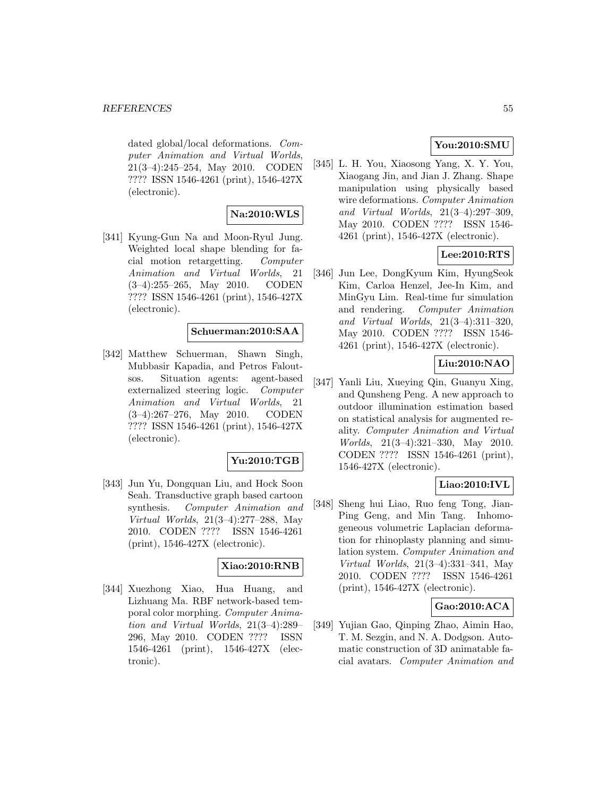dated global/local deformations. Computer Animation and Virtual Worlds, 21(3–4):245–254, May 2010. CODEN ???? ISSN 1546-4261 (print), 1546-427X (electronic).

# **Na:2010:WLS**

[341] Kyung-Gun Na and Moon-Ryul Jung. Weighted local shape blending for facial motion retargetting. Computer Animation and Virtual Worlds, 21 (3–4):255–265, May 2010. CODEN ???? ISSN 1546-4261 (print), 1546-427X (electronic).

## **Schuerman:2010:SAA**

[342] Matthew Schuerman, Shawn Singh, Mubbasir Kapadia, and Petros Faloutsos. Situation agents: agent-based externalized steering logic. Computer Animation and Virtual Worlds, 21 (3–4):267–276, May 2010. CODEN ???? ISSN 1546-4261 (print), 1546-427X (electronic).

### **Yu:2010:TGB**

[343] Jun Yu, Dongquan Liu, and Hock Soon Seah. Transductive graph based cartoon synthesis. Computer Animation and Virtual Worlds, 21(3–4):277–288, May 2010. CODEN ???? ISSN 1546-4261 (print), 1546-427X (electronic).

### **Xiao:2010:RNB**

[344] Xuezhong Xiao, Hua Huang, and Lizhuang Ma. RBF network-based temporal color morphing. Computer Animation and Virtual Worlds, 21(3–4):289– 296, May 2010. CODEN ???? ISSN 1546-4261 (print), 1546-427X (electronic).

# **You:2010:SMU**

[345] L. H. You, Xiaosong Yang, X. Y. You, Xiaogang Jin, and Jian J. Zhang. Shape manipulation using physically based wire deformations. Computer Animation and Virtual Worlds, 21(3–4):297–309, May 2010. CODEN ???? ISSN 1546- 4261 (print), 1546-427X (electronic).

# **Lee:2010:RTS**

[346] Jun Lee, DongKyum Kim, HyungSeok Kim, Carloa Henzel, Jee-In Kim, and MinGyu Lim. Real-time fur simulation and rendering. Computer Animation and Virtual Worlds, 21(3–4):311–320, May 2010. CODEN ???? ISSN 1546- 4261 (print), 1546-427X (electronic).

# **Liu:2010:NAO**

[347] Yanli Liu, Xueying Qin, Guanyu Xing, and Qunsheng Peng. A new approach to outdoor illumination estimation based on statistical analysis for augmented reality. Computer Animation and Virtual Worlds, 21(3–4):321–330, May 2010. CODEN ???? ISSN 1546-4261 (print), 1546-427X (electronic).

# **Liao:2010:IVL**

[348] Sheng hui Liao, Ruo feng Tong, Jian-Ping Geng, and Min Tang. Inhomogeneous volumetric Laplacian deformation for rhinoplasty planning and simulation system. Computer Animation and Virtual Worlds, 21(3–4):331–341, May 2010. CODEN ???? ISSN 1546-4261 (print), 1546-427X (electronic).

# **Gao:2010:ACA**

[349] Yujian Gao, Qinping Zhao, Aimin Hao, T. M. Sezgin, and N. A. Dodgson. Automatic construction of 3D animatable facial avatars. Computer Animation and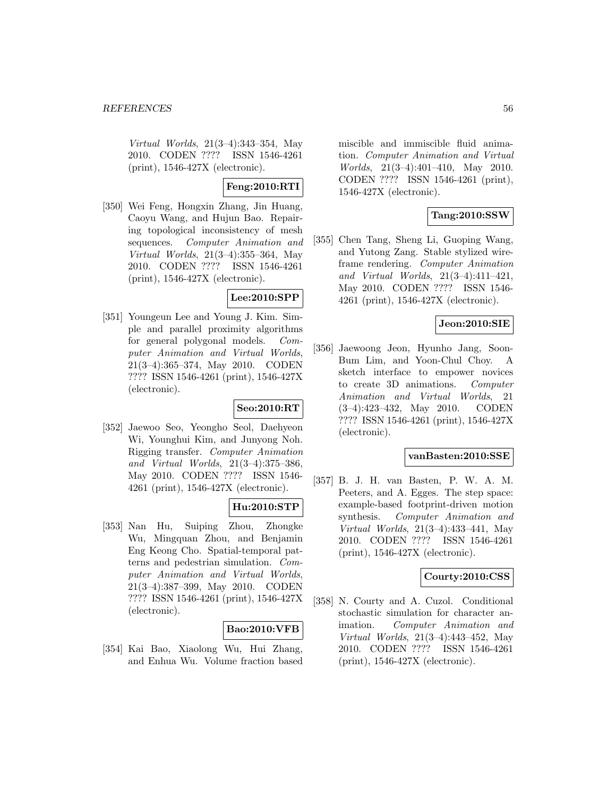Virtual Worlds, 21(3–4):343–354, May 2010. CODEN ???? ISSN 1546-4261 (print), 1546-427X (electronic).

# **Feng:2010:RTI**

[350] Wei Feng, Hongxin Zhang, Jin Huang, Caoyu Wang, and Hujun Bao. Repairing topological inconsistency of mesh sequences. Computer Animation and Virtual Worlds, 21(3–4):355–364, May 2010. CODEN ???? ISSN 1546-4261 (print), 1546-427X (electronic).

### **Lee:2010:SPP**

[351] Youngeun Lee and Young J. Kim. Simple and parallel proximity algorithms for general polygonal models. Computer Animation and Virtual Worlds, 21(3–4):365–374, May 2010. CODEN ???? ISSN 1546-4261 (print), 1546-427X (electronic).

# **Seo:2010:RT**

[352] Jaewoo Seo, Yeongho Seol, Daehyeon Wi, Younghui Kim, and Junyong Noh. Rigging transfer. Computer Animation and Virtual Worlds, 21(3–4):375–386, May 2010. CODEN ???? ISSN 1546- 4261 (print), 1546-427X (electronic).

### **Hu:2010:STP**

[353] Nan Hu, Suiping Zhou, Zhongke Wu, Mingquan Zhou, and Benjamin Eng Keong Cho. Spatial-temporal patterns and pedestrian simulation. Computer Animation and Virtual Worlds, 21(3–4):387–399, May 2010. CODEN ???? ISSN 1546-4261 (print), 1546-427X (electronic).

### **Bao:2010:VFB**

[354] Kai Bao, Xiaolong Wu, Hui Zhang, and Enhua Wu. Volume fraction based miscible and immiscible fluid animation. Computer Animation and Virtual Worlds, 21(3–4):401–410, May 2010. CODEN ???? ISSN 1546-4261 (print), 1546-427X (electronic).

# **Tang:2010:SSW**

[355] Chen Tang, Sheng Li, Guoping Wang, and Yutong Zang. Stable stylized wireframe rendering. Computer Animation and Virtual Worlds, 21(3–4):411–421, May 2010. CODEN ???? ISSN 1546- 4261 (print), 1546-427X (electronic).

### **Jeon:2010:SIE**

[356] Jaewoong Jeon, Hyunho Jang, Soon-Bum Lim, and Yoon-Chul Choy. A sketch interface to empower novices to create 3D animations. Computer Animation and Virtual Worlds, 21 (3–4):423–432, May 2010. CODEN ???? ISSN 1546-4261 (print), 1546-427X (electronic).

### **vanBasten:2010:SSE**

[357] B. J. H. van Basten, P. W. A. M. Peeters, and A. Egges. The step space: example-based footprint-driven motion synthesis. Computer Animation and Virtual Worlds, 21(3–4):433–441, May 2010. CODEN ???? ISSN 1546-4261 (print), 1546-427X (electronic).

### **Courty:2010:CSS**

[358] N. Courty and A. Cuzol. Conditional stochastic simulation for character animation. Computer Animation and Virtual Worlds, 21(3–4):443–452, May 2010. CODEN ???? ISSN 1546-4261 (print), 1546-427X (electronic).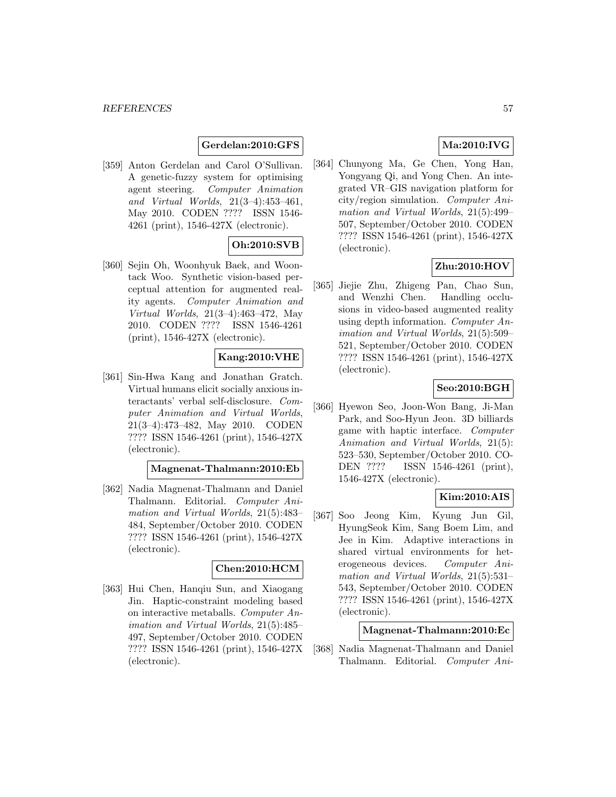### **Gerdelan:2010:GFS**

[359] Anton Gerdelan and Carol O'Sullivan. A genetic-fuzzy system for optimising agent steering. Computer Animation and Virtual Worlds, 21(3–4):453–461, May 2010. CODEN ???? ISSN 1546- 4261 (print), 1546-427X (electronic).

# **Oh:2010:SVB**

[360] Sejin Oh, Woonhyuk Baek, and Woontack Woo. Synthetic vision-based perceptual attention for augmented reality agents. Computer Animation and Virtual Worlds, 21(3–4):463–472, May 2010. CODEN ???? ISSN 1546-4261 (print), 1546-427X (electronic).

## **Kang:2010:VHE**

[361] Sin-Hwa Kang and Jonathan Gratch. Virtual humans elicit socially anxious interactants' verbal self-disclosure. Computer Animation and Virtual Worlds, 21(3–4):473–482, May 2010. CODEN ???? ISSN 1546-4261 (print), 1546-427X (electronic).

#### **Magnenat-Thalmann:2010:Eb**

[362] Nadia Magnenat-Thalmann and Daniel Thalmann. Editorial. Computer Animation and Virtual Worlds, 21(5):483– 484, September/October 2010. CODEN ???? ISSN 1546-4261 (print), 1546-427X (electronic).

#### **Chen:2010:HCM**

[363] Hui Chen, Hanqiu Sun, and Xiaogang Jin. Haptic-constraint modeling based on interactive metaballs. Computer Animation and Virtual Worlds, 21(5):485– 497, September/October 2010. CODEN ???? ISSN 1546-4261 (print), 1546-427X (electronic).

# **Ma:2010:IVG**

[364] Chunyong Ma, Ge Chen, Yong Han, Yongyang Qi, and Yong Chen. An integrated VR–GIS navigation platform for city/region simulation. Computer Animation and Virtual Worlds, 21(5):499– 507, September/October 2010. CODEN ???? ISSN 1546-4261 (print), 1546-427X (electronic).

# **Zhu:2010:HOV**

[365] Jiejie Zhu, Zhigeng Pan, Chao Sun, and Wenzhi Chen. Handling occlusions in video-based augmented reality using depth information. Computer Animation and Virtual Worlds, 21(5):509– 521, September/October 2010. CODEN ???? ISSN 1546-4261 (print), 1546-427X (electronic).

## **Seo:2010:BGH**

[366] Hyewon Seo, Joon-Won Bang, Ji-Man Park, and Soo-Hyun Jeon. 3D billiards game with haptic interface. Computer Animation and Virtual Worlds, 21(5): 523–530, September/October 2010. CO-DEN ???? ISSN 1546-4261 (print), 1546-427X (electronic).

# **Kim:2010:AIS**

[367] Soo Jeong Kim, Kyung Jun Gil, HyungSeok Kim, Sang Boem Lim, and Jee in Kim. Adaptive interactions in shared virtual environments for heterogeneous devices. Computer Animation and Virtual Worlds, 21(5):531– 543, September/October 2010. CODEN ???? ISSN 1546-4261 (print), 1546-427X (electronic).

#### **Magnenat-Thalmann:2010:Ec**

[368] Nadia Magnenat-Thalmann and Daniel Thalmann. Editorial. Computer Ani-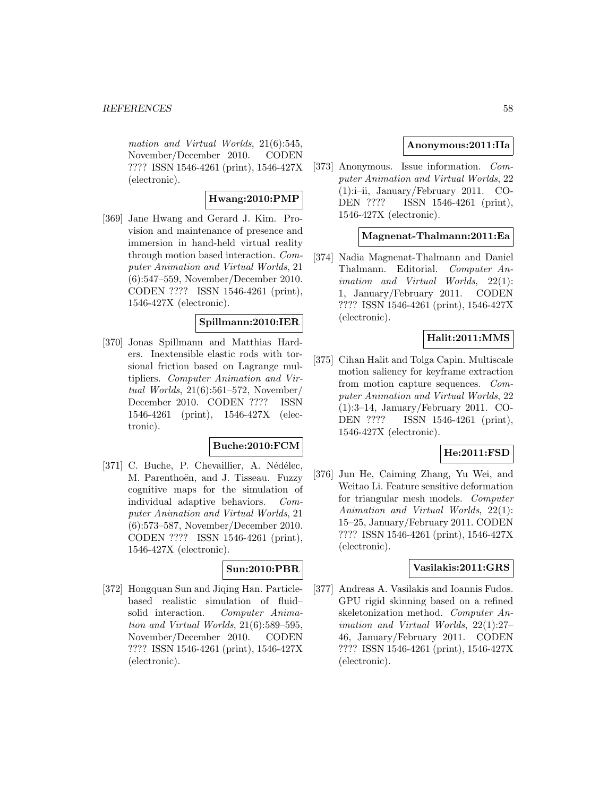mation and Virtual Worlds, 21(6):545, November/December 2010. CODEN ???? ISSN 1546-4261 (print), 1546-427X (electronic).

# **Hwang:2010:PMP**

[369] Jane Hwang and Gerard J. Kim. Provision and maintenance of presence and immersion in hand-held virtual reality through motion based interaction. Computer Animation and Virtual Worlds, 21 (6):547–559, November/December 2010. CODEN ???? ISSN 1546-4261 (print), 1546-427X (electronic).

## **Spillmann:2010:IER**

[370] Jonas Spillmann and Matthias Harders. Inextensible elastic rods with torsional friction based on Lagrange multipliers. Computer Animation and Virtual Worlds, 21(6):561–572, November/ December 2010. CODEN ???? ISSN 1546-4261 (print), 1546-427X (electronic).

### **Buche:2010:FCM**

[371] C. Buche, P. Chevaillier, A. Nédélec, M. Parenthoën, and J. Tisseau. Fuzzy cognitive maps for the simulation of individual adaptive behaviors. Computer Animation and Virtual Worlds, 21 (6):573–587, November/December 2010. CODEN ???? ISSN 1546-4261 (print), 1546-427X (electronic).

### **Sun:2010:PBR**

[372] Hongquan Sun and Jiqing Han. Particlebased realistic simulation of fluid– solid interaction. Computer Animation and Virtual Worlds, 21(6):589–595, November/December 2010. CODEN ???? ISSN 1546-4261 (print), 1546-427X (electronic).

### **Anonymous:2011:IIa**

[373] Anonymous. Issue information. Computer Animation and Virtual Worlds, 22 (1):i–ii, January/February 2011. CO-DEN ???? ISSN 1546-4261 (print), 1546-427X (electronic).

### **Magnenat-Thalmann:2011:Ea**

[374] Nadia Magnenat-Thalmann and Daniel Thalmann. Editorial. Computer Animation and Virtual Worlds, 22(1): 1, January/February 2011. CODEN ???? ISSN 1546-4261 (print), 1546-427X (electronic).

# **Halit:2011:MMS**

[375] Cihan Halit and Tolga Capin. Multiscale motion saliency for keyframe extraction from motion capture sequences. Computer Animation and Virtual Worlds, 22 (1):3–14, January/February 2011. CO-DEN ???? ISSN 1546-4261 (print), 1546-427X (electronic).

### **He:2011:FSD**

[376] Jun He, Caiming Zhang, Yu Wei, and Weitao Li. Feature sensitive deformation for triangular mesh models. Computer Animation and Virtual Worlds, 22(1): 15–25, January/February 2011. CODEN ???? ISSN 1546-4261 (print), 1546-427X (electronic).

#### **Vasilakis:2011:GRS**

[377] Andreas A. Vasilakis and Ioannis Fudos. GPU rigid skinning based on a refined skeletonization method. Computer Animation and Virtual Worlds, 22(1):27– 46, January/February 2011. CODEN ???? ISSN 1546-4261 (print), 1546-427X (electronic).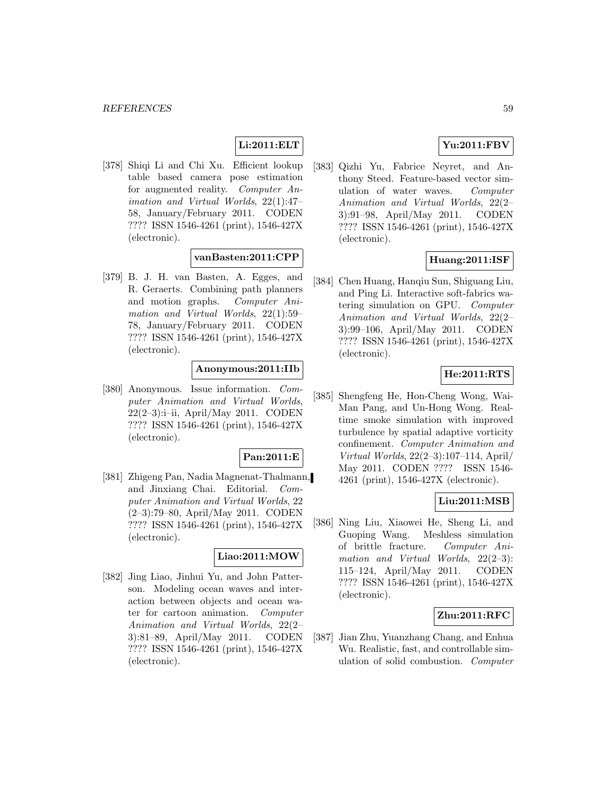# **Li:2011:ELT**

[378] Shiqi Li and Chi Xu. Efficient lookup table based camera pose estimation for augmented reality. Computer Animation and Virtual Worlds, 22(1):47– 58, January/February 2011. CODEN ???? ISSN 1546-4261 (print), 1546-427X (electronic).

## **vanBasten:2011:CPP**

[379] B. J. H. van Basten, A. Egges, and R. Geraerts. Combining path planners and motion graphs. Computer Animation and Virtual Worlds, 22(1):59– 78, January/February 2011. CODEN ???? ISSN 1546-4261 (print), 1546-427X (electronic).

### **Anonymous:2011:IIb**

[380] Anonymous. Issue information. Computer Animation and Virtual Worlds, 22(2–3):i–ii, April/May 2011. CODEN ???? ISSN 1546-4261 (print), 1546-427X (electronic).

# **Pan:2011:E**

[381] Zhigeng Pan, Nadia Magnenat-Thalmann, and Jinxiang Chai. Editorial. Computer Animation and Virtual Worlds, 22 (2–3):79–80, April/May 2011. CODEN ???? ISSN 1546-4261 (print), 1546-427X (electronic).

### **Liao:2011:MOW**

[382] Jing Liao, Jinhui Yu, and John Patterson. Modeling ocean waves and interaction between objects and ocean water for cartoon animation. Computer Animation and Virtual Worlds, 22(2– 3):81–89, April/May 2011. CODEN ???? ISSN 1546-4261 (print), 1546-427X (electronic).

# **Yu:2011:FBV**

[383] Qizhi Yu, Fabrice Neyret, and Anthony Steed. Feature-based vector simulation of water waves. Computer Animation and Virtual Worlds, 22(2– 3):91–98, April/May 2011. CODEN ???? ISSN 1546-4261 (print), 1546-427X (electronic).

### **Huang:2011:ISF**

[384] Chen Huang, Hanqiu Sun, Shiguang Liu, and Ping Li. Interactive soft-fabrics watering simulation on GPU. Computer Animation and Virtual Worlds, 22(2– 3):99–106, April/May 2011. CODEN ???? ISSN 1546-4261 (print), 1546-427X (electronic).

### **He:2011:RTS**

[385] Shengfeng He, Hon-Cheng Wong, Wai-Man Pang, and Un-Hong Wong. Realtime smoke simulation with improved turbulence by spatial adaptive vorticity confinement. Computer Animation and Virtual Worlds, 22(2–3):107–114, April/ May 2011. CODEN ???? ISSN 1546- 4261 (print), 1546-427X (electronic).

## **Liu:2011:MSB**

[386] Ning Liu, Xiaowei He, Sheng Li, and Guoping Wang. Meshless simulation of brittle fracture. Computer Animation and Virtual Worlds, 22(2–3): 115–124, April/May 2011. CODEN ???? ISSN 1546-4261 (print), 1546-427X (electronic).

### **Zhu:2011:RFC**

[387] Jian Zhu, Yuanzhang Chang, and Enhua Wu. Realistic, fast, and controllable simulation of solid combustion. Computer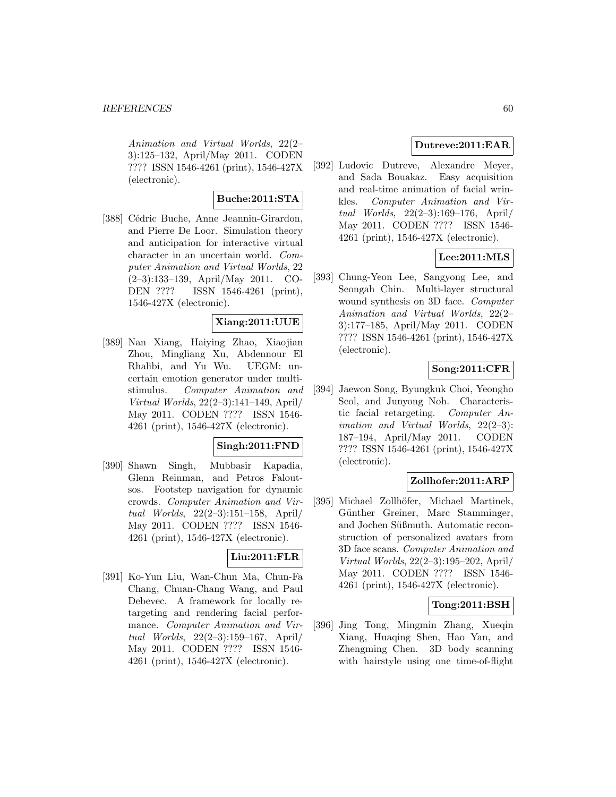Animation and Virtual Worlds, 22(2– 3):125–132, April/May 2011. CODEN ???? ISSN 1546-4261 (print), 1546-427X (electronic).

# **Buche:2011:STA**

[388] Cédric Buche, Anne Jeannin-Girardon, and Pierre De Loor. Simulation theory and anticipation for interactive virtual character in an uncertain world. Computer Animation and Virtual Worlds, 22 (2–3):133–139, April/May 2011. CO-DEN ???? ISSN 1546-4261 (print), 1546-427X (electronic).

## **Xiang:2011:UUE**

[389] Nan Xiang, Haiying Zhao, Xiaojian Zhou, Mingliang Xu, Abdennour El Rhalibi, and Yu Wu. UEGM: uncertain emotion generator under multistimulus. Computer Animation and Virtual Worlds, 22(2–3):141–149, April/ May 2011. CODEN ???? ISSN 1546- 4261 (print), 1546-427X (electronic).

### **Singh:2011:FND**

[390] Shawn Singh, Mubbasir Kapadia, Glenn Reinman, and Petros Faloutsos. Footstep navigation for dynamic crowds. Computer Animation and Virtual Worlds, 22(2–3):151–158, April/ May 2011. CODEN ???? ISSN 1546- 4261 (print), 1546-427X (electronic).

# **Liu:2011:FLR**

[391] Ko-Yun Liu, Wan-Chun Ma, Chun-Fa Chang, Chuan-Chang Wang, and Paul Debevec. A framework for locally retargeting and rendering facial performance. Computer Animation and Virtual Worlds, 22(2–3):159–167, April/ May 2011. CODEN ???? ISSN 1546- 4261 (print), 1546-427X (electronic).

# **Dutreve:2011:EAR**

[392] Ludovic Dutreve, Alexandre Meyer, and Sada Bouakaz. Easy acquisition and real-time animation of facial wrinkles. Computer Animation and Virtual Worlds, 22(2–3):169–176, April/ May 2011. CODEN ???? ISSN 1546- 4261 (print), 1546-427X (electronic).

## **Lee:2011:MLS**

[393] Chung-Yeon Lee, Sangyong Lee, and Seongah Chin. Multi-layer structural wound synthesis on 3D face. *Computer* Animation and Virtual Worlds, 22(2– 3):177–185, April/May 2011. CODEN ???? ISSN 1546-4261 (print), 1546-427X (electronic).

# **Song:2011:CFR**

[394] Jaewon Song, Byungkuk Choi, Yeongho Seol, and Junyong Noh. Characteristic facial retargeting. Computer Animation and Virtual Worlds, 22(2–3): 187–194, April/May 2011. CODEN ???? ISSN 1546-4261 (print), 1546-427X (electronic).

## **Zollhofer:2011:ARP**

[395] Michael Zollhöfer, Michael Martinek, Günther Greiner, Marc Stamminger, and Jochen Süßmuth. Automatic reconstruction of personalized avatars from 3D face scans. Computer Animation and Virtual Worlds, 22(2–3):195–202, April/ May 2011. CODEN ???? ISSN 1546- 4261 (print), 1546-427X (electronic).

### **Tong:2011:BSH**

[396] Jing Tong, Mingmin Zhang, Xueqin Xiang, Huaqing Shen, Hao Yan, and Zhengming Chen. 3D body scanning with hairstyle using one time-of-flight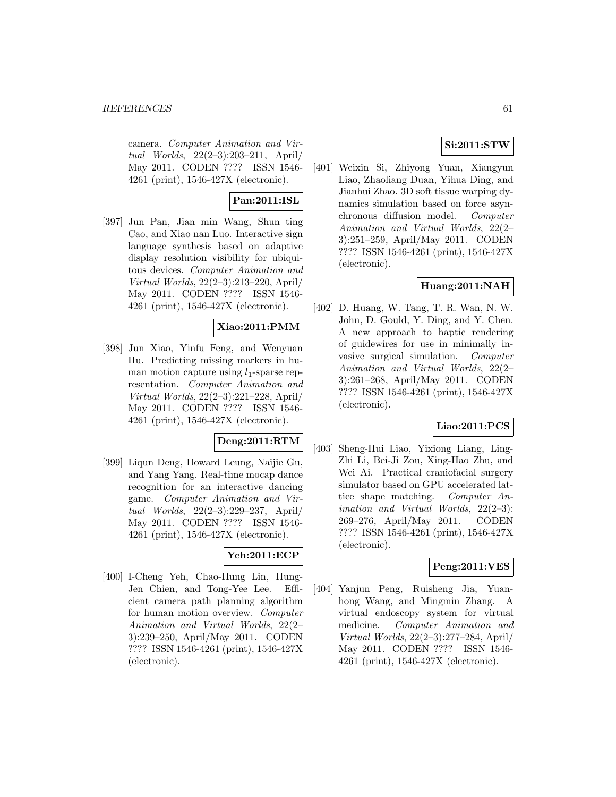camera. Computer Animation and Virtual Worlds, 22(2–3):203–211, April/ May 2011. CODEN ???? ISSN 1546- 4261 (print), 1546-427X (electronic).

# **Pan:2011:ISL**

[397] Jun Pan, Jian min Wang, Shun ting Cao, and Xiao nan Luo. Interactive sign language synthesis based on adaptive display resolution visibility for ubiquitous devices. Computer Animation and Virtual Worlds, 22(2–3):213–220, April/ May 2011. CODEN ???? ISSN 1546- 4261 (print), 1546-427X (electronic).

# **Xiao:2011:PMM**

[398] Jun Xiao, Yinfu Feng, and Wenyuan Hu. Predicting missing markers in human motion capture using  $l_1$ -sparse representation. Computer Animation and Virtual Worlds, 22(2–3):221–228, April/ May 2011. CODEN ???? ISSN 1546- 4261 (print), 1546-427X (electronic).

# **Deng:2011:RTM**

[399] Liqun Deng, Howard Leung, Naijie Gu, and Yang Yang. Real-time mocap dance recognition for an interactive dancing game. Computer Animation and Virtual Worlds, 22(2–3):229–237, April/ May 2011. CODEN ???? ISSN 1546- 4261 (print), 1546-427X (electronic).

# **Yeh:2011:ECP**

[400] I-Cheng Yeh, Chao-Hung Lin, Hung-Jen Chien, and Tong-Yee Lee. Efficient camera path planning algorithm for human motion overview. Computer Animation and Virtual Worlds, 22(2– 3):239–250, April/May 2011. CODEN ???? ISSN 1546-4261 (print), 1546-427X (electronic).

# **Si:2011:STW**

[401] Weixin Si, Zhiyong Yuan, Xiangyun Liao, Zhaoliang Duan, Yihua Ding, and Jianhui Zhao. 3D soft tissue warping dynamics simulation based on force asynchronous diffusion model. Computer Animation and Virtual Worlds, 22(2– 3):251–259, April/May 2011. CODEN ???? ISSN 1546-4261 (print), 1546-427X (electronic).

# **Huang:2011:NAH**

[402] D. Huang, W. Tang, T. R. Wan, N. W. John, D. Gould, Y. Ding, and Y. Chen. A new approach to haptic rendering of guidewires for use in minimally invasive surgical simulation. Computer Animation and Virtual Worlds, 22(2– 3):261–268, April/May 2011. CODEN ???? ISSN 1546-4261 (print), 1546-427X (electronic).

# **Liao:2011:PCS**

[403] Sheng-Hui Liao, Yixiong Liang, Ling-Zhi Li, Bei-Ji Zou, Xing-Hao Zhu, and Wei Ai. Practical craniofacial surgery simulator based on GPU accelerated lattice shape matching. Computer Animation and Virtual Worlds, 22(2-3): 269–276, April/May 2011. CODEN ???? ISSN 1546-4261 (print), 1546-427X (electronic).

# **Peng:2011:VES**

[404] Yanjun Peng, Ruisheng Jia, Yuanhong Wang, and Mingmin Zhang. A virtual endoscopy system for virtual medicine. Computer Animation and Virtual Worlds, 22(2–3):277–284, April/ May 2011. CODEN ???? ISSN 1546- 4261 (print), 1546-427X (electronic).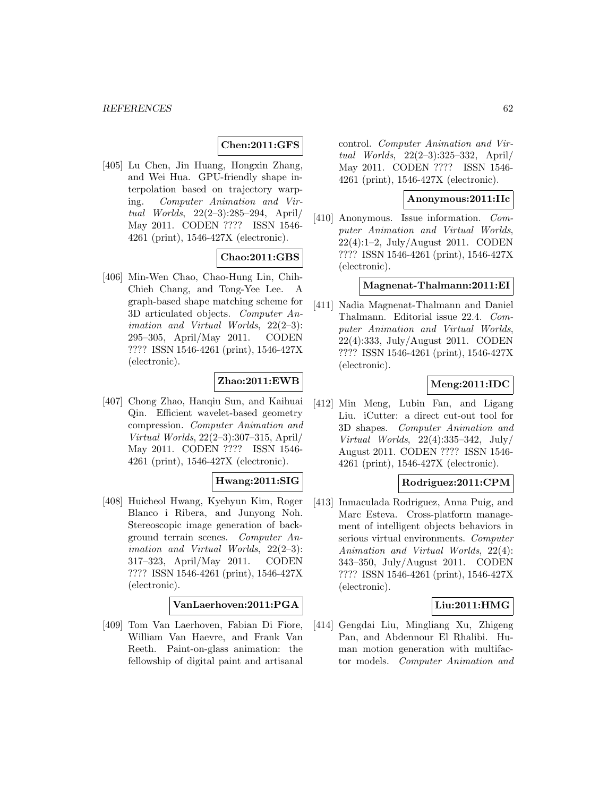#### **Chen:2011:GFS**

[405] Lu Chen, Jin Huang, Hongxin Zhang, and Wei Hua. GPU-friendly shape interpolation based on trajectory warping. Computer Animation and Virtual Worlds, 22(2–3):285–294, April/ May 2011. CODEN ???? ISSN 1546- 4261 (print), 1546-427X (electronic).

## **Chao:2011:GBS**

[406] Min-Wen Chao, Chao-Hung Lin, Chih-Chieh Chang, and Tong-Yee Lee. A graph-based shape matching scheme for 3D articulated objects. Computer An*imation and Virtual Worlds,*  $22(2-3)$ : 295–305, April/May 2011. CODEN ???? ISSN 1546-4261 (print), 1546-427X (electronic).

# **Zhao:2011:EWB**

[407] Chong Zhao, Hanqiu Sun, and Kaihuai Qin. Efficient wavelet-based geometry compression. Computer Animation and Virtual Worlds, 22(2–3):307–315, April/ May 2011. CODEN ???? ISSN 1546- 4261 (print), 1546-427X (electronic).

# **Hwang:2011:SIG**

[408] Huicheol Hwang, Kyehyun Kim, Roger Blanco i Ribera, and Junyong Noh. Stereoscopic image generation of background terrain scenes. Computer An*imation and Virtual Worlds,*  $22(2-3)$ : 317–323, April/May 2011. CODEN ???? ISSN 1546-4261 (print), 1546-427X (electronic).

#### **VanLaerhoven:2011:PGA**

[409] Tom Van Laerhoven, Fabian Di Fiore, William Van Haevre, and Frank Van Reeth. Paint-on-glass animation: the fellowship of digital paint and artisanal

control. Computer Animation and Virtual Worlds, 22(2–3):325–332, April/ May 2011. CODEN ???? ISSN 1546- 4261 (print), 1546-427X (electronic).

#### **Anonymous:2011:IIc**

[410] Anonymous. Issue information. Computer Animation and Virtual Worlds, 22(4):1–2, July/August 2011. CODEN ???? ISSN 1546-4261 (print), 1546-427X (electronic).

### **Magnenat-Thalmann:2011:EI**

[411] Nadia Magnenat-Thalmann and Daniel Thalmann. Editorial issue 22.4. Computer Animation and Virtual Worlds, 22(4):333, July/August 2011. CODEN ???? ISSN 1546-4261 (print), 1546-427X (electronic).

## **Meng:2011:IDC**

[412] Min Meng, Lubin Fan, and Ligang Liu. iCutter: a direct cut-out tool for 3D shapes. Computer Animation and Virtual Worlds, 22(4):335–342, July/ August 2011. CODEN ???? ISSN 1546- 4261 (print), 1546-427X (electronic).

#### **Rodriguez:2011:CPM**

[413] Inmaculada Rodriguez, Anna Puig, and Marc Esteva. Cross-platform management of intelligent objects behaviors in serious virtual environments. Computer Animation and Virtual Worlds, 22(4): 343–350, July/August 2011. CODEN ???? ISSN 1546-4261 (print), 1546-427X (electronic).

### **Liu:2011:HMG**

[414] Gengdai Liu, Mingliang Xu, Zhigeng Pan, and Abdennour El Rhalibi. Human motion generation with multifactor models. Computer Animation and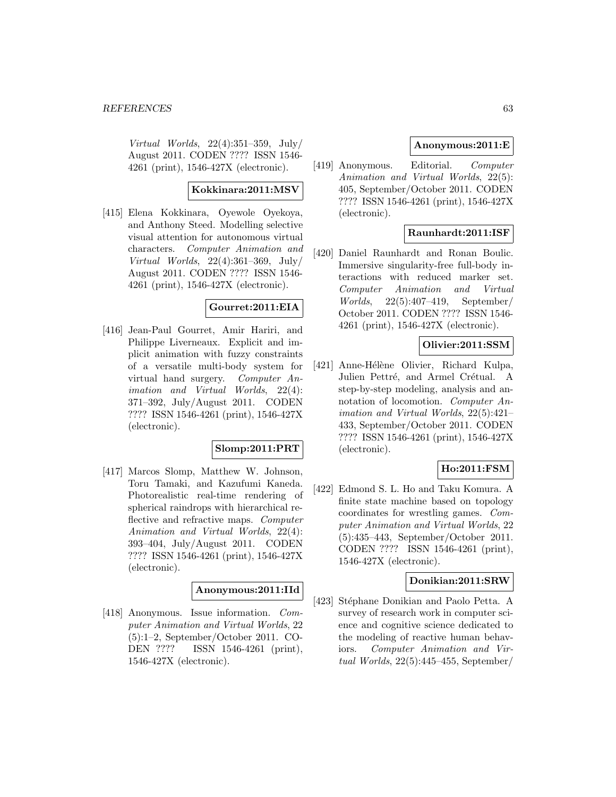Virtual Worlds, 22(4):351–359, July/ August 2011. CODEN ???? ISSN 1546- 4261 (print), 1546-427X (electronic).

#### **Kokkinara:2011:MSV**

[415] Elena Kokkinara, Oyewole Oyekoya, and Anthony Steed. Modelling selective visual attention for autonomous virtual characters. Computer Animation and Virtual Worlds, 22(4):361–369, July/ August 2011. CODEN ???? ISSN 1546- 4261 (print), 1546-427X (electronic).

### **Gourret:2011:EIA**

[416] Jean-Paul Gourret, Amir Hariri, and Philippe Liverneaux. Explicit and implicit animation with fuzzy constraints of a versatile multi-body system for virtual hand surgery. Computer Animation and Virtual Worlds, 22(4): 371–392, July/August 2011. CODEN ???? ISSN 1546-4261 (print), 1546-427X (electronic).

### **Slomp:2011:PRT**

[417] Marcos Slomp, Matthew W. Johnson, Toru Tamaki, and Kazufumi Kaneda. Photorealistic real-time rendering of spherical raindrops with hierarchical reflective and refractive maps. Computer Animation and Virtual Worlds, 22(4): 393–404, July/August 2011. CODEN ???? ISSN 1546-4261 (print), 1546-427X (electronic).

## **Anonymous:2011:IId**

[418] Anonymous. Issue information. Computer Animation and Virtual Worlds, 22 (5):1–2, September/October 2011. CO-DEN ???? ISSN 1546-4261 (print), 1546-427X (electronic).

#### **Anonymous:2011:E**

[419] Anonymous. Editorial. Computer Animation and Virtual Worlds, 22(5): 405, September/October 2011. CODEN ???? ISSN 1546-4261 (print), 1546-427X (electronic).

# **Raunhardt:2011:ISF**

[420] Daniel Raunhardt and Ronan Boulic. Immersive singularity-free full-body interactions with reduced marker set. Computer Animation and Virtual Worlds, 22(5):407–419, September/ October 2011. CODEN ???? ISSN 1546- 4261 (print), 1546-427X (electronic).

### **Olivier:2011:SSM**

[421] Anne-Hélène Olivier, Richard Kulpa, Julien Pettré, and Armel Crétual. A step-by-step modeling, analysis and annotation of locomotion. Computer Animation and Virtual Worlds, 22(5):421– 433, September/October 2011. CODEN ???? ISSN 1546-4261 (print), 1546-427X (electronic).

### **Ho:2011:FSM**

[422] Edmond S. L. Ho and Taku Komura. A finite state machine based on topology coordinates for wrestling games. Computer Animation and Virtual Worlds, 22 (5):435–443, September/October 2011. CODEN ???? ISSN 1546-4261 (print), 1546-427X (electronic).

#### **Donikian:2011:SRW**

[423] Stéphane Donikian and Paolo Petta. A survey of research work in computer science and cognitive science dedicated to the modeling of reactive human behaviors. Computer Animation and Virtual Worlds, 22(5):445–455, September/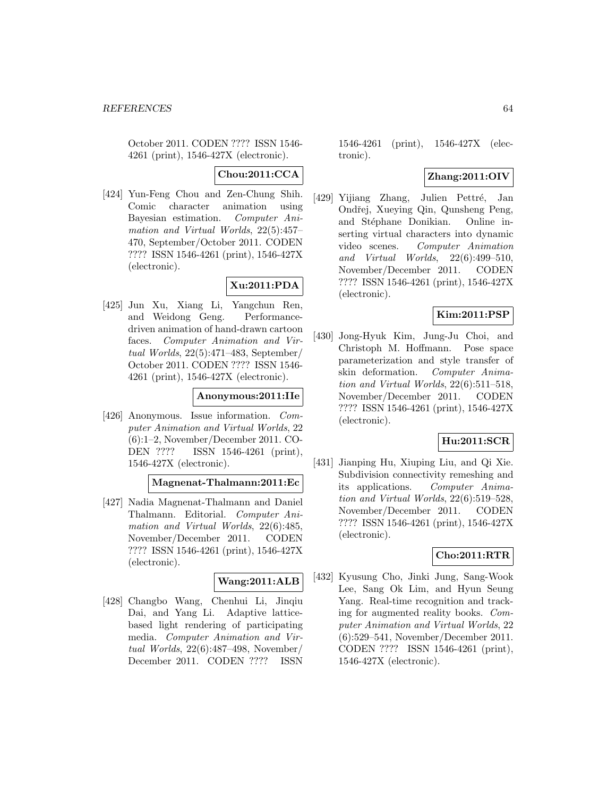October 2011. CODEN ???? ISSN 1546- 4261 (print), 1546-427X (electronic).

**Chou:2011:CCA**

[424] Yun-Feng Chou and Zen-Chung Shih. Comic character animation using Bayesian estimation. Computer Animation and Virtual Worlds, 22(5):457– 470, September/October 2011. CODEN ???? ISSN 1546-4261 (print), 1546-427X (electronic).

# **Xu:2011:PDA**

[425] Jun Xu, Xiang Li, Yangchun Ren, and Weidong Geng. Performancedriven animation of hand-drawn cartoon faces. Computer Animation and Virtual Worlds, 22(5):471–483, September/ October 2011. CODEN ???? ISSN 1546- 4261 (print), 1546-427X (electronic).

### **Anonymous:2011:IIe**

[426] Anonymous. Issue information. Computer Animation and Virtual Worlds, 22 (6):1–2, November/December 2011. CO-DEN ???? ISSN 1546-4261 (print), 1546-427X (electronic).

### **Magnenat-Thalmann:2011:Ec**

[427] Nadia Magnenat-Thalmann and Daniel Thalmann. Editorial. Computer Animation and Virtual Worlds, 22(6):485, November/December 2011. CODEN ???? ISSN 1546-4261 (print), 1546-427X (electronic).

### **Wang:2011:ALB**

[428] Changbo Wang, Chenhui Li, Jinqiu Dai, and Yang Li. Adaptive latticebased light rendering of participating media. Computer Animation and Virtual Worlds, 22(6):487–498, November/ December 2011. CODEN ???? ISSN

1546-4261 (print), 1546-427X (electronic).

# **Zhang:2011:OIV**

[429] Yijiang Zhang, Julien Pettré, Jan Ondřej, Xueying Qin, Qunsheng Peng, and Stéphane Donikian. Online inserting virtual characters into dynamic video scenes. Computer Animation and Virtual Worlds, 22(6):499–510, November/December 2011. CODEN ???? ISSN 1546-4261 (print), 1546-427X (electronic).

# **Kim:2011:PSP**

[430] Jong-Hyuk Kim, Jung-Ju Choi, and Christoph M. Hoffmann. Pose space parameterization and style transfer of skin deformation. Computer Animation and Virtual Worlds, 22(6):511–518, November/December 2011. CODEN ???? ISSN 1546-4261 (print), 1546-427X (electronic).

### **Hu:2011:SCR**

[431] Jianping Hu, Xiuping Liu, and Qi Xie. Subdivision connectivity remeshing and its applications. Computer Animation and Virtual Worlds, 22(6):519–528, November/December 2011. CODEN ???? ISSN 1546-4261 (print), 1546-427X (electronic).

### **Cho:2011:RTR**

[432] Kyusung Cho, Jinki Jung, Sang-Wook Lee, Sang Ok Lim, and Hyun Seung Yang. Real-time recognition and tracking for augmented reality books. Computer Animation and Virtual Worlds, 22 (6):529–541, November/December 2011. CODEN ???? ISSN 1546-4261 (print), 1546-427X (electronic).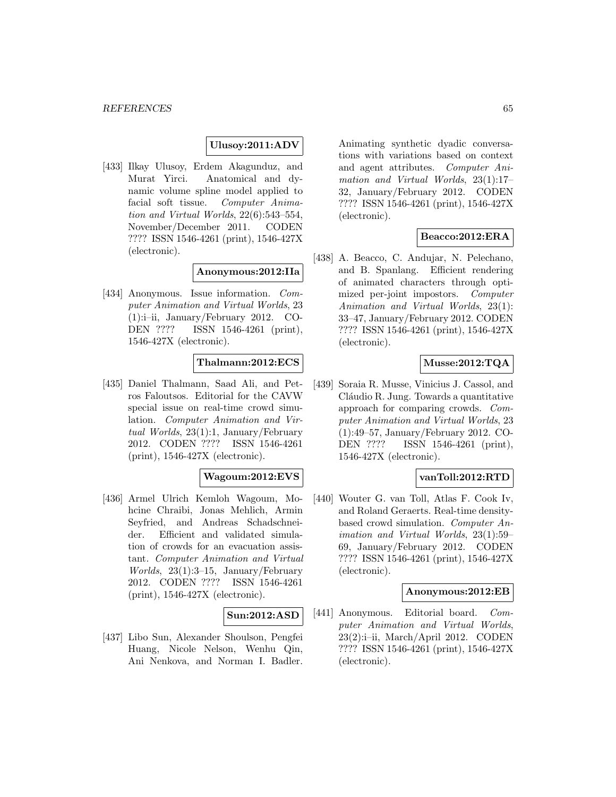## **Ulusoy:2011:ADV**

[433] Ilkay Ulusoy, Erdem Akagunduz, and Murat Yirci. Anatomical and dynamic volume spline model applied to facial soft tissue. Computer Animation and Virtual Worlds, 22(6):543–554, November/December 2011. CODEN ???? ISSN 1546-4261 (print), 1546-427X (electronic).

#### **Anonymous:2012:IIa**

[434] Anonymous. Issue information. Computer Animation and Virtual Worlds, 23 (1):i–ii, January/February 2012. CO-DEN ???? ISSN 1546-4261 (print), 1546-427X (electronic).

#### **Thalmann:2012:ECS**

[435] Daniel Thalmann, Saad Ali, and Petros Faloutsos. Editorial for the CAVW special issue on real-time crowd simulation. Computer Animation and Virtual Worlds, 23(1):1, January/February 2012. CODEN ???? ISSN 1546-4261 (print), 1546-427X (electronic).

## **Wagoum:2012:EVS**

[436] Armel Ulrich Kemloh Wagoum, Mohcine Chraibi, Jonas Mehlich, Armin Seyfried, and Andreas Schadschneider. Efficient and validated simulation of crowds for an evacuation assistant. Computer Animation and Virtual Worlds, 23(1):3–15, January/February 2012. CODEN ???? ISSN 1546-4261 (print), 1546-427X (electronic).

#### **Sun:2012:ASD**

[437] Libo Sun, Alexander Shoulson, Pengfei Huang, Nicole Nelson, Wenhu Qin, Ani Nenkova, and Norman I. Badler. Animating synthetic dyadic conversations with variations based on context and agent attributes. Computer Animation and Virtual Worlds, 23(1):17– 32, January/February 2012. CODEN ???? ISSN 1546-4261 (print), 1546-427X (electronic).

### **Beacco:2012:ERA**

[438] A. Beacco, C. Andujar, N. Pelechano, and B. Spanlang. Efficient rendering of animated characters through optimized per-joint impostors. Computer Animation and Virtual Worlds, 23(1): 33–47, January/February 2012. CODEN ???? ISSN 1546-4261 (print), 1546-427X (electronic).

### **Musse:2012:TQA**

[439] Soraia R. Musse, Vinicius J. Cassol, and Cláudio R. Jung. Towards a quantitative approach for comparing crowds. Computer Animation and Virtual Worlds, 23 (1):49–57, January/February 2012. CO-DEN ???? ISSN 1546-4261 (print), 1546-427X (electronic).

#### **vanToll:2012:RTD**

[440] Wouter G. van Toll, Atlas F. Cook Iv, and Roland Geraerts. Real-time densitybased crowd simulation. Computer Animation and Virtual Worlds, 23(1):59– 69, January/February 2012. CODEN ???? ISSN 1546-4261 (print), 1546-427X (electronic).

### **Anonymous:2012:EB**

[441] Anonymous. Editorial board. Computer Animation and Virtual Worlds, 23(2):i–ii, March/April 2012. CODEN ???? ISSN 1546-4261 (print), 1546-427X (electronic).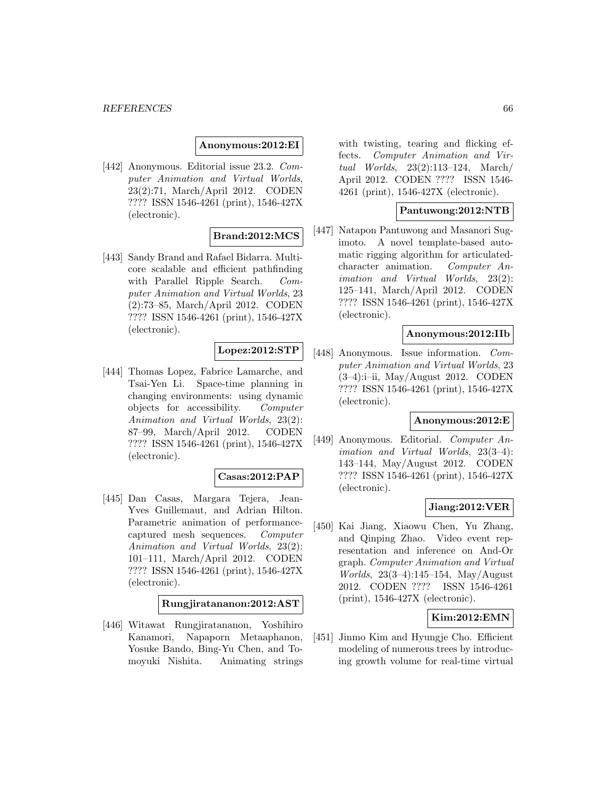### **Anonymous:2012:EI**

[442] Anonymous. Editorial issue 23.2. Computer Animation and Virtual Worlds, 23(2):71, March/April 2012. CODEN ???? ISSN 1546-4261 (print), 1546-427X (electronic).

## **Brand:2012:MCS**

[443] Sandy Brand and Rafael Bidarra. Multicore scalable and efficient pathfinding with Parallel Ripple Search. Computer Animation and Virtual Worlds, 23 (2):73–85, March/April 2012. CODEN ???? ISSN 1546-4261 (print), 1546-427X (electronic).

### **Lopez:2012:STP**

[444] Thomas Lopez, Fabrice Lamarche, and Tsai-Yen Li. Space-time planning in changing environments: using dynamic objects for accessibility. Computer Animation and Virtual Worlds, 23(2): 87–99, March/April 2012. CODEN ???? ISSN 1546-4261 (print), 1546-427X (electronic).

#### **Casas:2012:PAP**

[445] Dan Casas, Margara Tejera, Jean-Yves Guillemaut, and Adrian Hilton. Parametric animation of performancecaptured mesh sequences. Computer Animation and Virtual Worlds, 23(2): 101–111, March/April 2012. CODEN ???? ISSN 1546-4261 (print), 1546-427X (electronic).

#### **Rungjiratananon:2012:AST**

[446] Witawat Rungjiratananon, Yoshihiro Kanamori, Napaporn Metaaphanon, Yosuke Bando, Bing-Yu Chen, and Tomoyuki Nishita. Animating strings with twisting, tearing and flicking effects. Computer Animation and Virtual Worlds, 23(2):113–124, March/ April 2012. CODEN ???? ISSN 1546- 4261 (print), 1546-427X (electronic).

#### **Pantuwong:2012:NTB**

[447] Natapon Pantuwong and Masanori Sugimoto. A novel template-based automatic rigging algorithm for articulatedcharacter animation. Computer Animation and Virtual Worlds, 23(2): 125–141, March/April 2012. CODEN ???? ISSN 1546-4261 (print), 1546-427X (electronic).

#### **Anonymous:2012:IIb**

[448] Anonymous. Issue information. Computer Animation and Virtual Worlds, 23 (3–4):i–ii, May/August 2012. CODEN ???? ISSN 1546-4261 (print), 1546-427X (electronic).

#### **Anonymous:2012:E**

[449] Anonymous. Editorial. Computer Animation and Virtual Worlds, 23(3–4): 143–144, May/August 2012. CODEN ???? ISSN 1546-4261 (print), 1546-427X (electronic).

### **Jiang:2012:VER**

[450] Kai Jiang, Xiaowu Chen, Yu Zhang, and Qinping Zhao. Video event representation and inference on And-Or graph. Computer Animation and Virtual Worlds, 23(3–4):145–154, May/August 2012. CODEN ???? ISSN 1546-4261 (print), 1546-427X (electronic).

### **Kim:2012:EMN**

[451] Jinmo Kim and Hyungje Cho. Efficient modeling of numerous trees by introducing growth volume for real-time virtual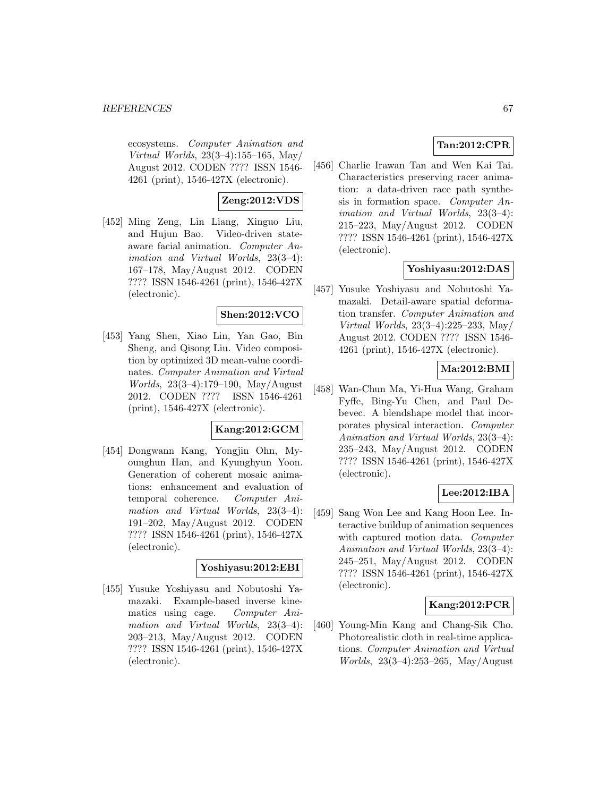ecosystems. Computer Animation and Virtual Worlds, 23(3–4):155–165, May/ August 2012. CODEN ???? ISSN 1546- 4261 (print), 1546-427X (electronic).

# **Zeng:2012:VDS**

[452] Ming Zeng, Lin Liang, Xinguo Liu, and Hujun Bao. Video-driven stateaware facial animation. Computer Animation and Virtual Worlds, 23(3–4): 167–178, May/August 2012. CODEN ???? ISSN 1546-4261 (print), 1546-427X (electronic).

# **Shen:2012:VCO**

[453] Yang Shen, Xiao Lin, Yan Gao, Bin Sheng, and Qisong Liu. Video composition by optimized 3D mean-value coordinates. Computer Animation and Virtual Worlds, 23(3–4):179–190, May/August 2012. CODEN ???? ISSN 1546-4261 (print), 1546-427X (electronic).

# **Kang:2012:GCM**

[454] Dongwann Kang, Yongjin Ohn, Myounghun Han, and Kyunghyun Yoon. Generation of coherent mosaic animations: enhancement and evaluation of temporal coherence. Computer Animation and Virtual Worlds, 23(3–4): 191–202, May/August 2012. CODEN ???? ISSN 1546-4261 (print), 1546-427X (electronic).

## **Yoshiyasu:2012:EBI**

[455] Yusuke Yoshiyasu and Nobutoshi Yamazaki. Example-based inverse kinematics using cage. Computer Animation and Virtual Worlds, 23(3–4): 203–213, May/August 2012. CODEN ???? ISSN 1546-4261 (print), 1546-427X (electronic).

# **Tan:2012:CPR**

[456] Charlie Irawan Tan and Wen Kai Tai. Characteristics preserving racer animation: a data-driven race path synthesis in formation space. Computer Animation and Virtual Worlds, 23(3–4): 215–223, May/August 2012. CODEN ???? ISSN 1546-4261 (print), 1546-427X (electronic).

### **Yoshiyasu:2012:DAS**

[457] Yusuke Yoshiyasu and Nobutoshi Yamazaki. Detail-aware spatial deformation transfer. Computer Animation and Virtual Worlds, 23(3–4):225–233, May/ August 2012. CODEN ???? ISSN 1546- 4261 (print), 1546-427X (electronic).

## **Ma:2012:BMI**

[458] Wan-Chun Ma, Yi-Hua Wang, Graham Fyffe, Bing-Yu Chen, and Paul Debevec. A blendshape model that incorporates physical interaction. Computer Animation and Virtual Worlds, 23(3–4): 235–243, May/August 2012. CODEN ???? ISSN 1546-4261 (print), 1546-427X (electronic).

# **Lee:2012:IBA**

[459] Sang Won Lee and Kang Hoon Lee. Interactive buildup of animation sequences with captured motion data. Computer Animation and Virtual Worlds, 23(3–4): 245–251, May/August 2012. CODEN ???? ISSN 1546-4261 (print), 1546-427X (electronic).

### **Kang:2012:PCR**

[460] Young-Min Kang and Chang-Sik Cho. Photorealistic cloth in real-time applications. Computer Animation and Virtual Worlds, 23(3–4):253–265, May/August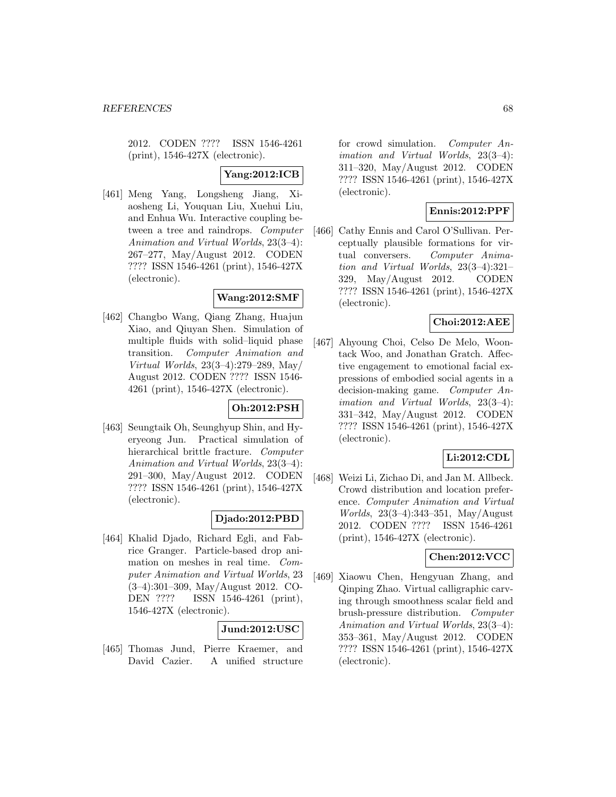2012. CODEN ???? ISSN 1546-4261 (print), 1546-427X (electronic).

# **Yang:2012:ICB**

[461] Meng Yang, Longsheng Jiang, Xiaosheng Li, Youquan Liu, Xuehui Liu, and Enhua Wu. Interactive coupling between a tree and raindrops. Computer Animation and Virtual Worlds, 23(3–4): 267–277, May/August 2012. CODEN ???? ISSN 1546-4261 (print), 1546-427X (electronic).

### **Wang:2012:SMF**

[462] Changbo Wang, Qiang Zhang, Huajun Xiao, and Qiuyan Shen. Simulation of multiple fluids with solid–liquid phase transition. Computer Animation and Virtual Worlds, 23(3–4):279–289, May/ August 2012. CODEN ???? ISSN 1546- 4261 (print), 1546-427X (electronic).

#### **Oh:2012:PSH**

[463] Seungtaik Oh, Seunghyup Shin, and Hyeryeong Jun. Practical simulation of hierarchical brittle fracture. Computer Animation and Virtual Worlds, 23(3–4): 291–300, May/August 2012. CODEN ???? ISSN 1546-4261 (print), 1546-427X (electronic).

### **Djado:2012:PBD**

[464] Khalid Djado, Richard Egli, and Fabrice Granger. Particle-based drop animation on meshes in real time. Computer Animation and Virtual Worlds, 23 (3–4):301–309, May/August 2012. CO-DEN ???? ISSN 1546-4261 (print), 1546-427X (electronic).

### **Jund:2012:USC**

[465] Thomas Jund, Pierre Kraemer, and David Cazier. A unified structure for crowd simulation. Computer Animation and Virtual Worlds, 23(3–4): 311–320, May/August 2012. CODEN ???? ISSN 1546-4261 (print), 1546-427X (electronic).

### **Ennis:2012:PPF**

[466] Cathy Ennis and Carol O'Sullivan. Perceptually plausible formations for virtual conversers. Computer Animation and Virtual Worlds, 23(3–4):321– 329, May/August 2012. CODEN ???? ISSN 1546-4261 (print), 1546-427X (electronic).

### **Choi:2012:AEE**

[467] Ahyoung Choi, Celso De Melo, Woontack Woo, and Jonathan Gratch. Affective engagement to emotional facial expressions of embodied social agents in a decision-making game. Computer Animation and Virtual Worlds, 23(3–4): 331–342, May/August 2012. CODEN ???? ISSN 1546-4261 (print), 1546-427X (electronic).

### **Li:2012:CDL**

[468] Weizi Li, Zichao Di, and Jan M. Allbeck. Crowd distribution and location preference. Computer Animation and Virtual Worlds, 23(3–4):343–351, May/August 2012. CODEN ???? ISSN 1546-4261 (print), 1546-427X (electronic).

# **Chen:2012:VCC**

[469] Xiaowu Chen, Hengyuan Zhang, and Qinping Zhao. Virtual calligraphic carving through smoothness scalar field and brush-pressure distribution. Computer Animation and Virtual Worlds, 23(3–4): 353–361, May/August 2012. CODEN ???? ISSN 1546-4261 (print), 1546-427X (electronic).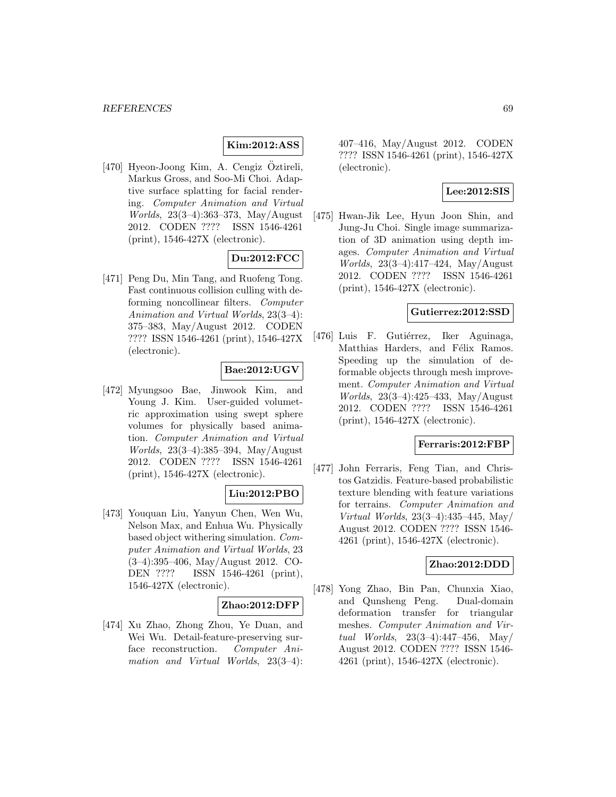## **Kim:2012:ASS**

[470] Hyeon-Joong Kim, A. Cengiz Öztireli, Markus Gross, and Soo-Mi Choi. Adaptive surface splatting for facial rendering. Computer Animation and Virtual Worlds, 23(3–4):363–373, May/August 2012. CODEN ???? ISSN 1546-4261 (print), 1546-427X (electronic).

## **Du:2012:FCC**

[471] Peng Du, Min Tang, and Ruofeng Tong. Fast continuous collision culling with deforming noncollinear filters. Computer Animation and Virtual Worlds, 23(3–4): 375–383, May/August 2012. CODEN ???? ISSN 1546-4261 (print), 1546-427X (electronic).

## **Bae:2012:UGV**

[472] Myungsoo Bae, Jinwook Kim, and Young J. Kim. User-guided volumetric approximation using swept sphere volumes for physically based animation. Computer Animation and Virtual Worlds, 23(3–4):385–394, May/August 2012. CODEN ???? ISSN 1546-4261 (print), 1546-427X (electronic).

# **Liu:2012:PBO**

[473] Youquan Liu, Yanyun Chen, Wen Wu, Nelson Max, and Enhua Wu. Physically based object withering simulation. Computer Animation and Virtual Worlds, 23 (3–4):395–406, May/August 2012. CO-DEN ???? ISSN 1546-4261 (print), 1546-427X (electronic).

#### **Zhao:2012:DFP**

[474] Xu Zhao, Zhong Zhou, Ye Duan, and Wei Wu. Detail-feature-preserving surface reconstruction. Computer Animation and Virtual Worlds, 23(3–4): 407–416, May/August 2012. CODEN ???? ISSN 1546-4261 (print), 1546-427X (electronic).

## **Lee:2012:SIS**

[475] Hwan-Jik Lee, Hyun Joon Shin, and Jung-Ju Choi. Single image summarization of 3D animation using depth images. Computer Animation and Virtual Worlds, 23(3–4):417–424, May/August 2012. CODEN ???? ISSN 1546-4261 (print), 1546-427X (electronic).

#### **Gutierrez:2012:SSD**

[476] Luis F. Gutiérrez, Iker Aguinaga, Matthias Harders, and Félix Ramos. Speeding up the simulation of deformable objects through mesh improvement. Computer Animation and Virtual Worlds, 23(3–4):425–433, May/August 2012. CODEN ???? ISSN 1546-4261 (print), 1546-427X (electronic).

#### **Ferraris:2012:FBP**

[477] John Ferraris, Feng Tian, and Christos Gatzidis. Feature-based probabilistic texture blending with feature variations for terrains. Computer Animation and Virtual Worlds, 23(3–4):435–445, May/ August 2012. CODEN ???? ISSN 1546- 4261 (print), 1546-427X (electronic).

## **Zhao:2012:DDD**

[478] Yong Zhao, Bin Pan, Chunxia Xiao, and Qunsheng Peng. Dual-domain deformation transfer for triangular meshes. Computer Animation and Virtual Worlds, 23(3–4):447–456, May/ August 2012. CODEN ???? ISSN 1546- 4261 (print), 1546-427X (electronic).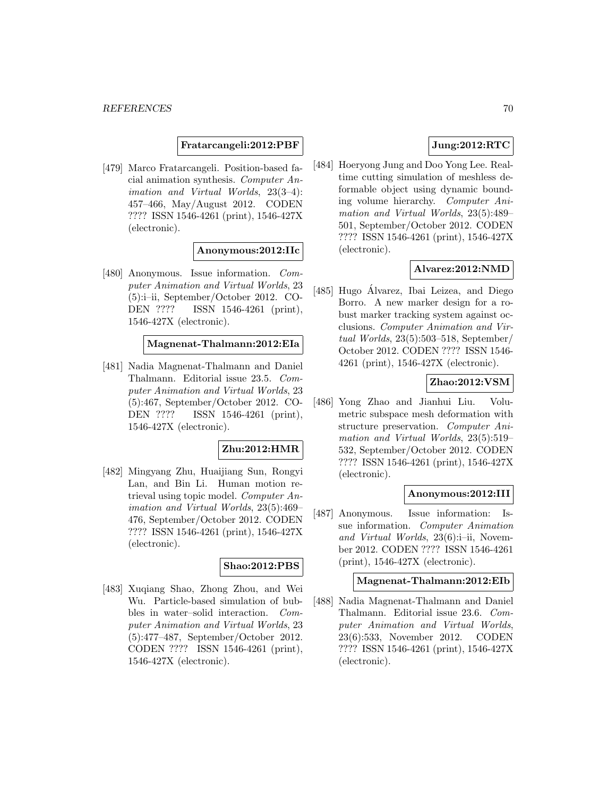**Fratarcangeli:2012:PBF**

[479] Marco Fratarcangeli. Position-based facial animation synthesis. Computer Animation and Virtual Worlds, 23(3–4): 457–466, May/August 2012. CODEN ???? ISSN 1546-4261 (print), 1546-427X (electronic).

### **Anonymous:2012:IIc**

[480] Anonymous. Issue information. Computer Animation and Virtual Worlds, 23 (5):i–ii, September/October 2012. CO-DEN ???? ISSN 1546-4261 (print), 1546-427X (electronic).

#### **Magnenat-Thalmann:2012:EIa**

[481] Nadia Magnenat-Thalmann and Daniel Thalmann. Editorial issue 23.5. Computer Animation and Virtual Worlds, 23 (5):467, September/October 2012. CO-DEN ???? ISSN 1546-4261 (print), 1546-427X (electronic).

# **Zhu:2012:HMR**

[482] Mingyang Zhu, Huaijiang Sun, Rongyi Lan, and Bin Li. Human motion retrieval using topic model. Computer Animation and Virtual Worlds, 23(5):469– 476, September/October 2012. CODEN ???? ISSN 1546-4261 (print), 1546-427X (electronic).

#### **Shao:2012:PBS**

[483] Xuqiang Shao, Zhong Zhou, and Wei Wu. Particle-based simulation of bubbles in water–solid interaction. Computer Animation and Virtual Worlds, 23 (5):477–487, September/October 2012. CODEN ???? ISSN 1546-4261 (print), 1546-427X (electronic).

# **Jung:2012:RTC**

[484] Hoeryong Jung and Doo Yong Lee. Realtime cutting simulation of meshless deformable object using dynamic bounding volume hierarchy. Computer Animation and Virtual Worlds, 23(5):489– 501, September/October 2012. CODEN ???? ISSN 1546-4261 (print), 1546-427X (electronic).

## **Alvarez:2012:NMD**

[485] Hugo Alvarez, Ibai Leizea, and Diego ´ Borro. A new marker design for a robust marker tracking system against occlusions. Computer Animation and Virtual Worlds, 23(5):503–518, September/ October 2012. CODEN ???? ISSN 1546- 4261 (print), 1546-427X (electronic).

### **Zhao:2012:VSM**

[486] Yong Zhao and Jianhui Liu. Volumetric subspace mesh deformation with structure preservation. Computer Animation and Virtual Worlds, 23(5):519– 532, September/October 2012. CODEN ???? ISSN 1546-4261 (print), 1546-427X (electronic).

#### **Anonymous:2012:III**

[487] Anonymous. Issue information: Issue information. Computer Animation and Virtual Worlds, 23(6):i–ii, November 2012. CODEN ???? ISSN 1546-4261 (print), 1546-427X (electronic).

### **Magnenat-Thalmann:2012:EIb**

[488] Nadia Magnenat-Thalmann and Daniel Thalmann. Editorial issue 23.6. Computer Animation and Virtual Worlds, 23(6):533, November 2012. CODEN ???? ISSN 1546-4261 (print), 1546-427X (electronic).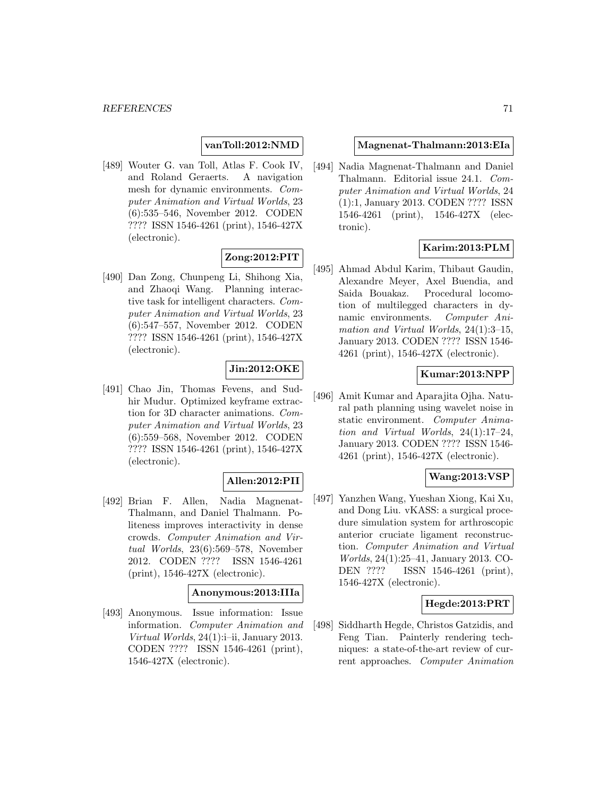### **vanToll:2012:NMD**

[489] Wouter G. van Toll, Atlas F. Cook IV, and Roland Geraerts. A navigation mesh for dynamic environments. Computer Animation and Virtual Worlds, 23 (6):535–546, November 2012. CODEN ???? ISSN 1546-4261 (print), 1546-427X (electronic).

## **Zong:2012:PIT**

[490] Dan Zong, Chunpeng Li, Shihong Xia, and Zhaoqi Wang. Planning interactive task for intelligent characters. Computer Animation and Virtual Worlds, 23 (6):547–557, November 2012. CODEN ???? ISSN 1546-4261 (print), 1546-427X (electronic).

### **Jin:2012:OKE**

[491] Chao Jin, Thomas Fevens, and Sudhir Mudur. Optimized keyframe extraction for 3D character animations. Computer Animation and Virtual Worlds, 23 (6):559–568, November 2012. CODEN ???? ISSN 1546-4261 (print), 1546-427X (electronic).

# **Allen:2012:PII**

[492] Brian F. Allen, Nadia Magnenat-Thalmann, and Daniel Thalmann. Politeness improves interactivity in dense crowds. Computer Animation and Virtual Worlds, 23(6):569–578, November 2012. CODEN ???? ISSN 1546-4261 (print), 1546-427X (electronic).

### **Anonymous:2013:IIIa**

[493] Anonymous. Issue information: Issue information. Computer Animation and Virtual Worlds, 24(1):i–ii, January 2013. CODEN ???? ISSN 1546-4261 (print), 1546-427X (electronic).

#### **Magnenat-Thalmann:2013:EIa**

[494] Nadia Magnenat-Thalmann and Daniel Thalmann. Editorial issue 24.1. Computer Animation and Virtual Worlds, 24 (1):1, January 2013. CODEN ???? ISSN 1546-4261 (print), 1546-427X (electronic).

# **Karim:2013:PLM**

[495] Ahmad Abdul Karim, Thibaut Gaudin, Alexandre Meyer, Axel Buendia, and Saida Bouakaz. Procedural locomotion of multilegged characters in dynamic environments. Computer Animation and Virtual Worlds, 24(1):3–15, January 2013. CODEN ???? ISSN 1546- 4261 (print), 1546-427X (electronic).

### **Kumar:2013:NPP**

[496] Amit Kumar and Aparajita Ojha. Natural path planning using wavelet noise in static environment. Computer Animation and Virtual Worlds, 24(1):17–24, January 2013. CODEN ???? ISSN 1546- 4261 (print), 1546-427X (electronic).

#### **Wang:2013:VSP**

[497] Yanzhen Wang, Yueshan Xiong, Kai Xu, and Dong Liu. vKASS: a surgical procedure simulation system for arthroscopic anterior cruciate ligament reconstruction. Computer Animation and Virtual Worlds, 24(1):25–41, January 2013. CO-DEN ???? ISSN 1546-4261 (print), 1546-427X (electronic).

### **Hegde:2013:PRT**

[498] Siddharth Hegde, Christos Gatzidis, and Feng Tian. Painterly rendering techniques: a state-of-the-art review of current approaches. Computer Animation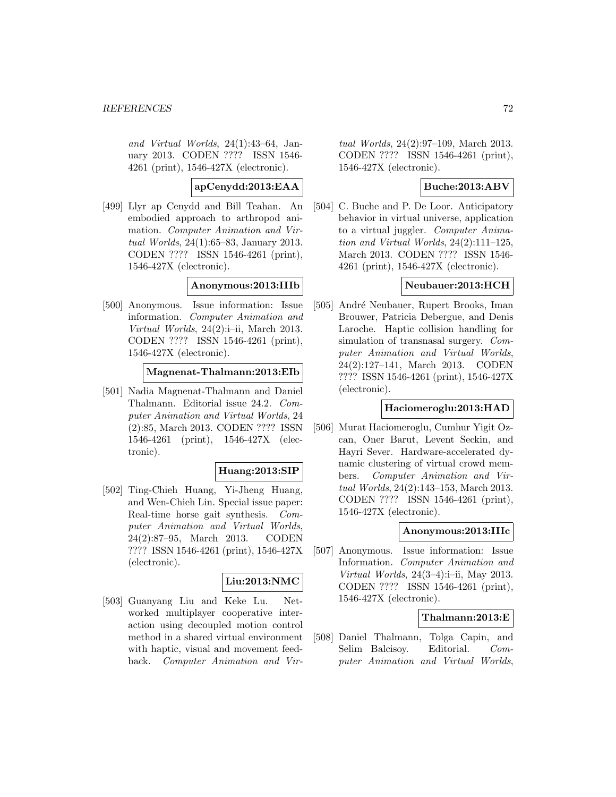and Virtual Worlds, 24(1):43–64, January 2013. CODEN ???? ISSN 1546- 4261 (print), 1546-427X (electronic).

**apCenydd:2013:EAA**

[499] Llyr ap Cenydd and Bill Teahan. An embodied approach to arthropod animation. Computer Animation and Virtual Worlds, 24(1):65–83, January 2013. CODEN ???? ISSN 1546-4261 (print), 1546-427X (electronic).

## **Anonymous:2013:IIIb**

[500] Anonymous. Issue information: Issue information. Computer Animation and Virtual Worlds, 24(2):i–ii, March 2013. CODEN ???? ISSN 1546-4261 (print), 1546-427X (electronic).

**Magnenat-Thalmann:2013:EIb**

[501] Nadia Magnenat-Thalmann and Daniel Thalmann. Editorial issue 24.2. Computer Animation and Virtual Worlds, 24 (2):85, March 2013. CODEN ???? ISSN 1546-4261 (print), 1546-427X (electronic).

#### **Huang:2013:SIP**

[502] Ting-Chieh Huang, Yi-Jheng Huang, and Wen-Chieh Lin. Special issue paper: Real-time horse gait synthesis. Computer Animation and Virtual Worlds, 24(2):87–95, March 2013. CODEN ???? ISSN 1546-4261 (print), 1546-427X (electronic).

# **Liu:2013:NMC**

[503] Guanyang Liu and Keke Lu. Networked multiplayer cooperative interaction using decoupled motion control method in a shared virtual environment with haptic, visual and movement feedback. Computer Animation and Virtual Worlds, 24(2):97–109, March 2013. CODEN ???? ISSN 1546-4261 (print), 1546-427X (electronic).

## **Buche:2013:ABV**

[504] C. Buche and P. De Loor. Anticipatory behavior in virtual universe, application to a virtual juggler. Computer Animation and Virtual Worlds, 24(2):111–125, March 2013. CODEN ???? ISSN 1546- 4261 (print), 1546-427X (electronic).

### **Neubauer:2013:HCH**

[505] André Neubauer, Rupert Brooks, Iman Brouwer, Patricia Debergue, and Denis Laroche. Haptic collision handling for simulation of transnasal surgery. Computer Animation and Virtual Worlds, 24(2):127–141, March 2013. CODEN ???? ISSN 1546-4261 (print), 1546-427X (electronic).

#### **Haciomeroglu:2013:HAD**

[506] Murat Haciomeroglu, Cumhur Yigit Ozcan, Oner Barut, Levent Seckin, and Hayri Sever. Hardware-accelerated dynamic clustering of virtual crowd members. Computer Animation and Virtual Worlds, 24(2):143–153, March 2013. CODEN ???? ISSN 1546-4261 (print), 1546-427X (electronic).

#### **Anonymous:2013:IIIc**

[507] Anonymous. Issue information: Issue Information. Computer Animation and Virtual Worlds, 24(3–4):i–ii, May 2013. CODEN ???? ISSN 1546-4261 (print), 1546-427X (electronic).

### **Thalmann:2013:E**

[508] Daniel Thalmann, Tolga Capin, and Selim Balcisov. Editorial. Computer Animation and Virtual Worlds,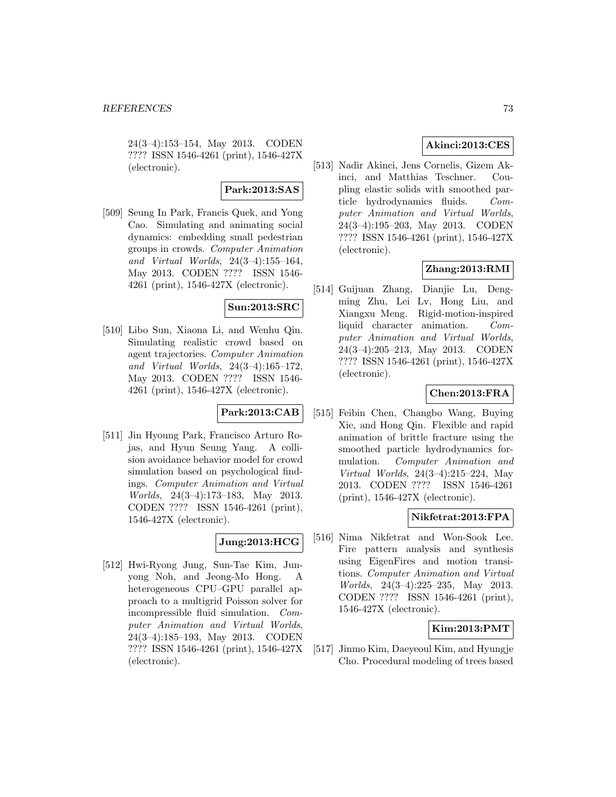24(3–4):153–154, May 2013. CODEN ???? ISSN 1546-4261 (print), 1546-427X (electronic).

# **Park:2013:SAS**

[509] Seung In Park, Francis Quek, and Yong Cao. Simulating and animating social dynamics: embedding small pedestrian groups in crowds. Computer Animation and Virtual Worlds, 24(3–4):155–164, May 2013. CODEN ???? ISSN 1546- 4261 (print), 1546-427X (electronic).

# **Sun:2013:SRC**

[510] Libo Sun, Xiaona Li, and Wenhu Qin. Simulating realistic crowd based on agent trajectories. Computer Animation and Virtual Worlds, 24(3–4):165–172, May 2013. CODEN ???? ISSN 1546- 4261 (print), 1546-427X (electronic).

# **Park:2013:CAB**

[511] Jin Hyoung Park, Francisco Arturo Rojas, and Hyun Seung Yang. A collision avoidance behavior model for crowd simulation based on psychological findings. Computer Animation and Virtual Worlds, 24(3–4):173–183, May 2013. CODEN ???? ISSN 1546-4261 (print), 1546-427X (electronic).

# **Jung:2013:HCG**

[512] Hwi-Ryong Jung, Sun-Tae Kim, Junyong Noh, and Jeong-Mo Hong. A heterogeneous CPU–GPU parallel approach to a multigrid Poisson solver for incompressible fluid simulation. Computer Animation and Virtual Worlds, 24(3–4):185–193, May 2013. CODEN ???? ISSN 1546-4261 (print), 1546-427X (electronic).

# **Akinci:2013:CES**

[513] Nadir Akinci, Jens Cornelis, Gizem Akinci, and Matthias Teschner. Coupling elastic solids with smoothed particle hydrodynamics fluids. Computer Animation and Virtual Worlds, 24(3–4):195–203, May 2013. CODEN ???? ISSN 1546-4261 (print), 1546-427X (electronic).

# **Zhang:2013:RMI**

[514] Guijuan Zhang, Dianjie Lu, Dengming Zhu, Lei Lv, Hong Liu, and Xiangxu Meng. Rigid-motion-inspired liquid character animation. Computer Animation and Virtual Worlds, 24(3–4):205–213, May 2013. CODEN ???? ISSN 1546-4261 (print), 1546-427X (electronic).

# **Chen:2013:FRA**

[515] Feibin Chen, Changbo Wang, Buying Xie, and Hong Qin. Flexible and rapid animation of brittle fracture using the smoothed particle hydrodynamics formulation. Computer Animation and Virtual Worlds, 24(3–4):215–224, May 2013. CODEN ???? ISSN 1546-4261 (print), 1546-427X (electronic).

## **Nikfetrat:2013:FPA**

[516] Nima Nikfetrat and Won-Sook Lee. Fire pattern analysis and synthesis using EigenFires and motion transitions. Computer Animation and Virtual Worlds, 24(3–4):225–235, May 2013. CODEN ???? ISSN 1546-4261 (print), 1546-427X (electronic).

## **Kim:2013:PMT**

[517] Jinmo Kim, Daeyeoul Kim, and Hyungje Cho. Procedural modeling of trees based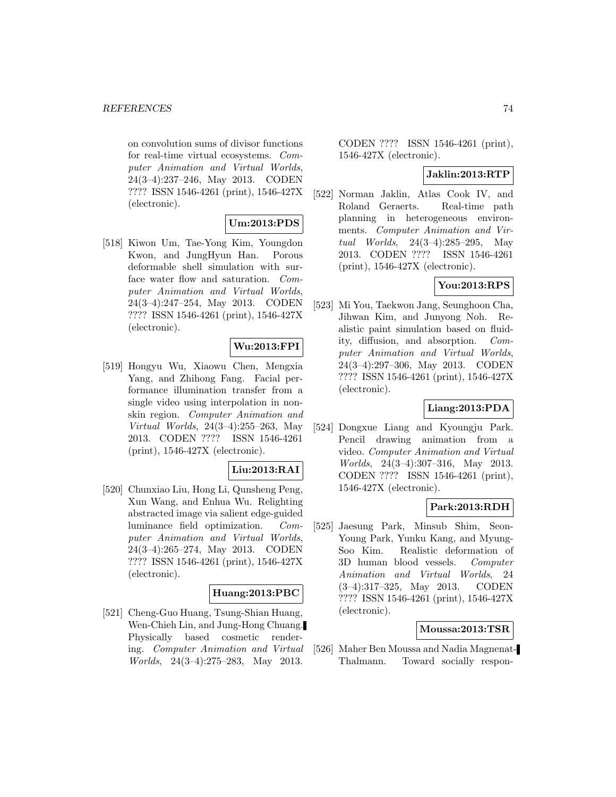on convolution sums of divisor functions for real-time virtual ecosystems. Computer Animation and Virtual Worlds, 24(3–4):237–246, May 2013. CODEN ???? ISSN 1546-4261 (print), 1546-427X (electronic).

# **Um:2013:PDS**

[518] Kiwon Um, Tae-Yong Kim, Youngdon Kwon, and JungHyun Han. Porous deformable shell simulation with surface water flow and saturation. Computer Animation and Virtual Worlds, 24(3–4):247–254, May 2013. CODEN ???? ISSN 1546-4261 (print), 1546-427X (electronic).

# **Wu:2013:FPI**

[519] Hongyu Wu, Xiaowu Chen, Mengxia Yang, and Zhihong Fang. Facial performance illumination transfer from a single video using interpolation in nonskin region. Computer Animation and Virtual Worlds, 24(3–4):255–263, May 2013. CODEN ???? ISSN 1546-4261 (print), 1546-427X (electronic).

## **Liu:2013:RAI**

[520] Chunxiao Liu, Hong Li, Qunsheng Peng, Xun Wang, and Enhua Wu. Relighting abstracted image via salient edge-guided luminance field optimization. Computer Animation and Virtual Worlds, 24(3–4):265–274, May 2013. CODEN ???? ISSN 1546-4261 (print), 1546-427X (electronic).

## **Huang:2013:PBC**

[521] Cheng-Guo Huang, Tsung-Shian Huang, Wen-Chieh Lin, and Jung-Hong Chuang. Physically based cosmetic rendering. Computer Animation and Virtual Worlds, 24(3–4):275–283, May 2013.

CODEN ???? ISSN 1546-4261 (print), 1546-427X (electronic).

#### **Jaklin:2013:RTP**

[522] Norman Jaklin, Atlas Cook IV, and Roland Geraerts. Real-time path planning in heterogeneous environments. Computer Animation and Virtual Worlds, 24(3–4):285–295, May 2013. CODEN ???? ISSN 1546-4261 (print), 1546-427X (electronic).

# **You:2013:RPS**

[523] Mi You, Taekwon Jang, Seunghoon Cha, Jihwan Kim, and Junyong Noh. Realistic paint simulation based on fluidity, diffusion, and absorption. Computer Animation and Virtual Worlds, 24(3–4):297–306, May 2013. CODEN ???? ISSN 1546-4261 (print), 1546-427X (electronic).

## **Liang:2013:PDA**

[524] Dongxue Liang and Kyoungju Park. Pencil drawing animation from a video. Computer Animation and Virtual Worlds, 24(3–4):307–316, May 2013. CODEN ???? ISSN 1546-4261 (print), 1546-427X (electronic).

## **Park:2013:RDH**

[525] Jaesung Park, Minsub Shim, Seon-Young Park, Yunku Kang, and Myung-Soo Kim. Realistic deformation of 3D human blood vessels. Computer Animation and Virtual Worlds, 24 (3–4):317–325, May 2013. CODEN ???? ISSN 1546-4261 (print), 1546-427X (electronic).

#### **Moussa:2013:TSR**

[526] Maher Ben Moussa and Nadia Magnenat-Thalmann. Toward socially respon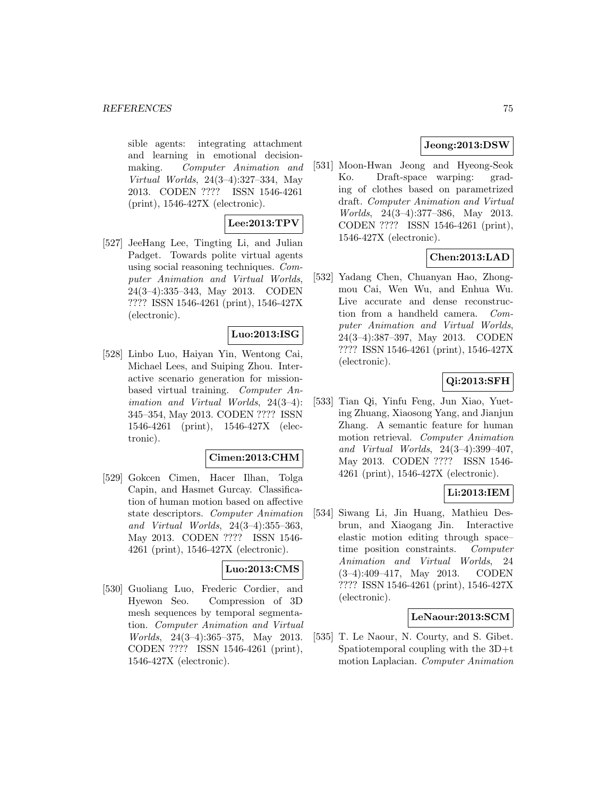sible agents: integrating attachment and learning in emotional decisionmaking. Computer Animation and Virtual Worlds, 24(3–4):327–334, May 2013. CODEN ???? ISSN 1546-4261 (print), 1546-427X (electronic).

# **Lee:2013:TPV**

[527] JeeHang Lee, Tingting Li, and Julian Padget. Towards polite virtual agents using social reasoning techniques. Computer Animation and Virtual Worlds, 24(3–4):335–343, May 2013. CODEN ???? ISSN 1546-4261 (print), 1546-427X (electronic).

# **Luo:2013:ISG**

[528] Linbo Luo, Haiyan Yin, Wentong Cai, Michael Lees, and Suiping Zhou. Interactive scenario generation for missionbased virtual training. Computer Animation and Virtual Worlds, 24(3–4): 345–354, May 2013. CODEN ???? ISSN 1546-4261 (print), 1546-427X (electronic).

## **Cimen:2013:CHM**

[529] Gokcen Cimen, Hacer Ilhan, Tolga Capin, and Hasmet Gurcay. Classification of human motion based on affective state descriptors. Computer Animation and Virtual Worlds, 24(3–4):355–363, May 2013. CODEN ???? ISSN 1546- 4261 (print), 1546-427X (electronic).

## **Luo:2013:CMS**

[530] Guoliang Luo, Frederic Cordier, and Hyewon Seo. Compression of 3D mesh sequences by temporal segmentation. Computer Animation and Virtual Worlds, 24(3–4):365–375, May 2013. CODEN ???? ISSN 1546-4261 (print), 1546-427X (electronic).

# **Jeong:2013:DSW**

[531] Moon-Hwan Jeong and Hyeong-Seok Ko. Draft-space warping: grading of clothes based on parametrized draft. Computer Animation and Virtual Worlds, 24(3–4):377–386, May 2013. CODEN ???? ISSN 1546-4261 (print), 1546-427X (electronic).

# **Chen:2013:LAD**

[532] Yadang Chen, Chuanyan Hao, Zhongmou Cai, Wen Wu, and Enhua Wu. Live accurate and dense reconstruction from a handheld camera. Computer Animation and Virtual Worlds, 24(3–4):387–397, May 2013. CODEN ???? ISSN 1546-4261 (print), 1546-427X (electronic).

# **Qi:2013:SFH**

[533] Tian Qi, Yinfu Feng, Jun Xiao, Yueting Zhuang, Xiaosong Yang, and Jianjun Zhang. A semantic feature for human motion retrieval. Computer Animation and Virtual Worlds, 24(3–4):399–407, May 2013. CODEN ???? ISSN 1546- 4261 (print), 1546-427X (electronic).

# **Li:2013:IEM**

[534] Siwang Li, Jin Huang, Mathieu Desbrun, and Xiaogang Jin. Interactive elastic motion editing through space– time position constraints. Computer Animation and Virtual Worlds, 24 (3–4):409–417, May 2013. CODEN ???? ISSN 1546-4261 (print), 1546-427X (electronic).

## **LeNaour:2013:SCM**

[535] T. Le Naour, N. Courty, and S. Gibet. Spatiotemporal coupling with the 3D+t motion Laplacian. Computer Animation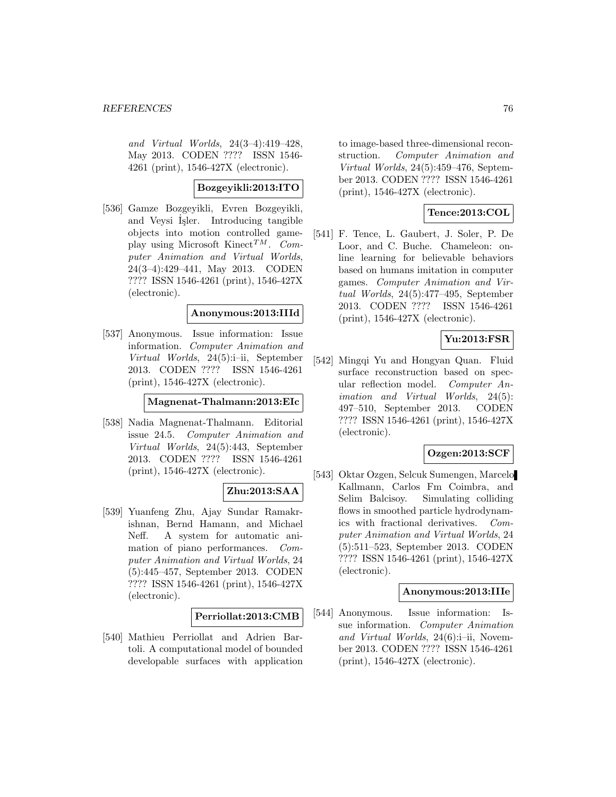and Virtual Worlds, 24(3–4):419–428, May 2013. CODEN ???? ISSN 1546- 4261 (print), 1546-427X (electronic).

# **Bozgeyikli:2013:ITO**

[536] Gamze Bozgeyikli, Evren Bozgeyikli, and Veysi İşler. Introducing tangible objects into motion controlled gameplay using Microsoft Kinect<sup>TM</sup>. Computer Animation and Virtual Worlds, 24(3–4):429–441, May 2013. CODEN ???? ISSN 1546-4261 (print), 1546-427X (electronic).

#### **Anonymous:2013:IIId**

[537] Anonymous. Issue information: Issue information. Computer Animation and Virtual Worlds, 24(5):i–ii, September 2013. CODEN ???? ISSN 1546-4261 (print), 1546-427X (electronic).

#### **Magnenat-Thalmann:2013:EIc**

[538] Nadia Magnenat-Thalmann. Editorial issue 24.5. Computer Animation and Virtual Worlds, 24(5):443, September 2013. CODEN ???? ISSN 1546-4261 (print), 1546-427X (electronic).

#### **Zhu:2013:SAA**

[539] Yuanfeng Zhu, Ajay Sundar Ramakrishnan, Bernd Hamann, and Michael Neff. A system for automatic animation of piano performances. Computer Animation and Virtual Worlds, 24 (5):445–457, September 2013. CODEN ???? ISSN 1546-4261 (print), 1546-427X (electronic).

#### **Perriollat:2013:CMB**

[540] Mathieu Perriollat and Adrien Bartoli. A computational model of bounded developable surfaces with application to image-based three-dimensional reconstruction. Computer Animation and Virtual Worlds, 24(5):459–476, September 2013. CODEN ???? ISSN 1546-4261 (print), 1546-427X (electronic).

#### **Tence:2013:COL**

[541] F. Tence, L. Gaubert, J. Soler, P. De Loor, and C. Buche. Chameleon: online learning for believable behaviors based on humans imitation in computer games. Computer Animation and Virtual Worlds, 24(5):477–495, September 2013. CODEN ???? ISSN 1546-4261 (print), 1546-427X (electronic).

# **Yu:2013:FSR**

[542] Mingqi Yu and Hongyan Quan. Fluid surface reconstruction based on specular reflection model. Computer Animation and Virtual Worlds, 24(5): 497–510, September 2013. CODEN ???? ISSN 1546-4261 (print), 1546-427X (electronic).

# **Ozgen:2013:SCF**

[543] Oktar Ozgen, Selcuk Sumengen, Marcelo Kallmann, Carlos Fm Coimbra, and Selim Balcisoy. Simulating colliding flows in smoothed particle hydrodynamics with fractional derivatives. Computer Animation and Virtual Worlds, 24 (5):511–523, September 2013. CODEN ???? ISSN 1546-4261 (print), 1546-427X (electronic).

#### **Anonymous:2013:IIIe**

[544] Anonymous. Issue information: Issue information. Computer Animation and Virtual Worlds, 24(6):i–ii, November 2013. CODEN ???? ISSN 1546-4261 (print), 1546-427X (electronic).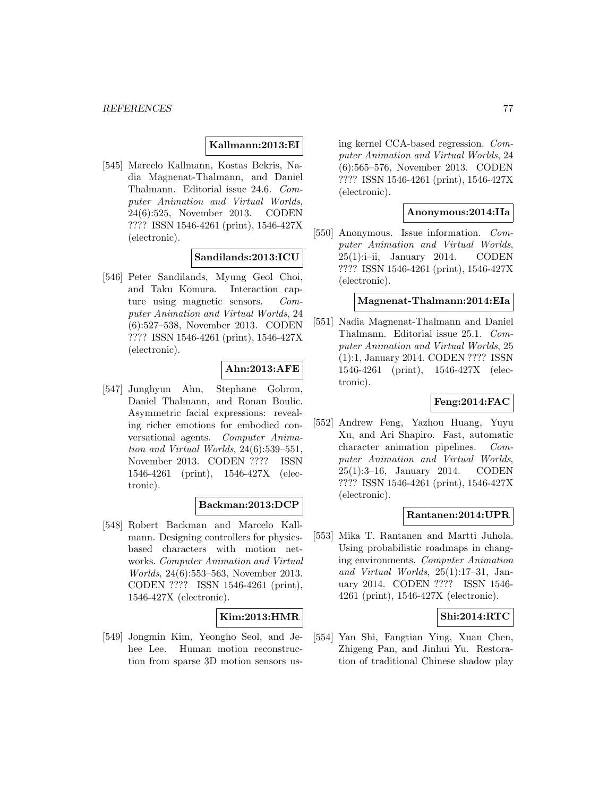## **Kallmann:2013:EI**

[545] Marcelo Kallmann, Kostas Bekris, Nadia Magnenat-Thalmann, and Daniel Thalmann. Editorial issue 24.6. Computer Animation and Virtual Worlds, 24(6):525, November 2013. CODEN ???? ISSN 1546-4261 (print), 1546-427X (electronic).

## **Sandilands:2013:ICU**

[546] Peter Sandilands, Myung Geol Choi, and Taku Komura. Interaction capture using magnetic sensors. Computer Animation and Virtual Worlds, 24 (6):527–538, November 2013. CODEN ???? ISSN 1546-4261 (print), 1546-427X (electronic).

## **Ahn:2013:AFE**

[547] Junghyun Ahn, Stephane Gobron, Daniel Thalmann, and Ronan Boulic. Asymmetric facial expressions: revealing richer emotions for embodied conversational agents. Computer Animation and Virtual Worlds, 24(6):539–551, November 2013. CODEN ???? ISSN 1546-4261 (print), 1546-427X (electronic).

## **Backman:2013:DCP**

[548] Robert Backman and Marcelo Kallmann. Designing controllers for physicsbased characters with motion networks. Computer Animation and Virtual Worlds, 24(6):553–563, November 2013. CODEN ???? ISSN 1546-4261 (print), 1546-427X (electronic).

## **Kim:2013:HMR**

[549] Jongmin Kim, Yeongho Seol, and Jehee Lee. Human motion reconstruction from sparse 3D motion sensors using kernel CCA-based regression. Computer Animation and Virtual Worlds, 24 (6):565–576, November 2013. CODEN ???? ISSN 1546-4261 (print), 1546-427X (electronic).

#### **Anonymous:2014:IIa**

[550] Anonymous. Issue information. Computer Animation and Virtual Worlds, 25(1):i–ii, January 2014. CODEN ???? ISSN 1546-4261 (print), 1546-427X (electronic).

# **Magnenat-Thalmann:2014:EIa**

[551] Nadia Magnenat-Thalmann and Daniel Thalmann. Editorial issue 25.1. Computer Animation and Virtual Worlds, 25 (1):1, January 2014. CODEN ???? ISSN 1546-4261 (print), 1546-427X (electronic).

# **Feng:2014:FAC**

[552] Andrew Feng, Yazhou Huang, Yuyu Xu, and Ari Shapiro. Fast, automatic character animation pipelines. Computer Animation and Virtual Worlds, 25(1):3–16, January 2014. CODEN ???? ISSN 1546-4261 (print), 1546-427X (electronic).

# **Rantanen:2014:UPR**

[553] Mika T. Rantanen and Martti Juhola. Using probabilistic roadmaps in changing environments. Computer Animation and Virtual Worlds, 25(1):17–31, January 2014. CODEN ???? ISSN 1546- 4261 (print), 1546-427X (electronic).

## **Shi:2014:RTC**

[554] Yan Shi, Fangtian Ying, Xuan Chen, Zhigeng Pan, and Jinhui Yu. Restoration of traditional Chinese shadow play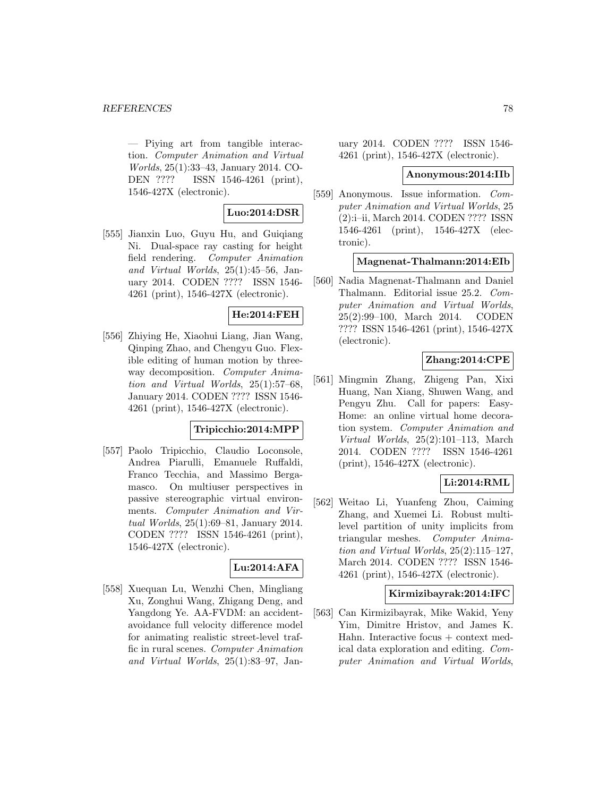— Piying art from tangible interaction. Computer Animation and Virtual Worlds, 25(1):33–43, January 2014. CO-DEN ???? ISSN 1546-4261 (print), 1546-427X (electronic).

# **Luo:2014:DSR**

[555] Jianxin Luo, Guyu Hu, and Guiqiang Ni. Dual-space ray casting for height field rendering. Computer Animation and Virtual Worlds, 25(1):45–56, January 2014. CODEN ???? ISSN 1546- 4261 (print), 1546-427X (electronic).

# **He:2014:FEH**

[556] Zhiying He, Xiaohui Liang, Jian Wang, Qinping Zhao, and Chengyu Guo. Flexible editing of human motion by threeway decomposition. Computer Animation and Virtual Worlds, 25(1):57–68, January 2014. CODEN ???? ISSN 1546- 4261 (print), 1546-427X (electronic).

#### **Tripicchio:2014:MPP**

[557] Paolo Tripicchio, Claudio Loconsole, Andrea Piarulli, Emanuele Ruffaldi, Franco Tecchia, and Massimo Bergamasco. On multiuser perspectives in passive stereographic virtual environments. Computer Animation and Virtual Worlds, 25(1):69–81, January 2014. CODEN ???? ISSN 1546-4261 (print), 1546-427X (electronic).

#### **Lu:2014:AFA**

[558] Xuequan Lu, Wenzhi Chen, Mingliang Xu, Zonghui Wang, Zhigang Deng, and Yangdong Ye. AA-FVDM: an accidentavoidance full velocity difference model for animating realistic street-level traffic in rural scenes. Computer Animation and Virtual Worlds, 25(1):83–97, January 2014. CODEN ???? ISSN 1546- 4261 (print), 1546-427X (electronic).

#### **Anonymous:2014:IIb**

[559] Anonymous. Issue information. Computer Animation and Virtual Worlds, 25 (2):i–ii, March 2014. CODEN ???? ISSN 1546-4261 (print), 1546-427X (electronic).

#### **Magnenat-Thalmann:2014:EIb**

[560] Nadia Magnenat-Thalmann and Daniel Thalmann. Editorial issue 25.2. Computer Animation and Virtual Worlds, 25(2):99–100, March 2014. CODEN ???? ISSN 1546-4261 (print), 1546-427X (electronic).

## **Zhang:2014:CPE**

[561] Mingmin Zhang, Zhigeng Pan, Xixi Huang, Nan Xiang, Shuwen Wang, and Pengyu Zhu. Call for papers: Easy-Home: an online virtual home decoration system. Computer Animation and Virtual Worlds, 25(2):101–113, March 2014. CODEN ???? ISSN 1546-4261 (print), 1546-427X (electronic).

# **Li:2014:RML**

[562] Weitao Li, Yuanfeng Zhou, Caiming Zhang, and Xuemei Li. Robust multilevel partition of unity implicits from triangular meshes. Computer Animation and Virtual Worlds, 25(2):115–127, March 2014. CODEN ???? ISSN 1546- 4261 (print), 1546-427X (electronic).

#### **Kirmizibayrak:2014:IFC**

[563] Can Kirmizibayrak, Mike Wakid, Yeny Yim, Dimitre Hristov, and James K. Hahn. Interactive focus + context medical data exploration and editing. Computer Animation and Virtual Worlds,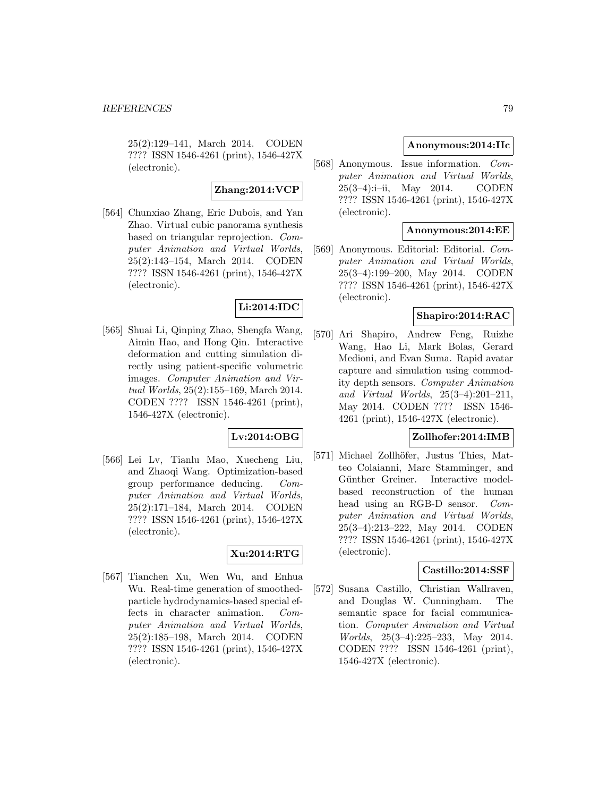25(2):129–141, March 2014. CODEN ???? ISSN 1546-4261 (print), 1546-427X (electronic).

#### **Zhang:2014:VCP**

[564] Chunxiao Zhang, Eric Dubois, and Yan Zhao. Virtual cubic panorama synthesis based on triangular reprojection. Computer Animation and Virtual Worlds, 25(2):143–154, March 2014. CODEN ???? ISSN 1546-4261 (print), 1546-427X (electronic).

# **Li:2014:IDC**

[565] Shuai Li, Qinping Zhao, Shengfa Wang, Aimin Hao, and Hong Qin. Interactive deformation and cutting simulation directly using patient-specific volumetric images. Computer Animation and Virtual Worlds, 25(2):155–169, March 2014. CODEN ???? ISSN 1546-4261 (print), 1546-427X (electronic).

## **Lv:2014:OBG**

[566] Lei Lv, Tianlu Mao, Xuecheng Liu, and Zhaoqi Wang. Optimization-based group performance deducing. Computer Animation and Virtual Worlds, 25(2):171–184, March 2014. CODEN ???? ISSN 1546-4261 (print), 1546-427X (electronic).

# **Xu:2014:RTG**

[567] Tianchen Xu, Wen Wu, and Enhua Wu. Real-time generation of smoothedparticle hydrodynamics-based special effects in character animation. Computer Animation and Virtual Worlds, 25(2):185–198, March 2014. CODEN ???? ISSN 1546-4261 (print), 1546-427X (electronic).

# **Anonymous:2014:IIc**

[568] Anonymous. Issue information. Computer Animation and Virtual Worlds, 25(3–4):i–ii, May 2014. CODEN ???? ISSN 1546-4261 (print), 1546-427X (electronic).

## **Anonymous:2014:EE**

[569] Anonymous. Editorial: Editorial. Computer Animation and Virtual Worlds, 25(3–4):199–200, May 2014. CODEN ???? ISSN 1546-4261 (print), 1546-427X (electronic).

# **Shapiro:2014:RAC**

[570] Ari Shapiro, Andrew Feng, Ruizhe Wang, Hao Li, Mark Bolas, Gerard Medioni, and Evan Suma. Rapid avatar capture and simulation using commodity depth sensors. Computer Animation and Virtual Worlds, 25(3–4):201–211, May 2014. CODEN ???? ISSN 1546- 4261 (print), 1546-427X (electronic).

# **Zollhofer:2014:IMB**

[571] Michael Zollhöfer, Justus Thies, Matteo Colaianni, Marc Stamminger, and Günther Greiner. Interactive modelbased reconstruction of the human head using an RGB-D sensor. Computer Animation and Virtual Worlds, 25(3–4):213–222, May 2014. CODEN ???? ISSN 1546-4261 (print), 1546-427X (electronic).

## **Castillo:2014:SSF**

[572] Susana Castillo, Christian Wallraven, and Douglas W. Cunningham. The semantic space for facial communication. Computer Animation and Virtual Worlds, 25(3–4):225–233, May 2014. CODEN ???? ISSN 1546-4261 (print), 1546-427X (electronic).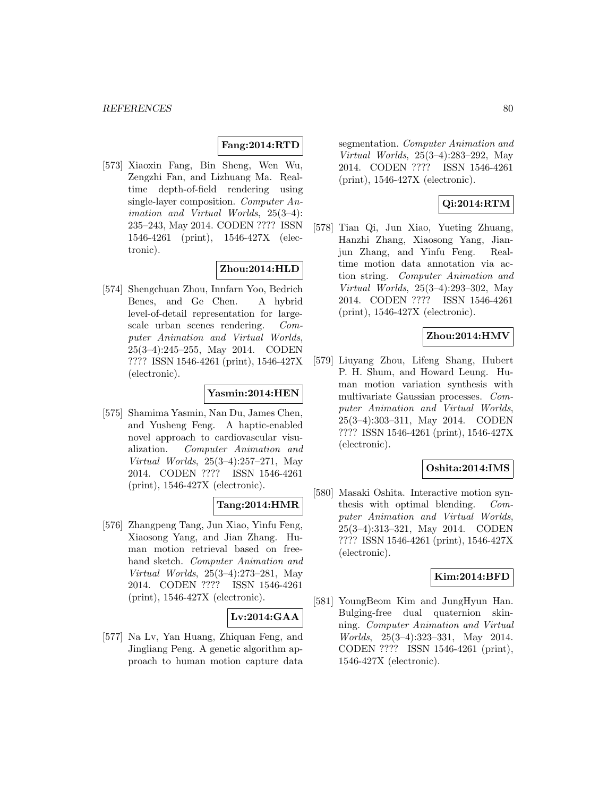# **Fang:2014:RTD**

[573] Xiaoxin Fang, Bin Sheng, Wen Wu, Zengzhi Fan, and Lizhuang Ma. Realtime depth-of-field rendering using single-layer composition. Computer Animation and Virtual Worlds, 25(3–4): 235–243, May 2014. CODEN ???? ISSN 1546-4261 (print), 1546-427X (electronic).

# **Zhou:2014:HLD**

[574] Shengchuan Zhou, Innfarn Yoo, Bedrich Benes, and Ge Chen. A hybrid level-of-detail representation for largescale urban scenes rendering. Computer Animation and Virtual Worlds, 25(3–4):245–255, May 2014. CODEN ???? ISSN 1546-4261 (print), 1546-427X (electronic).

# **Yasmin:2014:HEN**

[575] Shamima Yasmin, Nan Du, James Chen, and Yusheng Feng. A haptic-enabled novel approach to cardiovascular visualization. Computer Animation and Virtual Worlds, 25(3–4):257–271, May 2014. CODEN ???? ISSN 1546-4261 (print), 1546-427X (electronic).

## **Tang:2014:HMR**

[576] Zhangpeng Tang, Jun Xiao, Yinfu Feng, Xiaosong Yang, and Jian Zhang. Human motion retrieval based on freehand sketch. Computer Animation and Virtual Worlds, 25(3–4):273–281, May 2014. CODEN ???? ISSN 1546-4261 (print), 1546-427X (electronic).

## **Lv:2014:GAA**

[577] Na Lv, Yan Huang, Zhiquan Feng, and Jingliang Peng. A genetic algorithm approach to human motion capture data segmentation. Computer Animation and Virtual Worlds, 25(3–4):283–292, May 2014. CODEN ???? ISSN 1546-4261 (print), 1546-427X (electronic).

# **Qi:2014:RTM**

[578] Tian Qi, Jun Xiao, Yueting Zhuang, Hanzhi Zhang, Xiaosong Yang, Jianjun Zhang, and Yinfu Feng. Realtime motion data annotation via action string. Computer Animation and Virtual Worlds, 25(3–4):293–302, May 2014. CODEN ???? ISSN 1546-4261 (print), 1546-427X (electronic).

## **Zhou:2014:HMV**

[579] Liuyang Zhou, Lifeng Shang, Hubert P. H. Shum, and Howard Leung. Human motion variation synthesis with multivariate Gaussian processes. Computer Animation and Virtual Worlds, 25(3–4):303–311, May 2014. CODEN ???? ISSN 1546-4261 (print), 1546-427X (electronic).

## **Oshita:2014:IMS**

[580] Masaki Oshita. Interactive motion synthesis with optimal blending. Computer Animation and Virtual Worlds, 25(3–4):313–321, May 2014. CODEN ???? ISSN 1546-4261 (print), 1546-427X (electronic).

#### **Kim:2014:BFD**

[581] YoungBeom Kim and JungHyun Han. Bulging-free dual quaternion skinning. Computer Animation and Virtual Worlds, 25(3–4):323–331, May 2014. CODEN ???? ISSN 1546-4261 (print), 1546-427X (electronic).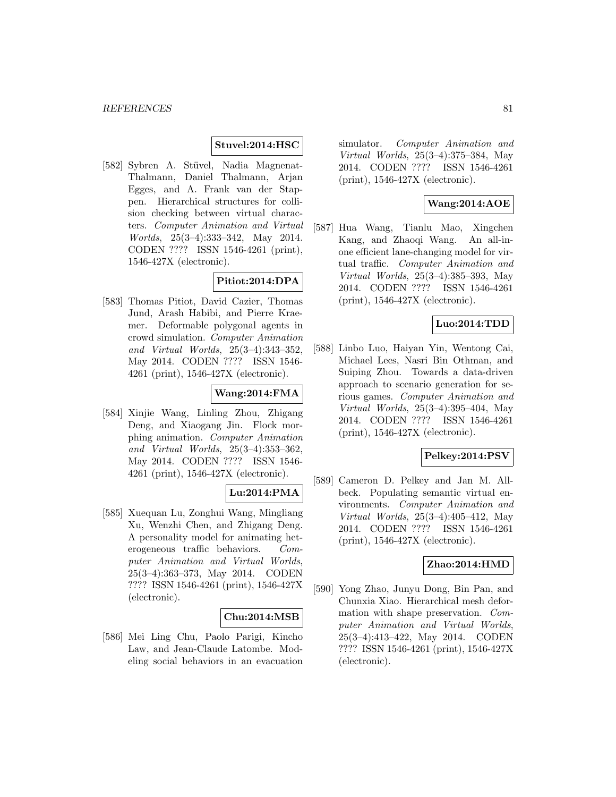# **Stuvel:2014:HSC**

[582] Sybren A. Stüvel, Nadia Magnenat-Thalmann, Daniel Thalmann, Arjan Egges, and A. Frank van der Stappen. Hierarchical structures for collision checking between virtual characters. Computer Animation and Virtual Worlds, 25(3–4):333–342, May 2014. CODEN ???? ISSN 1546-4261 (print), 1546-427X (electronic).

# **Pitiot:2014:DPA**

[583] Thomas Pitiot, David Cazier, Thomas Jund, Arash Habibi, and Pierre Kraemer. Deformable polygonal agents in crowd simulation. Computer Animation and Virtual Worlds, 25(3–4):343–352, May 2014. CODEN ???? ISSN 1546- 4261 (print), 1546-427X (electronic).

# **Wang:2014:FMA**

[584] Xinjie Wang, Linling Zhou, Zhigang Deng, and Xiaogang Jin. Flock morphing animation. Computer Animation and Virtual Worlds, 25(3–4):353–362, May 2014. CODEN ???? ISSN 1546- 4261 (print), 1546-427X (electronic).

## **Lu:2014:PMA**

[585] Xuequan Lu, Zonghui Wang, Mingliang Xu, Wenzhi Chen, and Zhigang Deng. A personality model for animating heterogeneous traffic behaviors. Computer Animation and Virtual Worlds, 25(3–4):363–373, May 2014. CODEN ???? ISSN 1546-4261 (print), 1546-427X (electronic).

#### **Chu:2014:MSB**

[586] Mei Ling Chu, Paolo Parigi, Kincho Law, and Jean-Claude Latombe. Modeling social behaviors in an evacuation simulator. Computer Animation and Virtual Worlds, 25(3–4):375–384, May 2014. CODEN ???? ISSN 1546-4261 (print), 1546-427X (electronic).

# **Wang:2014:AOE**

[587] Hua Wang, Tianlu Mao, Xingchen Kang, and Zhaoqi Wang. An all-inone efficient lane-changing model for virtual traffic. Computer Animation and Virtual Worlds, 25(3–4):385–393, May 2014. CODEN ???? ISSN 1546-4261 (print), 1546-427X (electronic).

# **Luo:2014:TDD**

[588] Linbo Luo, Haiyan Yin, Wentong Cai, Michael Lees, Nasri Bin Othman, and Suiping Zhou. Towards a data-driven approach to scenario generation for serious games. Computer Animation and Virtual Worlds, 25(3–4):395–404, May 2014. CODEN ???? ISSN 1546-4261 (print), 1546-427X (electronic).

# **Pelkey:2014:PSV**

[589] Cameron D. Pelkey and Jan M. Allbeck. Populating semantic virtual environments. Computer Animation and Virtual Worlds, 25(3–4):405–412, May 2014. CODEN ???? ISSN 1546-4261 (print), 1546-427X (electronic).

#### **Zhao:2014:HMD**

[590] Yong Zhao, Junyu Dong, Bin Pan, and Chunxia Xiao. Hierarchical mesh deformation with shape preservation. Computer Animation and Virtual Worlds, 25(3–4):413–422, May 2014. CODEN ???? ISSN 1546-4261 (print), 1546-427X (electronic).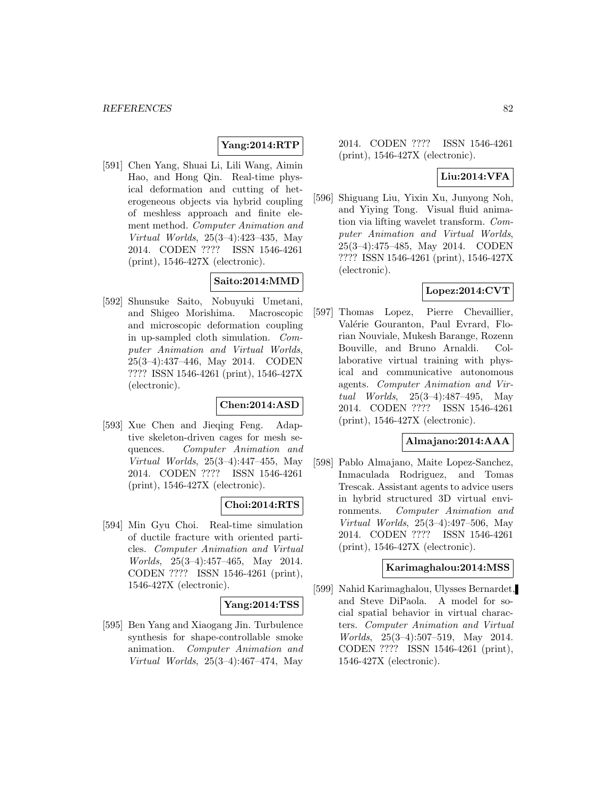## **Yang:2014:RTP**

[591] Chen Yang, Shuai Li, Lili Wang, Aimin Hao, and Hong Qin. Real-time physical deformation and cutting of heterogeneous objects via hybrid coupling of meshless approach and finite element method. Computer Animation and Virtual Worlds, 25(3–4):423–435, May 2014. CODEN ???? ISSN 1546-4261 (print), 1546-427X (electronic).

# **Saito:2014:MMD**

[592] Shunsuke Saito, Nobuyuki Umetani, and Shigeo Morishima. Macroscopic and microscopic deformation coupling in up-sampled cloth simulation. Computer Animation and Virtual Worlds, 25(3–4):437–446, May 2014. CODEN ???? ISSN 1546-4261 (print), 1546-427X (electronic).

## **Chen:2014:ASD**

[593] Xue Chen and Jieqing Feng. Adaptive skeleton-driven cages for mesh sequences. Computer Animation and Virtual Worlds, 25(3–4):447–455, May 2014. CODEN ???? ISSN 1546-4261 (print), 1546-427X (electronic).

## **Choi:2014:RTS**

[594] Min Gyu Choi. Real-time simulation of ductile fracture with oriented particles. Computer Animation and Virtual Worlds, 25(3–4):457–465, May 2014. CODEN ???? ISSN 1546-4261 (print), 1546-427X (electronic).

## **Yang:2014:TSS**

[595] Ben Yang and Xiaogang Jin. Turbulence synthesis for shape-controllable smoke animation. Computer Animation and Virtual Worlds, 25(3–4):467–474, May

2014. CODEN ???? ISSN 1546-4261 (print), 1546-427X (electronic).

# **Liu:2014:VFA**

[596] Shiguang Liu, Yixin Xu, Junyong Noh, and Yiying Tong. Visual fluid animation via lifting wavelet transform. Computer Animation and Virtual Worlds, 25(3–4):475–485, May 2014. CODEN ???? ISSN 1546-4261 (print), 1546-427X (electronic).

## **Lopez:2014:CVT**

[597] Thomas Lopez, Pierre Chevaillier, Valérie Gouranton, Paul Evrard, Florian Nouviale, Mukesh Barange, Rozenn Bouville, and Bruno Arnaldi. Collaborative virtual training with physical and communicative autonomous agents. Computer Animation and Virtual Worlds, 25(3–4):487–495, May 2014. CODEN ???? ISSN 1546-4261 (print), 1546-427X (electronic).

#### **Almajano:2014:AAA**

[598] Pablo Almajano, Maite Lopez-Sanchez, Inmaculada Rodriguez, and Tomas Trescak. Assistant agents to advice users in hybrid structured 3D virtual environments. Computer Animation and Virtual Worlds, 25(3–4):497–506, May 2014. CODEN ???? ISSN 1546-4261 (print), 1546-427X (electronic).

## **Karimaghalou:2014:MSS**

[599] Nahid Karimaghalou, Ulysses Bernardet, and Steve DiPaola. A model for social spatial behavior in virtual characters. Computer Animation and Virtual Worlds, 25(3–4):507–519, May 2014. CODEN ???? ISSN 1546-4261 (print), 1546-427X (electronic).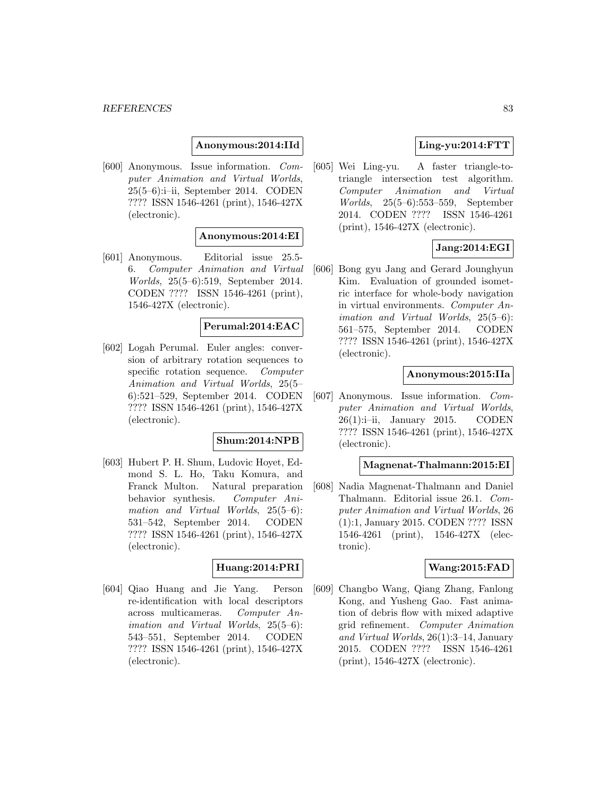## **Anonymous:2014:IId**

[600] Anonymous. Issue information. Computer Animation and Virtual Worlds, 25(5–6):i–ii, September 2014. CODEN ???? ISSN 1546-4261 (print), 1546-427X (electronic).

#### **Anonymous:2014:EI**

[601] Anonymous. Editorial issue 25.5- 6. Computer Animation and Virtual Worlds, 25(5–6):519, September 2014. CODEN ???? ISSN 1546-4261 (print), 1546-427X (electronic).

#### **Perumal:2014:EAC**

[602] Logah Perumal. Euler angles: conversion of arbitrary rotation sequences to specific rotation sequence. Computer Animation and Virtual Worlds, 25(5– 6):521–529, September 2014. CODEN ???? ISSN 1546-4261 (print), 1546-427X (electronic).

#### **Shum:2014:NPB**

[603] Hubert P. H. Shum, Ludovic Hoyet, Edmond S. L. Ho, Taku Komura, and Franck Multon. Natural preparation behavior synthesis. Computer Animation and Virtual Worlds, 25(5–6): 531–542, September 2014. CODEN ???? ISSN 1546-4261 (print), 1546-427X (electronic).

#### **Huang:2014:PRI**

[604] Qiao Huang and Jie Yang. Person re-identification with local descriptors across multicameras. Computer Animation and Virtual Worlds, 25(5–6): 543–551, September 2014. CODEN ???? ISSN 1546-4261 (print), 1546-427X (electronic).

# **Ling-yu:2014:FTT**

[605] Wei Ling-yu. A faster triangle-totriangle intersection test algorithm. Computer Animation and Virtual Worlds, 25(5–6):553–559, September 2014. CODEN ???? ISSN 1546-4261 (print), 1546-427X (electronic).

# **Jang:2014:EGI**

[606] Bong gyu Jang and Gerard Jounghyun Kim. Evaluation of grounded isometric interface for whole-body navigation in virtual environments. Computer Animation and Virtual Worlds, 25(5–6): 561–575, September 2014. CODEN ???? ISSN 1546-4261 (print), 1546-427X (electronic).

#### **Anonymous:2015:IIa**

[607] Anonymous. Issue information. Computer Animation and Virtual Worlds,  $26(1):i$ -ii, January 2015. CODEN ???? ISSN 1546-4261 (print), 1546-427X (electronic).

## **Magnenat-Thalmann:2015:EI**

[608] Nadia Magnenat-Thalmann and Daniel Thalmann. Editorial issue 26.1. Computer Animation and Virtual Worlds, 26 (1):1, January 2015. CODEN ???? ISSN 1546-4261 (print), 1546-427X (electronic).

#### **Wang:2015:FAD**

[609] Changbo Wang, Qiang Zhang, Fanlong Kong, and Yusheng Gao. Fast animation of debris flow with mixed adaptive grid refinement. Computer Animation and Virtual Worlds, 26(1):3–14, January 2015. CODEN ???? ISSN 1546-4261 (print), 1546-427X (electronic).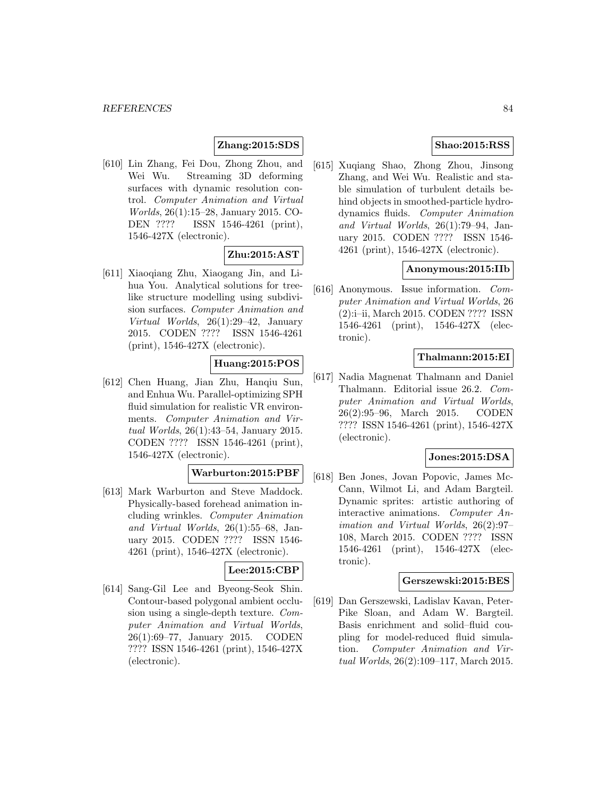# **Zhang:2015:SDS**

[610] Lin Zhang, Fei Dou, Zhong Zhou, and Wei Wu. Streaming 3D deforming surfaces with dynamic resolution control. Computer Animation and Virtual Worlds, 26(1):15–28, January 2015. CO-DEN ???? ISSN 1546-4261 (print), 1546-427X (electronic).

# **Zhu:2015:AST**

[611] Xiaoqiang Zhu, Xiaogang Jin, and Lihua You. Analytical solutions for treelike structure modelling using subdivision surfaces. Computer Animation and Virtual Worlds, 26(1):29–42, January 2015. CODEN ???? ISSN 1546-4261 (print), 1546-427X (electronic).

# **Huang:2015:POS**

[612] Chen Huang, Jian Zhu, Hanqiu Sun, and Enhua Wu. Parallel-optimizing SPH fluid simulation for realistic VR environments. Computer Animation and Virtual Worlds, 26(1):43–54, January 2015. CODEN ???? ISSN 1546-4261 (print), 1546-427X (electronic).

# **Warburton:2015:PBF**

[613] Mark Warburton and Steve Maddock. Physically-based forehead animation including wrinkles. Computer Animation and Virtual Worlds, 26(1):55–68, January 2015. CODEN ???? ISSN 1546- 4261 (print), 1546-427X (electronic).

# **Lee:2015:CBP**

[614] Sang-Gil Lee and Byeong-Seok Shin. Contour-based polygonal ambient occlusion using a single-depth texture. Computer Animation and Virtual Worlds, 26(1):69–77, January 2015. CODEN ???? ISSN 1546-4261 (print), 1546-427X (electronic).

# **Shao:2015:RSS**

[615] Xuqiang Shao, Zhong Zhou, Jinsong Zhang, and Wei Wu. Realistic and stable simulation of turbulent details behind objects in smoothed-particle hydrodynamics fluids. Computer Animation and Virtual Worlds, 26(1):79–94, January 2015. CODEN ???? ISSN 1546- 4261 (print), 1546-427X (electronic).

# **Anonymous:2015:IIb**

[616] Anonymous. Issue information. Computer Animation and Virtual Worlds, 26 (2):i–ii, March 2015. CODEN ???? ISSN 1546-4261 (print), 1546-427X (electronic).

# **Thalmann:2015:EI**

[617] Nadia Magnenat Thalmann and Daniel Thalmann. Editorial issue 26.2. Computer Animation and Virtual Worlds, 26(2):95–96, March 2015. CODEN ???? ISSN 1546-4261 (print), 1546-427X (electronic).

# **Jones:2015:DSA**

[618] Ben Jones, Jovan Popovic, James Mc-Cann, Wilmot Li, and Adam Bargteil. Dynamic sprites: artistic authoring of interactive animations. Computer Animation and Virtual Worlds, 26(2):97– 108, March 2015. CODEN ???? ISSN 1546-4261 (print), 1546-427X (electronic).

#### **Gerszewski:2015:BES**

[619] Dan Gerszewski, Ladislav Kavan, Peter-Pike Sloan, and Adam W. Bargteil. Basis enrichment and solid–fluid coupling for model-reduced fluid simulation. Computer Animation and Virtual Worlds, 26(2):109–117, March 2015.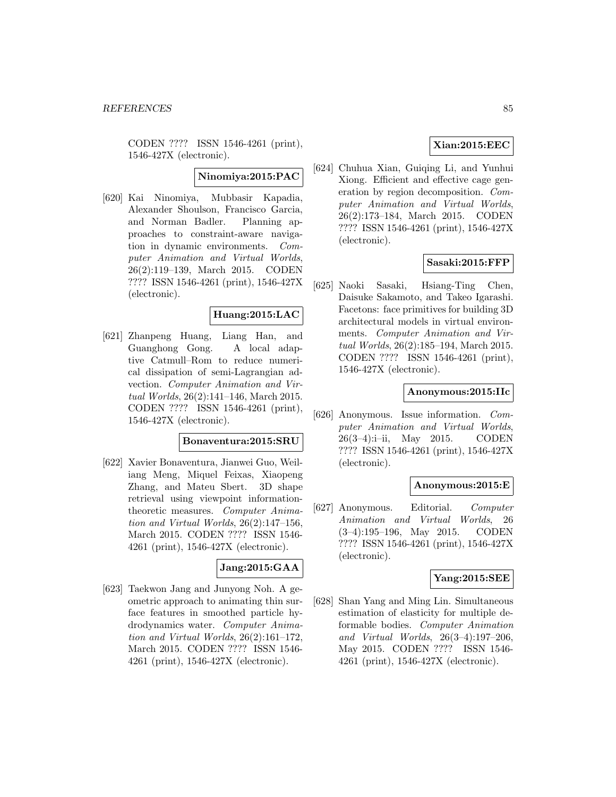CODEN ???? ISSN 1546-4261 (print), 1546-427X (electronic).

# **Ninomiya:2015:PAC**

[620] Kai Ninomiya, Mubbasir Kapadia, Alexander Shoulson, Francisco Garcia, and Norman Badler. Planning approaches to constraint-aware navigation in dynamic environments. Computer Animation and Virtual Worlds, 26(2):119–139, March 2015. CODEN ???? ISSN 1546-4261 (print), 1546-427X (electronic).

# **Huang:2015:LAC**

[621] Zhanpeng Huang, Liang Han, and Guanghong Gong. A local adaptive Catmull–Rom to reduce numerical dissipation of semi-Lagrangian advection. Computer Animation and Virtual Worlds, 26(2):141–146, March 2015. CODEN ???? ISSN 1546-4261 (print), 1546-427X (electronic).

#### **Bonaventura:2015:SRU**

[622] Xavier Bonaventura, Jianwei Guo, Weiliang Meng, Miquel Feixas, Xiaopeng Zhang, and Mateu Sbert. 3D shape retrieval using viewpoint informationtheoretic measures. Computer Animation and Virtual Worlds, 26(2):147–156, March 2015. CODEN ???? ISSN 1546- 4261 (print), 1546-427X (electronic).

## **Jang:2015:GAA**

[623] Taekwon Jang and Junyong Noh. A geometric approach to animating thin surface features in smoothed particle hydrodynamics water. Computer Animation and Virtual Worlds, 26(2):161–172, March 2015. CODEN ???? ISSN 1546- 4261 (print), 1546-427X (electronic).

# **Xian:2015:EEC**

[624] Chuhua Xian, Guiqing Li, and Yunhui Xiong. Efficient and effective cage generation by region decomposition. Computer Animation and Virtual Worlds, 26(2):173–184, March 2015. CODEN ???? ISSN 1546-4261 (print), 1546-427X (electronic).

#### **Sasaki:2015:FFP**

[625] Naoki Sasaki, Hsiang-Ting Chen, Daisuke Sakamoto, and Takeo Igarashi. Facetons: face primitives for building 3D architectural models in virtual environments. Computer Animation and Virtual Worlds, 26(2):185–194, March 2015. CODEN ???? ISSN 1546-4261 (print), 1546-427X (electronic).

#### **Anonymous:2015:IIc**

[626] Anonymous. Issue information. Computer Animation and Virtual Worlds, 26(3–4):i–ii, May 2015. CODEN ???? ISSN 1546-4261 (print), 1546-427X (electronic).

#### **Anonymous:2015:E**

[627] Anonymous. Editorial. Computer Animation and Virtual Worlds, 26 (3–4):195–196, May 2015. CODEN ???? ISSN 1546-4261 (print), 1546-427X (electronic).

#### **Yang:2015:SEE**

[628] Shan Yang and Ming Lin. Simultaneous estimation of elasticity for multiple deformable bodies. Computer Animation and Virtual Worlds, 26(3–4):197–206, May 2015. CODEN ???? ISSN 1546- 4261 (print), 1546-427X (electronic).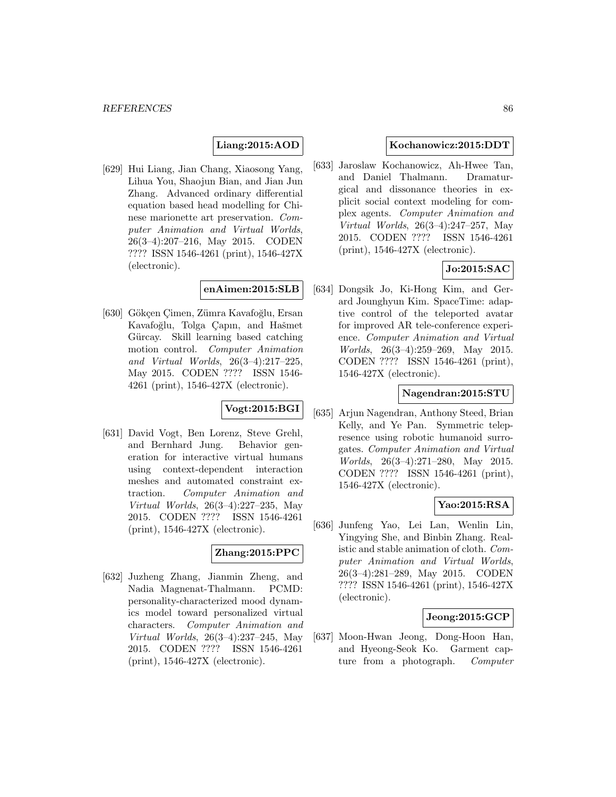# **Liang:2015:AOD**

[629] Hui Liang, Jian Chang, Xiaosong Yang, Lihua You, Shaojun Bian, and Jian Jun Zhang. Advanced ordinary differential equation based head modelling for Chinese marionette art preservation. Computer Animation and Virtual Worlds, 26(3–4):207–216, May 2015. CODEN ???? ISSN 1546-4261 (print), 1546-427X (electronic).

# **enAimen:2015:SLB**

[630] Gökçen Cimen, Zümra Kavafoğlu, Ersan Kavafoğlu, Tolga Çapın, and Hašmet Gürcay. Skill learning based catching motion control. Computer Animation and Virtual Worlds, 26(3–4):217–225, May 2015. CODEN ???? ISSN 1546- 4261 (print), 1546-427X (electronic).

# **Vogt:2015:BGI**

[631] David Vogt, Ben Lorenz, Steve Grehl, and Bernhard Jung. Behavior generation for interactive virtual humans using context-dependent interaction meshes and automated constraint extraction. Computer Animation and Virtual Worlds, 26(3–4):227–235, May 2015. CODEN ???? ISSN 1546-4261 (print), 1546-427X (electronic).

# **Zhang:2015:PPC**

[632] Juzheng Zhang, Jianmin Zheng, and Nadia Magnenat-Thalmann. PCMD: personality-characterized mood dynamics model toward personalized virtual characters. Computer Animation and Virtual Worlds, 26(3–4):237–245, May 2015. CODEN ???? ISSN 1546-4261 (print), 1546-427X (electronic).

## **Kochanowicz:2015:DDT**

[633] Jaroslaw Kochanowicz, Ah-Hwee Tan, and Daniel Thalmann. Dramaturgical and dissonance theories in explicit social context modeling for complex agents. Computer Animation and Virtual Worlds, 26(3–4):247–257, May 2015. CODEN ???? ISSN 1546-4261 (print), 1546-427X (electronic).

# **Jo:2015:SAC**

[634] Dongsik Jo, Ki-Hong Kim, and Gerard Jounghyun Kim. SpaceTime: adaptive control of the teleported avatar for improved AR tele-conference experience. Computer Animation and Virtual Worlds, 26(3–4):259–269, May 2015. CODEN ???? ISSN 1546-4261 (print), 1546-427X (electronic).

## **Nagendran:2015:STU**

[635] Arjun Nagendran, Anthony Steed, Brian Kelly, and Ye Pan. Symmetric telepresence using robotic humanoid surrogates. Computer Animation and Virtual Worlds, 26(3–4):271–280, May 2015. CODEN ???? ISSN 1546-4261 (print), 1546-427X (electronic).

#### **Yao:2015:RSA**

[636] Junfeng Yao, Lei Lan, Wenlin Lin, Yingying She, and Binbin Zhang. Realistic and stable animation of cloth. Computer Animation and Virtual Worlds, 26(3–4):281–289, May 2015. CODEN ???? ISSN 1546-4261 (print), 1546-427X (electronic).

#### **Jeong:2015:GCP**

[637] Moon-Hwan Jeong, Dong-Hoon Han, and Hyeong-Seok Ko. Garment capture from a photograph. *Computer*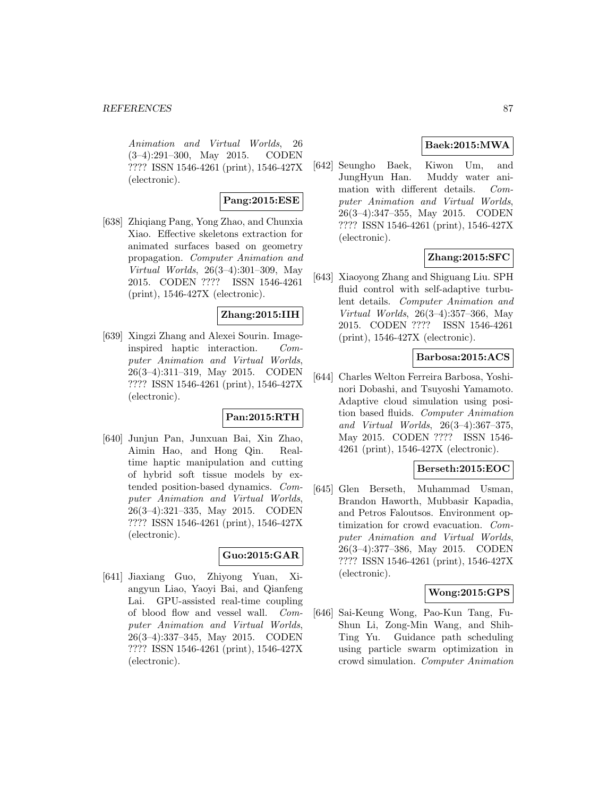#### *REFERENCES* 87

Animation and Virtual Worlds, 26 (3–4):291–300, May 2015. CODEN ???? ISSN 1546-4261 (print), 1546-427X (electronic).

# **Pang:2015:ESE**

[638] Zhiqiang Pang, Yong Zhao, and Chunxia Xiao. Effective skeletons extraction for animated surfaces based on geometry propagation. Computer Animation and Virtual Worlds, 26(3–4):301–309, May 2015. CODEN ???? ISSN 1546-4261 (print), 1546-427X (electronic).

## **Zhang:2015:IIH**

[639] Xingzi Zhang and Alexei Sourin. Imageinspired haptic interaction. Computer Animation and Virtual Worlds, 26(3–4):311–319, May 2015. CODEN ???? ISSN 1546-4261 (print), 1546-427X (electronic).

# **Pan:2015:RTH**

[640] Junjun Pan, Junxuan Bai, Xin Zhao, Aimin Hao, and Hong Qin. Realtime haptic manipulation and cutting of hybrid soft tissue models by extended position-based dynamics. Computer Animation and Virtual Worlds, 26(3–4):321–335, May 2015. CODEN ???? ISSN 1546-4261 (print), 1546-427X (electronic).

# **Guo:2015:GAR**

[641] Jiaxiang Guo, Zhiyong Yuan, Xiangyun Liao, Yaoyi Bai, and Qianfeng Lai. GPU-assisted real-time coupling of blood flow and vessel wall. Computer Animation and Virtual Worlds, 26(3–4):337–345, May 2015. CODEN ???? ISSN 1546-4261 (print), 1546-427X (electronic).

# **Baek:2015:MWA**

[642] Seungho Baek, Kiwon Um, and JungHyun Han. Muddy water animation with different details. Computer Animation and Virtual Worlds, 26(3–4):347–355, May 2015. CODEN ???? ISSN 1546-4261 (print), 1546-427X (electronic).

# **Zhang:2015:SFC**

[643] Xiaoyong Zhang and Shiguang Liu. SPH fluid control with self-adaptive turbulent details. Computer Animation and Virtual Worlds, 26(3–4):357–366, May 2015. CODEN ???? ISSN 1546-4261 (print), 1546-427X (electronic).

## **Barbosa:2015:ACS**

[644] Charles Welton Ferreira Barbosa, Yoshinori Dobashi, and Tsuyoshi Yamamoto. Adaptive cloud simulation using position based fluids. Computer Animation and Virtual Worlds, 26(3–4):367–375, May 2015. CODEN ???? ISSN 1546- 4261 (print), 1546-427X (electronic).

# **Berseth:2015:EOC**

[645] Glen Berseth, Muhammad Usman, Brandon Haworth, Mubbasir Kapadia, and Petros Faloutsos. Environment optimization for crowd evacuation. Computer Animation and Virtual Worlds, 26(3–4):377–386, May 2015. CODEN ???? ISSN 1546-4261 (print), 1546-427X (electronic).

# **Wong:2015:GPS**

[646] Sai-Keung Wong, Pao-Kun Tang, Fu-Shun Li, Zong-Min Wang, and Shih-Ting Yu. Guidance path scheduling using particle swarm optimization in crowd simulation. Computer Animation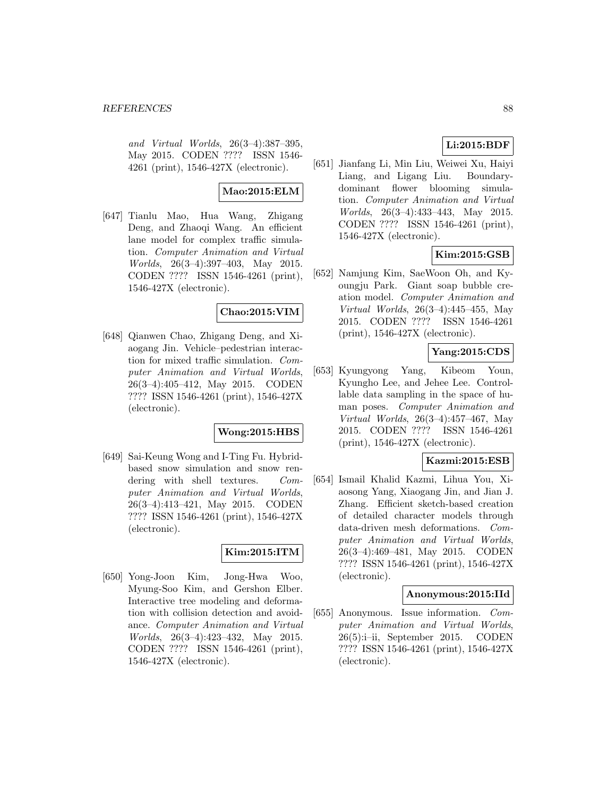and Virtual Worlds, 26(3–4):387–395, May 2015. CODEN ???? ISSN 1546- 4261 (print), 1546-427X (electronic).

# **Mao:2015:ELM**

[647] Tianlu Mao, Hua Wang, Zhigang Deng, and Zhaoqi Wang. An efficient lane model for complex traffic simulation. Computer Animation and Virtual Worlds, 26(3–4):397–403, May 2015. CODEN ???? ISSN 1546-4261 (print), 1546-427X (electronic).

## **Chao:2015:VIM**

[648] Qianwen Chao, Zhigang Deng, and Xiaogang Jin. Vehicle–pedestrian interaction for mixed traffic simulation. Computer Animation and Virtual Worlds, 26(3–4):405–412, May 2015. CODEN ???? ISSN 1546-4261 (print), 1546-427X (electronic).

## **Wong:2015:HBS**

[649] Sai-Keung Wong and I-Ting Fu. Hybridbased snow simulation and snow rendering with shell textures. Computer Animation and Virtual Worlds, 26(3–4):413–421, May 2015. CODEN ???? ISSN 1546-4261 (print), 1546-427X (electronic).

# **Kim:2015:ITM**

[650] Yong-Joon Kim, Jong-Hwa Woo, Myung-Soo Kim, and Gershon Elber. Interactive tree modeling and deformation with collision detection and avoidance. Computer Animation and Virtual Worlds, 26(3–4):423–432, May 2015. CODEN ???? ISSN 1546-4261 (print), 1546-427X (electronic).

# **Li:2015:BDF**

[651] Jianfang Li, Min Liu, Weiwei Xu, Haiyi Liang, and Ligang Liu. Boundarydominant flower blooming simulation. Computer Animation and Virtual Worlds, 26(3–4):433–443, May 2015. CODEN ???? ISSN 1546-4261 (print), 1546-427X (electronic).

# **Kim:2015:GSB**

[652] Namjung Kim, SaeWoon Oh, and Kyoungju Park. Giant soap bubble creation model. Computer Animation and Virtual Worlds, 26(3–4):445–455, May 2015. CODEN ???? ISSN 1546-4261 (print), 1546-427X (electronic).

# **Yang:2015:CDS**

[653] Kyungyong Yang, Kibeom Youn, Kyungho Lee, and Jehee Lee. Controllable data sampling in the space of human poses. Computer Animation and Virtual Worlds, 26(3–4):457–467, May 2015. CODEN ???? ISSN 1546-4261 (print), 1546-427X (electronic).

#### **Kazmi:2015:ESB**

[654] Ismail Khalid Kazmi, Lihua You, Xiaosong Yang, Xiaogang Jin, and Jian J. Zhang. Efficient sketch-based creation of detailed character models through data-driven mesh deformations. Computer Animation and Virtual Worlds, 26(3–4):469–481, May 2015. CODEN ???? ISSN 1546-4261 (print), 1546-427X (electronic).

#### **Anonymous:2015:IId**

[655] Anonymous. Issue information. Computer Animation and Virtual Worlds, 26(5):i–ii, September 2015. CODEN ???? ISSN 1546-4261 (print), 1546-427X (electronic).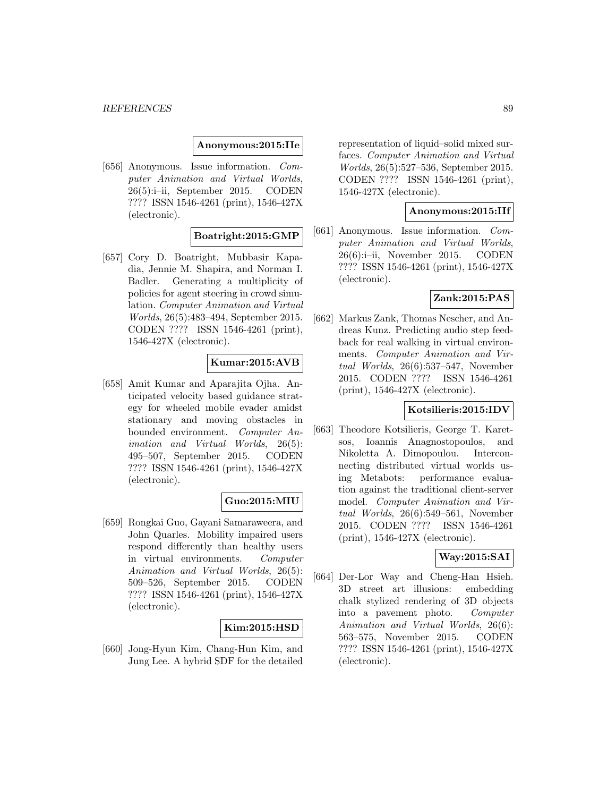#### **Anonymous:2015:IIe**

[656] Anonymous. Issue information. Computer Animation and Virtual Worlds, 26(5):i–ii, September 2015. CODEN ???? ISSN 1546-4261 (print), 1546-427X (electronic).

# **Boatright:2015:GMP**

[657] Cory D. Boatright, Mubbasir Kapadia, Jennie M. Shapira, and Norman I. Badler. Generating a multiplicity of policies for agent steering in crowd simulation. Computer Animation and Virtual Worlds, 26(5):483–494, September 2015. CODEN ???? ISSN 1546-4261 (print), 1546-427X (electronic).

# **Kumar:2015:AVB**

[658] Amit Kumar and Aparajita Ojha. Anticipated velocity based guidance strategy for wheeled mobile evader amidst stationary and moving obstacles in bounded environment. Computer Animation and Virtual Worlds, 26(5): 495–507, September 2015. CODEN ???? ISSN 1546-4261 (print), 1546-427X (electronic).

#### **Guo:2015:MIU**

[659] Rongkai Guo, Gayani Samaraweera, and John Quarles. Mobility impaired users respond differently than healthy users in virtual environments. Computer Animation and Virtual Worlds, 26(5): 509–526, September 2015. CODEN ???? ISSN 1546-4261 (print), 1546-427X (electronic).

#### **Kim:2015:HSD**

[660] Jong-Hyun Kim, Chang-Hun Kim, and Jung Lee. A hybrid SDF for the detailed representation of liquid–solid mixed surfaces. Computer Animation and Virtual Worlds, 26(5):527–536, September 2015. CODEN ???? ISSN 1546-4261 (print), 1546-427X (electronic).

#### **Anonymous:2015:IIf**

[661] Anonymous. Issue information. Computer Animation and Virtual Worlds, 26(6):i–ii, November 2015. CODEN ???? ISSN 1546-4261 (print), 1546-427X (electronic).

# **Zank:2015:PAS**

[662] Markus Zank, Thomas Nescher, and Andreas Kunz. Predicting audio step feedback for real walking in virtual environments. Computer Animation and Virtual Worlds, 26(6):537–547, November 2015. CODEN ???? ISSN 1546-4261 (print), 1546-427X (electronic).

## **Kotsilieris:2015:IDV**

[663] Theodore Kotsilieris, George T. Karetsos, Ioannis Anagnostopoulos, and Nikoletta A. Dimopoulou. Interconnecting distributed virtual worlds using Metabots: performance evaluation against the traditional client-server model. Computer Animation and Virtual Worlds, 26(6):549–561, November 2015. CODEN ???? ISSN 1546-4261 (print), 1546-427X (electronic).

#### **Way:2015:SAI**

[664] Der-Lor Way and Cheng-Han Hsieh. 3D street art illusions: embedding chalk stylized rendering of 3D objects into a pavement photo. Computer Animation and Virtual Worlds, 26(6): 563–575, November 2015. CODEN ???? ISSN 1546-4261 (print), 1546-427X (electronic).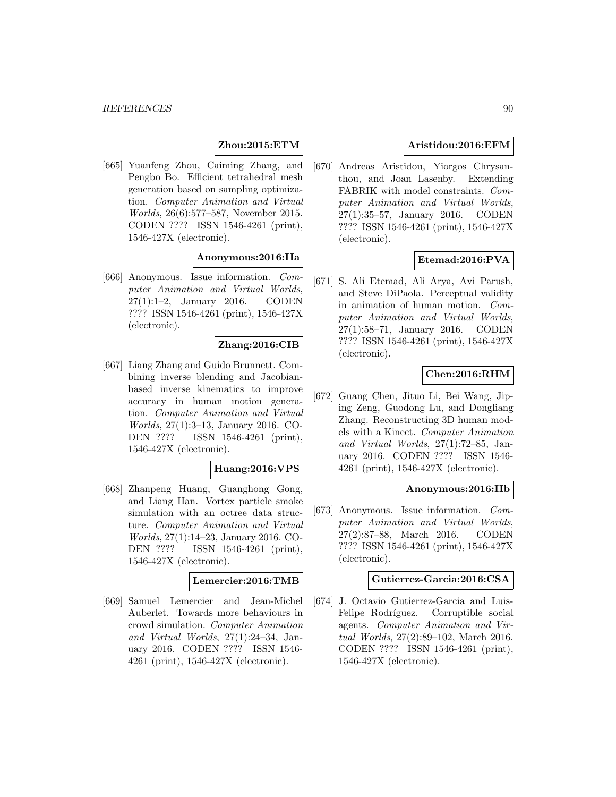# **Zhou:2015:ETM**

[665] Yuanfeng Zhou, Caiming Zhang, and Pengbo Bo. Efficient tetrahedral mesh generation based on sampling optimization. Computer Animation and Virtual Worlds, 26(6):577–587, November 2015. CODEN ???? ISSN 1546-4261 (print), 1546-427X (electronic).

## **Anonymous:2016:IIa**

[666] Anonymous. Issue information. Computer Animation and Virtual Worlds, 27(1):1–2, January 2016. CODEN ???? ISSN 1546-4261 (print), 1546-427X (electronic).

#### **Zhang:2016:CIB**

[667] Liang Zhang and Guido Brunnett. Combining inverse blending and Jacobianbased inverse kinematics to improve accuracy in human motion generation. Computer Animation and Virtual Worlds, 27(1):3–13, January 2016. CO-DEN ???? ISSN 1546-4261 (print), 1546-427X (electronic).

#### **Huang:2016:VPS**

[668] Zhanpeng Huang, Guanghong Gong, and Liang Han. Vortex particle smoke simulation with an octree data structure. Computer Animation and Virtual Worlds, 27(1):14–23, January 2016. CO-DEN ???? ISSN 1546-4261 (print), 1546-427X (electronic).

#### **Lemercier:2016:TMB**

[669] Samuel Lemercier and Jean-Michel Auberlet. Towards more behaviours in crowd simulation. Computer Animation and Virtual Worlds, 27(1):24–34, January 2016. CODEN ???? ISSN 1546- 4261 (print), 1546-427X (electronic).

# **Aristidou:2016:EFM**

[670] Andreas Aristidou, Yiorgos Chrysanthou, and Joan Lasenby. Extending FABRIK with model constraints. Computer Animation and Virtual Worlds, 27(1):35–57, January 2016. CODEN ???? ISSN 1546-4261 (print), 1546-427X (electronic).

# **Etemad:2016:PVA**

[671] S. Ali Etemad, Ali Arya, Avi Parush, and Steve DiPaola. Perceptual validity in animation of human motion. Computer Animation and Virtual Worlds, 27(1):58–71, January 2016. CODEN ???? ISSN 1546-4261 (print), 1546-427X (electronic).

## **Chen:2016:RHM**

[672] Guang Chen, Jituo Li, Bei Wang, Jiping Zeng, Guodong Lu, and Dongliang Zhang. Reconstructing 3D human models with a Kinect. Computer Animation and Virtual Worlds, 27(1):72–85, January 2016. CODEN ???? ISSN 1546- 4261 (print), 1546-427X (electronic).

#### **Anonymous:2016:IIb**

[673] Anonymous. Issue information. Computer Animation and Virtual Worlds, 27(2):87–88, March 2016. CODEN ???? ISSN 1546-4261 (print), 1546-427X (electronic).

#### **Gutierrez-Garcia:2016:CSA**

[674] J. Octavio Gutierrez-Garcia and Luis-Felipe Rodríguez. Corruptible social agents. Computer Animation and Virtual Worlds, 27(2):89–102, March 2016. CODEN ???? ISSN 1546-4261 (print), 1546-427X (electronic).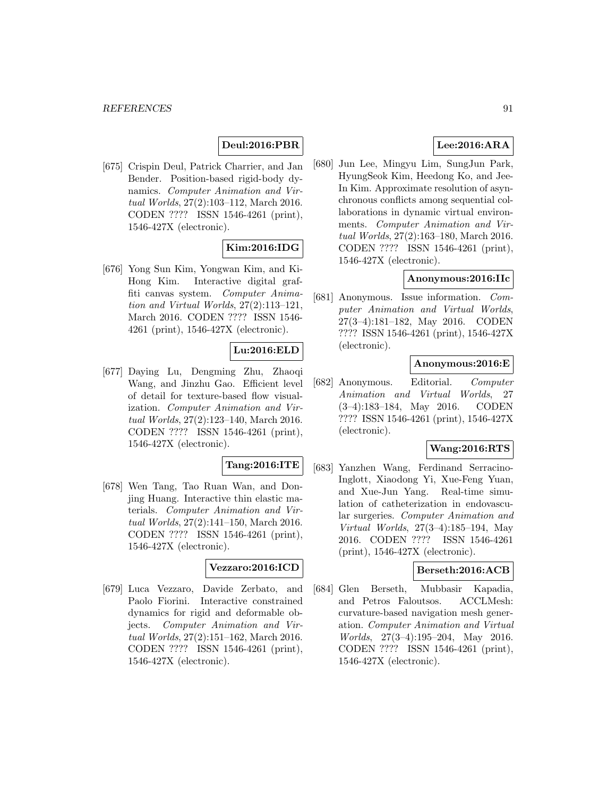# **Deul:2016:PBR**

[675] Crispin Deul, Patrick Charrier, and Jan Bender. Position-based rigid-body dynamics. Computer Animation and Virtual Worlds, 27(2):103–112, March 2016. CODEN ???? ISSN 1546-4261 (print), 1546-427X (electronic).

# **Kim:2016:IDG**

[676] Yong Sun Kim, Yongwan Kim, and Ki-Hong Kim. Interactive digital graffiti canvas system. Computer Animation and Virtual Worlds, 27(2):113–121, March 2016. CODEN ???? ISSN 1546- 4261 (print), 1546-427X (electronic).

# **Lu:2016:ELD**

[677] Daying Lu, Dengming Zhu, Zhaoqi Wang, and Jinzhu Gao. Efficient level of detail for texture-based flow visualization. Computer Animation and Virtual Worlds, 27(2):123–140, March 2016. CODEN ???? ISSN 1546-4261 (print), 1546-427X (electronic).

# **Tang:2016:ITE**

[678] Wen Tang, Tao Ruan Wan, and Donjing Huang. Interactive thin elastic materials. Computer Animation and Virtual Worlds, 27(2):141–150, March 2016. CODEN ???? ISSN 1546-4261 (print), 1546-427X (electronic).

#### **Vezzaro:2016:ICD**

[679] Luca Vezzaro, Davide Zerbato, and Paolo Fiorini. Interactive constrained dynamics for rigid and deformable objects. Computer Animation and Virtual Worlds, 27(2):151–162, March 2016. CODEN ???? ISSN 1546-4261 (print), 1546-427X (electronic).

# **Lee:2016:ARA**

[680] Jun Lee, Mingyu Lim, SungJun Park, HyungSeok Kim, Heedong Ko, and Jee-In Kim. Approximate resolution of asynchronous conflicts among sequential collaborations in dynamic virtual environments. Computer Animation and Virtual Worlds, 27(2):163–180, March 2016. CODEN ???? ISSN 1546-4261 (print), 1546-427X (electronic).

## **Anonymous:2016:IIc**

[681] Anonymous. Issue information. Computer Animation and Virtual Worlds, 27(3–4):181–182, May 2016. CODEN ???? ISSN 1546-4261 (print), 1546-427X (electronic).

# **Anonymous:2016:E**

[682] Anonymous. Editorial. Computer Animation and Virtual Worlds, 27 (3–4):183–184, May 2016. CODEN ???? ISSN 1546-4261 (print), 1546-427X (electronic).

# **Wang:2016:RTS**

[683] Yanzhen Wang, Ferdinand Serracino-Inglott, Xiaodong Yi, Xue-Feng Yuan, and Xue-Jun Yang. Real-time simulation of catheterization in endovascular surgeries. Computer Animation and Virtual Worlds, 27(3–4):185–194, May 2016. CODEN ???? ISSN 1546-4261 (print), 1546-427X (electronic).

## **Berseth:2016:ACB**

[684] Glen Berseth, Mubbasir Kapadia, and Petros Faloutsos. ACCLMesh: curvature-based navigation mesh generation. Computer Animation and Virtual Worlds, 27(3–4):195–204, May 2016. CODEN ???? ISSN 1546-4261 (print), 1546-427X (electronic).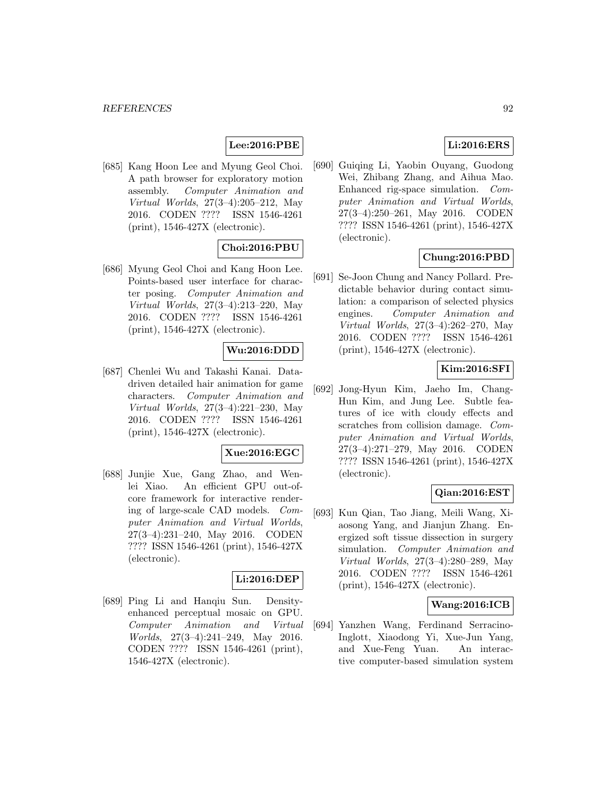# **Lee:2016:PBE**

[685] Kang Hoon Lee and Myung Geol Choi. A path browser for exploratory motion assembly. Computer Animation and Virtual Worlds, 27(3–4):205–212, May 2016. CODEN ???? ISSN 1546-4261 (print), 1546-427X (electronic).

# **Choi:2016:PBU**

[686] Myung Geol Choi and Kang Hoon Lee. Points-based user interface for character posing. Computer Animation and Virtual Worlds, 27(3–4):213–220, May 2016. CODEN ???? ISSN 1546-4261 (print), 1546-427X (electronic).

# **Wu:2016:DDD**

[687] Chenlei Wu and Takashi Kanai. Datadriven detailed hair animation for game characters. Computer Animation and Virtual Worlds, 27(3–4):221–230, May 2016. CODEN ???? ISSN 1546-4261 (print), 1546-427X (electronic).

## **Xue:2016:EGC**

[688] Junjie Xue, Gang Zhao, and Wenlei Xiao. An efficient GPU out-ofcore framework for interactive rendering of large-scale CAD models. Computer Animation and Virtual Worlds, 27(3–4):231–240, May 2016. CODEN ???? ISSN 1546-4261 (print), 1546-427X (electronic).

# **Li:2016:DEP**

[689] Ping Li and Hanqiu Sun. Densityenhanced perceptual mosaic on GPU. Computer Animation and Virtual Worlds, 27(3–4):241–249, May 2016. CODEN ???? ISSN 1546-4261 (print), 1546-427X (electronic).

# **Li:2016:ERS**

[690] Guiqing Li, Yaobin Ouyang, Guodong Wei, Zhibang Zhang, and Aihua Mao. Enhanced rig-space simulation. Computer Animation and Virtual Worlds, 27(3–4):250–261, May 2016. CODEN ???? ISSN 1546-4261 (print), 1546-427X (electronic).

# **Chung:2016:PBD**

[691] Se-Joon Chung and Nancy Pollard. Predictable behavior during contact simulation: a comparison of selected physics engines. Computer Animation and Virtual Worlds, 27(3–4):262–270, May 2016. CODEN ???? ISSN 1546-4261 (print), 1546-427X (electronic).

# **Kim:2016:SFI**

[692] Jong-Hyun Kim, Jaeho Im, Chang-Hun Kim, and Jung Lee. Subtle features of ice with cloudy effects and scratches from collision damage. Computer Animation and Virtual Worlds, 27(3–4):271–279, May 2016. CODEN ???? ISSN 1546-4261 (print), 1546-427X (electronic).

## **Qian:2016:EST**

[693] Kun Qian, Tao Jiang, Meili Wang, Xiaosong Yang, and Jianjun Zhang. Energized soft tissue dissection in surgery simulation. Computer Animation and Virtual Worlds, 27(3–4):280–289, May 2016. CODEN ???? ISSN 1546-4261 (print), 1546-427X (electronic).

#### **Wang:2016:ICB**

[694] Yanzhen Wang, Ferdinand Serracino-Inglott, Xiaodong Yi, Xue-Jun Yang, and Xue-Feng Yuan. An interactive computer-based simulation system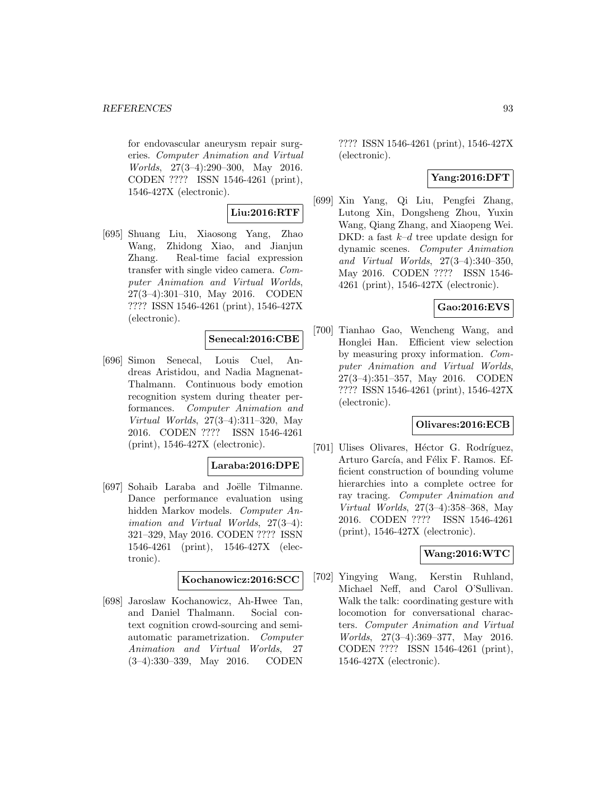for endovascular aneurysm repair surgeries. Computer Animation and Virtual Worlds, 27(3–4):290–300, May 2016. CODEN ???? ISSN 1546-4261 (print), 1546-427X (electronic).

## **Liu:2016:RTF**

[695] Shuang Liu, Xiaosong Yang, Zhao Wang, Zhidong Xiao, and Jianjun Zhang. Real-time facial expression transfer with single video camera. Computer Animation and Virtual Worlds, 27(3–4):301–310, May 2016. CODEN ???? ISSN 1546-4261 (print), 1546-427X (electronic).

## **Senecal:2016:CBE**

[696] Simon Senecal, Louis Cuel, Andreas Aristidou, and Nadia Magnenat-Thalmann. Continuous body emotion recognition system during theater performances. Computer Animation and Virtual Worlds, 27(3–4):311–320, May 2016. CODEN ???? ISSN 1546-4261 (print), 1546-427X (electronic).

## **Laraba:2016:DPE**

[697] Sohaib Laraba and Joëlle Tilmanne. Dance performance evaluation using hidden Markov models. Computer Animation and Virtual Worlds, 27(3–4): 321–329, May 2016. CODEN ???? ISSN 1546-4261 (print), 1546-427X (electronic).

## **Kochanowicz:2016:SCC**

[698] Jaroslaw Kochanowicz, Ah-Hwee Tan, and Daniel Thalmann. Social context cognition crowd-sourcing and semiautomatic parametrization. Computer Animation and Virtual Worlds, 27 (3–4):330–339, May 2016. CODEN

???? ISSN 1546-4261 (print), 1546-427X (electronic).

# **Yang:2016:DFT**

[699] Xin Yang, Qi Liu, Pengfei Zhang, Lutong Xin, Dongsheng Zhou, Yuxin Wang, Qiang Zhang, and Xiaopeng Wei. DKD: a fast  $k-d$  tree update design for dynamic scenes. Computer Animation and Virtual Worlds, 27(3–4):340–350, May 2016. CODEN ???? ISSN 1546- 4261 (print), 1546-427X (electronic).

## **Gao:2016:EVS**

[700] Tianhao Gao, Wencheng Wang, and Honglei Han. Efficient view selection by measuring proxy information. Computer Animation and Virtual Worlds, 27(3–4):351–357, May 2016. CODEN ???? ISSN 1546-4261 (print), 1546-427X (electronic).

# **Olivares:2016:ECB**

[701] Ulises Olivares, Héctor G. Rodríguez, Arturo García, and Félix F. Ramos. Efficient construction of bounding volume hierarchies into a complete octree for ray tracing. Computer Animation and Virtual Worlds, 27(3–4):358–368, May 2016. CODEN ???? ISSN 1546-4261 (print), 1546-427X (electronic).

## **Wang:2016:WTC**

[702] Yingying Wang, Kerstin Ruhland, Michael Neff, and Carol O'Sullivan. Walk the talk: coordinating gesture with locomotion for conversational characters. Computer Animation and Virtual Worlds, 27(3–4):369–377, May 2016. CODEN ???? ISSN 1546-4261 (print), 1546-427X (electronic).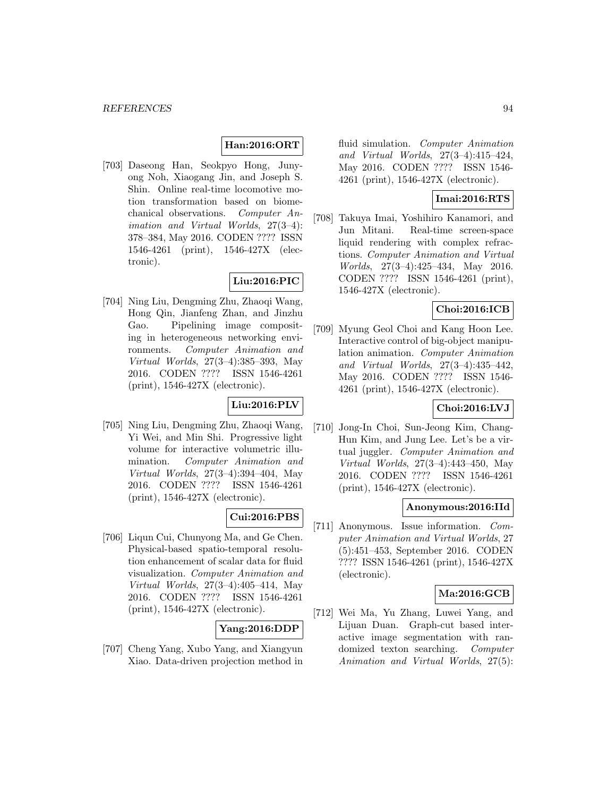# **Han:2016:ORT**

[703] Daseong Han, Seokpyo Hong, Junyong Noh, Xiaogang Jin, and Joseph S. Shin. Online real-time locomotive motion transformation based on biomechanical observations. Computer Animation and Virtual Worlds, 27(3–4): 378–384, May 2016. CODEN ???? ISSN 1546-4261 (print), 1546-427X (electronic).

# **Liu:2016:PIC**

[704] Ning Liu, Dengming Zhu, Zhaoqi Wang, Hong Qin, Jianfeng Zhan, and Jinzhu Gao. Pipelining image compositing in heterogeneous networking environments. Computer Animation and Virtual Worlds, 27(3–4):385–393, May 2016. CODEN ???? ISSN 1546-4261 (print), 1546-427X (electronic).

# **Liu:2016:PLV**

[705] Ning Liu, Dengming Zhu, Zhaoqi Wang, Yi Wei, and Min Shi. Progressive light volume for interactive volumetric illumination. Computer Animation and Virtual Worlds, 27(3–4):394–404, May 2016. CODEN ???? ISSN 1546-4261 (print), 1546-427X (electronic).

# **Cui:2016:PBS**

[706] Liqun Cui, Chunyong Ma, and Ge Chen. Physical-based spatio-temporal resolution enhancement of scalar data for fluid visualization. Computer Animation and Virtual Worlds, 27(3–4):405–414, May 2016. CODEN ???? ISSN 1546-4261 (print), 1546-427X (electronic).

#### **Yang:2016:DDP**

[707] Cheng Yang, Xubo Yang, and Xiangyun Xiao. Data-driven projection method in

fluid simulation. Computer Animation and Virtual Worlds, 27(3–4):415–424, May 2016. CODEN ???? ISSN 1546- 4261 (print), 1546-427X (electronic).

# **Imai:2016:RTS**

[708] Takuya Imai, Yoshihiro Kanamori, and Jun Mitani. Real-time screen-space liquid rendering with complex refractions. Computer Animation and Virtual Worlds, 27(3–4):425–434, May 2016. CODEN ???? ISSN 1546-4261 (print), 1546-427X (electronic).

# **Choi:2016:ICB**

[709] Myung Geol Choi and Kang Hoon Lee. Interactive control of big-object manipulation animation. Computer Animation and Virtual Worlds, 27(3–4):435–442, May 2016. CODEN ???? ISSN 1546- 4261 (print), 1546-427X (electronic).

## **Choi:2016:LVJ**

[710] Jong-In Choi, Sun-Jeong Kim, Chang-Hun Kim, and Jung Lee. Let's be a virtual juggler. Computer Animation and Virtual Worlds, 27(3–4):443–450, May 2016. CODEN ???? ISSN 1546-4261 (print), 1546-427X (electronic).

#### **Anonymous:2016:IId**

[711] Anonymous. Issue information. Computer Animation and Virtual Worlds, 27 (5):451–453, September 2016. CODEN ???? ISSN 1546-4261 (print), 1546-427X (electronic).

#### **Ma:2016:GCB**

[712] Wei Ma, Yu Zhang, Luwei Yang, and Lijuan Duan. Graph-cut based interactive image segmentation with randomized texton searching. Computer Animation and Virtual Worlds, 27(5):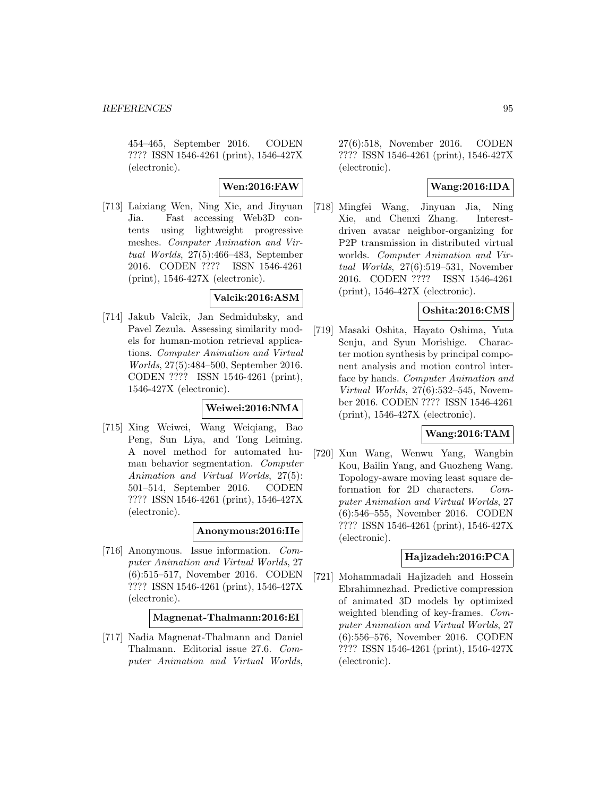454–465, September 2016. CODEN ???? ISSN 1546-4261 (print), 1546-427X (electronic).

# **Wen:2016:FAW**

[713] Laixiang Wen, Ning Xie, and Jinyuan Jia. Fast accessing Web3D contents using lightweight progressive meshes. Computer Animation and Virtual Worlds, 27(5):466–483, September 2016. CODEN ???? ISSN 1546-4261 (print), 1546-427X (electronic).

# **Valcik:2016:ASM**

[714] Jakub Valcik, Jan Sedmidubsky, and Pavel Zezula. Assessing similarity models for human-motion retrieval applications. Computer Animation and Virtual Worlds, 27(5):484–500, September 2016. CODEN ???? ISSN 1546-4261 (print), 1546-427X (electronic).

#### **Weiwei:2016:NMA**

[715] Xing Weiwei, Wang Weiqiang, Bao Peng, Sun Liya, and Tong Leiming. A novel method for automated human behavior segmentation. Computer Animation and Virtual Worlds, 27(5): 501–514, September 2016. CODEN ???? ISSN 1546-4261 (print), 1546-427X (electronic).

## **Anonymous:2016:IIe**

[716] Anonymous. Issue information. Computer Animation and Virtual Worlds, 27 (6):515–517, November 2016. CODEN ???? ISSN 1546-4261 (print), 1546-427X (electronic).

# **Magnenat-Thalmann:2016:EI**

[717] Nadia Magnenat-Thalmann and Daniel Thalmann. Editorial issue 27.6. Computer Animation and Virtual Worlds,

27(6):518, November 2016. CODEN ???? ISSN 1546-4261 (print), 1546-427X (electronic).

# **Wang:2016:IDA**

[718] Mingfei Wang, Jinyuan Jia, Ning Xie, and Chenxi Zhang. Interestdriven avatar neighbor-organizing for P2P transmission in distributed virtual worlds. Computer Animation and Virtual Worlds, 27(6):519–531, November 2016. CODEN ???? ISSN 1546-4261 (print), 1546-427X (electronic).

# **Oshita:2016:CMS**

[719] Masaki Oshita, Hayato Oshima, Yuta Senju, and Syun Morishige. Character motion synthesis by principal component analysis and motion control interface by hands. Computer Animation and Virtual Worlds, 27(6):532–545, November 2016. CODEN ???? ISSN 1546-4261 (print), 1546-427X (electronic).

# **Wang:2016:TAM**

[720] Xun Wang, Wenwu Yang, Wangbin Kou, Bailin Yang, and Guozheng Wang. Topology-aware moving least square deformation for 2D characters. Computer Animation and Virtual Worlds, 27 (6):546–555, November 2016. CODEN ???? ISSN 1546-4261 (print), 1546-427X (electronic).

## **Hajizadeh:2016:PCA**

[721] Mohammadali Hajizadeh and Hossein Ebrahimnezhad. Predictive compression of animated 3D models by optimized weighted blending of key-frames. Computer Animation and Virtual Worlds, 27 (6):556–576, November 2016. CODEN ???? ISSN 1546-4261 (print), 1546-427X (electronic).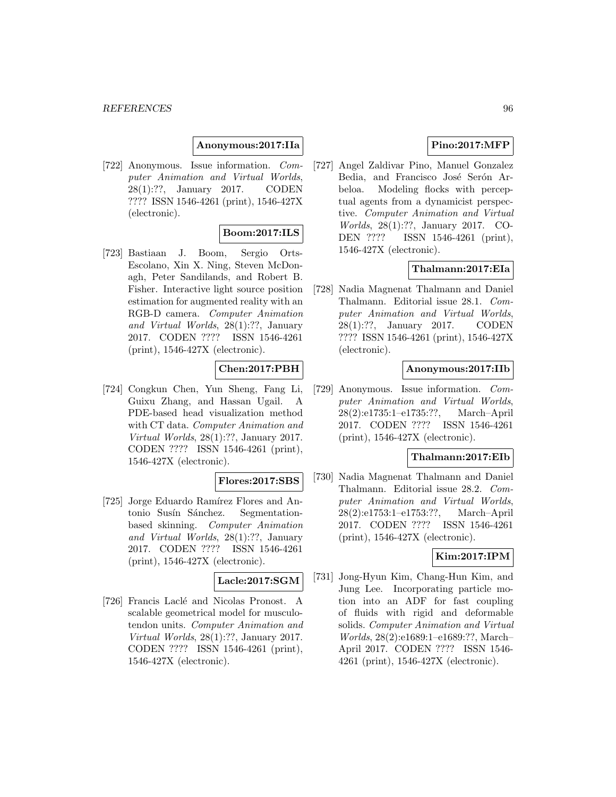#### **Anonymous:2017:IIa**

[722] Anonymous. Issue information. Computer Animation and Virtual Worlds, 28(1):??, January 2017. CODEN ???? ISSN 1546-4261 (print), 1546-427X (electronic).

## **Boom:2017:ILS**

[723] Bastiaan J. Boom, Sergio Orts-Escolano, Xin X. Ning, Steven McDonagh, Peter Sandilands, and Robert B. Fisher. Interactive light source position estimation for augmented reality with an RGB-D camera. Computer Animation and Virtual Worlds, 28(1):??, January 2017. CODEN ???? ISSN 1546-4261 (print), 1546-427X (electronic).

#### **Chen:2017:PBH**

[724] Congkun Chen, Yun Sheng, Fang Li, Guixu Zhang, and Hassan Ugail. A PDE-based head visualization method with CT data. Computer Animation and Virtual Worlds, 28(1):??, January 2017. CODEN ???? ISSN 1546-4261 (print), 1546-427X (electronic).

## **Flores:2017:SBS**

[725] Jorge Eduardo Ramírez Flores and Antonio Susín Sánchez. Segmentationbased skinning. Computer Animation and Virtual Worlds, 28(1):??, January 2017. CODEN ???? ISSN 1546-4261 (print), 1546-427X (electronic).

# **Lacle:2017:SGM**

[726] Francis Laclé and Nicolas Pronost. A scalable geometrical model for musculotendon units. Computer Animation and Virtual Worlds, 28(1):??, January 2017. CODEN ???? ISSN 1546-4261 (print), 1546-427X (electronic).

# **Pino:2017:MFP**

[727] Angel Zaldivar Pino, Manuel Gonzalez Bedia, and Francisco José Serón Arbeloa. Modeling flocks with perceptual agents from a dynamicist perspective. Computer Animation and Virtual Worlds, 28(1):??, January 2017. CO-DEN ???? ISSN 1546-4261 (print), 1546-427X (electronic).

# **Thalmann:2017:EIa**

[728] Nadia Magnenat Thalmann and Daniel Thalmann. Editorial issue 28.1. Computer Animation and Virtual Worlds, 28(1):??, January 2017. CODEN ???? ISSN 1546-4261 (print), 1546-427X (electronic).

## **Anonymous:2017:IIb**

[729] Anonymous. Issue information. Computer Animation and Virtual Worlds, 28(2):e1735:1–e1735:??, March–April 2017. CODEN ???? ISSN 1546-4261 (print), 1546-427X (electronic).

#### **Thalmann:2017:EIb**

[730] Nadia Magnenat Thalmann and Daniel Thalmann. Editorial issue 28.2. Computer Animation and Virtual Worlds, 28(2):e1753:1–e1753:??, March–April 2017. CODEN ???? ISSN 1546-4261 (print), 1546-427X (electronic).

# **Kim:2017:IPM**

[731] Jong-Hyun Kim, Chang-Hun Kim, and Jung Lee. Incorporating particle motion into an ADF for fast coupling of fluids with rigid and deformable solids. Computer Animation and Virtual Worlds, 28(2):e1689:1–e1689:??, March– April 2017. CODEN ???? ISSN 1546- 4261 (print), 1546-427X (electronic).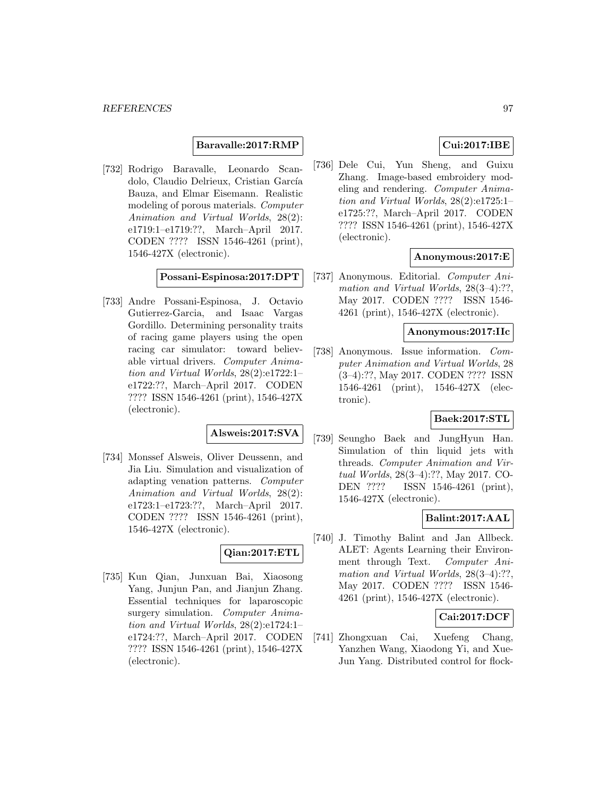#### **Baravalle:2017:RMP**

[732] Rodrigo Baravalle, Leonardo Scandolo, Claudio Delrieux, Cristian García Bauza, and Elmar Eisemann. Realistic modeling of porous materials. Computer Animation and Virtual Worlds, 28(2): e1719:1–e1719:??, March–April 2017. CODEN ???? ISSN 1546-4261 (print), 1546-427X (electronic).

# **Possani-Espinosa:2017:DPT**

[733] Andre Possani-Espinosa, J. Octavio Gutierrez-Garcia, and Isaac Vargas Gordillo. Determining personality traits of racing game players using the open racing car simulator: toward believable virtual drivers. Computer Animation and Virtual Worlds, 28(2):e1722:1– e1722:??, March–April 2017. CODEN ???? ISSN 1546-4261 (print), 1546-427X (electronic).

# **Alsweis:2017:SVA**

[734] Monssef Alsweis, Oliver Deussenn, and Jia Liu. Simulation and visualization of adapting venation patterns. Computer Animation and Virtual Worlds, 28(2): e1723:1–e1723:??, March–April 2017. CODEN ???? ISSN 1546-4261 (print), 1546-427X (electronic).

# **Qian:2017:ETL**

[735] Kun Qian, Junxuan Bai, Xiaosong Yang, Junjun Pan, and Jianjun Zhang. Essential techniques for laparoscopic surgery simulation. Computer Animation and Virtual Worlds, 28(2):e1724:1– e1724:??, March–April 2017. CODEN ???? ISSN 1546-4261 (print), 1546-427X (electronic).

# **Cui:2017:IBE**

[736] Dele Cui, Yun Sheng, and Guixu Zhang. Image-based embroidery modeling and rendering. Computer Animation and Virtual Worlds, 28(2):e1725:1– e1725:??, March–April 2017. CODEN ???? ISSN 1546-4261 (print), 1546-427X (electronic).

#### **Anonymous:2017:E**

[737] Anonymous. Editorial. Computer Animation and Virtual Worlds,  $28(3-4)$ :??, May 2017. CODEN ???? ISSN 1546- 4261 (print), 1546-427X (electronic).

# **Anonymous:2017:IIc**

[738] Anonymous. Issue information. Computer Animation and Virtual Worlds, 28 (3–4):??, May 2017. CODEN ???? ISSN 1546-4261 (print), 1546-427X (electronic).

# **Baek:2017:STL**

[739] Seungho Baek and JungHyun Han. Simulation of thin liquid jets with threads. Computer Animation and Virtual Worlds, 28(3–4):??, May 2017. CO-DEN ???? ISSN 1546-4261 (print), 1546-427X (electronic).

# **Balint:2017:AAL**

[740] J. Timothy Balint and Jan Allbeck. ALET: Agents Learning their Environment through Text. Computer Animation and Virtual Worlds, 28(3-4):??, May 2017. CODEN ???? ISSN 1546- 4261 (print), 1546-427X (electronic).

#### **Cai:2017:DCF**

[741] Zhongxuan Cai, Xuefeng Chang, Yanzhen Wang, Xiaodong Yi, and Xue-Jun Yang. Distributed control for flock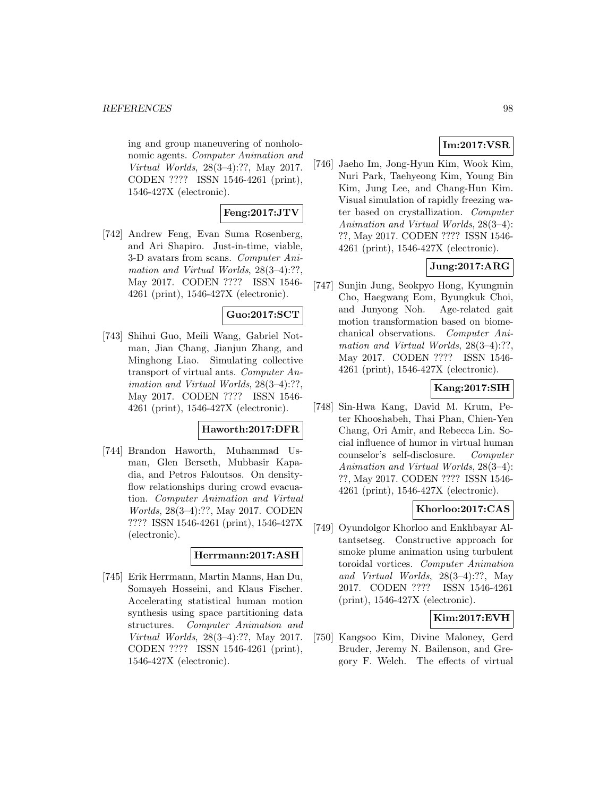ing and group maneuvering of nonholonomic agents. Computer Animation and Virtual Worlds, 28(3–4):??, May 2017. CODEN ???? ISSN 1546-4261 (print), 1546-427X (electronic).

## **Feng:2017:JTV**

[742] Andrew Feng, Evan Suma Rosenberg, and Ari Shapiro. Just-in-time, viable, 3-D avatars from scans. Computer Animation and Virtual Worlds, 28(3-4):??. May 2017. CODEN ???? ISSN 1546- 4261 (print), 1546-427X (electronic).

# **Guo:2017:SCT**

[743] Shihui Guo, Meili Wang, Gabriel Notman, Jian Chang, Jianjun Zhang, and Minghong Liao. Simulating collective transport of virtual ants. Computer Animation and Virtual Worlds, 28(3–4):??, May 2017. CODEN ???? ISSN 1546- 4261 (print), 1546-427X (electronic).

#### **Haworth:2017:DFR**

[744] Brandon Haworth, Muhammad Usman, Glen Berseth, Mubbasir Kapadia, and Petros Faloutsos. On densityflow relationships during crowd evacuation. Computer Animation and Virtual Worlds, 28(3–4):??, May 2017. CODEN ???? ISSN 1546-4261 (print), 1546-427X (electronic).

#### **Herrmann:2017:ASH**

[745] Erik Herrmann, Martin Manns, Han Du, Somayeh Hosseini, and Klaus Fischer. Accelerating statistical human motion synthesis using space partitioning data structures. Computer Animation and Virtual Worlds, 28(3–4):??, May 2017. CODEN ???? ISSN 1546-4261 (print), 1546-427X (electronic).

# **Im:2017:VSR**

[746] Jaeho Im, Jong-Hyun Kim, Wook Kim, Nuri Park, Taehyeong Kim, Young Bin Kim, Jung Lee, and Chang-Hun Kim. Visual simulation of rapidly freezing water based on crystallization. Computer Animation and Virtual Worlds, 28(3–4): ??, May 2017. CODEN ???? ISSN 1546- 4261 (print), 1546-427X (electronic).

# **Jung:2017:ARG**

[747] Sunjin Jung, Seokpyo Hong, Kyungmin Cho, Haegwang Eom, Byungkuk Choi, and Junyong Noh. Age-related gait motion transformation based on biomechanical observations. Computer Animation and Virtual Worlds, 28(3-4):??, May 2017. CODEN ???? ISSN 1546- 4261 (print), 1546-427X (electronic).

# **Kang:2017:SIH**

[748] Sin-Hwa Kang, David M. Krum, Peter Khooshabeh, Thai Phan, Chien-Yen Chang, Ori Amir, and Rebecca Lin. Social influence of humor in virtual human counselor's self-disclosure. Computer Animation and Virtual Worlds, 28(3–4): ??, May 2017. CODEN ???? ISSN 1546- 4261 (print), 1546-427X (electronic).

# **Khorloo:2017:CAS**

[749] Oyundolgor Khorloo and Enkhbayar Altantsetseg. Constructive approach for smoke plume animation using turbulent toroidal vortices. Computer Animation and Virtual Worlds, 28(3–4):??, May 2017. CODEN ???? ISSN 1546-4261 (print), 1546-427X (electronic).

# **Kim:2017:EVH**

[750] Kangsoo Kim, Divine Maloney, Gerd Bruder, Jeremy N. Bailenson, and Gregory F. Welch. The effects of virtual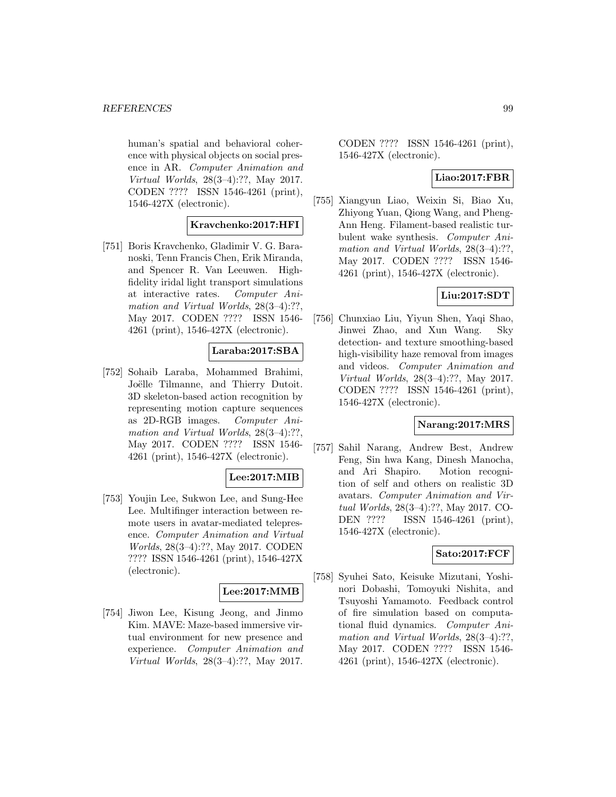human's spatial and behavioral coherence with physical objects on social presence in AR. Computer Animation and Virtual Worlds, 28(3–4):??, May 2017. CODEN ???? ISSN 1546-4261 (print), 1546-427X (electronic).

# **Kravchenko:2017:HFI**

[751] Boris Kravchenko, Gladimir V. G. Baranoski, Tenn Francis Chen, Erik Miranda, and Spencer R. Van Leeuwen. Highfidelity iridal light transport simulations at interactive rates. Computer Animation and Virtual Worlds, 28(3-4):??, May 2017. CODEN ???? ISSN 1546- 4261 (print), 1546-427X (electronic).

# **Laraba:2017:SBA**

[752] Sohaib Laraba, Mohammed Brahimi, Joëlle Tilmanne, and Thierry Dutoit. 3D skeleton-based action recognition by representing motion capture sequences as 2D-RGB images. Computer Animation and Virtual Worlds,  $28(3-4)$ :??, May 2017. CODEN ???? ISSN 1546- 4261 (print), 1546-427X (electronic).

# **Lee:2017:MIB**

[753] Youjin Lee, Sukwon Lee, and Sung-Hee Lee. Multifinger interaction between remote users in avatar-mediated telepresence. Computer Animation and Virtual Worlds, 28(3–4):??, May 2017. CODEN ???? ISSN 1546-4261 (print), 1546-427X (electronic).

# **Lee:2017:MMB**

[754] Jiwon Lee, Kisung Jeong, and Jinmo Kim. MAVE: Maze-based immersive virtual environment for new presence and experience. Computer Animation and Virtual Worlds, 28(3–4):??, May 2017.

CODEN ???? ISSN 1546-4261 (print), 1546-427X (electronic).

# **Liao:2017:FBR**

[755] Xiangyun Liao, Weixin Si, Biao Xu, Zhiyong Yuan, Qiong Wang, and Pheng-Ann Heng. Filament-based realistic turbulent wake synthesis. Computer Animation and Virtual Worlds, 28(3-4):??, May 2017. CODEN ???? ISSN 1546- 4261 (print), 1546-427X (electronic).

## **Liu:2017:SDT**

[756] Chunxiao Liu, Yiyun Shen, Yaqi Shao, Jinwei Zhao, and Xun Wang. Sky detection- and texture smoothing-based high-visibility haze removal from images and videos. Computer Animation and Virtual Worlds, 28(3–4):??, May 2017. CODEN ???? ISSN 1546-4261 (print), 1546-427X (electronic).

# **Narang:2017:MRS**

[757] Sahil Narang, Andrew Best, Andrew Feng, Sin hwa Kang, Dinesh Manocha, and Ari Shapiro. Motion recognition of self and others on realistic 3D avatars. Computer Animation and Virtual Worlds, 28(3–4):??, May 2017. CO-DEN ???? ISSN 1546-4261 (print), 1546-427X (electronic).

# **Sato:2017:FCF**

[758] Syuhei Sato, Keisuke Mizutani, Yoshinori Dobashi, Tomoyuki Nishita, and Tsuyoshi Yamamoto. Feedback control of fire simulation based on computational fluid dynamics. Computer Animation and Virtual Worlds,  $28(3-4)$ :??, May 2017. CODEN ???? ISSN 1546- 4261 (print), 1546-427X (electronic).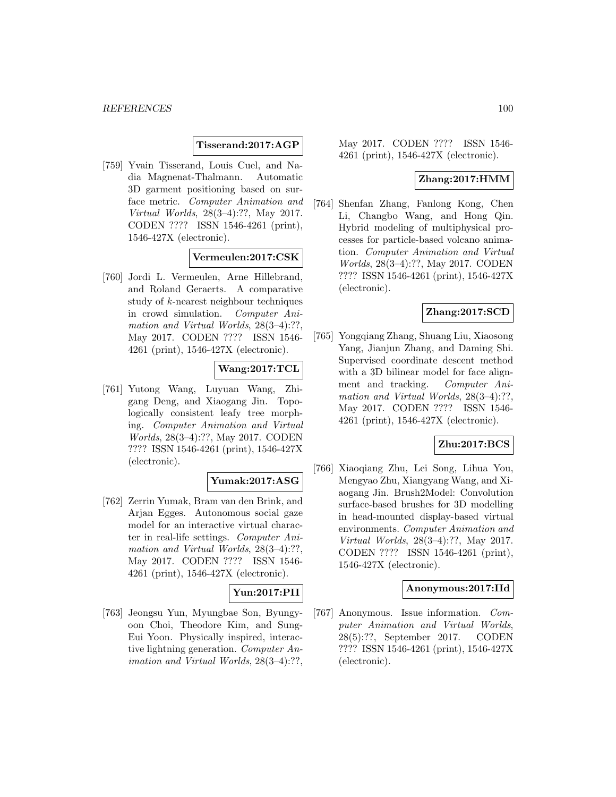## **Tisserand:2017:AGP**

[759] Yvain Tisserand, Louis Cuel, and Nadia Magnenat-Thalmann. Automatic 3D garment positioning based on surface metric. Computer Animation and Virtual Worlds, 28(3–4):??, May 2017. CODEN ???? ISSN 1546-4261 (print), 1546-427X (electronic).

## **Vermeulen:2017:CSK**

[760] Jordi L. Vermeulen, Arne Hillebrand, and Roland Geraerts. A comparative study of k-nearest neighbour techniques in crowd simulation. Computer Animation and Virtual Worlds,  $28(3-4)$ :??, May 2017. CODEN ???? ISSN 1546- 4261 (print), 1546-427X (electronic).

## **Wang:2017:TCL**

[761] Yutong Wang, Luyuan Wang, Zhigang Deng, and Xiaogang Jin. Topologically consistent leafy tree morphing. Computer Animation and Virtual Worlds, 28(3–4):??, May 2017. CODEN ???? ISSN 1546-4261 (print), 1546-427X (electronic).

# **Yumak:2017:ASG**

[762] Zerrin Yumak, Bram van den Brink, and Arjan Egges. Autonomous social gaze model for an interactive virtual character in real-life settings. Computer Animation and Virtual Worlds, 28(3-4):??, May 2017. CODEN ???? ISSN 1546- 4261 (print), 1546-427X (electronic).

# **Yun:2017:PII**

[763] Jeongsu Yun, Myungbae Son, Byungyoon Choi, Theodore Kim, and Sung-Eui Yoon. Physically inspired, interactive lightning generation. Computer Animation and Virtual Worlds, 28(3–4):??, May 2017. CODEN ???? ISSN 1546- 4261 (print), 1546-427X (electronic).

#### **Zhang:2017:HMM**

[764] Shenfan Zhang, Fanlong Kong, Chen Li, Changbo Wang, and Hong Qin. Hybrid modeling of multiphysical processes for particle-based volcano animation. Computer Animation and Virtual Worlds, 28(3–4):??, May 2017. CODEN ???? ISSN 1546-4261 (print), 1546-427X (electronic).

# **Zhang:2017:SCD**

[765] Yongqiang Zhang, Shuang Liu, Xiaosong Yang, Jianjun Zhang, and Daming Shi. Supervised coordinate descent method with a 3D bilinear model for face alignment and tracking. Computer Animation and Virtual Worlds,  $28(3-4)$ :??, May 2017. CODEN ???? ISSN 1546- 4261 (print), 1546-427X (electronic).

# **Zhu:2017:BCS**

[766] Xiaoqiang Zhu, Lei Song, Lihua You, Mengyao Zhu, Xiangyang Wang, and Xiaogang Jin. Brush2Model: Convolution surface-based brushes for 3D modelling in head-mounted display-based virtual environments. Computer Animation and Virtual Worlds, 28(3–4):??, May 2017. CODEN ???? ISSN 1546-4261 (print), 1546-427X (electronic).

#### **Anonymous:2017:IId**

[767] Anonymous. Issue information. Computer Animation and Virtual Worlds, 28(5):??, September 2017. CODEN ???? ISSN 1546-4261 (print), 1546-427X (electronic).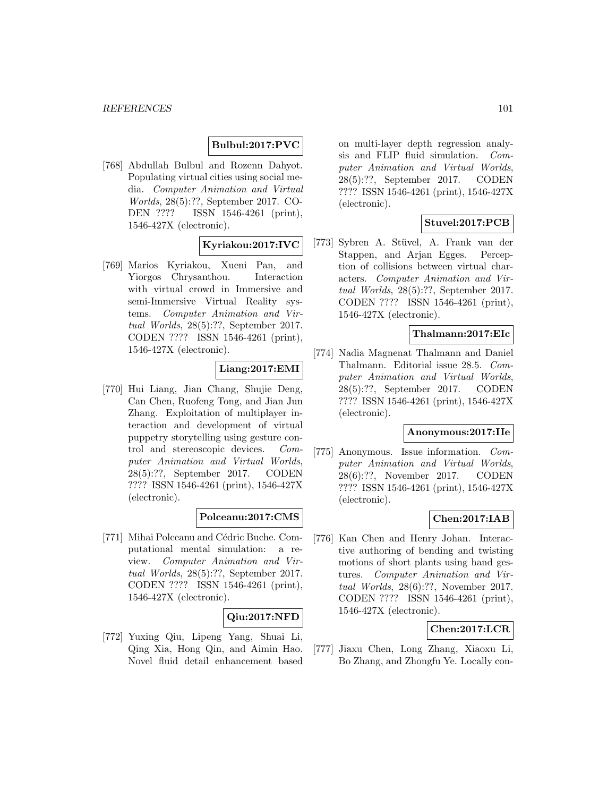# **Bulbul:2017:PVC**

[768] Abdullah Bulbul and Rozenn Dahyot. Populating virtual cities using social media. Computer Animation and Virtual Worlds, 28(5):??, September 2017. CO-DEN ???? ISSN 1546-4261 (print), 1546-427X (electronic).

## **Kyriakou:2017:IVC**

[769] Marios Kyriakou, Xueni Pan, and Yiorgos Chrysanthou. Interaction with virtual crowd in Immersive and semi-Immersive Virtual Reality systems. Computer Animation and Virtual Worlds, 28(5):??, September 2017. CODEN ???? ISSN 1546-4261 (print), 1546-427X (electronic).

# **Liang:2017:EMI**

[770] Hui Liang, Jian Chang, Shujie Deng, Can Chen, Ruofeng Tong, and Jian Jun Zhang. Exploitation of multiplayer interaction and development of virtual puppetry storytelling using gesture control and stereoscopic devices. Computer Animation and Virtual Worlds, 28(5):??, September 2017. CODEN ???? ISSN 1546-4261 (print), 1546-427X (electronic).

## **Polceanu:2017:CMS**

[771] Mihai Polceanu and Cédric Buche. Computational mental simulation: a review. Computer Animation and Virtual Worlds, 28(5):??, September 2017. CODEN ???? ISSN 1546-4261 (print), 1546-427X (electronic).

## **Qiu:2017:NFD**

[772] Yuxing Qiu, Lipeng Yang, Shuai Li, Qing Xia, Hong Qin, and Aimin Hao. Novel fluid detail enhancement based

on multi-layer depth regression analysis and FLIP fluid simulation. Computer Animation and Virtual Worlds, 28(5):??, September 2017. CODEN ???? ISSN 1546-4261 (print), 1546-427X (electronic).

## **Stuvel:2017:PCB**

[773] Sybren A. Stüvel, A. Frank van der Stappen, and Arjan Egges. Perception of collisions between virtual characters. Computer Animation and Virtual Worlds, 28(5):??, September 2017. CODEN ???? ISSN 1546-4261 (print), 1546-427X (electronic).

# **Thalmann:2017:EIc**

[774] Nadia Magnenat Thalmann and Daniel Thalmann. Editorial issue 28.5. Computer Animation and Virtual Worlds, 28(5):??, September 2017. CODEN ???? ISSN 1546-4261 (print), 1546-427X (electronic).

#### **Anonymous:2017:IIe**

[775] Anonymous. Issue information. Computer Animation and Virtual Worlds, 28(6):??, November 2017. CODEN ???? ISSN 1546-4261 (print), 1546-427X (electronic).

# **Chen:2017:IAB**

[776] Kan Chen and Henry Johan. Interactive authoring of bending and twisting motions of short plants using hand gestures. Computer Animation and Virtual Worlds, 28(6):??, November 2017. CODEN ???? ISSN 1546-4261 (print), 1546-427X (electronic).

# **Chen:2017:LCR**

[777] Jiaxu Chen, Long Zhang, Xiaoxu Li, Bo Zhang, and Zhongfu Ye. Locally con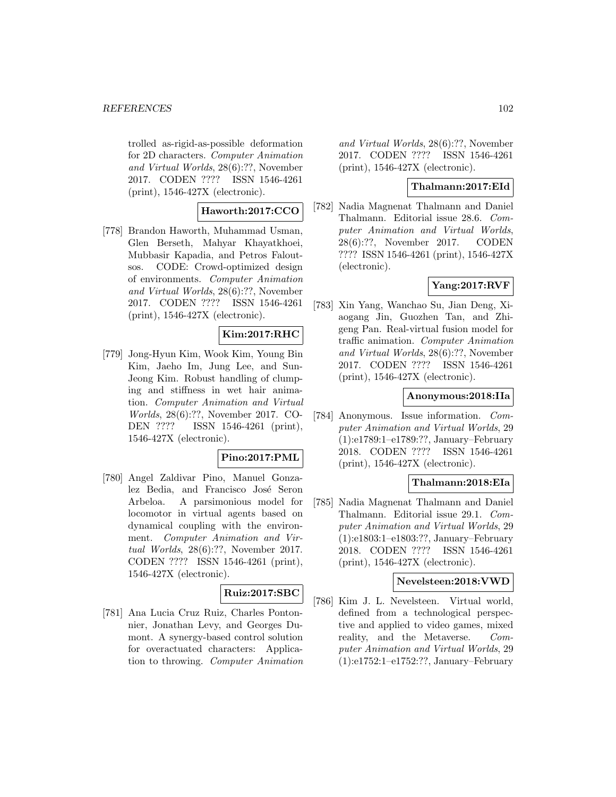trolled as-rigid-as-possible deformation for 2D characters. Computer Animation and Virtual Worlds, 28(6):??, November 2017. CODEN ???? ISSN 1546-4261 (print), 1546-427X (electronic).

# **Haworth:2017:CCO**

[778] Brandon Haworth, Muhammad Usman, Glen Berseth, Mahyar Khayatkhoei, Mubbasir Kapadia, and Petros Faloutsos. CODE: Crowd-optimized design of environments. Computer Animation and Virtual Worlds, 28(6):??, November 2017. CODEN ???? ISSN 1546-4261 (print), 1546-427X (electronic).

# **Kim:2017:RHC**

[779] Jong-Hyun Kim, Wook Kim, Young Bin Kim, Jaeho Im, Jung Lee, and Sun-Jeong Kim. Robust handling of clumping and stiffness in wet hair animation. Computer Animation and Virtual Worlds, 28(6):??, November 2017. CO-DEN ???? ISSN 1546-4261 (print), 1546-427X (electronic).

## **Pino:2017:PML**

[780] Angel Zaldivar Pino, Manuel Gonzalez Bedia, and Francisco José Seron Arbeloa. A parsimonious model for locomotor in virtual agents based on dynamical coupling with the environment. Computer Animation and Virtual Worlds, 28(6):??, November 2017. CODEN ???? ISSN 1546-4261 (print), 1546-427X (electronic).

## **Ruiz:2017:SBC**

[781] Ana Lucia Cruz Ruiz, Charles Pontonnier, Jonathan Levy, and Georges Dumont. A synergy-based control solution for overactuated characters: Application to throwing. Computer Animation and Virtual Worlds, 28(6):??, November 2017. CODEN ???? ISSN 1546-4261 (print), 1546-427X (electronic).

# **Thalmann:2017:EId**

[782] Nadia Magnenat Thalmann and Daniel Thalmann. Editorial issue 28.6. Computer Animation and Virtual Worlds, 28(6):??, November 2017. CODEN ???? ISSN 1546-4261 (print), 1546-427X (electronic).

# **Yang:2017:RVF**

[783] Xin Yang, Wanchao Su, Jian Deng, Xiaogang Jin, Guozhen Tan, and Zhigeng Pan. Real-virtual fusion model for traffic animation. Computer Animation and Virtual Worlds, 28(6):??, November 2017. CODEN ???? ISSN 1546-4261 (print), 1546-427X (electronic).

#### **Anonymous:2018:IIa**

[784] Anonymous. Issue information. Computer Animation and Virtual Worlds, 29 (1):e1789:1–e1789:??, January–February 2018. CODEN ???? ISSN 1546-4261 (print), 1546-427X (electronic).

#### **Thalmann:2018:EIa**

[785] Nadia Magnenat Thalmann and Daniel Thalmann. Editorial issue 29.1. Computer Animation and Virtual Worlds, 29 (1):e1803:1–e1803:??, January–February 2018. CODEN ???? ISSN 1546-4261 (print), 1546-427X (electronic).

# **Nevelsteen:2018:VWD**

[786] Kim J. L. Nevelsteen. Virtual world, defined from a technological perspective and applied to video games, mixed reality, and the Metaverse. Computer Animation and Virtual Worlds, 29 (1):e1752:1–e1752:??, January–February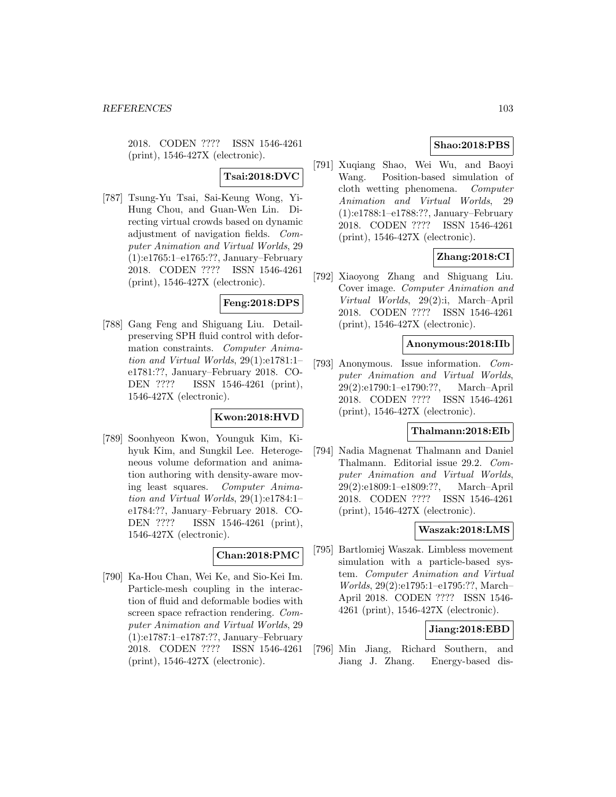2018. CODEN ???? ISSN 1546-4261 (print), 1546-427X (electronic).

# **Tsai:2018:DVC**

[787] Tsung-Yu Tsai, Sai-Keung Wong, Yi-Hung Chou, and Guan-Wen Lin. Directing virtual crowds based on dynamic adjustment of navigation fields. Computer Animation and Virtual Worlds, 29 (1):e1765:1–e1765:??, January–February 2018. CODEN ???? ISSN 1546-4261 (print), 1546-427X (electronic).

## **Feng:2018:DPS**

[788] Gang Feng and Shiguang Liu. Detailpreserving SPH fluid control with deformation constraints. Computer Animation and Virtual Worlds, 29(1):e1781:1– e1781:??, January–February 2018. CO-DEN ???? ISSN 1546-4261 (print), 1546-427X (electronic).

# **Kwon:2018:HVD**

[789] Soonhyeon Kwon, Younguk Kim, Kihyuk Kim, and Sungkil Lee. Heterogeneous volume deformation and animation authoring with density-aware moving least squares. Computer Animation and Virtual Worlds, 29(1):e1784:1– e1784:??, January–February 2018. CO-DEN ???? ISSN 1546-4261 (print), 1546-427X (electronic).

## **Chan:2018:PMC**

[790] Ka-Hou Chan, Wei Ke, and Sio-Kei Im. Particle-mesh coupling in the interaction of fluid and deformable bodies with screen space refraction rendering. Computer Animation and Virtual Worlds, 29 (1):e1787:1–e1787:??, January–February 2018. CODEN ???? ISSN 1546-4261 (print), 1546-427X (electronic).

# **Shao:2018:PBS**

[791] Xuqiang Shao, Wei Wu, and Baoyi Wang. Position-based simulation of cloth wetting phenomena. Computer Animation and Virtual Worlds, 29 (1):e1788:1–e1788:??, January–February 2018. CODEN ???? ISSN 1546-4261 (print), 1546-427X (electronic).

# **Zhang:2018:CI**

[792] Xiaoyong Zhang and Shiguang Liu. Cover image. Computer Animation and Virtual Worlds, 29(2):i, March–April 2018. CODEN ???? ISSN 1546-4261 (print), 1546-427X (electronic).

#### **Anonymous:2018:IIb**

[793] Anonymous. Issue information. Computer Animation and Virtual Worlds, 29(2):e1790:1–e1790:??, March–April 2018. CODEN ???? ISSN 1546-4261 (print), 1546-427X (electronic).

# **Thalmann:2018:EIb**

[794] Nadia Magnenat Thalmann and Daniel Thalmann. Editorial issue 29.2. Computer Animation and Virtual Worlds, 29(2):e1809:1–e1809:??, March–April 2018. CODEN ???? ISSN 1546-4261 (print), 1546-427X (electronic).

## **Waszak:2018:LMS**

[795] Bartlomiej Waszak. Limbless movement simulation with a particle-based system. Computer Animation and Virtual Worlds, 29(2):e1795:1–e1795:??, March– April 2018. CODEN ???? ISSN 1546- 4261 (print), 1546-427X (electronic).

## **Jiang:2018:EBD**

[796] Min Jiang, Richard Southern, and Jiang J. Zhang. Energy-based dis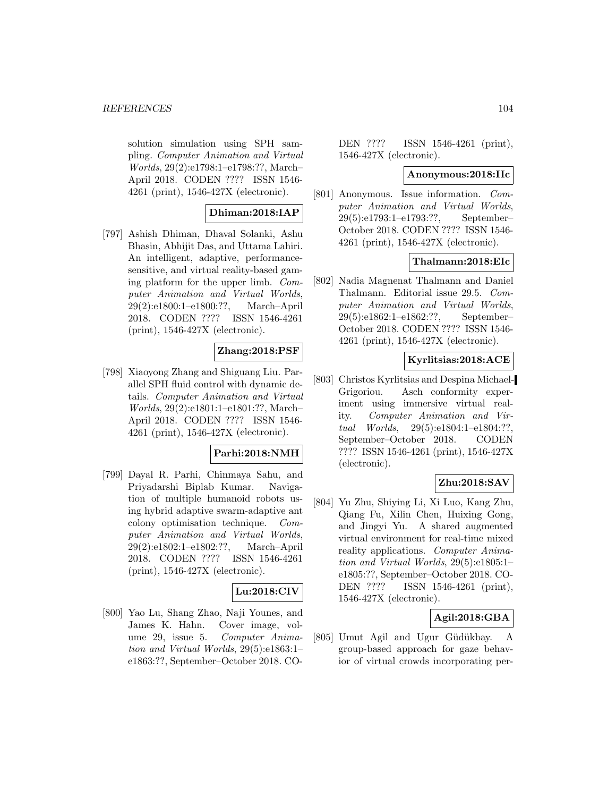solution simulation using SPH sampling. Computer Animation and Virtual Worlds, 29(2):e1798:1–e1798:??, March– April 2018. CODEN ???? ISSN 1546- 4261 (print), 1546-427X (electronic).

## **Dhiman:2018:IAP**

[797] Ashish Dhiman, Dhaval Solanki, Ashu Bhasin, Abhijit Das, and Uttama Lahiri. An intelligent, adaptive, performancesensitive, and virtual reality-based gaming platform for the upper limb. Computer Animation and Virtual Worlds, 29(2):e1800:1–e1800:??, March–April 2018. CODEN ???? ISSN 1546-4261 (print), 1546-427X (electronic).

# **Zhang:2018:PSF**

[798] Xiaoyong Zhang and Shiguang Liu. Parallel SPH fluid control with dynamic details. Computer Animation and Virtual Worlds, 29(2):e1801:1–e1801:??, March– April 2018. CODEN ???? ISSN 1546- 4261 (print), 1546-427X (electronic).

# **Parhi:2018:NMH**

[799] Dayal R. Parhi, Chinmaya Sahu, and Priyadarshi Biplab Kumar. Navigation of multiple humanoid robots using hybrid adaptive swarm-adaptive ant colony optimisation technique. Computer Animation and Virtual Worlds, 29(2):e1802:1–e1802:??, March–April 2018. CODEN ???? ISSN 1546-4261 (print), 1546-427X (electronic).

# **Lu:2018:CIV**

[800] Yao Lu, Shang Zhao, Naji Younes, and James K. Hahn. Cover image, volume 29, issue 5. Computer Animation and Virtual Worlds, 29(5):e1863:1– e1863:??, September–October 2018. CO-

DEN ???? ISSN 1546-4261 (print), 1546-427X (electronic).

#### **Anonymous:2018:IIc**

[801] Anonymous. Issue information. Computer Animation and Virtual Worlds, 29(5):e1793:1–e1793:??, September– October 2018. CODEN ???? ISSN 1546- 4261 (print), 1546-427X (electronic).

#### **Thalmann:2018:EIc**

[802] Nadia Magnenat Thalmann and Daniel Thalmann. Editorial issue 29.5. Computer Animation and Virtual Worlds, 29(5):e1862:1–e1862:??, September– October 2018. CODEN ???? ISSN 1546- 4261 (print), 1546-427X (electronic).

#### **Kyrlitsias:2018:ACE**

[803] Christos Kyrlitsias and Despina Michael-Grigoriou. Asch conformity experiment using immersive virtual reality. Computer Animation and Virtual Worlds, 29(5):e1804:1–e1804:??, September–October 2018. CODEN ???? ISSN 1546-4261 (print), 1546-427X (electronic).

# **Zhu:2018:SAV**

[804] Yu Zhu, Shiying Li, Xi Luo, Kang Zhu, Qiang Fu, Xilin Chen, Huixing Gong, and Jingyi Yu. A shared augmented virtual environment for real-time mixed reality applications. Computer Animation and Virtual Worlds, 29(5):e1805:1– e1805:??, September–October 2018. CO-DEN ???? ISSN 1546-4261 (print), 1546-427X (electronic).

# **Agil:2018:GBA**

[805] Umut Agil and Ugur Güdükbay. A group-based approach for gaze behavior of virtual crowds incorporating per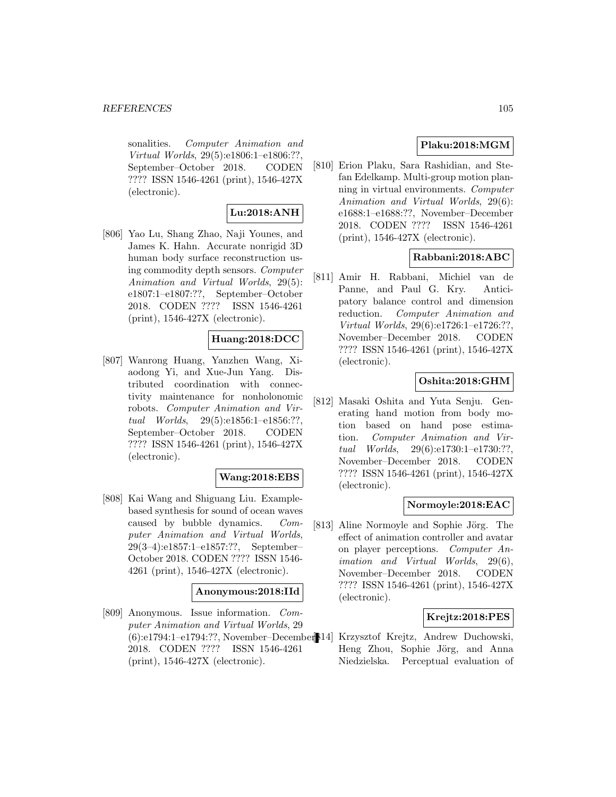sonalities. Computer Animation and Virtual Worlds, 29(5):e1806:1–e1806:??, September–October 2018. CODEN ???? ISSN 1546-4261 (print), 1546-427X (electronic).

# **Lu:2018:ANH**

[806] Yao Lu, Shang Zhao, Naji Younes, and James K. Hahn. Accurate nonrigid 3D human body surface reconstruction using commodity depth sensors. Computer Animation and Virtual Worlds, 29(5): e1807:1–e1807:??, September–October 2018. CODEN ???? ISSN 1546-4261 (print), 1546-427X (electronic).

## **Huang:2018:DCC**

[807] Wanrong Huang, Yanzhen Wang, Xiaodong Yi, and Xue-Jun Yang. Distributed coordination with connectivity maintenance for nonholonomic robots. Computer Animation and Virtual Worlds, 29(5):e1856:1–e1856:??, September–October 2018. CODEN ???? ISSN 1546-4261 (print), 1546-427X (electronic).

## **Wang:2018:EBS**

[808] Kai Wang and Shiguang Liu. Examplebased synthesis for sound of ocean waves caused by bubble dynamics. Computer Animation and Virtual Worlds, 29(3–4):e1857:1–e1857:??, September– October 2018. CODEN ???? ISSN 1546- 4261 (print), 1546-427X (electronic).

#### **Anonymous:2018:IId**

[809] Anonymous. Issue information. Computer Animation and Virtual Worlds, 29 2018. CODEN ???? ISSN 1546-4261 (print), 1546-427X (electronic).

# **Plaku:2018:MGM**

[810] Erion Plaku, Sara Rashidian, and Stefan Edelkamp. Multi-group motion planning in virtual environments. Computer Animation and Virtual Worlds, 29(6): e1688:1–e1688:??, November–December 2018. CODEN ???? ISSN 1546-4261 (print), 1546-427X (electronic).

## **Rabbani:2018:ABC**

[811] Amir H. Rabbani, Michiel van de Panne, and Paul G. Kry. Anticipatory balance control and dimension reduction. Computer Animation and Virtual Worlds, 29(6):e1726:1–e1726:??, November–December 2018. CODEN ???? ISSN 1546-4261 (print), 1546-427X (electronic).

# **Oshita:2018:GHM**

[812] Masaki Oshita and Yuta Senju. Generating hand motion from body motion based on hand pose estimation. Computer Animation and Virtual Worlds, 29(6):e1730:1–e1730:??, November–December 2018. CODEN ???? ISSN 1546-4261 (print), 1546-427X (electronic).

#### **Normoyle:2018:EAC**

[813] Aline Normoyle and Sophie Jörg. The effect of animation controller and avatar on player perceptions. Computer Animation and Virtual Worlds, 29(6), November–December 2018. CODEN ???? ISSN 1546-4261 (print), 1546-427X (electronic).

## **Krejtz:2018:PES**

(6):e1794:1–e1794:??, November–December [814] Krzysztof Krejtz, Andrew Duchowski, Heng Zhou, Sophie Jörg, and Anna Niedzielska. Perceptual evaluation of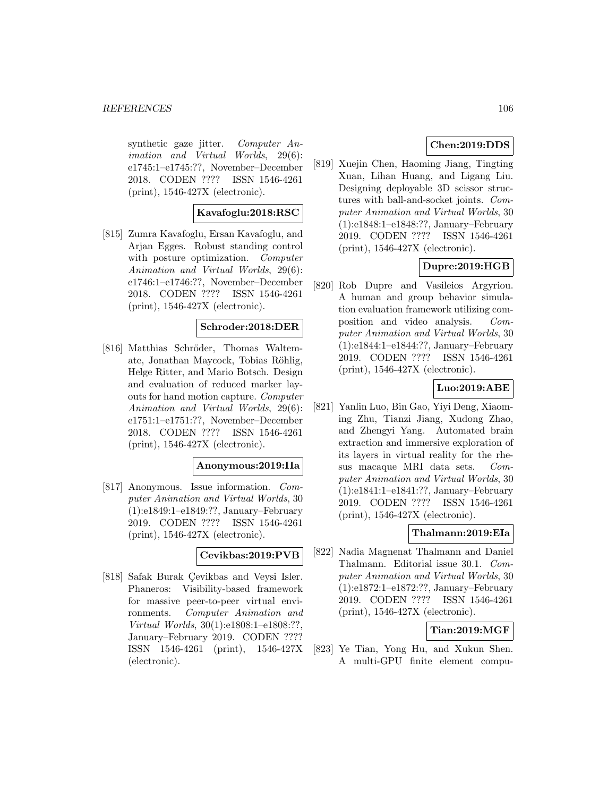synthetic gaze jitter. Computer Animation and Virtual Worlds, 29(6): e1745:1–e1745:??, November–December 2018. CODEN ???? ISSN 1546-4261 (print), 1546-427X (electronic).

#### **Kavafoglu:2018:RSC**

[815] Zumra Kavafoglu, Ersan Kavafoglu, and Arjan Egges. Robust standing control with posture optimization. *Computer* Animation and Virtual Worlds, 29(6): e1746:1–e1746:??, November–December 2018. CODEN ???? ISSN 1546-4261 (print), 1546-427X (electronic).

## **Schroder:2018:DER**

[816] Matthias Schröder, Thomas Waltemate, Jonathan Maycock, Tobias Röhlig, Helge Ritter, and Mario Botsch. Design and evaluation of reduced marker layouts for hand motion capture. Computer Animation and Virtual Worlds, 29(6): e1751:1–e1751:??, November–December 2018. CODEN ???? ISSN 1546-4261 (print), 1546-427X (electronic).

# **Anonymous:2019:IIa**

[817] Anonymous. Issue information. Computer Animation and Virtual Worlds, 30 (1):e1849:1–e1849:??, January–February 2019. CODEN ???? ISSN 1546-4261 (print), 1546-427X (electronic).

#### **Cevikbas:2019:PVB**

[818] Safak Burak Çevikbas and Veysi Isler. Phaneros: Visibility-based framework for massive peer-to-peer virtual environments. Computer Animation and Virtual Worlds, 30(1):e1808:1–e1808:??, January–February 2019. CODEN ???? ISSN 1546-4261 (print), 1546-427X (electronic).

# **Chen:2019:DDS**

[819] Xuejin Chen, Haoming Jiang, Tingting Xuan, Lihan Huang, and Ligang Liu. Designing deployable 3D scissor structures with ball-and-socket joints. Computer Animation and Virtual Worlds, 30 (1):e1848:1–e1848:??, January–February 2019. CODEN ???? ISSN 1546-4261 (print), 1546-427X (electronic).

# **Dupre:2019:HGB**

[820] Rob Dupre and Vasileios Argyriou. A human and group behavior simulation evaluation framework utilizing composition and video analysis. Computer Animation and Virtual Worlds, 30 (1):e1844:1–e1844:??, January–February 2019. CODEN ???? ISSN 1546-4261 (print), 1546-427X (electronic).

# **Luo:2019:ABE**

[821] Yanlin Luo, Bin Gao, Yiyi Deng, Xiaoming Zhu, Tianzi Jiang, Xudong Zhao, and Zhengyi Yang. Automated brain extraction and immersive exploration of its layers in virtual reality for the rhesus macaque MRI data sets. Computer Animation and Virtual Worlds, 30 (1):e1841:1–e1841:??, January–February 2019. CODEN ???? ISSN 1546-4261 (print), 1546-427X (electronic).

#### **Thalmann:2019:EIa**

[822] Nadia Magnenat Thalmann and Daniel Thalmann. Editorial issue 30.1. Computer Animation and Virtual Worlds, 30 (1):e1872:1–e1872:??, January–February 2019. CODEN ???? ISSN 1546-4261 (print), 1546-427X (electronic).

## **Tian:2019:MGF**

[823] Ye Tian, Yong Hu, and Xukun Shen. A multi-GPU finite element compu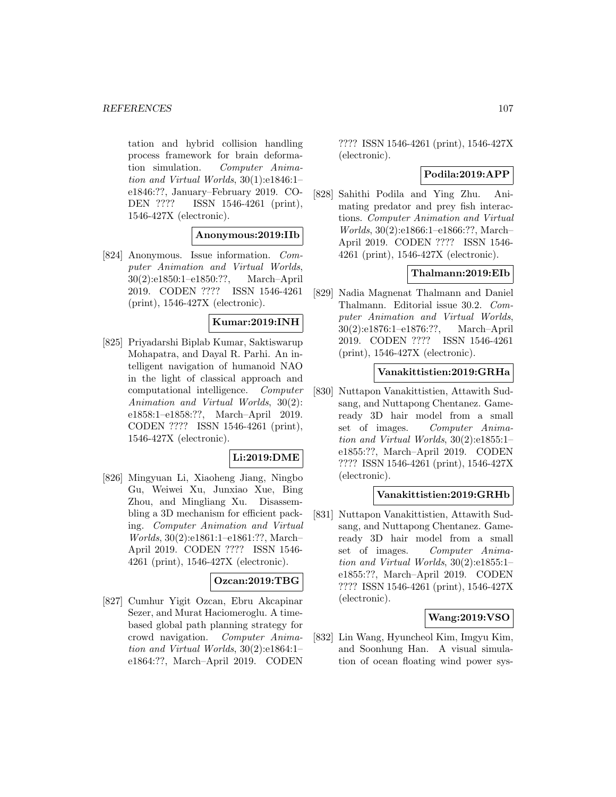tation and hybrid collision handling process framework for brain deformation simulation. Computer Animation and Virtual Worlds, 30(1):e1846:1– e1846:??, January–February 2019. CO-DEN ???? ISSN 1546-4261 (print), 1546-427X (electronic).

## **Anonymous:2019:IIb**

[824] Anonymous. Issue information. Computer Animation and Virtual Worlds, 30(2):e1850:1–e1850:??, March–April 2019. CODEN ???? ISSN 1546-4261 (print), 1546-427X (electronic).

# **Kumar:2019:INH**

[825] Priyadarshi Biplab Kumar, Saktiswarup Mohapatra, and Dayal R. Parhi. An intelligent navigation of humanoid NAO in the light of classical approach and computational intelligence. Computer Animation and Virtual Worlds, 30(2): e1858:1–e1858:??, March–April 2019. CODEN ???? ISSN 1546-4261 (print), 1546-427X (electronic).

## **Li:2019:DME**

[826] Mingyuan Li, Xiaoheng Jiang, Ningbo Gu, Weiwei Xu, Junxiao Xue, Bing Zhou, and Mingliang Xu. Disassembling a 3D mechanism for efficient packing. Computer Animation and Virtual Worlds, 30(2):e1861:1–e1861:??, March– April 2019. CODEN ???? ISSN 1546- 4261 (print), 1546-427X (electronic).

# **Ozcan:2019:TBG**

[827] Cumhur Yigit Ozcan, Ebru Akcapinar Sezer, and Murat Haciomeroglu. A timebased global path planning strategy for crowd navigation. Computer Animation and Virtual Worlds, 30(2):e1864:1– e1864:??, March–April 2019. CODEN

???? ISSN 1546-4261 (print), 1546-427X (electronic).

#### **Podila:2019:APP**

[828] Sahithi Podila and Ying Zhu. Animating predator and prey fish interactions. Computer Animation and Virtual Worlds, 30(2):e1866:1–e1866:??, March– April 2019. CODEN ???? ISSN 1546- 4261 (print), 1546-427X (electronic).

#### **Thalmann:2019:EIb**

[829] Nadia Magnenat Thalmann and Daniel Thalmann. Editorial issue 30.2. Computer Animation and Virtual Worlds, 30(2):e1876:1–e1876:??, March–April 2019. CODEN ???? ISSN 1546-4261 (print), 1546-427X (electronic).

#### **Vanakittistien:2019:GRHa**

[830] Nuttapon Vanakittistien, Attawith Sudsang, and Nuttapong Chentanez. Gameready 3D hair model from a small set of images. Computer Animation and Virtual Worlds, 30(2):e1855:1– e1855:??, March–April 2019. CODEN ???? ISSN 1546-4261 (print), 1546-427X (electronic).

#### **Vanakittistien:2019:GRHb**

[831] Nuttapon Vanakittistien, Attawith Sudsang, and Nuttapong Chentanez. Gameready 3D hair model from a small set of images. Computer Animation and Virtual Worlds, 30(2):e1855:1– e1855:??, March–April 2019. CODEN ???? ISSN 1546-4261 (print), 1546-427X (electronic).

## **Wang:2019:VSO**

[832] Lin Wang, Hyuncheol Kim, Imgyu Kim, and Soonhung Han. A visual simulation of ocean floating wind power sys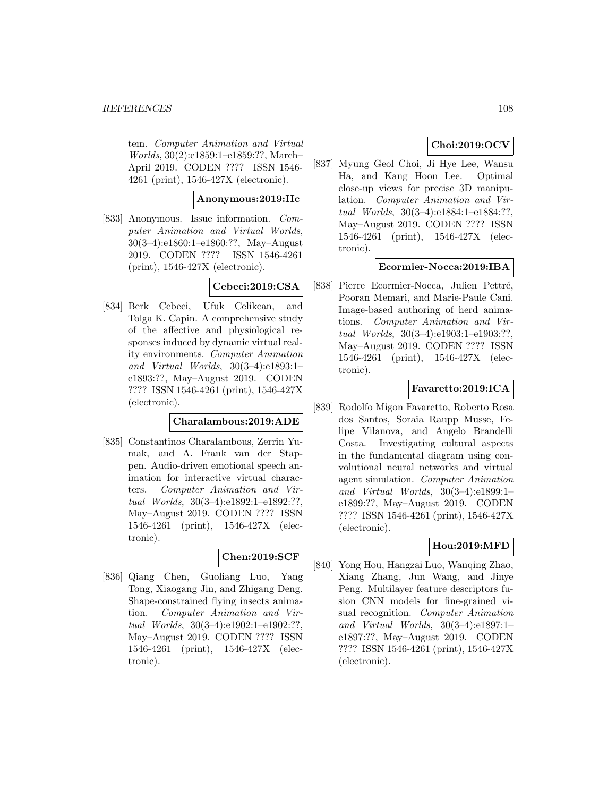tem. Computer Animation and Virtual Worlds, 30(2):e1859:1–e1859:??, March– April 2019. CODEN ???? ISSN 1546- 4261 (print), 1546-427X (electronic).

## **Anonymous:2019:IIc**

[833] Anonymous. Issue information. Computer Animation and Virtual Worlds, 30(3–4):e1860:1–e1860:??, May–August 2019. CODEN ???? ISSN 1546-4261 (print), 1546-427X (electronic).

# **Cebeci:2019:CSA**

[834] Berk Cebeci, Ufuk Celikcan, and Tolga K. Capin. A comprehensive study of the affective and physiological responses induced by dynamic virtual reality environments. Computer Animation and Virtual Worlds, 30(3–4):e1893:1– e1893:??, May–August 2019. CODEN ???? ISSN 1546-4261 (print), 1546-427X (electronic).

## **Charalambous:2019:ADE**

[835] Constantinos Charalambous, Zerrin Yumak, and A. Frank van der Stappen. Audio-driven emotional speech animation for interactive virtual characters. Computer Animation and Virtual Worlds, 30(3–4):e1892:1–e1892:??, May–August 2019. CODEN ???? ISSN 1546-4261 (print), 1546-427X (electronic).

# **Chen:2019:SCF**

[836] Qiang Chen, Guoliang Luo, Yang Tong, Xiaogang Jin, and Zhigang Deng. Shape-constrained flying insects animation. Computer Animation and Virtual Worlds, 30(3–4):e1902:1–e1902:??, May–August 2019. CODEN ???? ISSN 1546-4261 (print), 1546-427X (electronic).

# **Choi:2019:OCV**

[837] Myung Geol Choi, Ji Hye Lee, Wansu Ha, and Kang Hoon Lee. Optimal close-up views for precise 3D manipulation. Computer Animation and Virtual Worlds, 30(3–4):e1884:1–e1884:??, May–August 2019. CODEN ???? ISSN 1546-4261 (print), 1546-427X (electronic).

# **Ecormier-Nocca:2019:IBA**

[838] Pierre Ecormier-Nocca, Julien Pettré, Pooran Memari, and Marie-Paule Cani. Image-based authoring of herd animations. Computer Animation and Virtual Worlds, 30(3–4):e1903:1–e1903:??, May–August 2019. CODEN ???? ISSN 1546-4261 (print), 1546-427X (electronic).

## **Favaretto:2019:ICA**

[839] Rodolfo Migon Favaretto, Roberto Rosa dos Santos, Soraia Raupp Musse, Felipe Vilanova, and Angelo Brandelli Costa. Investigating cultural aspects in the fundamental diagram using convolutional neural networks and virtual agent simulation. Computer Animation and Virtual Worlds, 30(3–4):e1899:1– e1899:??, May–August 2019. CODEN ???? ISSN 1546-4261 (print), 1546-427X (electronic).

# **Hou:2019:MFD**

[840] Yong Hou, Hangzai Luo, Wanqing Zhao, Xiang Zhang, Jun Wang, and Jinye Peng. Multilayer feature descriptors fusion CNN models for fine-grained visual recognition. Computer Animation and Virtual Worlds, 30(3–4):e1897:1– e1897:??, May–August 2019. CODEN ???? ISSN 1546-4261 (print), 1546-427X (electronic).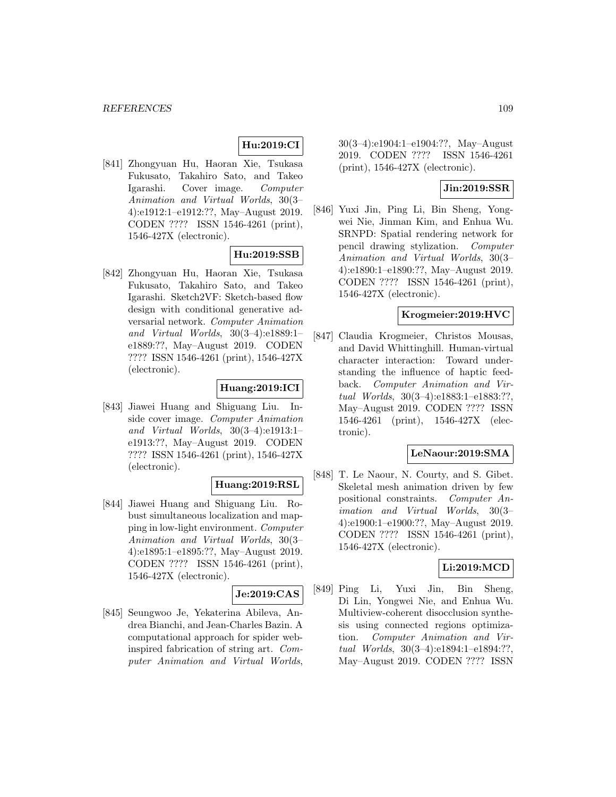# **Hu:2019:CI**

[841] Zhongyuan Hu, Haoran Xie, Tsukasa Fukusato, Takahiro Sato, and Takeo Igarashi. Cover image. Computer Animation and Virtual Worlds, 30(3– 4):e1912:1–e1912:??, May–August 2019. CODEN ???? ISSN 1546-4261 (print), 1546-427X (electronic).

## **Hu:2019:SSB**

[842] Zhongyuan Hu, Haoran Xie, Tsukasa Fukusato, Takahiro Sato, and Takeo Igarashi. Sketch2VF: Sketch-based flow design with conditional generative adversarial network. Computer Animation and Virtual Worlds, 30(3–4):e1889:1– e1889:??, May–August 2019. CODEN ???? ISSN 1546-4261 (print), 1546-427X (electronic).

#### **Huang:2019:ICI**

[843] Jiawei Huang and Shiguang Liu. Inside cover image. Computer Animation and Virtual Worlds, 30(3–4):e1913:1– e1913:??, May–August 2019. CODEN ???? ISSN 1546-4261 (print), 1546-427X (electronic).

## **Huang:2019:RSL**

[844] Jiawei Huang and Shiguang Liu. Robust simultaneous localization and mapping in low-light environment. Computer Animation and Virtual Worlds, 30(3– 4):e1895:1–e1895:??, May–August 2019. CODEN ???? ISSN 1546-4261 (print), 1546-427X (electronic).

## **Je:2019:CAS**

[845] Seungwoo Je, Yekaterina Abileva, Andrea Bianchi, and Jean-Charles Bazin. A computational approach for spider webinspired fabrication of string art. Computer Animation and Virtual Worlds,

30(3–4):e1904:1–e1904:??, May–August 2019. CODEN ???? ISSN 1546-4261 (print), 1546-427X (electronic).

# **Jin:2019:SSR**

[846] Yuxi Jin, Ping Li, Bin Sheng, Yongwei Nie, Jinman Kim, and Enhua Wu. SRNPD: Spatial rendering network for pencil drawing stylization. Computer Animation and Virtual Worlds, 30(3– 4):e1890:1–e1890:??, May–August 2019. CODEN ???? ISSN 1546-4261 (print), 1546-427X (electronic).

## **Krogmeier:2019:HVC**

[847] Claudia Krogmeier, Christos Mousas, and David Whittinghill. Human-virtual character interaction: Toward understanding the influence of haptic feedback. Computer Animation and Virtual Worlds, 30(3–4):e1883:1–e1883:??, May–August 2019. CODEN ???? ISSN 1546-4261 (print), 1546-427X (electronic).

#### **LeNaour:2019:SMA**

[848] T. Le Naour, N. Courty, and S. Gibet. Skeletal mesh animation driven by few positional constraints. Computer Animation and Virtual Worlds, 30(3– 4):e1900:1–e1900:??, May–August 2019. CODEN ???? ISSN 1546-4261 (print), 1546-427X (electronic).

#### **Li:2019:MCD**

[849] Ping Li, Yuxi Jin, Bin Sheng, Di Lin, Yongwei Nie, and Enhua Wu. Multiview-coherent disocclusion synthesis using connected regions optimization. Computer Animation and Virtual Worlds, 30(3–4):e1894:1–e1894:??, May–August 2019. CODEN ???? ISSN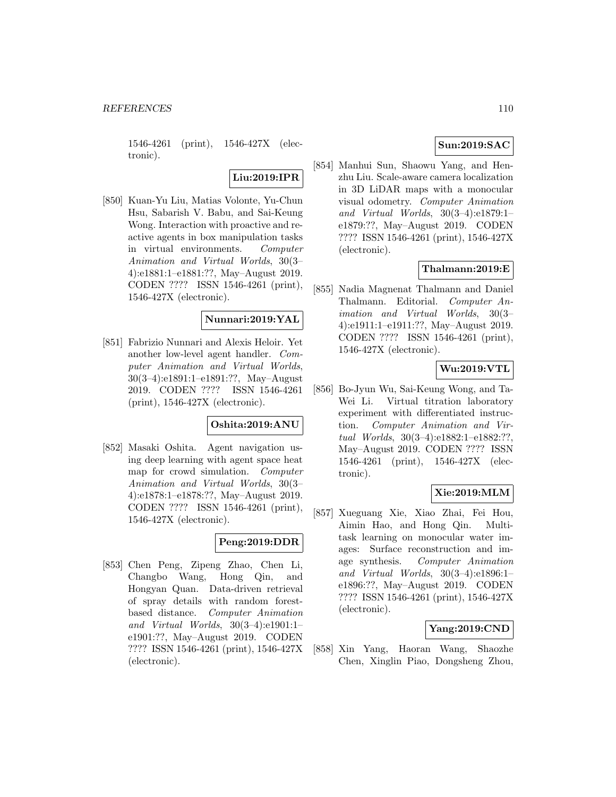1546-4261 (print), 1546-427X (electronic).

# **Liu:2019:IPR**

[850] Kuan-Yu Liu, Matias Volonte, Yu-Chun Hsu, Sabarish V. Babu, and Sai-Keung Wong. Interaction with proactive and reactive agents in box manipulation tasks in virtual environments. Computer Animation and Virtual Worlds, 30(3– 4):e1881:1–e1881:??, May–August 2019. CODEN ???? ISSN 1546-4261 (print), 1546-427X (electronic).

# **Nunnari:2019:YAL**

[851] Fabrizio Nunnari and Alexis Heloir. Yet another low-level agent handler. Computer Animation and Virtual Worlds, 30(3–4):e1891:1–e1891:??, May–August 2019. CODEN ???? ISSN 1546-4261 (print), 1546-427X (electronic).

# **Oshita:2019:ANU**

[852] Masaki Oshita. Agent navigation using deep learning with agent space heat map for crowd simulation. Computer Animation and Virtual Worlds, 30(3– 4):e1878:1–e1878:??, May–August 2019. CODEN ???? ISSN 1546-4261 (print), 1546-427X (electronic).

# **Peng:2019:DDR**

[853] Chen Peng, Zipeng Zhao, Chen Li, Changbo Wang, Hong Qin, and Hongyan Quan. Data-driven retrieval of spray details with random forestbased distance. Computer Animation and Virtual Worlds, 30(3–4):e1901:1– e1901:??, May–August 2019. CODEN ???? ISSN 1546-4261 (print), 1546-427X (electronic).

# **Sun:2019:SAC**

[854] Manhui Sun, Shaowu Yang, and Henzhu Liu. Scale-aware camera localization in 3D LiDAR maps with a monocular visual odometry. Computer Animation and Virtual Worlds, 30(3–4):e1879:1– e1879:??, May–August 2019. CODEN ???? ISSN 1546-4261 (print), 1546-427X (electronic).

# **Thalmann:2019:E**

[855] Nadia Magnenat Thalmann and Daniel Thalmann. Editorial. Computer Animation and Virtual Worlds, 30(3– 4):e1911:1–e1911:??, May–August 2019. CODEN ???? ISSN 1546-4261 (print), 1546-427X (electronic).

# **Wu:2019:VTL**

[856] Bo-Jyun Wu, Sai-Keung Wong, and Ta-Wei Li. Virtual titration laboratory experiment with differentiated instruction. Computer Animation and Virtual Worlds, 30(3–4):e1882:1–e1882:??, May–August 2019. CODEN ???? ISSN 1546-4261 (print), 1546-427X (electronic).

# **Xie:2019:MLM**

[857] Xueguang Xie, Xiao Zhai, Fei Hou, Aimin Hao, and Hong Qin. Multitask learning on monocular water images: Surface reconstruction and image synthesis. Computer Animation and Virtual Worlds, 30(3–4):e1896:1– e1896:??, May–August 2019. CODEN ???? ISSN 1546-4261 (print), 1546-427X (electronic).

## **Yang:2019:CND**

[858] Xin Yang, Haoran Wang, Shaozhe Chen, Xinglin Piao, Dongsheng Zhou,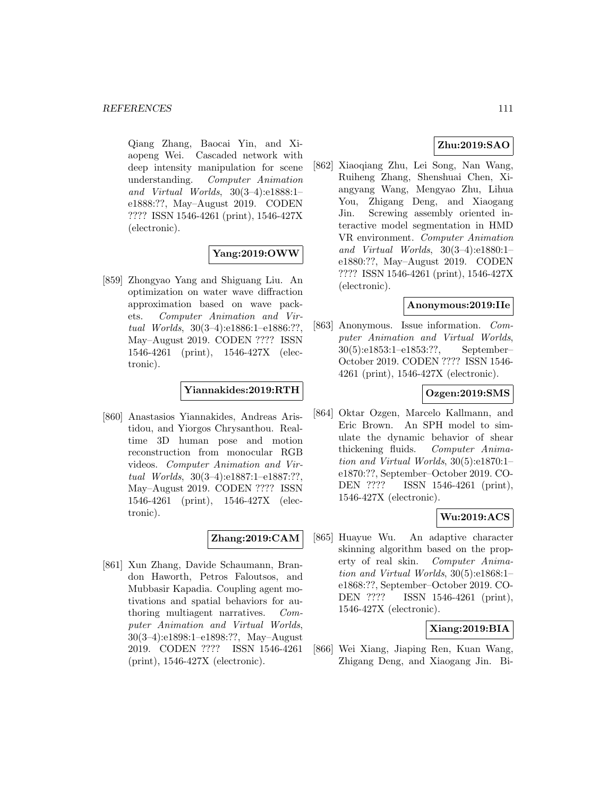Qiang Zhang, Baocai Yin, and Xiaopeng Wei. Cascaded network with deep intensity manipulation for scene understanding. Computer Animation and Virtual Worlds, 30(3–4):e1888:1– e1888:??, May–August 2019. CODEN ???? ISSN 1546-4261 (print), 1546-427X (electronic).

# **Yang:2019:OWW**

[859] Zhongyao Yang and Shiguang Liu. An optimization on water wave diffraction approximation based on wave packets. Computer Animation and Virtual Worlds, 30(3–4):e1886:1–e1886:??, May–August 2019. CODEN ???? ISSN 1546-4261 (print), 1546-427X (electronic).

**Yiannakides:2019:RTH**

[860] Anastasios Yiannakides, Andreas Aristidou, and Yiorgos Chrysanthou. Realtime 3D human pose and motion reconstruction from monocular RGB videos. Computer Animation and Virtual Worlds, 30(3–4):e1887:1–e1887:??, May–August 2019. CODEN ???? ISSN 1546-4261 (print), 1546-427X (electronic).

## **Zhang:2019:CAM**

[861] Xun Zhang, Davide Schaumann, Brandon Haworth, Petros Faloutsos, and Mubbasir Kapadia. Coupling agent motivations and spatial behaviors for authoring multiagent narratives. Computer Animation and Virtual Worlds, 30(3–4):e1898:1–e1898:??, May–August 2019. CODEN ???? ISSN 1546-4261 (print), 1546-427X (electronic).

# **Zhu:2019:SAO**

[862] Xiaoqiang Zhu, Lei Song, Nan Wang, Ruiheng Zhang, Shenshuai Chen, Xiangyang Wang, Mengyao Zhu, Lihua You, Zhigang Deng, and Xiaogang Jin. Screwing assembly oriented interactive model segmentation in HMD VR environment. Computer Animation and Virtual Worlds, 30(3–4):e1880:1– e1880:??, May–August 2019. CODEN ???? ISSN 1546-4261 (print), 1546-427X (electronic).

#### **Anonymous:2019:IIe**

[863] Anonymous. Issue information. Computer Animation and Virtual Worlds, 30(5):e1853:1–e1853:??, September– October 2019. CODEN ???? ISSN 1546- 4261 (print), 1546-427X (electronic).

## **Ozgen:2019:SMS**

[864] Oktar Ozgen, Marcelo Kallmann, and Eric Brown. An SPH model to simulate the dynamic behavior of shear thickening fluids. Computer Animation and Virtual Worlds, 30(5):e1870:1– e1870:??, September–October 2019. CO-DEN ???? ISSN 1546-4261 (print), 1546-427X (electronic).

# **Wu:2019:ACS**

[865] Huayue Wu. An adaptive character skinning algorithm based on the property of real skin. Computer Animation and Virtual Worlds, 30(5):e1868:1– e1868:??, September–October 2019. CO-DEN ???? ISSN 1546-4261 (print), 1546-427X (electronic).

## **Xiang:2019:BIA**

[866] Wei Xiang, Jiaping Ren, Kuan Wang, Zhigang Deng, and Xiaogang Jin. Bi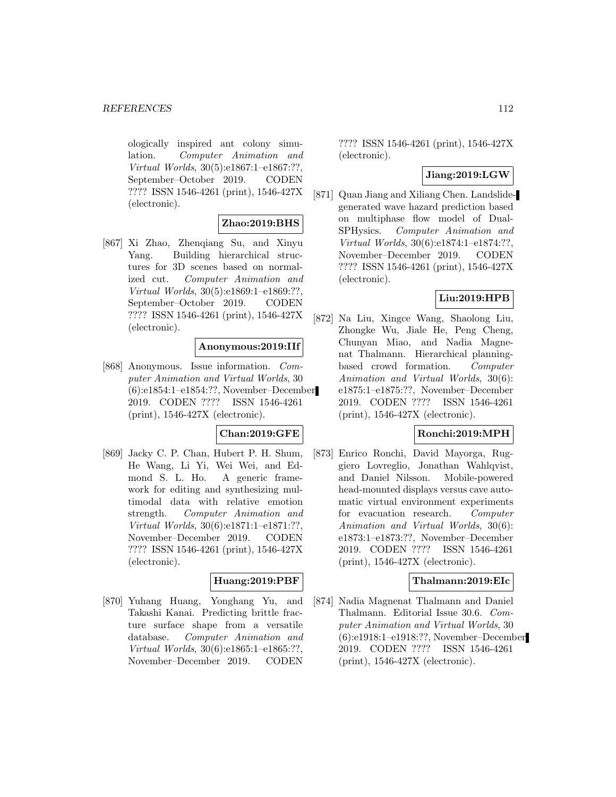ologically inspired ant colony simulation. Computer Animation and Virtual Worlds, 30(5):e1867:1–e1867:??, September–October 2019. CODEN ???? ISSN 1546-4261 (print), 1546-427X (electronic).

#### **Zhao:2019:BHS**

[867] Xi Zhao, Zhenqiang Su, and Xinyu Yang. Building hierarchical structures for 3D scenes based on normalized cut. Computer Animation and Virtual Worlds, 30(5):e1869:1–e1869:??, September–October 2019. CODEN ???? ISSN 1546-4261 (print), 1546-427X (electronic).

# **Anonymous:2019:IIf**

[868] Anonymous. Issue information. Computer Animation and Virtual Worlds, 30 (6):e1854:1–e1854:??, November–December 2019. CODEN ???? ISSN 1546-4261 (print), 1546-427X (electronic).

#### **Chan:2019:GFE**

[869] Jacky C. P. Chan, Hubert P. H. Shum, He Wang, Li Yi, Wei Wei, and Edmond S. L. Ho. A generic framework for editing and synthesizing multimodal data with relative emotion strength. Computer Animation and Virtual Worlds, 30(6):e1871:1–e1871:??, November–December 2019. CODEN ???? ISSN 1546-4261 (print), 1546-427X (electronic).

# **Huang:2019:PBF**

[870] Yuhang Huang, Yonghang Yu, and Takashi Kanai. Predicting brittle fracture surface shape from a versatile database. Computer Animation and Virtual Worlds, 30(6):e1865:1–e1865:??, November–December 2019. CODEN

???? ISSN 1546-4261 (print), 1546-427X (electronic).

## **Jiang:2019:LGW**

[871] Quan Jiang and Xiliang Chen. Landslidegenerated wave hazard prediction based on multiphase flow model of Dual-SPHysics. Computer Animation and Virtual Worlds, 30(6):e1874:1–e1874:??, November–December 2019. CODEN ???? ISSN 1546-4261 (print), 1546-427X (electronic).

# **Liu:2019:HPB**

[872] Na Liu, Xingce Wang, Shaolong Liu, Zhongke Wu, Jiale He, Peng Cheng, Chunyan Miao, and Nadia Magnenat Thalmann. Hierarchical planningbased crowd formation. Computer Animation and Virtual Worlds, 30(6): e1875:1–e1875:??, November–December 2019. CODEN ???? ISSN 1546-4261 (print), 1546-427X (electronic).

# **Ronchi:2019:MPH**

[873] Enrico Ronchi, David Mayorga, Ruggiero Lovreglio, Jonathan Wahlqvist, and Daniel Nilsson. Mobile-powered head-mounted displays versus cave automatic virtual environment experiments for evacuation research. Computer Animation and Virtual Worlds, 30(6): e1873:1–e1873:??, November–December 2019. CODEN ???? ISSN 1546-4261 (print), 1546-427X (electronic).

# **Thalmann:2019:EIc**

[874] Nadia Magnenat Thalmann and Daniel Thalmann. Editorial Issue 30.6. Computer Animation and Virtual Worlds, 30 (6):e1918:1–e1918:??, November–December 2019. CODEN ???? ISSN 1546-4261 (print), 1546-427X (electronic).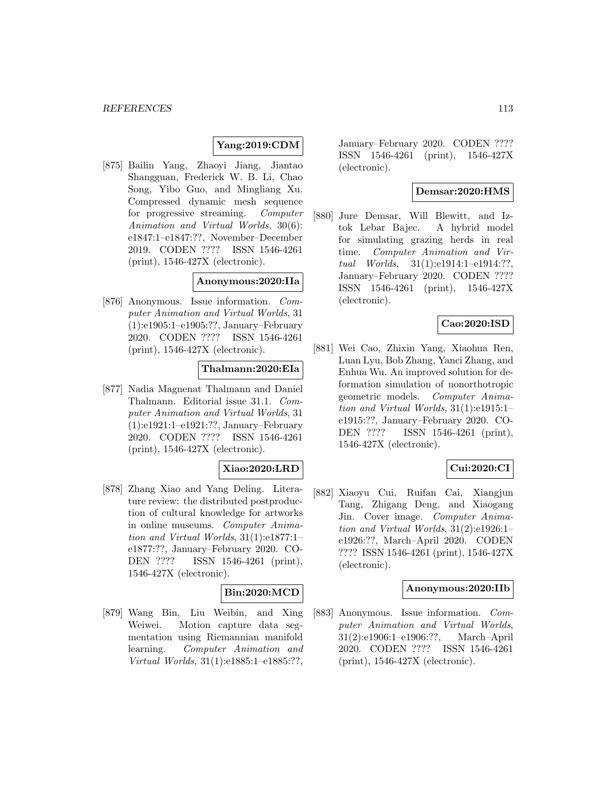# **Yang:2019:CDM**

[875] Bailin Yang, Zhaoyi Jiang, Jiantao Shangguan, Frederick W. B. Li, Chao Song, Yibo Guo, and Mingliang Xu. Compressed dynamic mesh sequence for progressive streaming. Computer Animation and Virtual Worlds, 30(6): e1847:1–e1847:??, November–December 2019. CODEN ???? ISSN 1546-4261 (print), 1546-427X (electronic).

# **Anonymous:2020:IIa**

[876] Anonymous. Issue information. Computer Animation and Virtual Worlds, 31 (1):e1905:1–e1905:??, January–February 2020. CODEN ???? ISSN 1546-4261 (print), 1546-427X (electronic).

#### **Thalmann:2020:EIa**

[877] Nadia Magnenat Thalmann and Daniel Thalmann. Editorial issue 31.1. Computer Animation and Virtual Worlds, 31 (1):e1921:1–e1921:??, January–February 2020. CODEN ???? ISSN 1546-4261 (print), 1546-427X (electronic).

## **Xiao:2020:LRD**

[878] Zhang Xiao and Yang Deling. Literature review: the distributed postproduction of cultural knowledge for artworks in online museums. Computer Animation and Virtual Worlds, 31(1):e1877:1– e1877:??, January–February 2020. CO-DEN ???? ISSN 1546-4261 (print), 1546-427X (electronic).

## **Bin:2020:MCD**

[879] Wang Bin, Liu Weibin, and Xing Weiwei. Motion capture data segmentation using Riemannian manifold learning. Computer Animation and Virtual Worlds, 31(1):e1885:1–e1885:??,

January–February 2020. CODEN ???? ISSN 1546-4261 (print), 1546-427X (electronic).

# **Demsar:2020:HMS**

[880] Jure Demsar, Will Blewitt, and Iztok Lebar Bajec. A hybrid model for simulating grazing herds in real time. Computer Animation and Virtual Worlds, 31(1):e1914:1–e1914:??, January–February 2020. CODEN ???? ISSN 1546-4261 (print), 1546-427X (electronic).

## **Cao:2020:ISD**

[881] Wei Cao, Zhixin Yang, Xiaohua Ren, Luan Lyu, Bob Zhang, Yanci Zhang, and Enhua Wu. An improved solution for deformation simulation of nonorthotropic geometric models. Computer Animation and Virtual Worlds, 31(1):e1915:1– e1915:??, January–February 2020. CO-DEN ???? ISSN 1546-4261 (print), 1546-427X (electronic).

## **Cui:2020:CI**

[882] Xiaoyu Cui, Ruifan Cai, Xiangjun Tang, Zhigang Deng, and Xiaogang Jin. Cover image. Computer Animation and Virtual Worlds, 31(2):e1926:1– e1926:??, March–April 2020. CODEN ???? ISSN 1546-4261 (print), 1546-427X (electronic).

#### **Anonymous:2020:IIb**

[883] Anonymous. Issue information. Computer Animation and Virtual Worlds, 31(2):e1906:1–e1906:??, March–April 2020. CODEN ???? ISSN 1546-4261 (print), 1546-427X (electronic).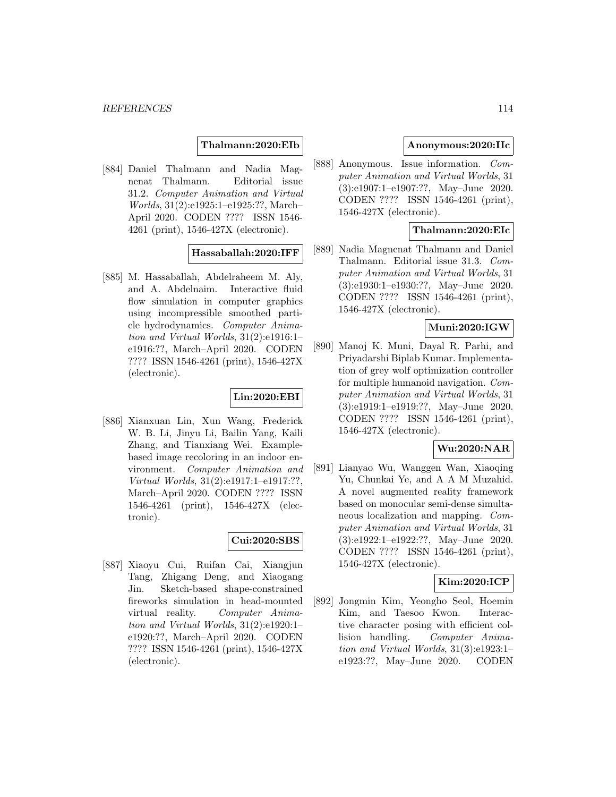### **Thalmann:2020:EIb**

[884] Daniel Thalmann and Nadia Magnenat Thalmann. Editorial issue 31.2. Computer Animation and Virtual Worlds, 31(2):e1925:1–e1925:??, March– April 2020. CODEN ???? ISSN 1546- 4261 (print), 1546-427X (electronic).

## **Hassaballah:2020:IFF**

[885] M. Hassaballah, Abdelraheem M. Aly, and A. Abdelnaim. Interactive fluid flow simulation in computer graphics using incompressible smoothed particle hydrodynamics. Computer Animation and Virtual Worlds, 31(2):e1916:1– e1916:??, March–April 2020. CODEN ???? ISSN 1546-4261 (print), 1546-427X (electronic).

#### **Lin:2020:EBI**

[886] Xianxuan Lin, Xun Wang, Frederick W. B. Li, Jinyu Li, Bailin Yang, Kaili Zhang, and Tianxiang Wei. Examplebased image recoloring in an indoor environment. Computer Animation and Virtual Worlds, 31(2):e1917:1–e1917:??, March–April 2020. CODEN ???? ISSN 1546-4261 (print), 1546-427X (electronic).

## **Cui:2020:SBS**

[887] Xiaoyu Cui, Ruifan Cai, Xiangjun Tang, Zhigang Deng, and Xiaogang Jin. Sketch-based shape-constrained fireworks simulation in head-mounted virtual reality. Computer Animation and Virtual Worlds, 31(2):e1920:1– e1920:??, March–April 2020. CODEN ???? ISSN 1546-4261 (print), 1546-427X (electronic).

# **Anonymous:2020:IIc**

[888] Anonymous. Issue information. Computer Animation and Virtual Worlds, 31 (3):e1907:1–e1907:??, May–June 2020. CODEN ???? ISSN 1546-4261 (print), 1546-427X (electronic).

#### **Thalmann:2020:EIc**

[889] Nadia Magnenat Thalmann and Daniel Thalmann. Editorial issue 31.3. Computer Animation and Virtual Worlds, 31 (3):e1930:1–e1930:??, May–June 2020. CODEN ???? ISSN 1546-4261 (print), 1546-427X (electronic).

### **Muni:2020:IGW**

[890] Manoj K. Muni, Dayal R. Parhi, and Priyadarshi Biplab Kumar. Implementation of grey wolf optimization controller for multiple humanoid navigation. Computer Animation and Virtual Worlds, 31 (3):e1919:1–e1919:??, May–June 2020. CODEN ???? ISSN 1546-4261 (print), 1546-427X (electronic).

# **Wu:2020:NAR**

[891] Lianyao Wu, Wanggen Wan, Xiaoqing Yu, Chunkai Ye, and A A M Muzahid. A novel augmented reality framework based on monocular semi-dense simultaneous localization and mapping. Computer Animation and Virtual Worlds, 31 (3):e1922:1–e1922:??, May–June 2020. CODEN ???? ISSN 1546-4261 (print), 1546-427X (electronic).

### **Kim:2020:ICP**

[892] Jongmin Kim, Yeongho Seol, Hoemin Kim, and Taesoo Kwon. Interactive character posing with efficient collision handling. Computer Animation and Virtual Worlds, 31(3):e1923:1– e1923:??, May–June 2020. CODEN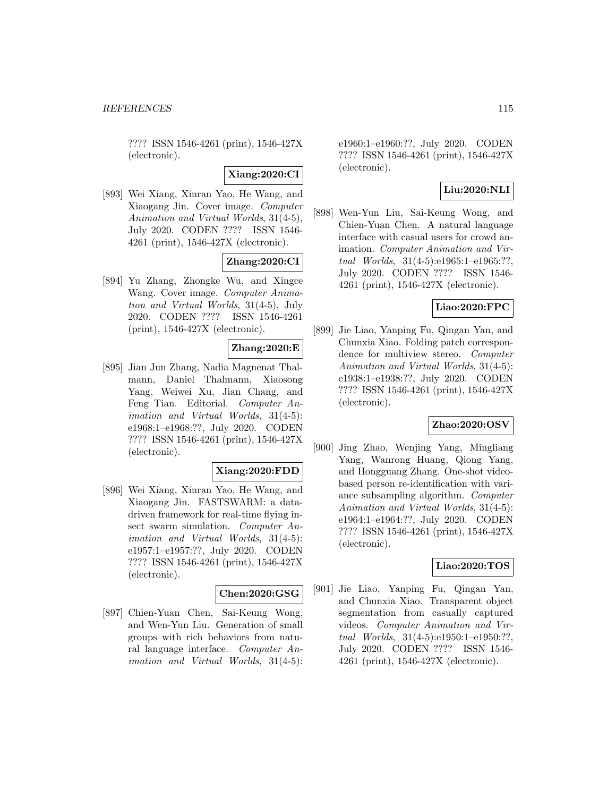???? ISSN 1546-4261 (print), 1546-427X (electronic).

# **Xiang:2020:CI**

[893] Wei Xiang, Xinran Yao, He Wang, and Xiaogang Jin. Cover image. Computer Animation and Virtual Worlds, 31(4-5), July 2020. CODEN ???? ISSN 1546- 4261 (print), 1546-427X (electronic).

## **Zhang:2020:CI**

[894] Yu Zhang, Zhongke Wu, and Xingce Wang. Cover image. Computer Animation and Virtual Worlds, 31(4-5), July 2020. CODEN ???? ISSN 1546-4261 (print), 1546-427X (electronic).

# **Zhang:2020:E**

[895] Jian Jun Zhang, Nadia Magnenat Thalmann, Daniel Thalmann, Xiaosong Yang, Weiwei Xu, Jian Chang, and Feng Tian. Editorial. Computer Animation and Virtual Worlds, 31(4-5): e1968:1–e1968:??, July 2020. CODEN ???? ISSN 1546-4261 (print), 1546-427X (electronic).

#### **Xiang:2020:FDD**

[896] Wei Xiang, Xinran Yao, He Wang, and Xiaogang Jin. FASTSWARM: a datadriven framework for real-time flying insect swarm simulation. Computer Animation and Virtual Worlds, 31(4-5): e1957:1–e1957:??, July 2020. CODEN ???? ISSN 1546-4261 (print), 1546-427X (electronic).

#### **Chen:2020:GSG**

[897] Chien-Yuan Chen, Sai-Keung Wong, and Wen-Yun Liu. Generation of small groups with rich behaviors from natural language interface. Computer Animation and Virtual Worlds, 31(4-5): e1960:1–e1960:??, July 2020. CODEN ???? ISSN 1546-4261 (print), 1546-427X (electronic).

# **Liu:2020:NLI**

[898] Wen-Yun Liu, Sai-Keung Wong, and Chien-Yuan Chen. A natural language interface with casual users for crowd animation. Computer Animation and Virtual Worlds, 31(4-5):e1965:1–e1965:??, July 2020. CODEN ???? ISSN 1546- 4261 (print), 1546-427X (electronic).

#### **Liao:2020:FPC**

[899] Jie Liao, Yanping Fu, Qingan Yan, and Chunxia Xiao. Folding patch correspondence for multiview stereo. Computer Animation and Virtual Worlds, 31(4-5): e1938:1–e1938:??, July 2020. CODEN ???? ISSN 1546-4261 (print), 1546-427X (electronic).

# **Zhao:2020:OSV**

[900] Jing Zhao, Wenjing Yang, Mingliang Yang, Wanrong Huang, Qiong Yang, and Hongguang Zhang. One-shot videobased person re-identification with variance subsampling algorithm. Computer Animation and Virtual Worlds, 31(4-5): e1964:1–e1964:??, July 2020. CODEN ???? ISSN 1546-4261 (print), 1546-427X (electronic).

#### **Liao:2020:TOS**

[901] Jie Liao, Yanping Fu, Qingan Yan, and Chunxia Xiao. Transparent object segmentation from casually captured videos. Computer Animation and Virtual Worlds, 31(4-5):e1950:1–e1950:??, July 2020. CODEN ???? ISSN 1546- 4261 (print), 1546-427X (electronic).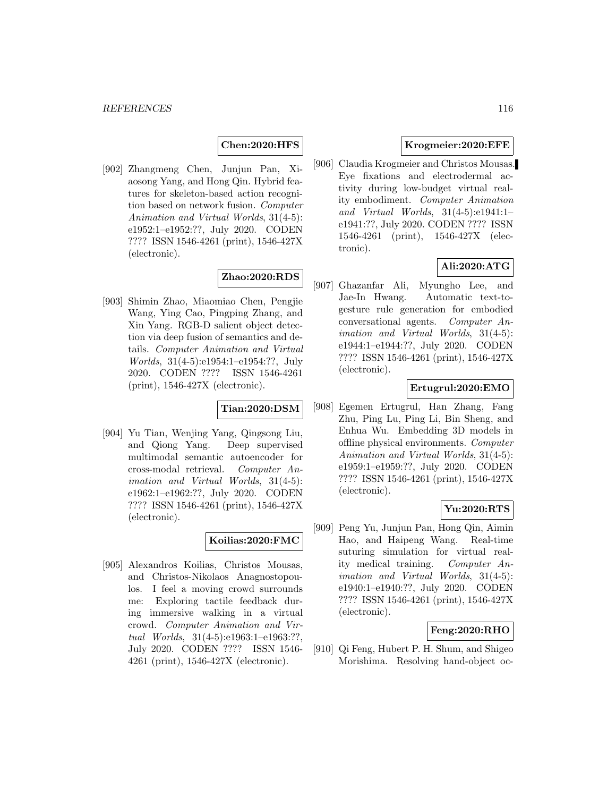#### **Chen:2020:HFS**

[902] Zhangmeng Chen, Junjun Pan, Xiaosong Yang, and Hong Qin. Hybrid features for skeleton-based action recognition based on network fusion. Computer Animation and Virtual Worlds, 31(4-5): e1952:1–e1952:??, July 2020. CODEN ???? ISSN 1546-4261 (print), 1546-427X (electronic).

# **Zhao:2020:RDS**

[903] Shimin Zhao, Miaomiao Chen, Pengjie Wang, Ying Cao, Pingping Zhang, and Xin Yang. RGB-D salient object detection via deep fusion of semantics and details. Computer Animation and Virtual Worlds, 31(4-5):e1954:1-e1954:??, July 2020. CODEN ???? ISSN 1546-4261 (print), 1546-427X (electronic).

# **Tian:2020:DSM**

[904] Yu Tian, Wenjing Yang, Qingsong Liu, and Qiong Yang. Deep supervised multimodal semantic autoencoder for cross-modal retrieval. Computer Animation and Virtual Worlds, 31(4-5): e1962:1–e1962:??, July 2020. CODEN ???? ISSN 1546-4261 (print), 1546-427X (electronic).

# **Koilias:2020:FMC**

[905] Alexandros Koilias, Christos Mousas, and Christos-Nikolaos Anagnostopoulos. I feel a moving crowd surrounds me: Exploring tactile feedback during immersive walking in a virtual crowd. Computer Animation and Virtual Worlds, 31(4-5):e1963:1–e1963:??, July 2020. CODEN ???? ISSN 1546- 4261 (print), 1546-427X (electronic).

## **Krogmeier:2020:EFE**

[906] Claudia Krogmeier and Christos Mousas. Eye fixations and electrodermal activity during low-budget virtual reality embodiment. Computer Animation and Virtual Worlds, 31(4-5):e1941:1– e1941:??, July 2020. CODEN ???? ISSN 1546-4261 (print), 1546-427X (electronic).

# **Ali:2020:ATG**

[907] Ghazanfar Ali, Myungho Lee, and Jae-In Hwang. Automatic text-togesture rule generation for embodied conversational agents. Computer Animation and Virtual Worlds, 31(4-5): e1944:1–e1944:??, July 2020. CODEN ???? ISSN 1546-4261 (print), 1546-427X (electronic).

## **Ertugrul:2020:EMO**

[908] Egemen Ertugrul, Han Zhang, Fang Zhu, Ping Lu, Ping Li, Bin Sheng, and Enhua Wu. Embedding 3D models in offline physical environments. Computer Animation and Virtual Worlds, 31(4-5): e1959:1–e1959:??, July 2020. CODEN ???? ISSN 1546-4261 (print), 1546-427X (electronic).

## **Yu:2020:RTS**

[909] Peng Yu, Junjun Pan, Hong Qin, Aimin Hao, and Haipeng Wang. Real-time suturing simulation for virtual reality medical training. Computer Animation and Virtual Worlds, 31(4-5): e1940:1–e1940:??, July 2020. CODEN ???? ISSN 1546-4261 (print), 1546-427X (electronic).

# **Feng:2020:RHO**

[910] Qi Feng, Hubert P. H. Shum, and Shigeo Morishima. Resolving hand-object oc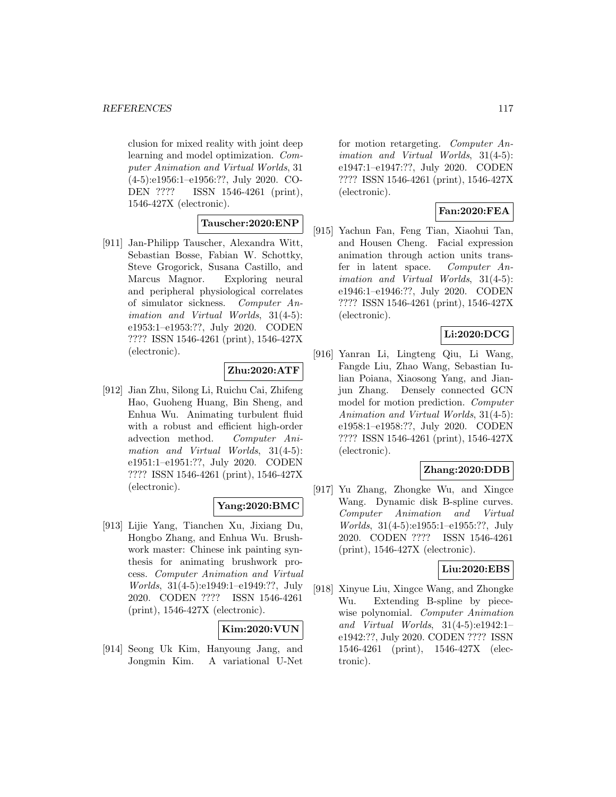clusion for mixed reality with joint deep learning and model optimization. Computer Animation and Virtual Worlds, 31 (4-5):e1956:1–e1956:??, July 2020. CO-DEN ???? ISSN 1546-4261 (print), 1546-427X (electronic).

# **Tauscher:2020:ENP**

[911] Jan-Philipp Tauscher, Alexandra Witt, Sebastian Bosse, Fabian W. Schottky, Steve Grogorick, Susana Castillo, and Marcus Magnor. Exploring neural and peripheral physiological correlates of simulator sickness. Computer Animation and Virtual Worlds, 31(4-5): e1953:1–e1953:??, July 2020. CODEN ???? ISSN 1546-4261 (print), 1546-427X (electronic).

# **Zhu:2020:ATF**

[912] Jian Zhu, Silong Li, Ruichu Cai, Zhifeng Hao, Guoheng Huang, Bin Sheng, and Enhua Wu. Animating turbulent fluid with a robust and efficient high-order advection method. Computer Animation and Virtual Worlds, 31(4-5): e1951:1–e1951:??, July 2020. CODEN ???? ISSN 1546-4261 (print), 1546-427X (electronic).

# **Yang:2020:BMC**

[913] Lijie Yang, Tianchen Xu, Jixiang Du, Hongbo Zhang, and Enhua Wu. Brushwork master: Chinese ink painting synthesis for animating brushwork process. Computer Animation and Virtual Worlds, 31(4-5):e1949:1–e1949:??, July 2020. CODEN ???? ISSN 1546-4261 (print), 1546-427X (electronic).

# **Kim:2020:VUN**

[914] Seong Uk Kim, Hanyoung Jang, and Jongmin Kim. A variational U-Net for motion retargeting. Computer Animation and Virtual Worlds, 31(4-5): e1947:1–e1947:??, July 2020. CODEN ???? ISSN 1546-4261 (print), 1546-427X (electronic).

# **Fan:2020:FEA**

[915] Yachun Fan, Feng Tian, Xiaohui Tan, and Housen Cheng. Facial expression animation through action units transfer in latent space. Computer Animation and Virtual Worlds, 31(4-5): e1946:1–e1946:??, July 2020. CODEN ???? ISSN 1546-4261 (print), 1546-427X (electronic).

# **Li:2020:DCG**

[916] Yanran Li, Lingteng Qiu, Li Wang, Fangde Liu, Zhao Wang, Sebastian Iulian Poiana, Xiaosong Yang, and Jianjun Zhang. Densely connected GCN model for motion prediction. Computer Animation and Virtual Worlds, 31(4-5): e1958:1–e1958:??, July 2020. CODEN ???? ISSN 1546-4261 (print), 1546-427X (electronic).

## **Zhang:2020:DDB**

[917] Yu Zhang, Zhongke Wu, and Xingce Wang. Dynamic disk B-spline curves. Computer Animation and Virtual Worlds, 31(4-5):e1955:1–e1955:??, July 2020. CODEN ???? ISSN 1546-4261 (print), 1546-427X (electronic).

#### **Liu:2020:EBS**

[918] Xinyue Liu, Xingce Wang, and Zhongke Wu. Extending B-spline by piecewise polynomial. Computer Animation and Virtual Worlds, 31(4-5):e1942:1– e1942:??, July 2020. CODEN ???? ISSN 1546-4261 (print), 1546-427X (electronic).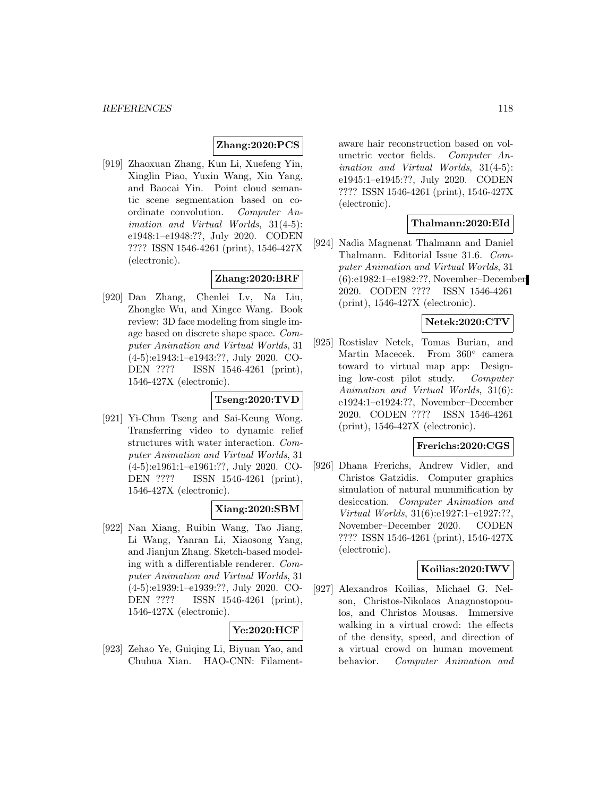# **Zhang:2020:PCS**

[919] Zhaoxuan Zhang, Kun Li, Xuefeng Yin, Xinglin Piao, Yuxin Wang, Xin Yang, and Baocai Yin. Point cloud semantic scene segmentation based on coordinate convolution. Computer Animation and Virtual Worlds, 31(4-5): e1948:1–e1948:??, July 2020. CODEN ???? ISSN 1546-4261 (print), 1546-427X (electronic).

# **Zhang:2020:BRF**

[920] Dan Zhang, Chenlei Lv, Na Liu, Zhongke Wu, and Xingce Wang. Book review: 3D face modeling from single image based on discrete shape space. Computer Animation and Virtual Worlds, 31 (4-5):e1943:1–e1943:??, July 2020. CO-DEN ???? ISSN 1546-4261 (print), 1546-427X (electronic).

#### **Tseng:2020:TVD**

[921] Yi-Chun Tseng and Sai-Keung Wong. Transferring video to dynamic relief structures with water interaction. Computer Animation and Virtual Worlds, 31 (4-5):e1961:1–e1961:??, July 2020. CO-DEN ???? ISSN 1546-4261 (print), 1546-427X (electronic).

# **Xiang:2020:SBM**

[922] Nan Xiang, Ruibin Wang, Tao Jiang, Li Wang, Yanran Li, Xiaosong Yang, and Jianjun Zhang. Sketch-based modeling with a differentiable renderer. Computer Animation and Virtual Worlds, 31 (4-5):e1939:1–e1939:??, July 2020. CO-DEN ???? ISSN 1546-4261 (print), 1546-427X (electronic).

## **Ye:2020:HCF**

[923] Zehao Ye, Guiqing Li, Biyuan Yao, and Chuhua Xian. HAO-CNN: Filamentaware hair reconstruction based on volumetric vector fields. Computer Animation and Virtual Worlds, 31(4-5): e1945:1–e1945:??, July 2020. CODEN ???? ISSN 1546-4261 (print), 1546-427X (electronic).

### **Thalmann:2020:EId**

[924] Nadia Magnenat Thalmann and Daniel Thalmann. Editorial Issue 31.6. Computer Animation and Virtual Worlds, 31 (6):e1982:1–e1982:??, November–December 2020. CODEN ???? ISSN 1546-4261 (print), 1546-427X (electronic).

#### **Netek:2020:CTV**

[925] Rostislav Netek, Tomas Burian, and Martin Macecek. From 360° camera toward to virtual map app: Designing low-cost pilot study. Computer Animation and Virtual Worlds, 31(6): e1924:1–e1924:??, November–December 2020. CODEN ???? ISSN 1546-4261 (print), 1546-427X (electronic).

## **Frerichs:2020:CGS**

[926] Dhana Frerichs, Andrew Vidler, and Christos Gatzidis. Computer graphics simulation of natural mummification by desiccation. Computer Animation and Virtual Worlds, 31(6):e1927:1–e1927:??, November–December 2020. CODEN ???? ISSN 1546-4261 (print), 1546-427X (electronic).

## **Koilias:2020:IWV**

[927] Alexandros Koilias, Michael G. Nelson, Christos-Nikolaos Anagnostopoulos, and Christos Mousas. Immersive walking in a virtual crowd: the effects of the density, speed, and direction of a virtual crowd on human movement behavior. Computer Animation and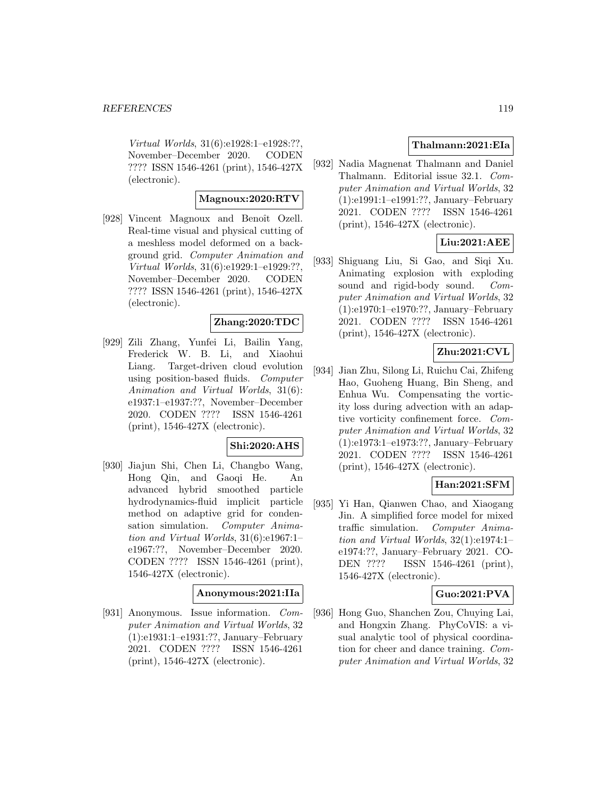Virtual Worlds, 31(6):e1928:1–e1928:??, November–December 2020. CODEN ???? ISSN 1546-4261 (print), 1546-427X (electronic).

# **Magnoux:2020:RTV**

[928] Vincent Magnoux and Benoît Ozell. Real-time visual and physical cutting of a meshless model deformed on a background grid. Computer Animation and Virtual Worlds, 31(6):e1929:1–e1929:??, November–December 2020. CODEN ???? ISSN 1546-4261 (print), 1546-427X (electronic).

## **Zhang:2020:TDC**

[929] Zili Zhang, Yunfei Li, Bailin Yang, Frederick W. B. Li, and Xiaohui Liang. Target-driven cloud evolution using position-based fluids. Computer Animation and Virtual Worlds, 31(6): e1937:1–e1937:??, November–December 2020. CODEN ???? ISSN 1546-4261 (print), 1546-427X (electronic).

## **Shi:2020:AHS**

[930] Jiajun Shi, Chen Li, Changbo Wang, Hong Qin, and Gaoqi He. An advanced hybrid smoothed particle hydrodynamics-fluid implicit particle method on adaptive grid for condensation simulation. Computer Animation and Virtual Worlds, 31(6):e1967:1– e1967:??, November–December 2020. CODEN ???? ISSN 1546-4261 (print), 1546-427X (electronic).

# **Anonymous:2021:IIa**

[931] Anonymous. Issue information. Computer Animation and Virtual Worlds, 32 (1):e1931:1–e1931:??, January–February 2021. CODEN ???? ISSN 1546-4261 (print), 1546-427X (electronic).

# **Thalmann:2021:EIa**

[932] Nadia Magnenat Thalmann and Daniel Thalmann. Editorial issue 32.1. Computer Animation and Virtual Worlds, 32 (1):e1991:1–e1991:??, January–February 2021. CODEN ???? ISSN 1546-4261 (print), 1546-427X (electronic).

# **Liu:2021:AEE**

[933] Shiguang Liu, Si Gao, and Siqi Xu. Animating explosion with exploding sound and rigid-body sound. Computer Animation and Virtual Worlds, 32 (1):e1970:1–e1970:??, January–February 2021. CODEN ???? ISSN 1546-4261 (print), 1546-427X (electronic).

# **Zhu:2021:CVL**

[934] Jian Zhu, Silong Li, Ruichu Cai, Zhifeng Hao, Guoheng Huang, Bin Sheng, and Enhua Wu. Compensating the vorticity loss during advection with an adaptive vorticity confinement force. Computer Animation and Virtual Worlds, 32 (1):e1973:1–e1973:??, January–February 2021. CODEN ???? ISSN 1546-4261 (print), 1546-427X (electronic).

# **Han:2021:SFM**

[935] Yi Han, Qianwen Chao, and Xiaogang Jin. A simplified force model for mixed traffic simulation. Computer Animation and Virtual Worlds, 32(1):e1974:1– e1974:??, January–February 2021. CO-DEN ???? ISSN 1546-4261 (print), 1546-427X (electronic).

## **Guo:2021:PVA**

[936] Hong Guo, Shanchen Zou, Chuying Lai, and Hongxin Zhang. PhyCoVIS: a visual analytic tool of physical coordination for cheer and dance training. Computer Animation and Virtual Worlds, 32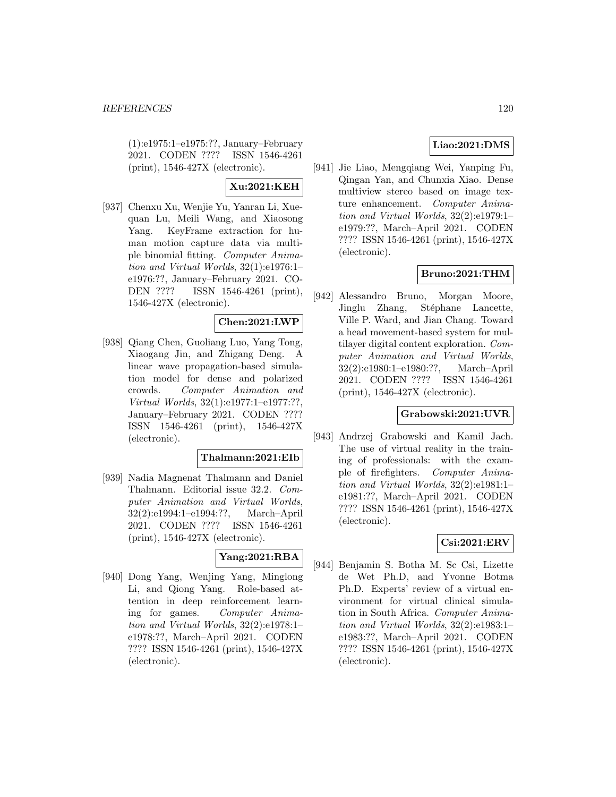(1):e1975:1–e1975:??, January–February 2021. CODEN ???? ISSN 1546-4261 (print), 1546-427X (electronic).

**Xu:2021:KEH**

[937] Chenxu Xu, Wenjie Yu, Yanran Li, Xuequan Lu, Meili Wang, and Xiaosong Yang. KeyFrame extraction for human motion capture data via multiple binomial fitting. Computer Animation and Virtual Worlds, 32(1):e1976:1– e1976:??, January–February 2021. CO-DEN ???? ISSN 1546-4261 (print), 1546-427X (electronic).

## **Chen:2021:LWP**

[938] Qiang Chen, Guoliang Luo, Yang Tong, Xiaogang Jin, and Zhigang Deng. A linear wave propagation-based simulation model for dense and polarized crowds. Computer Animation and Virtual Worlds, 32(1):e1977:1–e1977:??, January–February 2021. CODEN ???? ISSN 1546-4261 (print), 1546-427X (electronic).

# **Thalmann:2021:EIb**

[939] Nadia Magnenat Thalmann and Daniel Thalmann. Editorial issue 32.2. Computer Animation and Virtual Worlds, 32(2):e1994:1–e1994:??, March–April 2021. CODEN ???? ISSN 1546-4261 (print), 1546-427X (electronic).

# **Yang:2021:RBA**

[940] Dong Yang, Wenjing Yang, Minglong Li, and Qiong Yang. Role-based attention in deep reinforcement learning for games. Computer Animation and Virtual Worlds, 32(2):e1978:1– e1978:??, March–April 2021. CODEN ???? ISSN 1546-4261 (print), 1546-427X (electronic).

# **Liao:2021:DMS**

[941] Jie Liao, Mengqiang Wei, Yanping Fu, Qingan Yan, and Chunxia Xiao. Dense multiview stereo based on image texture enhancement. Computer Animation and Virtual Worlds, 32(2):e1979:1– e1979:??, March–April 2021. CODEN ???? ISSN 1546-4261 (print), 1546-427X (electronic).

# **Bruno:2021:THM**

[942] Alessandro Bruno, Morgan Moore, Jinglu Zhang, Stéphane Lancette, Ville P. Ward, and Jian Chang. Toward a head movement-based system for multilayer digital content exploration. Computer Animation and Virtual Worlds, 32(2):e1980:1–e1980:??, March–April 2021. CODEN ???? ISSN 1546-4261 (print), 1546-427X (electronic).

#### **Grabowski:2021:UVR**

[943] Andrzej Grabowski and Kamil Jach. The use of virtual reality in the training of professionals: with the example of firefighters. Computer Animation and Virtual Worlds, 32(2):e1981:1– e1981:??, March–April 2021. CODEN ???? ISSN 1546-4261 (print), 1546-427X (electronic).

# **Csi:2021:ERV**

[944] Benjamin S. Botha M. Sc Csi, Lizette de Wet Ph.D, and Yvonne Botma Ph.D. Experts' review of a virtual environment for virtual clinical simulation in South Africa. Computer Animation and Virtual Worlds, 32(2):e1983:1– e1983:??, March–April 2021. CODEN ???? ISSN 1546-4261 (print), 1546-427X (electronic).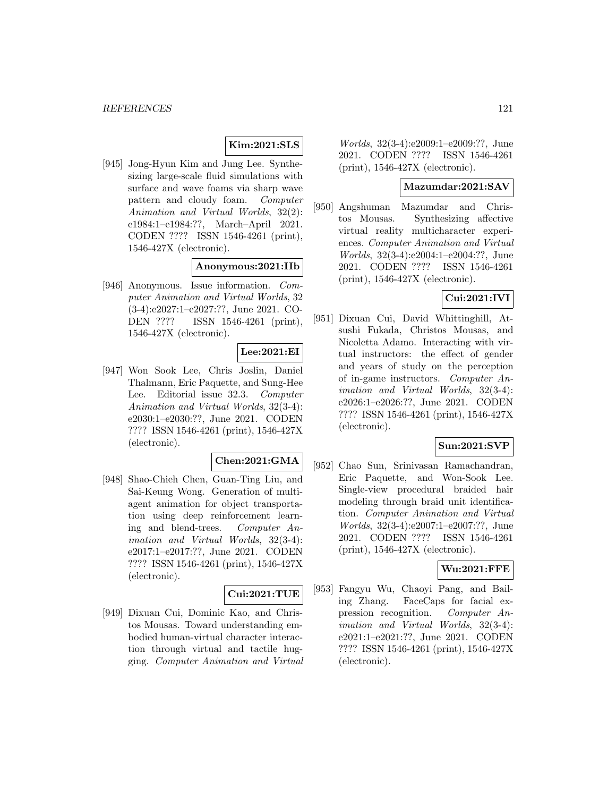# **Kim:2021:SLS**

[945] Jong-Hyun Kim and Jung Lee. Synthesizing large-scale fluid simulations with surface and wave foams via sharp wave pattern and cloudy foam. Computer Animation and Virtual Worlds, 32(2): e1984:1–e1984:??, March–April 2021. CODEN ???? ISSN 1546-4261 (print), 1546-427X (electronic).

# **Anonymous:2021:IIb**

[946] Anonymous. Issue information. Computer Animation and Virtual Worlds, 32 (3-4):e2027:1–e2027:??, June 2021. CO-DEN ???? ISSN 1546-4261 (print), 1546-427X (electronic).

# **Lee:2021:EI**

[947] Won Sook Lee, Chris Joslin, Daniel Thalmann, Eric Paquette, and Sung-Hee Lee. Editorial issue 32.3. Computer Animation and Virtual Worlds, 32(3-4): e2030:1–e2030:??, June 2021. CODEN ???? ISSN 1546-4261 (print), 1546-427X (electronic).

## **Chen:2021:GMA**

[948] Shao-Chieh Chen, Guan-Ting Liu, and Sai-Keung Wong. Generation of multiagent animation for object transportation using deep reinforcement learning and blend-trees. Computer Animation and Virtual Worlds, 32(3-4): e2017:1–e2017:??, June 2021. CODEN ???? ISSN 1546-4261 (print), 1546-427X (electronic).

#### **Cui:2021:TUE**

[949] Dixuan Cui, Dominic Kao, and Christos Mousas. Toward understanding embodied human-virtual character interaction through virtual and tactile hugging. Computer Animation and Virtual

Worlds, 32(3-4):e2009:1–e2009:??, June 2021. CODEN ???? ISSN 1546-4261 (print), 1546-427X (electronic).

# **Mazumdar:2021:SAV**

[950] Angshuman Mazumdar and Christos Mousas. Synthesizing affective virtual reality multicharacter experiences. Computer Animation and Virtual Worlds, 32(3-4):e2004:1–e2004:??, June 2021. CODEN ???? ISSN 1546-4261 (print), 1546-427X (electronic).

# **Cui:2021:IVI**

[951] Dixuan Cui, David Whittinghill, Atsushi Fukada, Christos Mousas, and Nicoletta Adamo. Interacting with virtual instructors: the effect of gender and years of study on the perception of in-game instructors. Computer Animation and Virtual Worlds, 32(3-4): e2026:1–e2026:??, June 2021. CODEN ???? ISSN 1546-4261 (print), 1546-427X (electronic).

## **Sun:2021:SVP**

[952] Chao Sun, Srinivasan Ramachandran, Eric Paquette, and Won-Sook Lee. Single-view procedural braided hair modeling through braid unit identification. Computer Animation and Virtual Worlds, 32(3-4):e2007:1–e2007:??, June 2021. CODEN ???? ISSN 1546-4261 (print), 1546-427X (electronic).

#### **Wu:2021:FFE**

[953] Fangyu Wu, Chaoyi Pang, and Bailing Zhang. FaceCaps for facial expression recognition. Computer Animation and Virtual Worlds, 32(3-4): e2021:1–e2021:??, June 2021. CODEN ???? ISSN 1546-4261 (print), 1546-427X (electronic).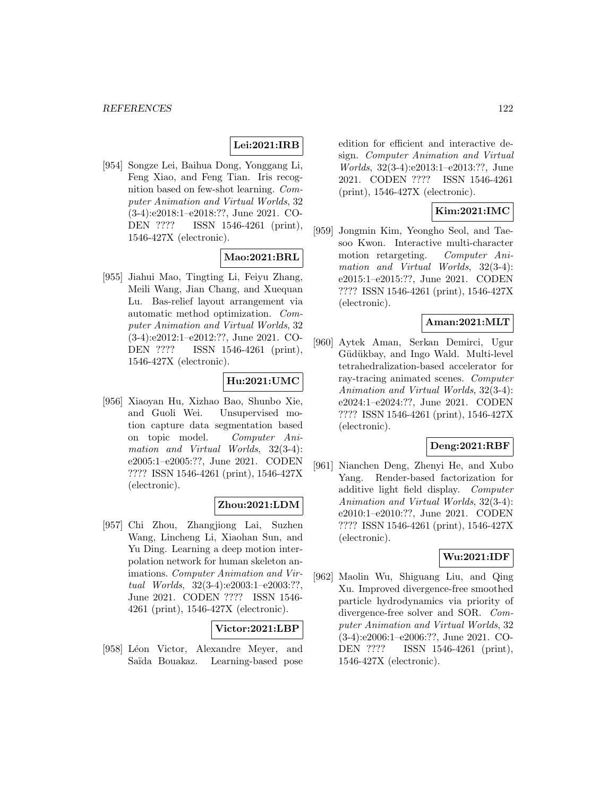## **Lei:2021:IRB**

[954] Songze Lei, Baihua Dong, Yonggang Li, Feng Xiao, and Feng Tian. Iris recognition based on few-shot learning. Computer Animation and Virtual Worlds, 32 (3-4):e2018:1–e2018:??, June 2021. CO-DEN ???? ISSN 1546-4261 (print), 1546-427X (electronic).

# **Mao:2021:BRL**

[955] Jiahui Mao, Tingting Li, Feiyu Zhang, Meili Wang, Jian Chang, and Xuequan Lu. Bas-relief layout arrangement via automatic method optimization. Computer Animation and Virtual Worlds, 32 (3-4):e2012:1–e2012:??, June 2021. CO-DEN ???? ISSN 1546-4261 (print), 1546-427X (electronic).

# **Hu:2021:UMC**

[956] Xiaoyan Hu, Xizhao Bao, Shunbo Xie, and Guoli Wei. Unsupervised motion capture data segmentation based on topic model. Computer Animation and Virtual Worlds, 32(3-4): e2005:1–e2005:??, June 2021. CODEN ???? ISSN 1546-4261 (print), 1546-427X (electronic).

## **Zhou:2021:LDM**

[957] Chi Zhou, Zhangjiong Lai, Suzhen Wang, Lincheng Li, Xiaohan Sun, and Yu Ding. Learning a deep motion interpolation network for human skeleton animations. Computer Animation and Virtual Worlds, 32(3-4):e2003:1–e2003:??, June 2021. CODEN ???? ISSN 1546- 4261 (print), 1546-427X (electronic).

# **Victor:2021:LBP**

[958] Léon Victor, Alexandre Meyer, and Saïda Bouakaz. Learning-based pose edition for efficient and interactive design. Computer Animation and Virtual Worlds, 32(3-4):e2013:1–e2013:??, June 2021. CODEN ???? ISSN 1546-4261 (print), 1546-427X (electronic).

# **Kim:2021:IMC**

[959] Jongmin Kim, Yeongho Seol, and Taesoo Kwon. Interactive multi-character motion retargeting. Computer Animation and Virtual Worlds, 32(3-4): e2015:1–e2015:??, June 2021. CODEN ???? ISSN 1546-4261 (print), 1546-427X (electronic).

## **Aman:2021:MLT**

[960] Aytek Aman, Serkan Demirci, Ugur Güdükbay, and Ingo Wald. Multi-level tetrahedralization-based accelerator for ray-tracing animated scenes. Computer Animation and Virtual Worlds, 32(3-4): e2024:1–e2024:??, June 2021. CODEN ???? ISSN 1546-4261 (print), 1546-427X (electronic).

#### **Deng:2021:RBF**

[961] Nianchen Deng, Zhenyi He, and Xubo Yang. Render-based factorization for additive light field display. Computer Animation and Virtual Worlds, 32(3-4): e2010:1–e2010:??, June 2021. CODEN ???? ISSN 1546-4261 (print), 1546-427X (electronic).

# **Wu:2021:IDF**

[962] Maolin Wu, Shiguang Liu, and Qing Xu. Improved divergence-free smoothed particle hydrodynamics via priority of divergence-free solver and SOR. Computer Animation and Virtual Worlds, 32 (3-4):e2006:1–e2006:??, June 2021. CO-DEN ???? ISSN 1546-4261 (print), 1546-427X (electronic).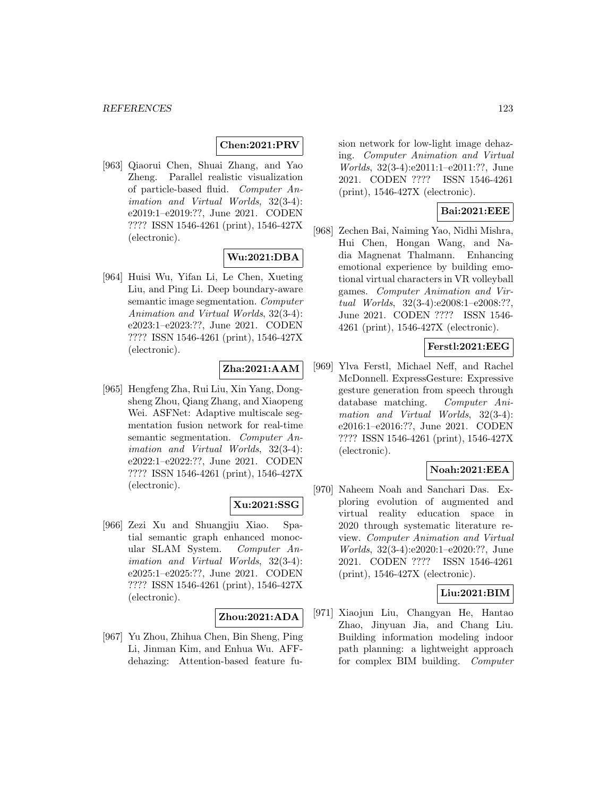# **Chen:2021:PRV**

[963] Qiaorui Chen, Shuai Zhang, and Yao Zheng. Parallel realistic visualization of particle-based fluid. Computer Animation and Virtual Worlds, 32(3-4): e2019:1–e2019:??, June 2021. CODEN ???? ISSN 1546-4261 (print), 1546-427X (electronic).

## **Wu:2021:DBA**

[964] Huisi Wu, Yifan Li, Le Chen, Xueting Liu, and Ping Li. Deep boundary-aware semantic image segmentation. Computer Animation and Virtual Worlds, 32(3-4): e2023:1–e2023:??, June 2021. CODEN ???? ISSN 1546-4261 (print), 1546-427X (electronic).

# **Zha:2021:AAM**

[965] Hengfeng Zha, Rui Liu, Xin Yang, Dongsheng Zhou, Qiang Zhang, and Xiaopeng Wei. ASFNet: Adaptive multiscale segmentation fusion network for real-time semantic segmentation. Computer Animation and Virtual Worlds, 32(3-4): e2022:1–e2022:??, June 2021. CODEN ???? ISSN 1546-4261 (print), 1546-427X (electronic).

## **Xu:2021:SSG**

[966] Zezi Xu and Shuangjiu Xiao. Spatial semantic graph enhanced monocular SLAM System. Computer Animation and Virtual Worlds, 32(3-4): e2025:1–e2025:??, June 2021. CODEN ???? ISSN 1546-4261 (print), 1546-427X (electronic).

#### **Zhou:2021:ADA**

[967] Yu Zhou, Zhihua Chen, Bin Sheng, Ping Li, Jinman Kim, and Enhua Wu. AFFdehazing: Attention-based feature fusion network for low-light image dehazing. Computer Animation and Virtual Worlds, 32(3-4):e2011:1–e2011:??, June 2021. CODEN ???? ISSN 1546-4261 (print), 1546-427X (electronic).

## **Bai:2021:EEE**

[968] Zechen Bai, Naiming Yao, Nidhi Mishra, Hui Chen, Hongan Wang, and Nadia Magnenat Thalmann. Enhancing emotional experience by building emotional virtual characters in VR volleyball games. Computer Animation and Virtual Worlds, 32(3-4):e2008:1–e2008:??, June 2021. CODEN ???? ISSN 1546- 4261 (print), 1546-427X (electronic).

# **Ferstl:2021:EEG**

[969] Ylva Ferstl, Michael Neff, and Rachel McDonnell. ExpressGesture: Expressive gesture generation from speech through database matching. Computer Animation and Virtual Worlds, 32(3-4): e2016:1–e2016:??, June 2021. CODEN ???? ISSN 1546-4261 (print), 1546-427X (electronic).

# **Noah:2021:EEA**

[970] Naheem Noah and Sanchari Das. Exploring evolution of augmented and virtual reality education space in 2020 through systematic literature review. Computer Animation and Virtual Worlds, 32(3-4):e2020:1–e2020:??, June 2021. CODEN ???? ISSN 1546-4261 (print), 1546-427X (electronic).

## **Liu:2021:BIM**

[971] Xiaojun Liu, Changyan He, Hantao Zhao, Jinyuan Jia, and Chang Liu. Building information modeling indoor path planning: a lightweight approach for complex BIM building. Computer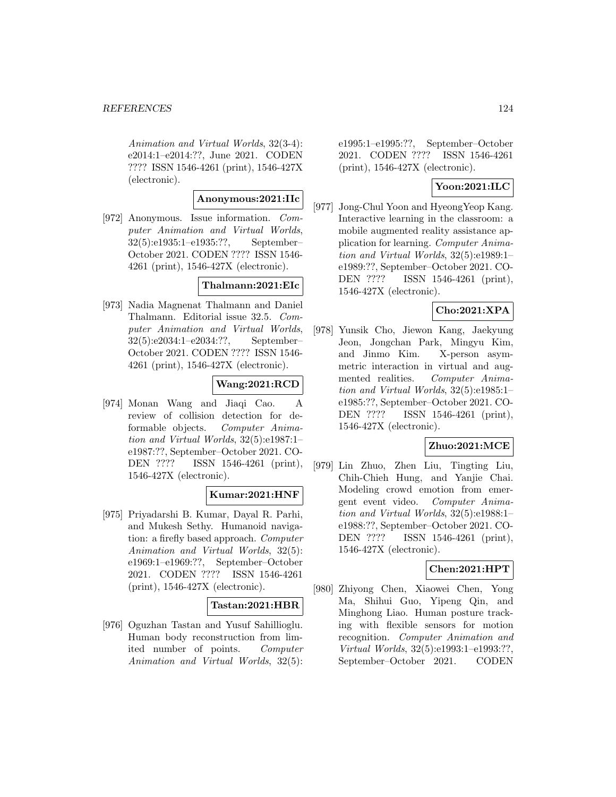Animation and Virtual Worlds, 32(3-4): e2014:1–e2014:??, June 2021. CODEN ???? ISSN 1546-4261 (print), 1546-427X (electronic).

# **Anonymous:2021:IIc**

[972] Anonymous. Issue information. Computer Animation and Virtual Worlds, 32(5):e1935:1–e1935:??, September– October 2021. CODEN ???? ISSN 1546- 4261 (print), 1546-427X (electronic).

## **Thalmann:2021:EIc**

[973] Nadia Magnenat Thalmann and Daniel Thalmann. Editorial issue 32.5. Computer Animation and Virtual Worlds, 32(5):e2034:1–e2034:??, September– October 2021. CODEN ???? ISSN 1546- 4261 (print), 1546-427X (electronic).

# **Wang:2021:RCD**

[974] Monan Wang and Jiaqi Cao. A review of collision detection for deformable objects. Computer Animation and Virtual Worlds, 32(5):e1987:1– e1987:??, September–October 2021. CO-DEN ???? ISSN 1546-4261 (print), 1546-427X (electronic).

# **Kumar:2021:HNF**

[975] Priyadarshi B. Kumar, Dayal R. Parhi, and Mukesh Sethy. Humanoid navigation: a firefly based approach. Computer Animation and Virtual Worlds, 32(5): e1969:1–e1969:??, September–October 2021. CODEN ???? ISSN 1546-4261 (print), 1546-427X (electronic).

## **Tastan:2021:HBR**

[976] Oguzhan Tastan and Yusuf Sahillioglu. Human body reconstruction from limited number of points. Computer Animation and Virtual Worlds, 32(5):

e1995:1–e1995:??, September–October 2021. CODEN ???? ISSN 1546-4261 (print), 1546-427X (electronic).

# **Yoon:2021:ILC**

[977] Jong-Chul Yoon and HyeongYeop Kang. Interactive learning in the classroom: a mobile augmented reality assistance application for learning. Computer Animation and Virtual Worlds, 32(5):e1989:1– e1989:??, September–October 2021. CO-DEN ???? ISSN 1546-4261 (print), 1546-427X (electronic).

# **Cho:2021:XPA**

[978] Yunsik Cho, Jiewon Kang, Jaekyung Jeon, Jongchan Park, Mingyu Kim, and Jinmo Kim. X-person asymmetric interaction in virtual and augmented realities. Computer Animation and Virtual Worlds, 32(5):e1985:1– e1985:??, September–October 2021. CO-DEN ???? ISSN 1546-4261 (print), 1546-427X (electronic).

# **Zhuo:2021:MCE**

[979] Lin Zhuo, Zhen Liu, Tingting Liu, Chih-Chieh Hung, and Yanjie Chai. Modeling crowd emotion from emergent event video. Computer Animation and Virtual Worlds, 32(5):e1988:1– e1988:??, September–October 2021. CO-DEN ???? ISSN 1546-4261 (print), 1546-427X (electronic).

# **Chen:2021:HPT**

[980] Zhiyong Chen, Xiaowei Chen, Yong Ma, Shihui Guo, Yipeng Qin, and Minghong Liao. Human posture tracking with flexible sensors for motion recognition. Computer Animation and Virtual Worlds, 32(5):e1993:1–e1993:??, September–October 2021. CODEN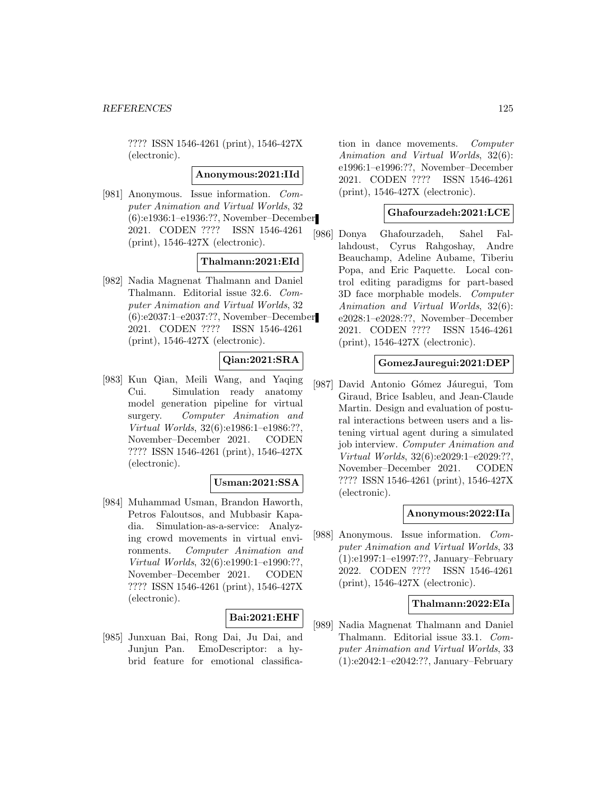???? ISSN 1546-4261 (print), 1546-427X (electronic).

#### **Anonymous:2021:IId**

[981] Anonymous. Issue information. Computer Animation and Virtual Worlds, 32 (6):e1936:1–e1936:??, November–December 2021. CODEN ???? ISSN 1546-4261 (print), 1546-427X (electronic).

# **Thalmann:2021:EId**

[982] Nadia Magnenat Thalmann and Daniel Thalmann. Editorial issue 32.6. Computer Animation and Virtual Worlds, 32 (6):e2037:1–e2037:??, November–December 2021. CODEN ???? ISSN 1546-4261 (print), 1546-427X (electronic).

# **Qian:2021:SRA**

[983] Kun Qian, Meili Wang, and Yaqing Cui. Simulation ready anatomy model generation pipeline for virtual surgery. Computer Animation and Virtual Worlds, 32(6):e1986:1–e1986:??, November–December 2021. CODEN ???? ISSN 1546-4261 (print), 1546-427X (electronic).

# **Usman:2021:SSA**

[984] Muhammad Usman, Brandon Haworth, Petros Faloutsos, and Mubbasir Kapadia. Simulation-as-a-service: Analyzing crowd movements in virtual environments. Computer Animation and Virtual Worlds, 32(6):e1990:1–e1990:??, November–December 2021. CODEN ???? ISSN 1546-4261 (print), 1546-427X (electronic).

# **Bai:2021:EHF**

[985] Junxuan Bai, Rong Dai, Ju Dai, and Junjun Pan. EmoDescriptor: a hybrid feature for emotional classification in dance movements. Computer Animation and Virtual Worlds, 32(6): e1996:1–e1996:??, November–December 2021. CODEN ???? ISSN 1546-4261 (print), 1546-427X (electronic).

#### **Ghafourzadeh:2021:LCE**

[986] Donya Ghafourzadeh, Sahel Fallahdoust, Cyrus Rahgoshay, Andre Beauchamp, Adeline Aubame, Tiberiu Popa, and Eric Paquette. Local control editing paradigms for part-based 3D face morphable models. Computer Animation and Virtual Worlds, 32(6): e2028:1–e2028:??, November–December 2021. CODEN ???? ISSN 1546-4261 (print), 1546-427X (electronic).

## **GomezJauregui:2021:DEP**

[987] David Antonio Gómez Jáuregui, Tom Giraud, Brice Isableu, and Jean-Claude Martin. Design and evaluation of postural interactions between users and a listening virtual agent during a simulated job interview. Computer Animation and Virtual Worlds, 32(6):e2029:1–e2029:??, November–December 2021. CODEN ???? ISSN 1546-4261 (print), 1546-427X (electronic).

## **Anonymous:2022:IIa**

[988] Anonymous. Issue information. Computer Animation and Virtual Worlds, 33 (1):e1997:1–e1997:??, January–February 2022. CODEN ???? ISSN 1546-4261 (print), 1546-427X (electronic).

## **Thalmann:2022:EIa**

[989] Nadia Magnenat Thalmann and Daniel Thalmann. Editorial issue 33.1. Computer Animation and Virtual Worlds, 33 (1):e2042:1–e2042:??, January–February